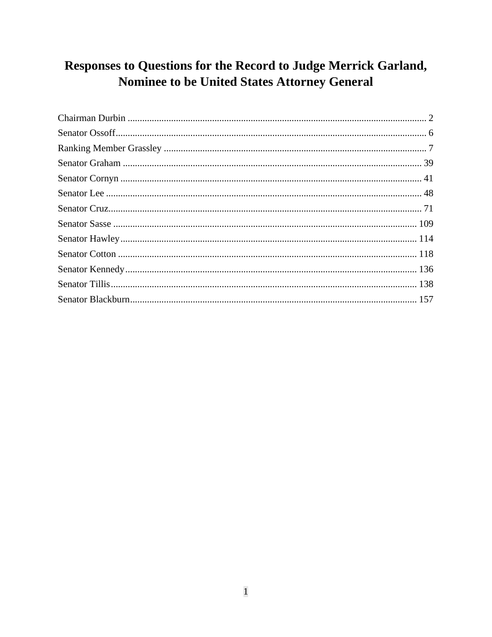# Responses to Questions for the Record to Judge Merrick Garland, Nominee to be United States Attorney General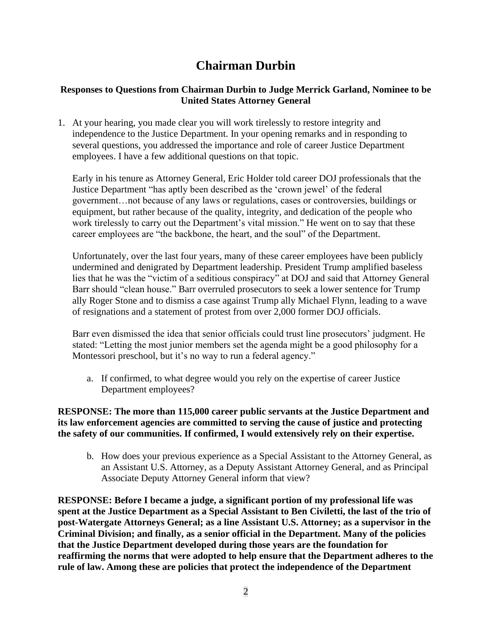# **Chairman Durbin**

# <span id="page-1-0"></span>**Responses to Questions from Chairman Durbin to Judge Merrick Garland, Nominee to be United States Attorney General**

1. At your hearing, you made clear you will work tirelessly to restore integrity and independence to the Justice Department. In your opening remarks and in responding to several questions, you addressed the importance and role of career Justice Department employees. I have a few additional questions on that topic.

Early in his tenure as Attorney General, Eric Holder told career DOJ professionals that the Justice Department "has aptly been described as the 'crown jewel' of the federal government…not because of any laws or regulations, cases or controversies, buildings or equipment, but rather because of the quality, integrity, and dedication of the people who work tirelessly to carry out the Department's vital mission." He went on to say that these career employees are "the backbone, the heart, and the soul" of the Department.

Unfortunately, over the last four years, many of these career employees have been publicly undermined and denigrated by Department leadership. President Trump amplified baseless lies that he was the "victim of a seditious conspiracy" at DOJ and said that Attorney General Barr should "clean house." Barr overruled prosecutors to seek a lower sentence for Trump ally Roger Stone and to dismiss a case against Trump ally Michael Flynn, leading to a wave of resignations and a statement of protest from over 2,000 former DOJ officials.

Barr even dismissed the idea that senior officials could trust line prosecutors' judgment. He stated: "Letting the most junior members set the agenda might be a good philosophy for a Montessori preschool, but it's no way to run a federal agency."

a. If confirmed, to what degree would you rely on the expertise of career Justice Department employees?

# **RESPONSE: The more than 115,000 career public servants at the Justice Department and its law enforcement agencies are committed to serving the cause of justice and protecting the safety of our communities. If confirmed, I would extensively rely on their expertise.**

b. How does your previous experience as a Special Assistant to the Attorney General, as an Assistant U.S. Attorney, as a Deputy Assistant Attorney General, and as Principal Associate Deputy Attorney General inform that view?

**RESPONSE: Before I became a judge, a significant portion of my professional life was spent at the Justice Department as a Special Assistant to Ben Civiletti, the last of the trio of post-Watergate Attorneys General; as a line Assistant U.S. Attorney; as a supervisor in the Criminal Division; and finally, as a senior official in the Department. Many of the policies that the Justice Department developed during those years are the foundation for reaffirming the norms that were adopted to help ensure that the Department adheres to the rule of law. Among these are policies that protect the independence of the Department**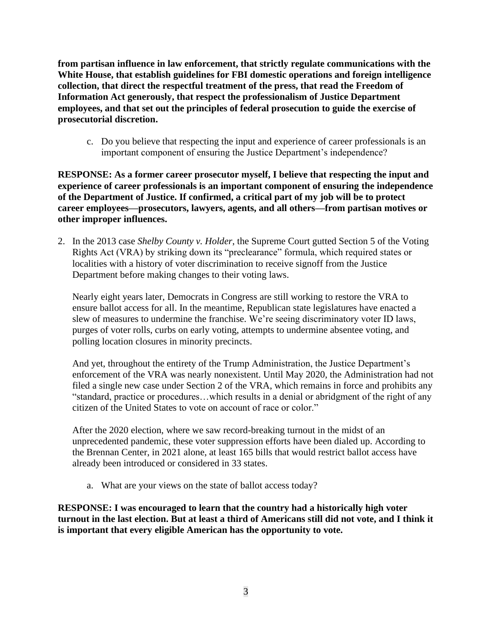**from partisan influence in law enforcement, that strictly regulate communications with the White House, that establish guidelines for FBI domestic operations and foreign intelligence collection, that direct the respectful treatment of the press, that read the Freedom of Information Act generously, that respect the professionalism of Justice Department employees, and that set out the principles of federal prosecution to guide the exercise of prosecutorial discretion.**

c. Do you believe that respecting the input and experience of career professionals is an important component of ensuring the Justice Department's independence?

**RESPONSE: As a former career prosecutor myself, I believe that respecting the input and experience of career professionals is an important component of ensuring the independence of the Department of Justice. If confirmed, a critical part of my job will be to protect career employees—prosecutors, lawyers, agents, and all others—from partisan motives or other improper influences.**

2. In the 2013 case *Shelby County v. Holder*, the Supreme Court gutted Section 5 of the Voting Rights Act (VRA) by striking down its "preclearance" formula, which required states or localities with a history of voter discrimination to receive signoff from the Justice Department before making changes to their voting laws.

Nearly eight years later, Democrats in Congress are still working to restore the VRA to ensure ballot access for all. In the meantime, Republican state legislatures have enacted a slew of measures to undermine the franchise. We're seeing discriminatory voter ID laws, purges of voter rolls, curbs on early voting, attempts to undermine absentee voting, and polling location closures in minority precincts.

And yet, throughout the entirety of the Trump Administration, the Justice Department's enforcement of the VRA was nearly nonexistent. Until May 2020, the Administration had not filed a single new case under Section 2 of the VRA, which remains in force and prohibits any "standard, practice or procedures…which results in a denial or abridgment of the right of any citizen of the United States to vote on account of race or color."

After the 2020 election, where we saw record-breaking turnout in the midst of an unprecedented pandemic, these voter suppression efforts have been dialed up. According to the Brennan Center, in 2021 alone, at least 165 bills that would restrict ballot access have already been introduced or considered in 33 states.

a. What are your views on the state of ballot access today?

**RESPONSE: I was encouraged to learn that the country had a historically high voter turnout in the last election. But at least a third of Americans still did not vote, and I think it is important that every eligible American has the opportunity to vote.**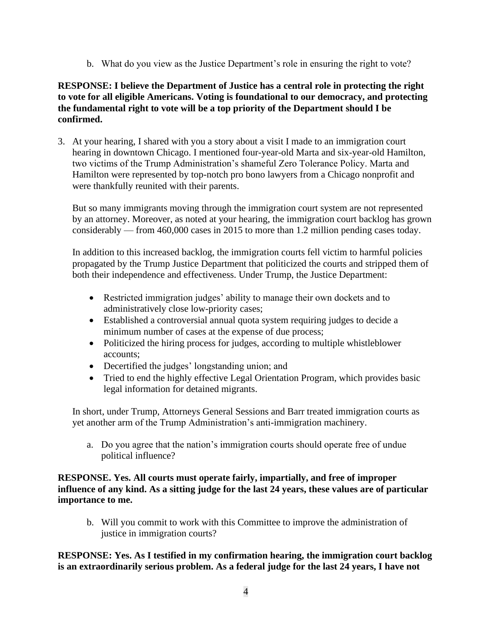b. What do you view as the Justice Department's role in ensuring the right to vote?

# **RESPONSE: I believe the Department of Justice has a central role in protecting the right to vote for all eligible Americans. Voting is foundational to our democracy, and protecting the fundamental right to vote will be a top priority of the Department should I be confirmed.**

3. At your hearing, I shared with you a story about a visit I made to an immigration court hearing in downtown Chicago. I mentioned four-year-old Marta and six-year-old Hamilton, two victims of the Trump Administration's shameful Zero Tolerance Policy. Marta and Hamilton were represented by top-notch pro bono lawyers from a Chicago nonprofit and were thankfully reunited with their parents.

But so many immigrants moving through the immigration court system are not represented by an attorney. Moreover, as noted at your hearing, the immigration court backlog has grown considerably — from 460,000 cases in 2015 to more than 1.2 million pending cases today.

In addition to this increased backlog, the immigration courts fell victim to harmful policies propagated by the Trump Justice Department that politicized the courts and stripped them of both their independence and effectiveness. Under Trump, the Justice Department:

- Restricted immigration judges' ability to manage their own dockets and to administratively close low-priority cases;
- Established a controversial annual quota system requiring judges to decide a minimum number of cases at the expense of due process;
- Politicized the hiring process for judges, according to multiple whistleblower accounts;
- Decertified the judges' longstanding union; and
- Tried to end the highly effective Legal Orientation Program, which provides basic legal information for detained migrants.

In short, under Trump, Attorneys General Sessions and Barr treated immigration courts as yet another arm of the Trump Administration's anti-immigration machinery.

a. Do you agree that the nation's immigration courts should operate free of undue political influence?

# **RESPONSE. Yes. All courts must operate fairly, impartially, and free of improper influence of any kind. As a sitting judge for the last 24 years, these values are of particular importance to me.**

b. Will you commit to work with this Committee to improve the administration of justice in immigration courts?

**RESPONSE: Yes. As I testified in my confirmation hearing, the immigration court backlog is an extraordinarily serious problem. As a federal judge for the last 24 years, I have not**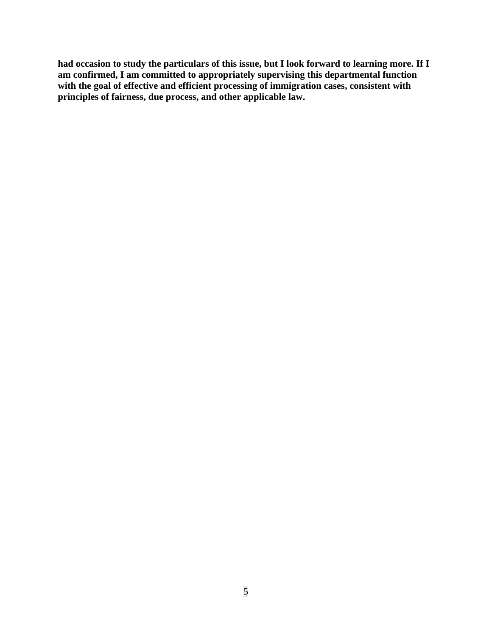**had occasion to study the particulars of this issue, but I look forward to learning more. If I am confirmed, I am committed to appropriately supervising this departmental function with the goal of effective and efficient processing of immigration cases, consistent with principles of fairness, due process, and other applicable law.**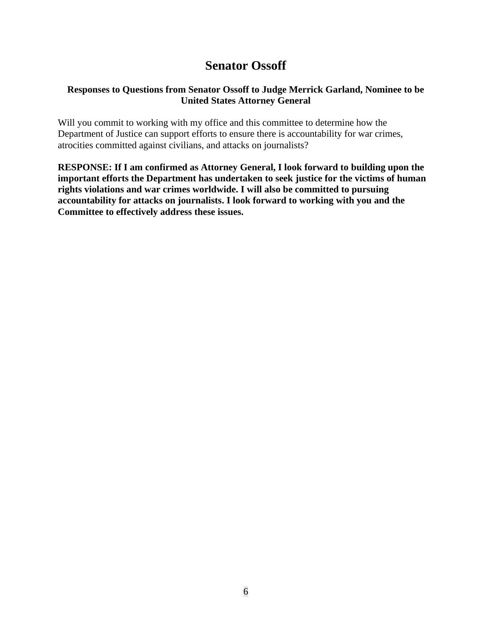# **Senator Ossoff**

# <span id="page-5-0"></span>**Responses to Questions from Senator Ossoff to Judge Merrick Garland, Nominee to be United States Attorney General**

Will you commit to working with my office and this committee to determine how the Department of Justice can support efforts to ensure there is accountability for war crimes, atrocities committed against civilians, and attacks on journalists?

**RESPONSE: If I am confirmed as Attorney General, I look forward to building upon the important efforts the Department has undertaken to seek justice for the victims of human rights violations and war crimes worldwide. I will also be committed to pursuing accountability for attacks on journalists. I look forward to working with you and the Committee to effectively address these issues.**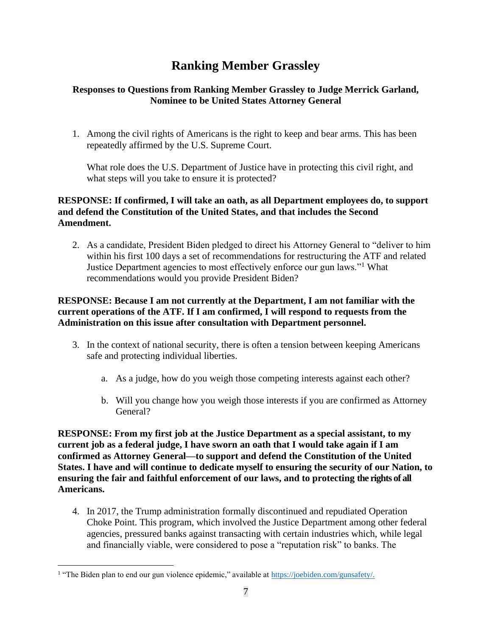# **Ranking Member Grassley**

# <span id="page-6-0"></span>**Responses to Questions from Ranking Member Grassley to Judge Merrick Garland, Nominee to be United States Attorney General**

1. Among the civil rights of Americans is the right to keep and bear arms. This has been repeatedly affirmed by the U.S. Supreme Court.

What role does the U.S. Department of Justice have in protecting this civil right, and what steps will you take to ensure it is protected?

# **RESPONSE: If confirmed, I will take an oath, as all Department employees do, to support and defend the Constitution of the United States, and that includes the Second Amendment.**

2. As a candidate, President Biden pledged to direct his Attorney General to "deliver to him within his first 100 days a set of recommendations for restructuring the ATF and related Justice Department agencies to most effectively enforce our gun laws."<sup>1</sup> What recommendations would you provide President Biden?

# **RESPONSE: Because I am not currently at the Department, I am not familiar with the current operations of the ATF. If I am confirmed, I will respond to requests from the Administration on this issue after consultation with Department personnel.**

- 3. In the context of national security, there is often a tension between keeping Americans safe and protecting individual liberties.
	- a. As a judge, how do you weigh those competing interests against each other?
	- b. Will you change how you weigh those interests if you are confirmed as Attorney General?

**RESPONSE: From my first job at the Justice Department as a special assistant, to my current job as a federal judge, I have sworn an oath that I would take again if I am confirmed as Attorney General—to support and defend the Constitution of the United States. I have and will continue to dedicate myself to ensuring the security of our Nation, to ensuring the fair and faithful enforcement of our laws, and to protecting the rights of all Americans.**

4. In 2017, the Trump administration formally discontinued and repudiated Operation Choke Point. This program, which involved the Justice Department among other federal agencies, pressured banks against transacting with certain industries which, while legal and financially viable, were considered to pose a "reputation risk" to banks. The

<sup>&</sup>lt;sup>1</sup> "The Biden plan to end our gun violence epidemic," available at [https://joebiden.com/gunsafety/.](https://joebiden.com/gunsafety/)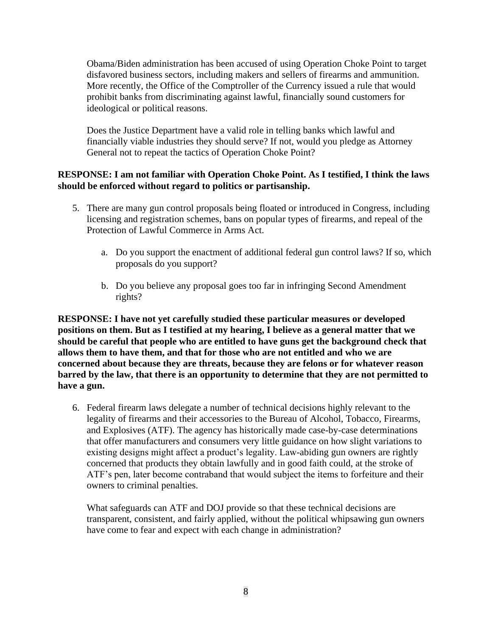Obama/Biden administration has been accused of using Operation Choke Point to target disfavored business sectors, including makers and sellers of firearms and ammunition. More recently, the Office of the Comptroller of the Currency issued a rule that would prohibit banks from discriminating against lawful, financially sound customers for ideological or political reasons.

Does the Justice Department have a valid role in telling banks which lawful and financially viable industries they should serve? If not, would you pledge as Attorney General not to repeat the tactics of Operation Choke Point?

# **RESPONSE: I am not familiar with Operation Choke Point. As I testified, I think the laws should be enforced without regard to politics or partisanship.**

- 5. There are many gun control proposals being floated or introduced in Congress, including licensing and registration schemes, bans on popular types of firearms, and repeal of the Protection of Lawful Commerce in Arms Act.
	- a. Do you support the enactment of additional federal gun control laws? If so, which proposals do you support?
	- b. Do you believe any proposal goes too far in infringing Second Amendment rights?

**RESPONSE: I have not yet carefully studied these particular measures or developed positions on them. But as I testified at my hearing, I believe as a general matter that we should be careful that people who are entitled to have guns get the background check that allows them to have them, and that for those who are not entitled and who we are concerned about because they are threats, because they are felons or for whatever reason barred by the law, that there is an opportunity to determine that they are not permitted to have a gun.**

6. Federal firearm laws delegate a number of technical decisions highly relevant to the legality of firearms and their accessories to the Bureau of Alcohol, Tobacco, Firearms, and Explosives (ATF). The agency has historically made case-by-case determinations that offer manufacturers and consumers very little guidance on how slight variations to existing designs might affect a product's legality. Law-abiding gun owners are rightly concerned that products they obtain lawfully and in good faith could, at the stroke of ATF's pen, later become contraband that would subject the items to forfeiture and their owners to criminal penalties.

What safeguards can ATF and DOJ provide so that these technical decisions are transparent, consistent, and fairly applied, without the political whipsawing gun owners have come to fear and expect with each change in administration?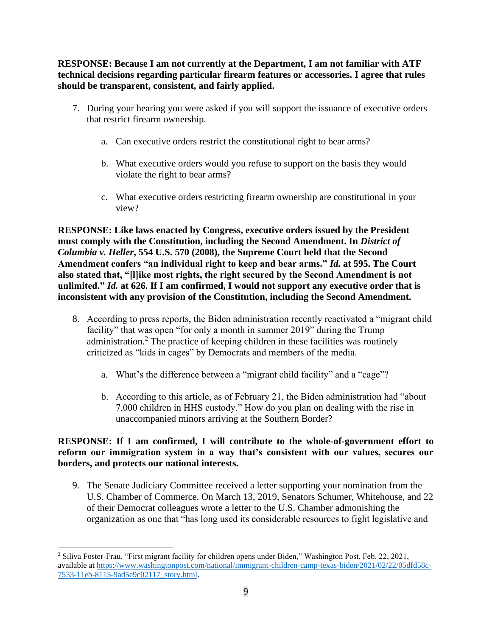**RESPONSE: Because I am not currently at the Department, I am not familiar with ATF technical decisions regarding particular firearm features or accessories. I agree that rules should be transparent, consistent, and fairly applied.**

- 7. During your hearing you were asked if you will support the issuance of executive orders that restrict firearm ownership.
	- a. Can executive orders restrict the constitutional right to bear arms?
	- b. What executive orders would you refuse to support on the basis they would violate the right to bear arms?
	- c. What executive orders restricting firearm ownership are constitutional in your view?

**RESPONSE: Like laws enacted by Congress, executive orders issued by the President must comply with the Constitution, including the Second Amendment. In** *District of Columbia v. Heller***, 554 U.S. 570 (2008), the Supreme Court held that the Second Amendment confers "an individual right to keep and bear arms."** *Id.* **at 595. The Court also stated that, "[l]ike most rights, the right secured by the Second Amendment is not unlimited."** *Id.* **at 626. If I am confirmed, I would not support any executive order that is inconsistent with any provision of the Constitution, including the Second Amendment.**

- 8. According to press reports, the Biden administration recently reactivated a "migrant child facility" that was open "for only a month in summer 2019" during the Trump administration.<sup>2</sup> The practice of keeping children in these facilities was routinely criticized as "kids in cages" by Democrats and members of the media.
	- a. What's the difference between a "migrant child facility" and a "cage"?
	- b. According to this article, as of February 21, the Biden administration had "about 7,000 children in HHS custody." How do you plan on dealing with the rise in unaccompanied minors arriving at the Southern Border?

# **RESPONSE: If I am confirmed, I will contribute to the whole-of-government effort to reform our immigration system in a way that's consistent with our values, secures our borders, and protects our national interests.**

9. The Senate Judiciary Committee received a letter supporting your nomination from the U.S. Chamber of Commerce. On March 13, 2019, Senators Schumer, Whitehouse, and 22 of their Democrat colleagues wrote a letter to the U.S. Chamber admonishing the organization as one that "has long used its considerable resources to fight legislative and

<sup>2</sup> Siliva Foster-Frau, "First migrant facility for children opens under Biden," Washington Post, Feb. 22, 2021, available at [https://www.washingtonpost.com/national/immigrant-children-camp-texas-biden/2021/02/22/05dfd58c-](https://www.washingtonpost.com/national/immigrant-children-camp-texas-biden/2021/02/22/05dfd58c-7533-11eb-8115-9ad5e9c02117_story.html)[7533-11eb-8115-9ad5e9c02117\\_story.html.](https://www.washingtonpost.com/national/immigrant-children-camp-texas-biden/2021/02/22/05dfd58c-7533-11eb-8115-9ad5e9c02117_story.html)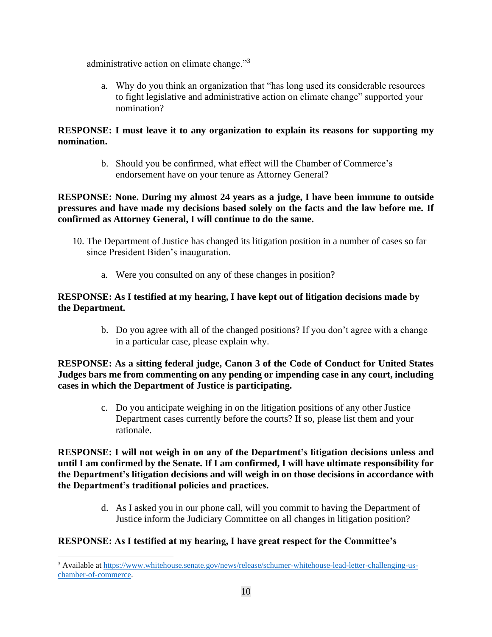administrative action on climate change."<sup>3</sup>

a. Why do you think an organization that "has long used its considerable resources to fight legislative and administrative action on climate change" supported your nomination?

# **RESPONSE: I must leave it to any organization to explain its reasons for supporting my nomination.**

b. Should you be confirmed, what effect will the Chamber of Commerce's endorsement have on your tenure as Attorney General?

# **RESPONSE: None. During my almost 24 years as a judge, I have been immune to outside pressures and have made my decisions based solely on the facts and the law before me. If confirmed as Attorney General, I will continue to do the same.**

- 10. The Department of Justice has changed its litigation position in a number of cases so far since President Biden's inauguration.
	- a. Were you consulted on any of these changes in position?

# **RESPONSE: As I testified at my hearing, I have kept out of litigation decisions made by the Department.**

b. Do you agree with all of the changed positions? If you don't agree with a change in a particular case, please explain why.

# **RESPONSE: As a sitting federal judge, Canon 3 of the Code of Conduct for United States Judges bars me from commenting on any pending or impending case in any court, including cases in which the Department of Justice is participating.**

c. Do you anticipate weighing in on the litigation positions of any other Justice Department cases currently before the courts? If so, please list them and your rationale.

**RESPONSE: I will not weigh in on any of the Department's litigation decisions unless and until I am confirmed by the Senate. If I am confirmed, I will have ultimate responsibility for the Department's litigation decisions and will weigh in on those decisions in accordance with the Department's traditional policies and practices.**

> d. As I asked you in our phone call, will you commit to having the Department of Justice inform the Judiciary Committee on all changes in litigation position?

# **RESPONSE: As I testified at my hearing, I have great respect for the Committee's**

<sup>3</sup> Available at [https://www.whitehouse.senate.gov/news/release/schumer-whitehouse-lead-letter-challenging-us](https://www.whitehouse.senate.gov/news/release/schumer-whitehouse-lead-letter-challenging-us-chamber-of-commerce)[chamber-of-commerce.](https://www.whitehouse.senate.gov/news/release/schumer-whitehouse-lead-letter-challenging-us-chamber-of-commerce)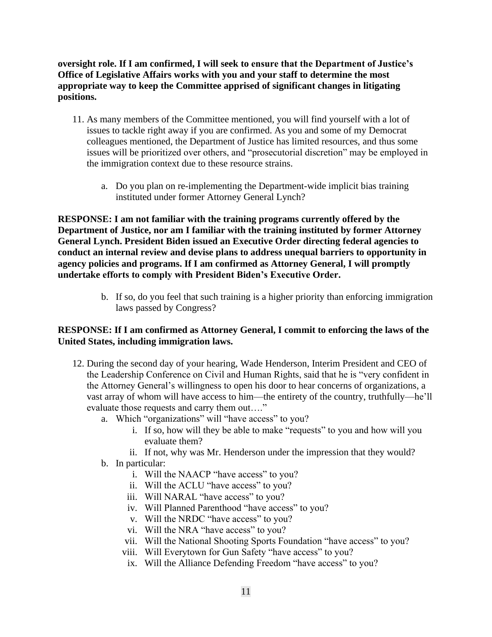**oversight role. If I am confirmed, I will seek to ensure that the Department of Justice's Office of Legislative Affairs works with you and your staff to determine the most appropriate way to keep the Committee apprised of significant changes in litigating positions.** 

- 11. As many members of the Committee mentioned, you will find yourself with a lot of issues to tackle right away if you are confirmed. As you and some of my Democrat colleagues mentioned, the Department of Justice has limited resources, and thus some issues will be prioritized over others, and "prosecutorial discretion" may be employed in the immigration context due to these resource strains.
	- a. Do you plan on re-implementing the Department-wide implicit bias training instituted under former Attorney General Lynch?

**RESPONSE: I am not familiar with the training programs currently offered by the Department of Justice, nor am I familiar with the training instituted by former Attorney General Lynch. President Biden issued an Executive Order directing federal agencies to conduct an internal review and devise plans to address unequal barriers to opportunity in agency policies and programs. If I am confirmed as Attorney General, I will promptly undertake efforts to comply with President Biden's Executive Order.**

> b. If so, do you feel that such training is a higher priority than enforcing immigration laws passed by Congress?

## **RESPONSE: If I am confirmed as Attorney General, I commit to enforcing the laws of the United States, including immigration laws.**

- 12. During the second day of your hearing, Wade Henderson, Interim President and CEO of the Leadership Conference on Civil and Human Rights, said that he is "very confident in the Attorney General's willingness to open his door to hear concerns of organizations, a vast array of whom will have access to him—the entirety of the country, truthfully—he'll evaluate those requests and carry them out…."
	- a. Which "organizations" will "have access" to you?
		- i. If so, how will they be able to make "requests" to you and how will you evaluate them?
		- ii. If not, why was Mr. Henderson under the impression that they would?
	- b. In particular:
		- i. Will the NAACP "have access" to you?
		- ii. Will the ACLU "have access" to you?
		- iii. Will NARAL "have access" to you?
		- iv. Will Planned Parenthood "have access" to you?
		- v. Will the NRDC "have access" to you?
		- vi. Will the NRA "have access" to you?
		- vii. Will the National Shooting Sports Foundation "have access" to you?
		- viii. Will Everytown for Gun Safety "have access" to you?
		- ix. Will the Alliance Defending Freedom "have access" to you?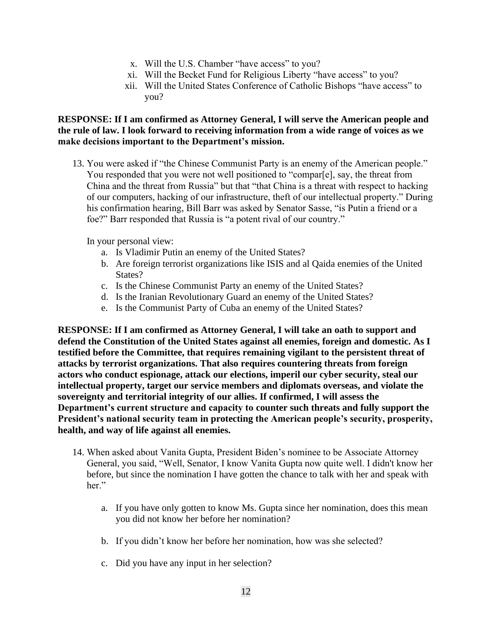- x. Will the U.S. Chamber "have access" to you?
- xi. Will the Becket Fund for Religious Liberty "have access" to you?
- xii. Will the United States Conference of Catholic Bishops "have access" to you?

### **RESPONSE: If I am confirmed as Attorney General, I will serve the American people and the rule of law. I look forward to receiving information from a wide range of voices as we make decisions important to the Department's mission.**

13. You were asked if "the Chinese Communist Party is an enemy of the American people." You responded that you were not well positioned to "compar[e], say, the threat from China and the threat from Russia" but that "that China is a threat with respect to hacking of our computers, hacking of our infrastructure, theft of our intellectual property." During his confirmation hearing, Bill Barr was asked by Senator Sasse, "is Putin a friend or a foe?" Barr responded that Russia is "a potent rival of our country."

In your personal view:

- a. Is Vladimir Putin an enemy of the United States?
- b. Are foreign terrorist organizations like ISIS and al Qaida enemies of the United States?
- c. Is the Chinese Communist Party an enemy of the United States?
- d. Is the Iranian Revolutionary Guard an enemy of the United States?
- e. Is the Communist Party of Cuba an enemy of the United States?

**RESPONSE: If I am confirmed as Attorney General, I will take an oath to support and defend the Constitution of the United States against all enemies, foreign and domestic. As I testified before the Committee, that requires remaining vigilant to the persistent threat of attacks by terrorist organizations. That also requires countering threats from foreign actors who conduct espionage, attack our elections, imperil our cyber security, steal our intellectual property, target our service members and diplomats overseas, and violate the sovereignty and territorial integrity of our allies. If confirmed, I will assess the Department's current structure and capacity to counter such threats and fully support the President's national security team in protecting the American people's security, prosperity, health, and way of life against all enemies.**

- 14. When asked about Vanita Gupta, President Biden's nominee to be Associate Attorney General, you said, "Well, Senator, I know Vanita Gupta now quite well. I didn't know her before, but since the nomination I have gotten the chance to talk with her and speak with her."
	- a. If you have only gotten to know Ms. Gupta since her nomination, does this mean you did not know her before her nomination?
	- b. If you didn't know her before her nomination, how was she selected?
	- c. Did you have any input in her selection?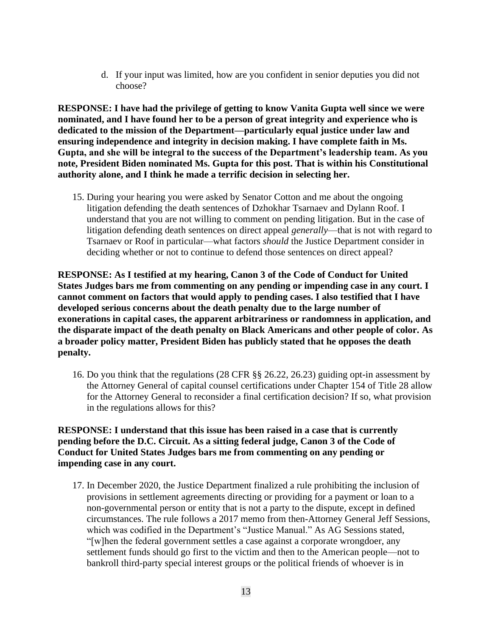d. If your input was limited, how are you confident in senior deputies you did not choose?

**RESPONSE: I have had the privilege of getting to know Vanita Gupta well since we were nominated, and I have found her to be a person of great integrity and experience who is dedicated to the mission of the Department—particularly equal justice under law and ensuring independence and integrity in decision making. I have complete faith in Ms. Gupta, and she will be integral to the success of the Department's leadership team. As you note, President Biden nominated Ms. Gupta for this post. That is within his Constitutional authority alone, and I think he made a terrific decision in selecting her.** 

15. During your hearing you were asked by Senator Cotton and me about the ongoing litigation defending the death sentences of Dzhokhar Tsarnaev and Dylann Roof. I understand that you are not willing to comment on pending litigation. But in the case of litigation defending death sentences on direct appeal *generally*—that is not with regard to Tsarnaev or Roof in particular—what factors *should* the Justice Department consider in deciding whether or not to continue to defend those sentences on direct appeal?

**RESPONSE: As I testified at my hearing, Canon 3 of the Code of Conduct for United States Judges bars me from commenting on any pending or impending case in any court. I cannot comment on factors that would apply to pending cases. I also testified that I have developed serious concerns about the death penalty due to the large number of exonerations in capital cases, the apparent arbitrariness or randomness in application, and the disparate impact of the death penalty on Black Americans and other people of color. As a broader policy matter, President Biden has publicly stated that he opposes the death penalty.**

16. Do you think that the regulations (28 CFR §§ 26.22, 26.23) guiding opt-in assessment by the Attorney General of capital counsel certifications under Chapter 154 of Title 28 allow for the Attorney General to reconsider a final certification decision? If so, what provision in the regulations allows for this?

## **RESPONSE: I understand that this issue has been raised in a case that is currently pending before the D.C. Circuit. As a sitting federal judge, Canon 3 of the Code of Conduct for United States Judges bars me from commenting on any pending or impending case in any court.**

17. In December 2020, the Justice Department finalized a rule prohibiting the inclusion of provisions in settlement agreements directing or providing for a payment or loan to a non-governmental person or entity that is not a party to the dispute, except in defined circumstances. The rule follows a 2017 memo from then-Attorney General Jeff Sessions, which was codified in the Department's "Justice Manual." As AG Sessions stated, "[w]hen the federal government settles a case against a corporate wrongdoer, any settlement funds should go first to the victim and then to the American people—not to bankroll third-party special interest groups or the political friends of whoever is in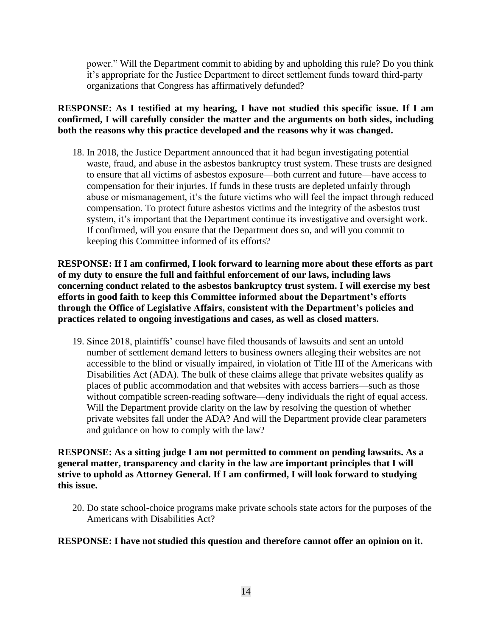power." Will the Department commit to abiding by and upholding this rule? Do you think it's appropriate for the Justice Department to direct settlement funds toward third-party organizations that Congress has affirmatively defunded?

# **RESPONSE: As I testified at my hearing, I have not studied this specific issue. If I am confirmed, I will carefully consider the matter and the arguments on both sides, including both the reasons why this practice developed and the reasons why it was changed.**

18. In 2018, the Justice Department announced that it had begun investigating potential waste, fraud, and abuse in the asbestos bankruptcy trust system. These trusts are designed to ensure that all victims of asbestos exposure—both current and future—have access to compensation for their injuries. If funds in these trusts are depleted unfairly through abuse or mismanagement, it's the future victims who will feel the impact through reduced compensation. To protect future asbestos victims and the integrity of the asbestos trust system, it's important that the Department continue its investigative and oversight work. If confirmed, will you ensure that the Department does so, and will you commit to keeping this Committee informed of its efforts?

**RESPONSE: If I am confirmed, I look forward to learning more about these efforts as part of my duty to ensure the full and faithful enforcement of our laws, including laws concerning conduct related to the asbestos bankruptcy trust system. I will exercise my best efforts in good faith to keep this Committee informed about the Department's efforts through the Office of Legislative Affairs, consistent with the Department's policies and practices related to ongoing investigations and cases, as well as closed matters.**

19. Since 2018, plaintiffs' counsel have filed thousands of lawsuits and sent an untold number of settlement demand letters to business owners alleging their websites are not accessible to the blind or visually impaired, in violation of Title III of the Americans with Disabilities Act (ADA). The bulk of these claims allege that private websites qualify as places of public accommodation and that websites with access barriers—such as those without compatible screen-reading software—deny individuals the right of equal access. Will the Department provide clarity on the law by resolving the question of whether private websites fall under the ADA? And will the Department provide clear parameters and guidance on how to comply with the law?

# **RESPONSE: As a sitting judge I am not permitted to comment on pending lawsuits. As a general matter, transparency and clarity in the law are important principles that I will strive to uphold as Attorney General. If I am confirmed, I will look forward to studying this issue.**

20. Do state school-choice programs make private schools state actors for the purposes of the Americans with Disabilities Act?

# **RESPONSE: I have not studied this question and therefore cannot offer an opinion on it.**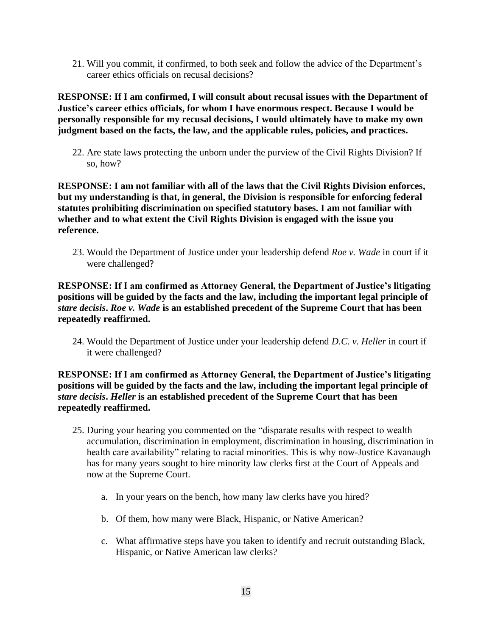21. Will you commit, if confirmed, to both seek and follow the advice of the Department's career ethics officials on recusal decisions?

**RESPONSE: If I am confirmed, I will consult about recusal issues with the Department of Justice's career ethics officials, for whom I have enormous respect. Because I would be personally responsible for my recusal decisions, I would ultimately have to make my own judgment based on the facts, the law, and the applicable rules, policies, and practices.**

22. Are state laws protecting the unborn under the purview of the Civil Rights Division? If so, how?

**RESPONSE: I am not familiar with all of the laws that the Civil Rights Division enforces, but my understanding is that, in general, the Division is responsible for enforcing federal statutes prohibiting discrimination on specified statutory bases. I am not familiar with whether and to what extent the Civil Rights Division is engaged with the issue you reference.**

23. Would the Department of Justice under your leadership defend *Roe v. Wade* in court if it were challenged?

**RESPONSE: If I am confirmed as Attorney General, the Department of Justice's litigating positions will be guided by the facts and the law, including the important legal principle of**  *stare decisis***.** *Roe v. Wade* **is an established precedent of the Supreme Court that has been repeatedly reaffirmed.**

24. Would the Department of Justice under your leadership defend *D.C. v. Heller* in court if it were challenged?

## **RESPONSE: If I am confirmed as Attorney General, the Department of Justice's litigating positions will be guided by the facts and the law, including the important legal principle of**  *stare decisis***.** *Heller* **is an established precedent of the Supreme Court that has been repeatedly reaffirmed.**

- 25. During your hearing you commented on the "disparate results with respect to wealth accumulation, discrimination in employment, discrimination in housing, discrimination in health care availability" relating to racial minorities. This is why now-Justice Kavanaugh has for many years sought to hire minority law clerks first at the Court of Appeals and now at the Supreme Court.
	- a. In your years on the bench, how many law clerks have you hired?
	- b. Of them, how many were Black, Hispanic, or Native American?
	- c. What affirmative steps have you taken to identify and recruit outstanding Black, Hispanic, or Native American law clerks?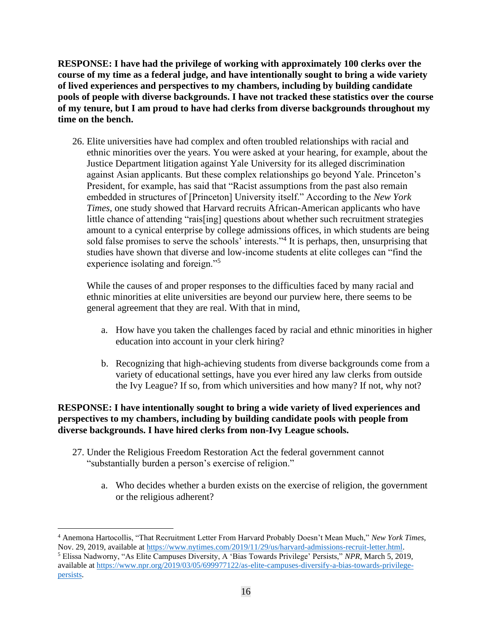**RESPONSE: I have had the privilege of working with approximately 100 clerks over the course of my time as a federal judge, and have intentionally sought to bring a wide variety of lived experiences and perspectives to my chambers, including by building candidate pools of people with diverse backgrounds. I have not tracked these statistics over the course of my tenure, but I am proud to have had clerks from diverse backgrounds throughout my time on the bench.**

26. Elite universities have had complex and often troubled relationships with racial and ethnic minorities over the years. You were asked at your hearing, for example, about the Justice Department litigation against Yale University for its alleged discrimination against Asian applicants. But these complex relationships go beyond Yale. Princeton's President, for example, has said that "Racist assumptions from the past also remain embedded in structures of [Princeton] University itself." According to the *New York Times*, one study showed that Harvard recruits African-American applicants who have little chance of attending "rais[ing] questions about whether such recruitment strategies amount to a cynical enterprise by college admissions offices, in which students are being sold false promises to serve the schools' interests."<sup>4</sup> It is perhaps, then, unsurprising that studies have shown that diverse and low-income students at elite colleges can "find the experience isolating and foreign."<sup>5</sup>

While the causes of and proper responses to the difficulties faced by many racial and ethnic minorities at elite universities are beyond our purview here, there seems to be general agreement that they are real. With that in mind,

- a. How have you taken the challenges faced by racial and ethnic minorities in higher education into account in your clerk hiring?
- b. Recognizing that high-achieving students from diverse backgrounds come from a variety of educational settings, have you ever hired any law clerks from outside the Ivy League? If so, from which universities and how many? If not, why not?

# **RESPONSE: I have intentionally sought to bring a wide variety of lived experiences and perspectives to my chambers, including by building candidate pools with people from diverse backgrounds. I have hired clerks from non-Ivy League schools.**

- 27. Under the Religious Freedom Restoration Act the federal government cannot "substantially burden a person's exercise of religion."
	- a. Who decides whether a burden exists on the exercise of religion, the government or the religious adherent?

<sup>4</sup> Anemona Hartocollis, "That Recruitment Letter From Harvard Probably Doesn't Mean Much," *New York Times*, Nov. 29, 2019, available at [https://www.nytimes.com/2019/11/29/us/harvard-admissions-recruit-letter.html.](https://www.nytimes.com/2019/11/29/us/harvard-admissions-recruit-letter.html)

<sup>5</sup> Elissa Nadworny, "As Elite Campuses Diversity, A 'Bias Towards Privilege' Persists," *NPR*, March 5, 2019, available at [https://www.npr.org/2019/03/05/699977122/as-elite-campuses-diversify-a-bias-towards-privilege](https://www.npr.org/2019/03/05/699977122/as-elite-campuses-diversify-a-bias-towards-privilege-persists)[persists.](https://www.npr.org/2019/03/05/699977122/as-elite-campuses-diversify-a-bias-towards-privilege-persists)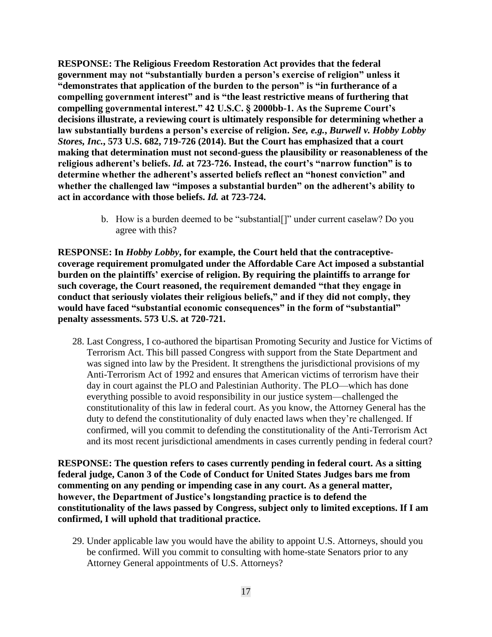**RESPONSE: The Religious Freedom Restoration Act provides that the federal government may not "substantially burden a person's exercise of religion" unless it "demonstrates that application of the burden to the person" is "in furtherance of a compelling government interest" and is "the least restrictive means of furthering that compelling governmental interest." 42 U.S.C. § 2000bb-1. As the Supreme Court's decisions illustrate, a reviewing court is ultimately responsible for determining whether a law substantially burdens a person's exercise of religion.** *See, e.g.***,** *Burwell v. Hobby Lobby Stores, Inc.***, 573 U.S. 682, 719-726 (2014). But the Court has emphasized that a court making that determination must not second-guess the plausibility or reasonableness of the religious adherent's beliefs.** *Id.* **at 723-726. Instead, the court's "narrow function" is to determine whether the adherent's asserted beliefs reflect an "honest conviction" and whether the challenged law "imposes a substantial burden" on the adherent's ability to act in accordance with those beliefs.** *Id.* **at 723-724.**

> b. How is a burden deemed to be "substantial[]" under current caselaw? Do you agree with this?

**RESPONSE: In** *Hobby Lobby***, for example, the Court held that the contraceptivecoverage requirement promulgated under the Affordable Care Act imposed a substantial burden on the plaintiffs' exercise of religion. By requiring the plaintiffs to arrange for such coverage, the Court reasoned, the requirement demanded "that they engage in conduct that seriously violates their religious beliefs," and if they did not comply, they would have faced "substantial economic consequences" in the form of "substantial" penalty assessments. 573 U.S. at 720-721.** 

28. Last Congress, I co-authored the bipartisan Promoting Security and Justice for Victims of Terrorism Act. This bill passed Congress with support from the State Department and was signed into law by the President. It strengthens the jurisdictional provisions of my Anti-Terrorism Act of 1992 and ensures that American victims of terrorism have their day in court against the PLO and Palestinian Authority. The PLO—which has done everything possible to avoid responsibility in our justice system—challenged the constitutionality of this law in federal court. As you know, the Attorney General has the duty to defend the constitutionality of duly enacted laws when they're challenged. If confirmed, will you commit to defending the constitutionality of the Anti-Terrorism Act and its most recent jurisdictional amendments in cases currently pending in federal court?

**RESPONSE: The question refers to cases currently pending in federal court. As a sitting federal judge, Canon 3 of the Code of Conduct for United States Judges bars me from commenting on any pending or impending case in any court. As a general matter, however, the Department of Justice's longstanding practice is to defend the constitutionality of the laws passed by Congress, subject only to limited exceptions. If I am confirmed, I will uphold that traditional practice.**

29. Under applicable law you would have the ability to appoint U.S. Attorneys, should you be confirmed. Will you commit to consulting with home-state Senators prior to any Attorney General appointments of U.S. Attorneys?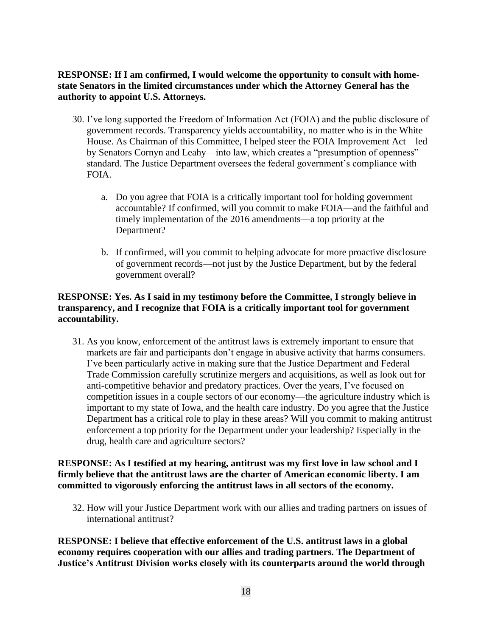# **RESPONSE: If I am confirmed, I would welcome the opportunity to consult with homestate Senators in the limited circumstances under which the Attorney General has the authority to appoint U.S. Attorneys.**

- 30. I've long supported the Freedom of Information Act (FOIA) and the public disclosure of government records. Transparency yields accountability, no matter who is in the White House. As Chairman of this Committee, I helped steer the FOIA Improvement Act—led by Senators Cornyn and Leahy—into law, which creates a "presumption of openness" standard. The Justice Department oversees the federal government's compliance with FOIA.
	- a. Do you agree that FOIA is a critically important tool for holding government accountable? If confirmed, will you commit to make FOIA—and the faithful and timely implementation of the 2016 amendments—a top priority at the Department?
	- b. If confirmed, will you commit to helping advocate for more proactive disclosure of government records—not just by the Justice Department, but by the federal government overall?

# **RESPONSE: Yes. As I said in my testimony before the Committee, I strongly believe in transparency, and I recognize that FOIA is a critically important tool for government accountability.**

31. As you know, enforcement of the antitrust laws is extremely important to ensure that markets are fair and participants don't engage in abusive activity that harms consumers. I've been particularly active in making sure that the Justice Department and Federal Trade Commission carefully scrutinize mergers and acquisitions, as well as look out for anti-competitive behavior and predatory practices. Over the years, I've focused on competition issues in a couple sectors of our economy—the agriculture industry which is important to my state of Iowa, and the health care industry. Do you agree that the Justice Department has a critical role to play in these areas? Will you commit to making antitrust enforcement a top priority for the Department under your leadership? Especially in the drug, health care and agriculture sectors?

# **RESPONSE: As I testified at my hearing, antitrust was my first love in law school and I firmly believe that the antitrust laws are the charter of American economic liberty. I am committed to vigorously enforcing the antitrust laws in all sectors of the economy.**

32. How will your Justice Department work with our allies and trading partners on issues of international antitrust?

**RESPONSE: I believe that effective enforcement of the U.S. antitrust laws in a global economy requires cooperation with our allies and trading partners. The Department of Justice's Antitrust Division works closely with its counterparts around the world through**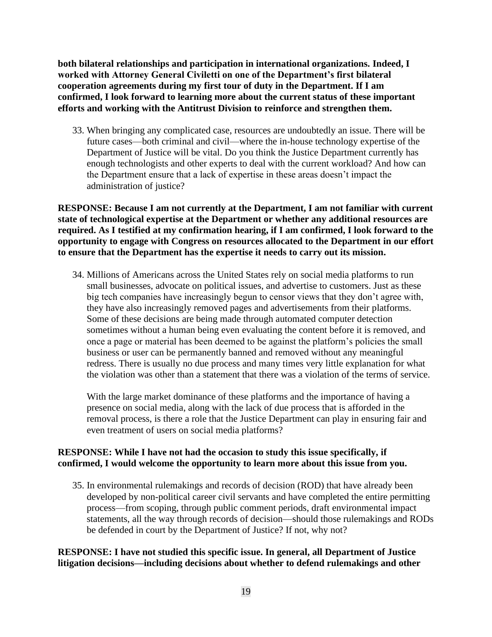**both bilateral relationships and participation in international organizations. Indeed, I worked with Attorney General Civiletti on one of the Department's first bilateral cooperation agreements during my first tour of duty in the Department. If I am confirmed, I look forward to learning more about the current status of these important efforts and working with the Antitrust Division to reinforce and strengthen them.**

33. When bringing any complicated case, resources are undoubtedly an issue. There will be future cases—both criminal and civil—where the in-house technology expertise of the Department of Justice will be vital. Do you think the Justice Department currently has enough technologists and other experts to deal with the current workload? And how can the Department ensure that a lack of expertise in these areas doesn't impact the administration of justice?

**RESPONSE: Because I am not currently at the Department, I am not familiar with current state of technological expertise at the Department or whether any additional resources are required. As I testified at my confirmation hearing, if I am confirmed, I look forward to the opportunity to engage with Congress on resources allocated to the Department in our effort to ensure that the Department has the expertise it needs to carry out its mission.**

34. Millions of Americans across the United States rely on social media platforms to run small businesses, advocate on political issues, and advertise to customers. Just as these big tech companies have increasingly begun to censor views that they don't agree with, they have also increasingly removed pages and advertisements from their platforms. Some of these decisions are being made through automated computer detection sometimes without a human being even evaluating the content before it is removed, and once a page or material has been deemed to be against the platform's policies the small business or user can be permanently banned and removed without any meaningful redress. There is usually no due process and many times very little explanation for what the violation was other than a statement that there was a violation of the terms of service.

With the large market dominance of these platforms and the importance of having a presence on social media, along with the lack of due process that is afforded in the removal process, is there a role that the Justice Department can play in ensuring fair and even treatment of users on social media platforms?

## **RESPONSE: While I have not had the occasion to study this issue specifically, if confirmed, I would welcome the opportunity to learn more about this issue from you.**

35. In environmental rulemakings and records of decision (ROD) that have already been developed by non-political career civil servants and have completed the entire permitting process—from scoping, through public comment periods, draft environmental impact statements, all the way through records of decision—should those rulemakings and RODs be defended in court by the Department of Justice? If not, why not?

## **RESPONSE: I have not studied this specific issue. In general, all Department of Justice litigation decisions—including decisions about whether to defend rulemakings and other**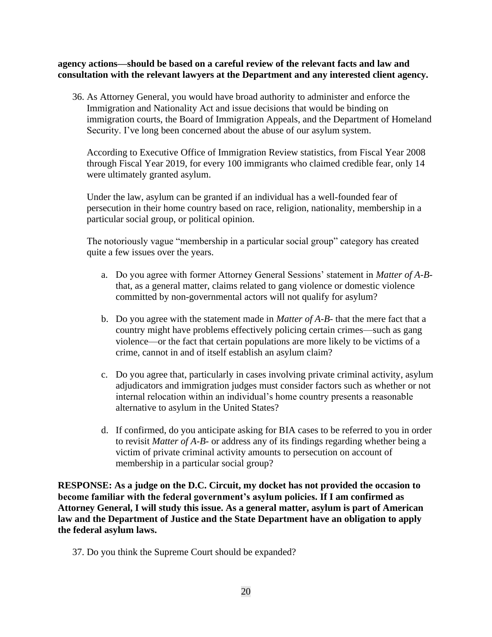**agency actions—should be based on a careful review of the relevant facts and law and consultation with the relevant lawyers at the Department and any interested client agency.**

36. As Attorney General, you would have broad authority to administer and enforce the Immigration and Nationality Act and issue decisions that would be binding on immigration courts, the Board of Immigration Appeals, and the Department of Homeland Security. I've long been concerned about the abuse of our asylum system.

According to Executive Office of Immigration Review statistics, from Fiscal Year 2008 through Fiscal Year 2019, for every 100 immigrants who claimed credible fear, only 14 were ultimately granted asylum.

Under the law, asylum can be granted if an individual has a well-founded fear of persecution in their home country based on race, religion, nationality, membership in a particular social group, or political opinion.

The notoriously vague "membership in a particular social group" category has created quite a few issues over the years.

- a. Do you agree with former Attorney General Sessions' statement in *Matter of A-B*that, as a general matter, claims related to gang violence or domestic violence committed by non-governmental actors will not qualify for asylum?
- b. Do you agree with the statement made in *Matter of A-B-* that the mere fact that a country might have problems effectively policing certain crimes—such as gang violence—or the fact that certain populations are more likely to be victims of a crime, cannot in and of itself establish an asylum claim?
- c. Do you agree that, particularly in cases involving private criminal activity, asylum adjudicators and immigration judges must consider factors such as whether or not internal relocation within an individual's home country presents a reasonable alternative to asylum in the United States?
- d. If confirmed, do you anticipate asking for BIA cases to be referred to you in order to revisit *Matter of A-B-* or address any of its findings regarding whether being a victim of private criminal activity amounts to persecution on account of membership in a particular social group?

**RESPONSE: As a judge on the D.C. Circuit, my docket has not provided the occasion to become familiar with the federal government's asylum policies. If I am confirmed as Attorney General, I will study this issue. As a general matter, asylum is part of American law and the Department of Justice and the State Department have an obligation to apply the federal asylum laws.**

37. Do you think the Supreme Court should be expanded?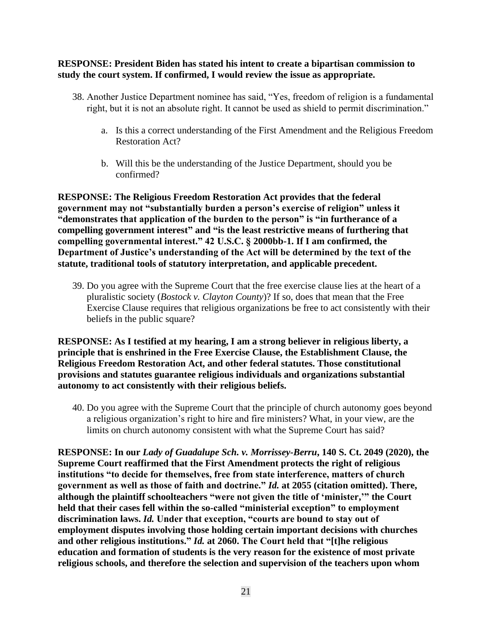#### **RESPONSE: President Biden has stated his intent to create a bipartisan commission to study the court system. If confirmed, I would review the issue as appropriate.**

- 38. Another Justice Department nominee has said, "Yes, freedom of religion is a fundamental right, but it is not an absolute right. It cannot be used as shield to permit discrimination."
	- a. Is this a correct understanding of the First Amendment and the Religious Freedom Restoration Act?
	- b. Will this be the understanding of the Justice Department, should you be confirmed?

**RESPONSE: The Religious Freedom Restoration Act provides that the federal government may not "substantially burden a person's exercise of religion" unless it "demonstrates that application of the burden to the person" is "in furtherance of a compelling government interest" and "is the least restrictive means of furthering that compelling governmental interest." 42 U.S.C. § 2000bb-1. If I am confirmed, the Department of Justice's understanding of the Act will be determined by the text of the statute, traditional tools of statutory interpretation, and applicable precedent.**

39. Do you agree with the Supreme Court that the free exercise clause lies at the heart of a pluralistic society (*Bostock v. Clayton County*)? If so, does that mean that the Free Exercise Clause requires that religious organizations be free to act consistently with their beliefs in the public square?

**RESPONSE: As I testified at my hearing, I am a strong believer in religious liberty, a principle that is enshrined in the Free Exercise Clause, the Establishment Clause, the Religious Freedom Restoration Act, and other federal statutes. Those constitutional provisions and statutes guarantee religious individuals and organizations substantial autonomy to act consistently with their religious beliefs.**

40. Do you agree with the Supreme Court that the principle of church autonomy goes beyond a religious organization's right to hire and fire ministers? What, in your view, are the limits on church autonomy consistent with what the Supreme Court has said?

**RESPONSE: In our** *Lady of Guadalupe Sch. v. Morrissey-Berru***, 140 S. Ct. 2049 (2020), the Supreme Court reaffirmed that the First Amendment protects the right of religious institutions "to decide for themselves, free from state interference, matters of church government as well as those of faith and doctrine."** *Id.* **at 2055 (citation omitted). There, although the plaintiff schoolteachers "were not given the title of 'minister,'" the Court held that their cases fell within the so-called "ministerial exception" to employment discrimination laws.** *Id.* **Under that exception, "courts are bound to stay out of employment disputes involving those holding certain important decisions with churches and other religious institutions."** *Id.* **at 2060. The Court held that "[t]he religious education and formation of students is the very reason for the existence of most private religious schools, and therefore the selection and supervision of the teachers upon whom**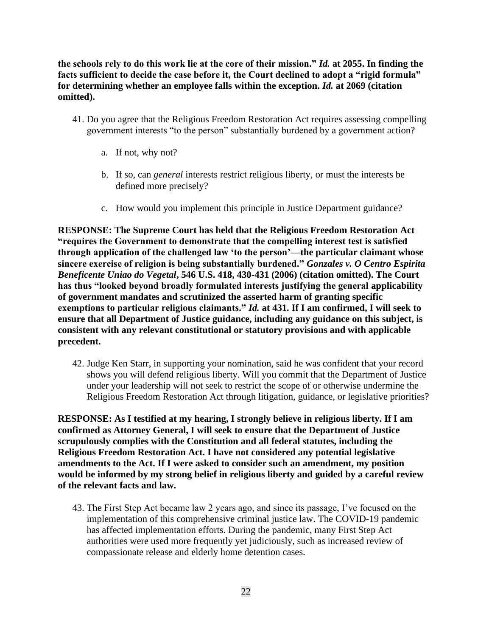**the schools rely to do this work lie at the core of their mission."** *Id.* **at 2055. In finding the facts sufficient to decide the case before it, the Court declined to adopt a "rigid formula" for determining whether an employee falls within the exception.** *Id.* **at 2069 (citation omitted).**

- 41. Do you agree that the Religious Freedom Restoration Act requires assessing compelling government interests "to the person" substantially burdened by a government action?
	- a. If not, why not?
	- b. If so, can *general* interests restrict religious liberty, or must the interests be defined more precisely?
	- c. How would you implement this principle in Justice Department guidance?

**RESPONSE: The Supreme Court has held that the Religious Freedom Restoration Act "requires the Government to demonstrate that the compelling interest test is satisfied through application of the challenged law 'to the person'—the particular claimant whose sincere exercise of religion is being substantially burdened."** *Gonzales v. O Centro Espirita Beneficente Uniao do Vegetal***, 546 U.S. 418, 430-431 (2006) (citation omitted). The Court has thus "looked beyond broadly formulated interests justifying the general applicability of government mandates and scrutinized the asserted harm of granting specific exemptions to particular religious claimants."** *Id.* **at 431. If I am confirmed, I will seek to ensure that all Department of Justice guidance, including any guidance on this subject, is consistent with any relevant constitutional or statutory provisions and with applicable precedent.**

42. Judge Ken Starr, in supporting your nomination, said he was confident that your record shows you will defend religious liberty. Will you commit that the Department of Justice under your leadership will not seek to restrict the scope of or otherwise undermine the Religious Freedom Restoration Act through litigation, guidance, or legislative priorities?

**RESPONSE: As I testified at my hearing, I strongly believe in religious liberty. If I am confirmed as Attorney General, I will seek to ensure that the Department of Justice scrupulously complies with the Constitution and all federal statutes, including the Religious Freedom Restoration Act. I have not considered any potential legislative amendments to the Act. If I were asked to consider such an amendment, my position would be informed by my strong belief in religious liberty and guided by a careful review of the relevant facts and law.**

43. The First Step Act became law 2 years ago, and since its passage, I've focused on the implementation of this comprehensive criminal justice law. The COVID-19 pandemic has affected implementation efforts. During the pandemic, many First Step Act authorities were used more frequently yet judiciously, such as increased review of compassionate release and elderly home detention cases.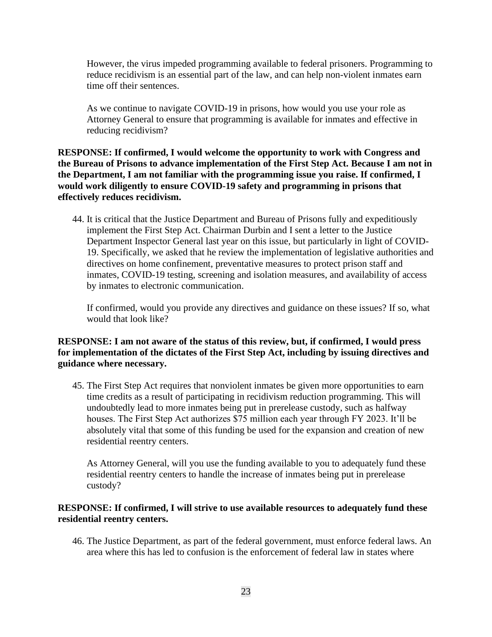However, the virus impeded programming available to federal prisoners. Programming to reduce recidivism is an essential part of the law, and can help non-violent inmates earn time off their sentences.

As we continue to navigate COVID-19 in prisons, how would you use your role as Attorney General to ensure that programming is available for inmates and effective in reducing recidivism?

**RESPONSE: If confirmed, I would welcome the opportunity to work with Congress and the Bureau of Prisons to advance implementation of the First Step Act. Because I am not in the Department, I am not familiar with the programming issue you raise. If confirmed, I would work diligently to ensure COVID-19 safety and programming in prisons that effectively reduces recidivism.**

44. It is critical that the Justice Department and Bureau of Prisons fully and expeditiously implement the First Step Act. Chairman Durbin and I sent a letter to the Justice Department Inspector General last year on this issue, but particularly in light of COVID-19. Specifically, we asked that he review the implementation of legislative authorities and directives on home confinement, preventative measures to protect prison staff and inmates, COVID-19 testing, screening and isolation measures, and availability of access by inmates to electronic communication.

If confirmed, would you provide any directives and guidance on these issues? If so, what would that look like?

## **RESPONSE: I am not aware of the status of this review, but, if confirmed, I would press for implementation of the dictates of the First Step Act, including by issuing directives and guidance where necessary.**

45. The First Step Act requires that nonviolent inmates be given more opportunities to earn time credits as a result of participating in recidivism reduction programming. This will undoubtedly lead to more inmates being put in prerelease custody, such as halfway houses. The First Step Act authorizes \$75 million each year through FY 2023. It'll be absolutely vital that some of this funding be used for the expansion and creation of new residential reentry centers.

As Attorney General, will you use the funding available to you to adequately fund these residential reentry centers to handle the increase of inmates being put in prerelease custody?

#### **RESPONSE: If confirmed, I will strive to use available resources to adequately fund these residential reentry centers.**

46. The Justice Department, as part of the federal government, must enforce federal laws. An area where this has led to confusion is the enforcement of federal law in states where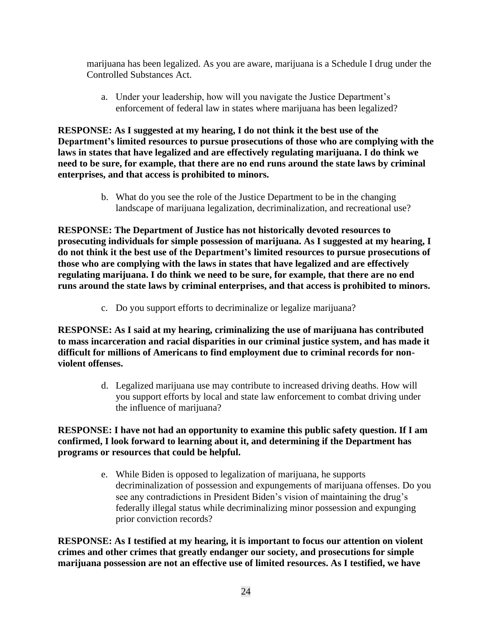marijuana has been legalized. As you are aware, marijuana is a Schedule I drug under the Controlled Substances Act.

a. Under your leadership, how will you navigate the Justice Department's enforcement of federal law in states where marijuana has been legalized?

**RESPONSE: As I suggested at my hearing, I do not think it the best use of the Department's limited resources to pursue prosecutions of those who are complying with the laws in states that have legalized and are effectively regulating marijuana. I do think we need to be sure, for example, that there are no end runs around the state laws by criminal enterprises, and that access is prohibited to minors.** 

> b. What do you see the role of the Justice Department to be in the changing landscape of marijuana legalization, decriminalization, and recreational use?

**RESPONSE: The Department of Justice has not historically devoted resources to prosecuting individuals for simple possession of marijuana. As I suggested at my hearing, I do not think it the best use of the Department's limited resources to pursue prosecutions of those who are complying with the laws in states that have legalized and are effectively regulating marijuana. I do think we need to be sure, for example, that there are no end runs around the state laws by criminal enterprises, and that access is prohibited to minors.** 

c. Do you support efforts to decriminalize or legalize marijuana?

**RESPONSE: As I said at my hearing, criminalizing the use of marijuana has contributed to mass incarceration and racial disparities in our criminal justice system, and has made it difficult for millions of Americans to find employment due to criminal records for nonviolent offenses.** 

> d. Legalized marijuana use may contribute to increased driving deaths. How will you support efforts by local and state law enforcement to combat driving under the influence of marijuana?

**RESPONSE: I have not had an opportunity to examine this public safety question. If I am confirmed, I look forward to learning about it, and determining if the Department has programs or resources that could be helpful.**

> e. While Biden is opposed to legalization of marijuana, he supports decriminalization of possession and expungements of marijuana offenses. Do you see any contradictions in President Biden's vision of maintaining the drug's federally illegal status while decriminalizing minor possession and expunging prior conviction records?

**RESPONSE: As I testified at my hearing, it is important to focus our attention on violent crimes and other crimes that greatly endanger our society, and prosecutions for simple marijuana possession are not an effective use of limited resources. As I testified, we have**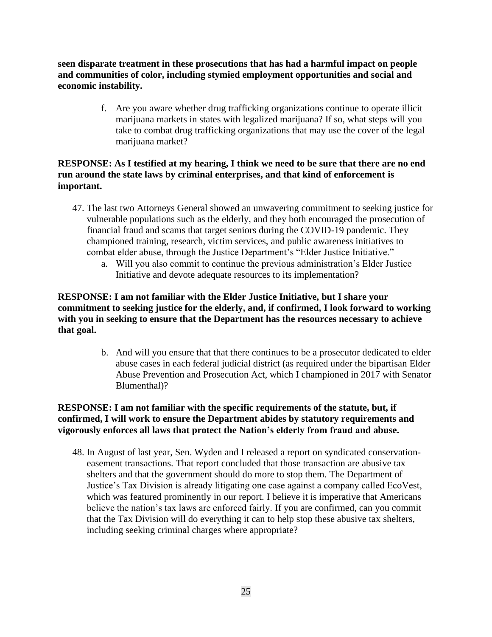**seen disparate treatment in these prosecutions that has had a harmful impact on people and communities of color, including stymied employment opportunities and social and economic instability.**

> f. Are you aware whether drug trafficking organizations continue to operate illicit marijuana markets in states with legalized marijuana? If so, what steps will you take to combat drug trafficking organizations that may use the cover of the legal marijuana market?

# **RESPONSE: As I testified at my hearing, I think we need to be sure that there are no end run around the state laws by criminal enterprises, and that kind of enforcement is important.**

- 47. The last two Attorneys General showed an unwavering commitment to seeking justice for vulnerable populations such as the elderly, and they both encouraged the prosecution of financial fraud and scams that target seniors during the COVID-19 pandemic. They championed training, research, victim services, and public awareness initiatives to combat elder abuse, through the Justice Department's "Elder Justice Initiative."
	- a. Will you also commit to continue the previous administration's Elder Justice Initiative and devote adequate resources to its implementation?

# **RESPONSE: I am not familiar with the Elder Justice Initiative, but I share your commitment to seeking justice for the elderly, and, if confirmed, I look forward to working with you in seeking to ensure that the Department has the resources necessary to achieve that goal.**

b. And will you ensure that that there continues to be a prosecutor dedicated to elder abuse cases in each federal judicial district (as required under the bipartisan Elder Abuse Prevention and Prosecution Act, which I championed in 2017 with Senator Blumenthal)?

# **RESPONSE: I am not familiar with the specific requirements of the statute, but, if confirmed, I will work to ensure the Department abides by statutory requirements and vigorously enforces all laws that protect the Nation's elderly from fraud and abuse.**

48. In August of last year, Sen. Wyden and I released a report on syndicated conservationeasement transactions. That report concluded that those transaction are abusive tax shelters and that the government should do more to stop them. The Department of Justice's Tax Division is already litigating one case against a company called EcoVest, which was featured prominently in our report. I believe it is imperative that Americans believe the nation's tax laws are enforced fairly. If you are confirmed, can you commit that the Tax Division will do everything it can to help stop these abusive tax shelters, including seeking criminal charges where appropriate?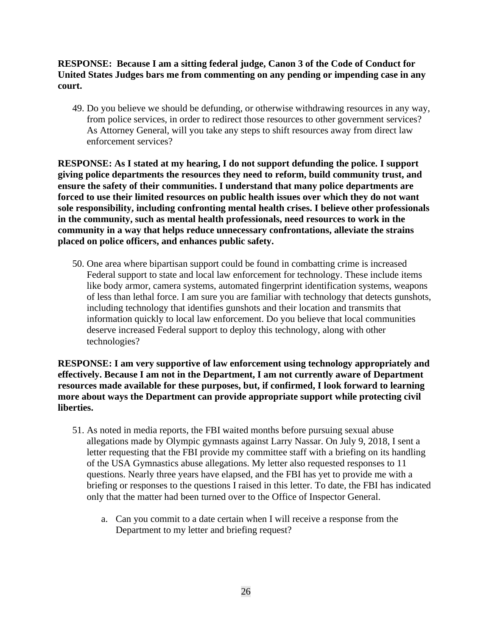**RESPONSE: Because I am a sitting federal judge, Canon 3 of the Code of Conduct for United States Judges bars me from commenting on any pending or impending case in any court.**

49. Do you believe we should be defunding, or otherwise withdrawing resources in any way, from police services, in order to redirect those resources to other government services? As Attorney General, will you take any steps to shift resources away from direct law enforcement services?

**RESPONSE: As I stated at my hearing, I do not support defunding the police. I support giving police departments the resources they need to reform, build community trust, and ensure the safety of their communities. I understand that many police departments are forced to use their limited resources on public health issues over which they do not want sole responsibility, including confronting mental health crises. I believe other professionals in the community, such as mental health professionals, need resources to work in the community in a way that helps reduce unnecessary confrontations, alleviate the strains placed on police officers, and enhances public safety.**

50. One area where bipartisan support could be found in combatting crime is increased Federal support to state and local law enforcement for technology. These include items like body armor, camera systems, automated fingerprint identification systems, weapons of less than lethal force. I am sure you are familiar with technology that detects gunshots, including technology that identifies gunshots and their location and transmits that information quickly to local law enforcement. Do you believe that local communities deserve increased Federal support to deploy this technology, along with other technologies?

**RESPONSE: I am very supportive of law enforcement using technology appropriately and effectively. Because I am not in the Department, I am not currently aware of Department resources made available for these purposes, but, if confirmed, I look forward to learning more about ways the Department can provide appropriate support while protecting civil liberties.**

- 51. As noted in media reports, the FBI waited months before pursuing sexual abuse allegations made by Olympic gymnasts against Larry Nassar. On July 9, 2018, I sent a letter requesting that the FBI provide my committee staff with a briefing on its handling of the USA Gymnastics abuse allegations. My letter also requested responses to 11 questions. Nearly three years have elapsed, and the FBI has yet to provide me with a briefing or responses to the questions I raised in this letter. To date, the FBI has indicated only that the matter had been turned over to the Office of Inspector General.
	- a. Can you commit to a date certain when I will receive a response from the Department to my letter and briefing request?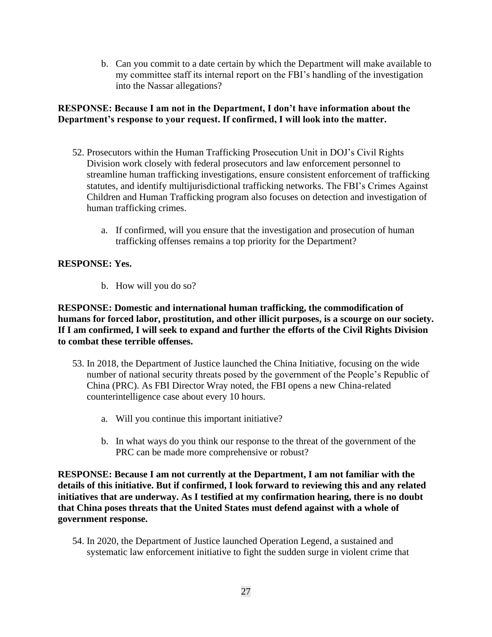b. Can you commit to a date certain by which the Department will make available to my committee staff its internal report on the FBI's handling of the investigation into the Nassar allegations?

# **RESPONSE: Because I am not in the Department, I don't have information about the Department's response to your request. If confirmed, I will look into the matter.**

- 52. Prosecutors within the Human Trafficking Prosecution Unit in DOJ's Civil Rights Division work closely with federal prosecutors and law enforcement personnel to streamline human trafficking investigations, ensure consistent enforcement of trafficking statutes, and identify multijurisdictional trafficking networks. The FBI's Crimes Against Children and Human Trafficking program also focuses on detection and investigation of human trafficking crimes.
	- a. If confirmed, will you ensure that the investigation and prosecution of human trafficking offenses remains a top priority for the Department?

## **RESPONSE: Yes.**

b. How will you do so?

**RESPONSE: Domestic and international human trafficking, the commodification of humans for forced labor, prostitution, and other illicit purposes, is a scourge on our society. If I am confirmed, I will seek to expand and further the efforts of the Civil Rights Division to combat these terrible offenses.**

- 53. In 2018, the Department of Justice launched the China Initiative, focusing on the wide number of national security threats posed by the government of the People's Republic of China (PRC). As FBI Director Wray noted, the FBI opens a new China-related counterintelligence case about every 10 hours.
	- a. Will you continue this important initiative?
	- b. In what ways do you think our response to the threat of the government of the PRC can be made more comprehensive or robust?

**RESPONSE: Because I am not currently at the Department, I am not familiar with the details of this initiative. But if confirmed, I look forward to reviewing this and any related initiatives that are underway. As I testified at my confirmation hearing, there is no doubt that China poses threats that the United States must defend against with a whole of government response.**

54. In 2020, the Department of Justice launched Operation Legend, a sustained and systematic law enforcement initiative to fight the sudden surge in violent crime that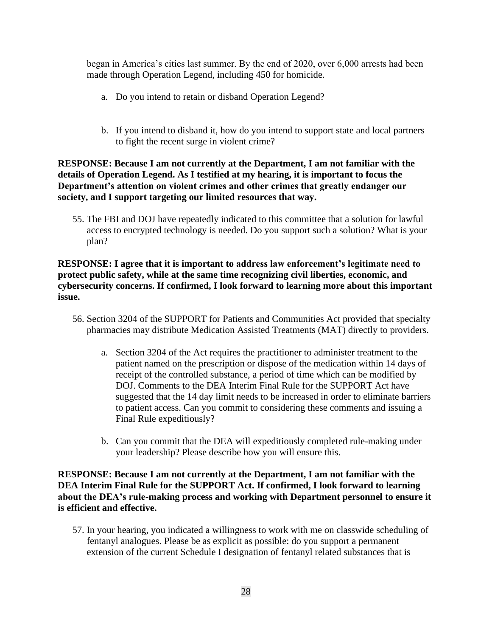began in America's cities last summer. By the end of 2020, over 6,000 arrests had been made through Operation Legend, including 450 for homicide.

- a. Do you intend to retain or disband Operation Legend?
- b. If you intend to disband it, how do you intend to support state and local partners to fight the recent surge in violent crime?

## **RESPONSE: Because I am not currently at the Department, I am not familiar with the details of Operation Legend. As I testified at my hearing, it is important to focus the Department's attention on violent crimes and other crimes that greatly endanger our society, and I support targeting our limited resources that way.**

55. The FBI and DOJ have repeatedly indicated to this committee that a solution for lawful access to encrypted technology is needed. Do you support such a solution? What is your plan?

# **RESPONSE: I agree that it is important to address law enforcement's legitimate need to protect public safety, while at the same time recognizing civil liberties, economic, and cybersecurity concerns. If confirmed, I look forward to learning more about this important issue.**

- 56. Section 3204 of the SUPPORT for Patients and Communities Act provided that specialty pharmacies may distribute Medication Assisted Treatments (MAT) directly to providers.
	- a. Section 3204 of the Act requires the practitioner to administer treatment to the patient named on the prescription or dispose of the medication within 14 days of receipt of the controlled substance, a period of time which can be modified by DOJ. Comments to the DEA Interim Final Rule for the SUPPORT Act have suggested that the 14 day limit needs to be increased in order to eliminate barriers to patient access. Can you commit to considering these comments and issuing a Final Rule expeditiously?
	- b. Can you commit that the DEA will expeditiously completed rule-making under your leadership? Please describe how you will ensure this.

## **RESPONSE: Because I am not currently at the Department, I am not familiar with the DEA Interim Final Rule for the SUPPORT Act. If confirmed, I look forward to learning about the DEA's rule-making process and working with Department personnel to ensure it is efficient and effective.**

57. In your hearing, you indicated a willingness to work with me on classwide scheduling of fentanyl analogues. Please be as explicit as possible: do you support a permanent extension of the current Schedule I designation of fentanyl related substances that is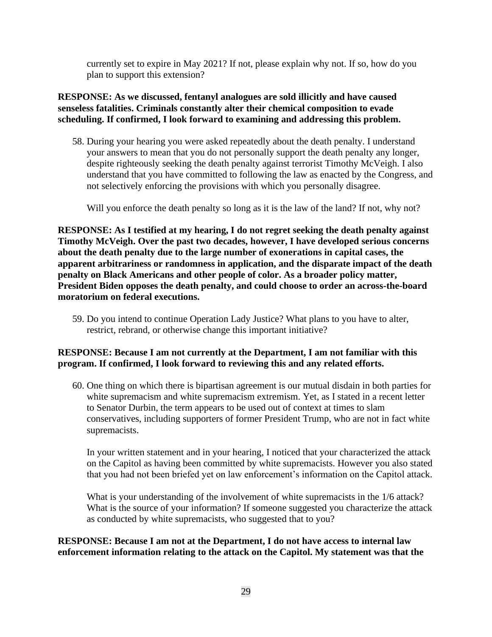currently set to expire in May 2021? If not, please explain why not. If so, how do you plan to support this extension?

# **RESPONSE: As we discussed, fentanyl analogues are sold illicitly and have caused senseless fatalities. Criminals constantly alter their chemical composition to evade scheduling. If confirmed, I look forward to examining and addressing this problem.**

58. During your hearing you were asked repeatedly about the death penalty. I understand your answers to mean that you do not personally support the death penalty any longer, despite righteously seeking the death penalty against terrorist Timothy McVeigh. I also understand that you have committed to following the law as enacted by the Congress, and not selectively enforcing the provisions with which you personally disagree.

Will you enforce the death penalty so long as it is the law of the land? If not, why not?

**RESPONSE: As I testified at my hearing, I do not regret seeking the death penalty against Timothy McVeigh. Over the past two decades, however, I have developed serious concerns about the death penalty due to the large number of exonerations in capital cases, the apparent arbitrariness or randomness in application, and the disparate impact of the death penalty on Black Americans and other people of color. As a broader policy matter, President Biden opposes the death penalty, and could choose to order an across-the-board moratorium on federal executions.**

59. Do you intend to continue Operation Lady Justice? What plans to you have to alter, restrict, rebrand, or otherwise change this important initiative?

# **RESPONSE: Because I am not currently at the Department, I am not familiar with this program. If confirmed, I look forward to reviewing this and any related efforts.**

60. One thing on which there is bipartisan agreement is our mutual disdain in both parties for white supremacism and white supremacism extremism. Yet, as I stated in a recent letter to Senator Durbin, the term appears to be used out of context at times to slam conservatives, including supporters of former President Trump, who are not in fact white supremacists.

In your written statement and in your hearing, I noticed that your characterized the attack on the Capitol as having been committed by white supremacists. However you also stated that you had not been briefed yet on law enforcement's information on the Capitol attack.

What is your understanding of the involvement of white supremacists in the  $1/6$  attack? What is the source of your information? If someone suggested you characterize the attack as conducted by white supremacists, who suggested that to you?

**RESPONSE: Because I am not at the Department, I do not have access to internal law enforcement information relating to the attack on the Capitol. My statement was that the**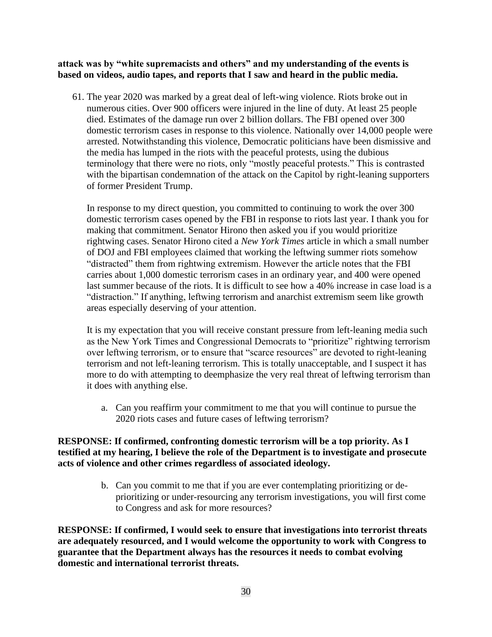**attack was by "white supremacists and others" and my understanding of the events is based on videos, audio tapes, and reports that I saw and heard in the public media.**

61. The year 2020 was marked by a great deal of left-wing violence. Riots broke out in numerous cities. Over 900 officers were injured in the line of duty. At least 25 people died. Estimates of the damage run over 2 billion dollars. The FBI opened over 300 domestic terrorism cases in response to this violence. Nationally over 14,000 people were arrested. Notwithstanding this violence, Democratic politicians have been dismissive and the media has lumped in the riots with the peaceful protests, using the dubious terminology that there were no riots, only "mostly peaceful protests." This is contrasted with the bipartisan condemnation of the attack on the Capitol by right-leaning supporters of former President Trump.

In response to my direct question, you committed to continuing to work the over 300 domestic terrorism cases opened by the FBI in response to riots last year. I thank you for making that commitment. Senator Hirono then asked you if you would prioritize rightwing cases. Senator Hirono cited a *New York Times* article in which a small number of DOJ and FBI employees claimed that working the leftwing summer riots somehow "distracted" them from rightwing extremism. However the article notes that the FBI carries about 1,000 domestic terrorism cases in an ordinary year, and 400 were opened last summer because of the riots. It is difficult to see how a 40% increase in case load is a "distraction." If anything, leftwing terrorism and anarchist extremism seem like growth areas especially deserving of your attention.

It is my expectation that you will receive constant pressure from left-leaning media such as the New York Times and Congressional Democrats to "prioritize" rightwing terrorism over leftwing terrorism, or to ensure that "scarce resources" are devoted to right-leaning terrorism and not left-leaning terrorism. This is totally unacceptable, and I suspect it has more to do with attempting to deemphasize the very real threat of leftwing terrorism than it does with anything else.

a. Can you reaffirm your commitment to me that you will continue to pursue the 2020 riots cases and future cases of leftwing terrorism?

## **RESPONSE: If confirmed, confronting domestic terrorism will be a top priority. As I testified at my hearing, I believe the role of the Department is to investigate and prosecute acts of violence and other crimes regardless of associated ideology.**

b. Can you commit to me that if you are ever contemplating prioritizing or deprioritizing or under-resourcing any terrorism investigations, you will first come to Congress and ask for more resources?

**RESPONSE: If confirmed, I would seek to ensure that investigations into terrorist threats are adequately resourced, and I would welcome the opportunity to work with Congress to guarantee that the Department always has the resources it needs to combat evolving domestic and international terrorist threats.**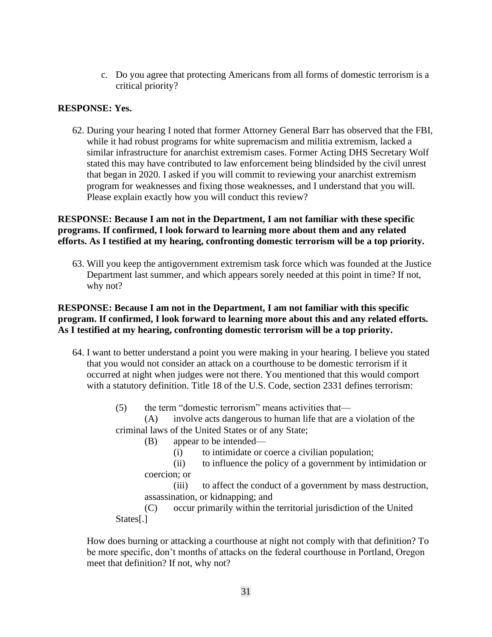c. Do you agree that protecting Americans from all forms of domestic terrorism is a critical priority?

### **RESPONSE: Yes.**

62. During your hearing I noted that former Attorney General Barr has observed that the FBI, while it had robust programs for white supremacism and militia extremism, lacked a similar infrastructure for anarchist extremism cases. Former Acting DHS Secretary Wolf stated this may have contributed to law enforcement being blindsided by the civil unrest that began in 2020. I asked if you will commit to reviewing your anarchist extremism program for weaknesses and fixing those weaknesses, and I understand that you will. Please explain exactly how you will conduct this review?

## **RESPONSE: Because I am not in the Department, I am not familiar with these specific programs. If confirmed, I look forward to learning more about them and any related efforts. As I testified at my hearing, confronting domestic terrorism will be a top priority.**

63. Will you keep the antigovernment extremism task force which was founded at the Justice Department last summer, and which appears sorely needed at this point in time? If not, why not?

# **RESPONSE: Because I am not in the Department, I am not familiar with this specific program. If confirmed, I look forward to learning more about this and any related efforts. As I testified at my hearing, confronting domestic terrorism will be a top priority.**

- 64. I want to better understand a point you were making in your hearing. I believe you stated that you would not consider an attack on a courthouse to be domestic terrorism if it occurred at night when judges were not there. You mentioned that this would comport with a statutory definition. Title 18 of the U.S. Code, section 2331 defines terrorism:
	- (5) the term "domestic terrorism" means activities that—
	- (A) involve acts dangerous to human life that are a violation of the criminal laws of the United States or of any State;
		- (B) appear to be intended—
			- (i) to intimidate or coerce a civilian population;
		- (ii) to influence the policy of a government by intimidation or coercion; or
		- (iii) to affect the conduct of a government by mass destruction, assassination, or kidnapping; and

(C) occur primarily within the territorial jurisdiction of the United States[.]

How does burning or attacking a courthouse at night not comply with that definition? To be more specific, don't months of attacks on the federal courthouse in Portland, Oregon meet that definition? If not, why not?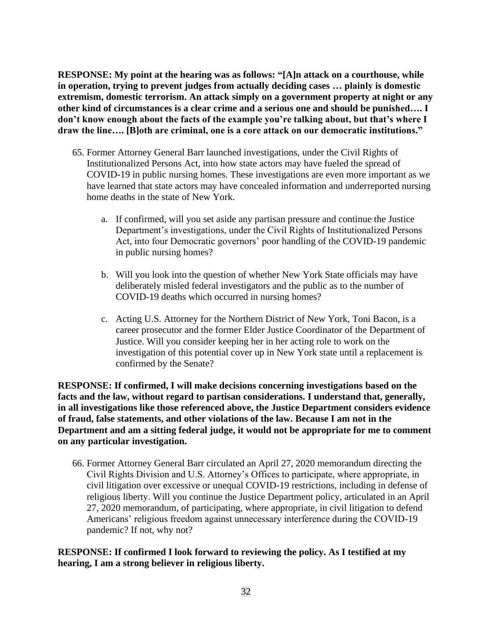**RESPONSE: My point at the hearing was as follows: "[A]n attack on a courthouse, while in operation, trying to prevent judges from actually deciding cases … plainly is domestic extremism, domestic terrorism. An attack simply on a government property at night or any other kind of circumstances is a clear crime and a serious one and should be punished…. I don't know enough about the facts of the example you're talking about, but that's where I draw the line…. [B]oth are criminal, one is a core attack on our democratic institutions."** 

- 65. Former Attorney General Barr launched investigations, under the Civil Rights of Institutionalized Persons Act, into how state actors may have fueled the spread of COVID-19 in public nursing homes. These investigations are even more important as we have learned that state actors may have concealed information and underreported nursing home deaths in the state of New York.
	- a. If confirmed, will you set aside any partisan pressure and continue the Justice Department's investigations, under the Civil Rights of Institutionalized Persons Act, into four Democratic governors' poor handling of the COVID-19 pandemic in public nursing homes?
	- b. Will you look into the question of whether New York State officials may have deliberately misled federal investigators and the public as to the number of COVID-19 deaths which occurred in nursing homes?
	- c. Acting U.S. Attorney for the Northern District of New York, Toni Bacon, is a career prosecutor and the former Elder Justice Coordinator of the Department of Justice. Will you consider keeping her in her acting role to work on the investigation of this potential cover up in New York state until a replacement is confirmed by the Senate?

**RESPONSE: If confirmed, I will make decisions concerning investigations based on the facts and the law, without regard to partisan considerations. I understand that, generally, in all investigations like those referenced above, the Justice Department considers evidence of fraud, false statements, and other violations of the law. Because I am not in the Department and am a sitting federal judge, it would not be appropriate for me to comment on any particular investigation.**

66. Former Attorney General Barr circulated an April 27, 2020 memorandum directing the Civil Rights Division and U.S. Attorney's Offices to participate, where appropriate, in civil litigation over excessive or unequal COVID-19 restrictions, including in defense of religious liberty. Will you continue the Justice Department policy, articulated in an April 27, 2020 memorandum, of participating, where appropriate, in civil litigation to defend Americans' religious freedom against unnecessary interference during the COVID-19 pandemic? If not, why not?

**RESPONSE: If confirmed I look forward to reviewing the policy. As I testified at my hearing, I am a strong believer in religious liberty.**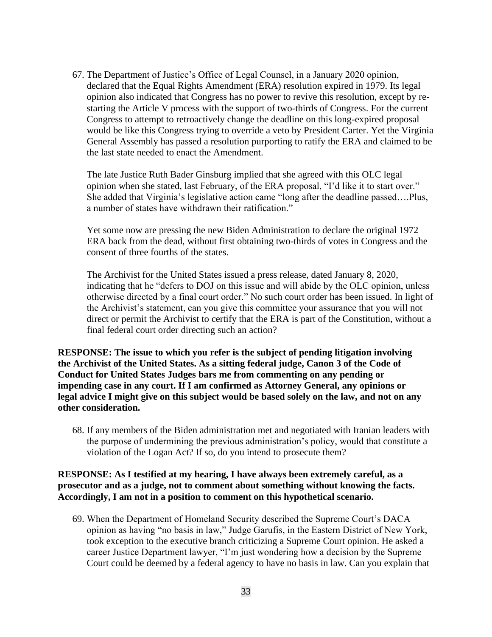67. The Department of Justice's Office of Legal Counsel, in a January 2020 opinion, declared that the Equal Rights Amendment (ERA) resolution expired in 1979. Its legal opinion also indicated that Congress has no power to revive this resolution, except by restarting the Article V process with the support of two-thirds of Congress. For the current Congress to attempt to retroactively change the deadline on this long-expired proposal would be like this Congress trying to override a veto by President Carter. Yet the Virginia General Assembly has passed a resolution purporting to ratify the ERA and claimed to be the last state needed to enact the Amendment.

The late Justice Ruth Bader Ginsburg implied that she agreed with this OLC legal opinion when she stated, last February, of the ERA proposal, "I'd like it to start over." She added that Virginia's legislative action came "long after the deadline passed….Plus, a number of states have withdrawn their ratification."

Yet some now are pressing the new Biden Administration to declare the original 1972 ERA back from the dead, without first obtaining two-thirds of votes in Congress and the consent of three fourths of the states.

The Archivist for the United States issued a press release, dated January 8, 2020, indicating that he "defers to DOJ on this issue and will abide by the OLC opinion, unless otherwise directed by a final court order." No such court order has been issued. In light of the Archivist's statement, can you give this committee your assurance that you will not direct or permit the Archivist to certify that the ERA is part of the Constitution, without a final federal court order directing such an action?

**RESPONSE: The issue to which you refer is the subject of pending litigation involving the Archivist of the United States. As a sitting federal judge, Canon 3 of the Code of Conduct for United States Judges bars me from commenting on any pending or impending case in any court. If I am confirmed as Attorney General, any opinions or legal advice I might give on this subject would be based solely on the law, and not on any other consideration.**

68. If any members of the Biden administration met and negotiated with Iranian leaders with the purpose of undermining the previous administration's policy, would that constitute a violation of the Logan Act? If so, do you intend to prosecute them?

## **RESPONSE: As I testified at my hearing, I have always been extremely careful, as a prosecutor and as a judge, not to comment about something without knowing the facts. Accordingly, I am not in a position to comment on this hypothetical scenario.**

69. When the Department of Homeland Security described the Supreme Court's DACA opinion as having "no basis in law," Judge Garufis, in the Eastern District of New York, took exception to the executive branch criticizing a Supreme Court opinion. He asked a career Justice Department lawyer, "I'm just wondering how a decision by the Supreme Court could be deemed by a federal agency to have no basis in law. Can you explain that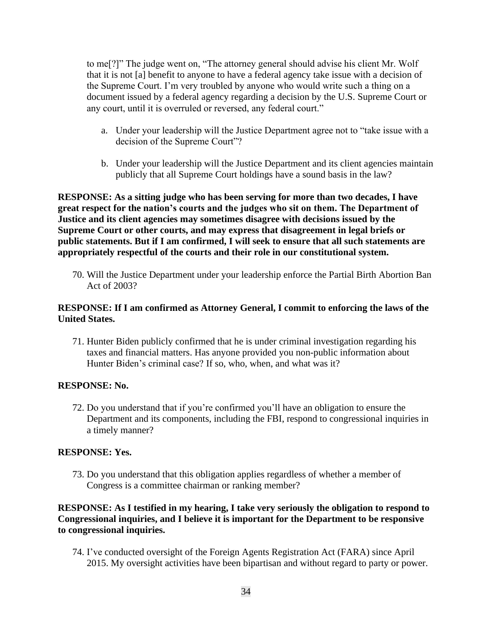to me[?]" The judge went on, "The attorney general should advise his client Mr. Wolf that it is not [a] benefit to anyone to have a federal agency take issue with a decision of the Supreme Court. I'm very troubled by anyone who would write such a thing on a document issued by a federal agency regarding a decision by the U.S. Supreme Court or any court, until it is overruled or reversed, any federal court."

- a. Under your leadership will the Justice Department agree not to "take issue with a decision of the Supreme Court"?
- b. Under your leadership will the Justice Department and its client agencies maintain publicly that all Supreme Court holdings have a sound basis in the law?

**RESPONSE: As a sitting judge who has been serving for more than two decades, I have great respect for the nation's courts and the judges who sit on them. The Department of Justice and its client agencies may sometimes disagree with decisions issued by the Supreme Court or other courts, and may express that disagreement in legal briefs or public statements. But if I am confirmed, I will seek to ensure that all such statements are appropriately respectful of the courts and their role in our constitutional system.**

70. Will the Justice Department under your leadership enforce the Partial Birth Abortion Ban Act of 2003?

#### **RESPONSE: If I am confirmed as Attorney General, I commit to enforcing the laws of the United States.**

71. Hunter Biden publicly confirmed that he is under criminal investigation regarding his taxes and financial matters. Has anyone provided you non-public information about Hunter Biden's criminal case? If so, who, when, and what was it?

#### **RESPONSE: No.**

72. Do you understand that if you're confirmed you'll have an obligation to ensure the Department and its components, including the FBI, respond to congressional inquiries in a timely manner?

#### **RESPONSE: Yes.**

73. Do you understand that this obligation applies regardless of whether a member of Congress is a committee chairman or ranking member?

## **RESPONSE: As I testified in my hearing, I take very seriously the obligation to respond to Congressional inquiries, and I believe it is important for the Department to be responsive to congressional inquiries.**

74. I've conducted oversight of the Foreign Agents Registration Act (FARA) since April 2015. My oversight activities have been bipartisan and without regard to party or power.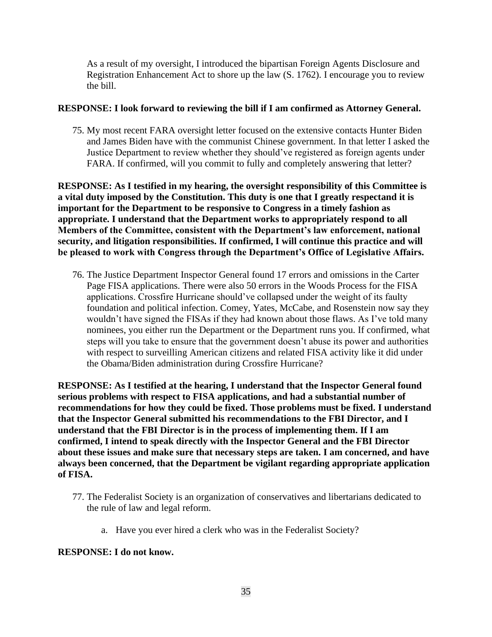As a result of my oversight, I introduced the bipartisan Foreign Agents Disclosure and Registration Enhancement Act to shore up the law (S. 1762). I encourage you to review the bill.

## **RESPONSE: I look forward to reviewing the bill if I am confirmed as Attorney General.**

75. My most recent FARA oversight letter focused on the extensive contacts Hunter Biden and James Biden have with the communist Chinese government. In that letter I asked the Justice Department to review whether they should've registered as foreign agents under FARA. If confirmed, will you commit to fully and completely answering that letter?

**RESPONSE: As I testified in my hearing, the oversight responsibility of this Committee is a vital duty imposed by the Constitution. This duty is one that I greatly respectand it is important for the Department to be responsive to Congress in a timely fashion as appropriate. I understand that the Department works to appropriately respond to all Members of the Committee, consistent with the Department's law enforcement, national security, and litigation responsibilities. If confirmed, I will continue this practice and will be pleased to work with Congress through the Department's Office of Legislative Affairs.** 

76. The Justice Department Inspector General found 17 errors and omissions in the Carter Page FISA applications. There were also 50 errors in the Woods Process for the FISA applications. Crossfire Hurricane should've collapsed under the weight of its faulty foundation and political infection. Comey, Yates, McCabe, and Rosenstein now say they wouldn't have signed the FISAs if they had known about those flaws. As I've told many nominees, you either run the Department or the Department runs you. If confirmed, what steps will you take to ensure that the government doesn't abuse its power and authorities with respect to surveilling American citizens and related FISA activity like it did under the Obama/Biden administration during Crossfire Hurricane?

**RESPONSE: As I testified at the hearing, I understand that the Inspector General found serious problems with respect to FISA applications, and had a substantial number of recommendations for how they could be fixed. Those problems must be fixed. I understand that the Inspector General submitted his recommendations to the FBI Director, and I understand that the FBI Director is in the process of implementing them. If I am confirmed, I intend to speak directly with the Inspector General and the FBI Director about these issues and make sure that necessary steps are taken. I am concerned, and have always been concerned, that the Department be vigilant regarding appropriate application of FISA.**

- 77. The Federalist Society is an organization of conservatives and libertarians dedicated to the rule of law and legal reform.
	- a. Have you ever hired a clerk who was in the Federalist Society?

#### **RESPONSE: I do not know.**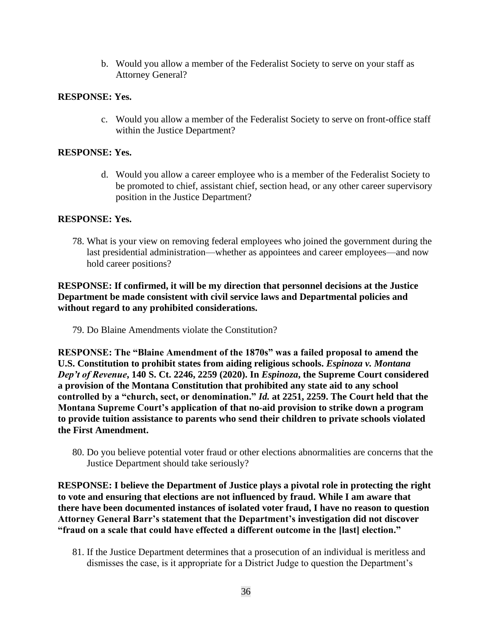b. Would you allow a member of the Federalist Society to serve on your staff as Attorney General?

### **RESPONSE: Yes.**

c. Would you allow a member of the Federalist Society to serve on front-office staff within the Justice Department?

### **RESPONSE: Yes.**

d. Would you allow a career employee who is a member of the Federalist Society to be promoted to chief, assistant chief, section head, or any other career supervisory position in the Justice Department?

#### **RESPONSE: Yes.**

78. What is your view on removing federal employees who joined the government during the last presidential administration—whether as appointees and career employees—and now hold career positions?

# **RESPONSE: If confirmed, it will be my direction that personnel decisions at the Justice Department be made consistent with civil service laws and Departmental policies and without regard to any prohibited considerations.**

79. Do Blaine Amendments violate the Constitution?

**RESPONSE: The "Blaine Amendment of the 1870s" was a failed proposal to amend the U.S. Constitution to prohibit states from aiding religious schools.** *Espinoza v. Montana Dep't of Revenue***, 140 S. Ct. 2246, 2259 (2020). In** *Espinoza***, the Supreme Court considered a provision of the Montana Constitution that prohibited any state aid to any school controlled by a "church, sect, or denomination."** *Id.* **at 2251, 2259. The Court held that the Montana Supreme Court's application of that no-aid provision to strike down a program to provide tuition assistance to parents who send their children to private schools violated the First Amendment.** 

80. Do you believe potential voter fraud or other elections abnormalities are concerns that the Justice Department should take seriously?

**RESPONSE: I believe the Department of Justice plays a pivotal role in protecting the right to vote and ensuring that elections are not influenced by fraud. While I am aware that there have been documented instances of isolated voter fraud, I have no reason to question Attorney General Barr's statement that the Department's investigation did not discover "fraud on a scale that could have effected a different outcome in the [last] election."** 

81. If the Justice Department determines that a prosecution of an individual is meritless and dismisses the case, is it appropriate for a District Judge to question the Department's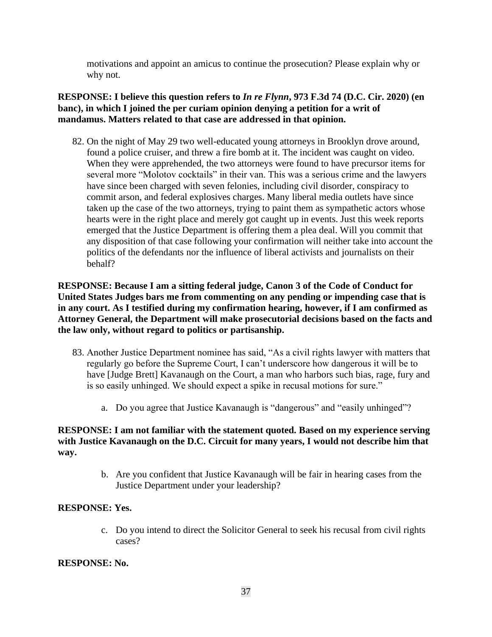motivations and appoint an amicus to continue the prosecution? Please explain why or why not.

## **RESPONSE: I believe this question refers to** *In re Flynn***, 973 F.3d 74 (D.C. Cir. 2020) (en banc), in which I joined the per curiam opinion denying a petition for a writ of mandamus. Matters related to that case are addressed in that opinion.**

82. On the night of May 29 two well-educated young attorneys in Brooklyn drove around, found a police cruiser, and threw a fire bomb at it. The incident was caught on video. When they were apprehended, the two attorneys were found to have precursor items for several more "Molotov cocktails" in their van. This was a serious crime and the lawyers have since been charged with seven felonies, including civil disorder, conspiracy to commit arson, and federal explosives charges. Many liberal media outlets have since taken up the case of the two attorneys, trying to paint them as sympathetic actors whose hearts were in the right place and merely got caught up in events. Just this week reports emerged that the Justice Department is offering them a plea deal. Will you commit that any disposition of that case following your confirmation will neither take into account the politics of the defendants nor the influence of liberal activists and journalists on their behalf?

**RESPONSE: Because I am a sitting federal judge, Canon 3 of the Code of Conduct for United States Judges bars me from commenting on any pending or impending case that is in any court. As I testified during my confirmation hearing, however, if I am confirmed as Attorney General, the Department will make prosecutorial decisions based on the facts and the law only, without regard to politics or partisanship.**

- 83. Another Justice Department nominee has said, "As a civil rights lawyer with matters that regularly go before the Supreme Court, I can't underscore how dangerous it will be to have [Judge Brett] Kavanaugh on the Court, a man who harbors such bias, rage, fury and is so easily unhinged. We should expect a spike in recusal motions for sure."
	- a. Do you agree that Justice Kavanaugh is "dangerous" and "easily unhinged"?

## **RESPONSE: I am not familiar with the statement quoted. Based on my experience serving with Justice Kavanaugh on the D.C. Circuit for many years, I would not describe him that way.**

b. Are you confident that Justice Kavanaugh will be fair in hearing cases from the Justice Department under your leadership?

#### **RESPONSE: Yes.**

c. Do you intend to direct the Solicitor General to seek his recusal from civil rights cases?

#### **RESPONSE: No.**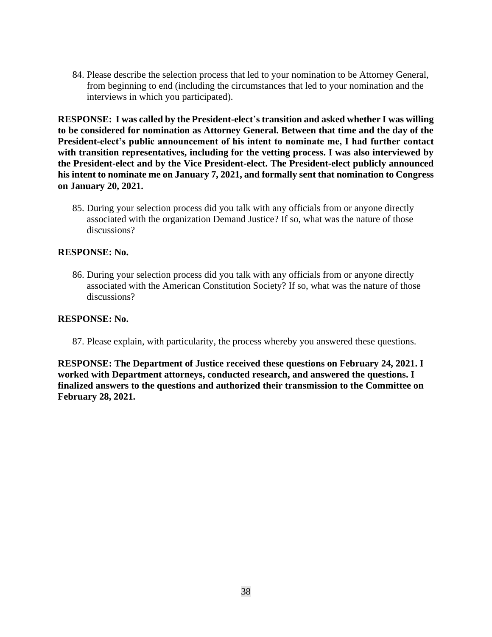84. Please describe the selection process that led to your nomination to be Attorney General, from beginning to end (including the circumstances that led to your nomination and the interviews in which you participated).

**RESPONSE: I was called by the President-elect**'**s transition and asked whether I was willing to be considered for nomination as Attorney General. Between that time and the day of the President-elect's public announcement of his intent to nominate me, I had further contact with transition representatives, including for the vetting process. I was also interviewed by the President-elect and by the Vice President-elect. The President-elect publicly announced his intent to nominate me on January 7, 2021, and formally sent that nomination to Congress on January 20, 2021.**

85. During your selection process did you talk with any officials from or anyone directly associated with the organization Demand Justice? If so, what was the nature of those discussions?

#### **RESPONSE: No.**

86. During your selection process did you talk with any officials from or anyone directly associated with the American Constitution Society? If so, what was the nature of those discussions?

#### **RESPONSE: No.**

87. Please explain, with particularity, the process whereby you answered these questions.

**RESPONSE: The Department of Justice received these questions on February 24, 2021. I worked with Department attorneys, conducted research, and answered the questions. I finalized answers to the questions and authorized their transmission to the Committee on February 28, 2021.**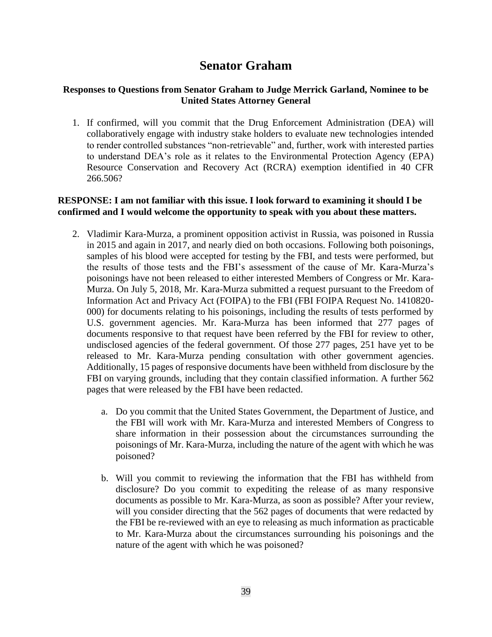# **Senator Graham**

## **Responses to Questions from Senator Graham to Judge Merrick Garland, Nominee to be United States Attorney General**

1. If confirmed, will you commit that the Drug Enforcement Administration (DEA) will collaboratively engage with industry stake holders to evaluate new technologies intended to render controlled substances "non-retrievable" and, further, work with interested parties to understand DEA's role as it relates to the Environmental Protection Agency (EPA) Resource Conservation and Recovery Act (RCRA) exemption identified in 40 CFR 266.506?

## **RESPONSE: I am not familiar with this issue. I look forward to examining it should I be confirmed and I would welcome the opportunity to speak with you about these matters.**

- 2. Vladimir Kara-Murza, a prominent opposition activist in Russia, was poisoned in Russia in 2015 and again in 2017, and nearly died on both occasions. Following both poisonings, samples of his blood were accepted for testing by the FBI, and tests were performed, but the results of those tests and the FBI's assessment of the cause of Mr. Kara-Murza's poisonings have not been released to either interested Members of Congress or Mr. Kara-Murza. On July 5, 2018, Mr. Kara-Murza submitted a request pursuant to the Freedom of Information Act and Privacy Act (FOIPA) to the FBI (FBI FOIPA Request No. 1410820- 000) for documents relating to his poisonings, including the results of tests performed by U.S. government agencies. Mr. Kara-Murza has been informed that 277 pages of documents responsive to that request have been referred by the FBI for review to other, undisclosed agencies of the federal government. Of those 277 pages, 251 have yet to be released to Mr. Kara-Murza pending consultation with other government agencies. Additionally, 15 pages of responsive documents have been withheld from disclosure by the FBI on varying grounds, including that they contain classified information. A further 562 pages that were released by the FBI have been redacted.
	- a. Do you commit that the United States Government, the Department of Justice, and the FBI will work with Mr. Kara-Murza and interested Members of Congress to share information in their possession about the circumstances surrounding the poisonings of Mr. Kara-Murza, including the nature of the agent with which he was poisoned?
	- b. Will you commit to reviewing the information that the FBI has withheld from disclosure? Do you commit to expediting the release of as many responsive documents as possible to Mr. Kara-Murza, as soon as possible? After your review, will you consider directing that the 562 pages of documents that were redacted by the FBI be re-reviewed with an eye to releasing as much information as practicable to Mr. Kara-Murza about the circumstances surrounding his poisonings and the nature of the agent with which he was poisoned?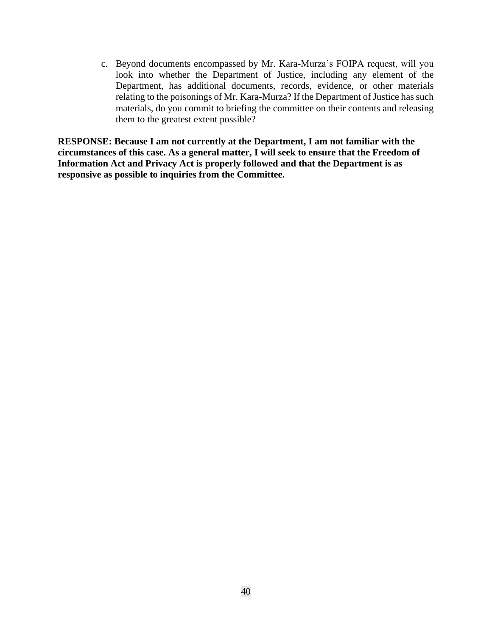c. Beyond documents encompassed by Mr. Kara-Murza's FOIPA request, will you look into whether the Department of Justice, including any element of the Department, has additional documents, records, evidence, or other materials relating to the poisonings of Mr. Kara-Murza? If the Department of Justice has such materials, do you commit to briefing the committee on their contents and releasing them to the greatest extent possible?

**RESPONSE: Because I am not currently at the Department, I am not familiar with the circumstances of this case. As a general matter, I will seek to ensure that the Freedom of Information Act and Privacy Act is properly followed and that the Department is as responsive as possible to inquiries from the Committee.**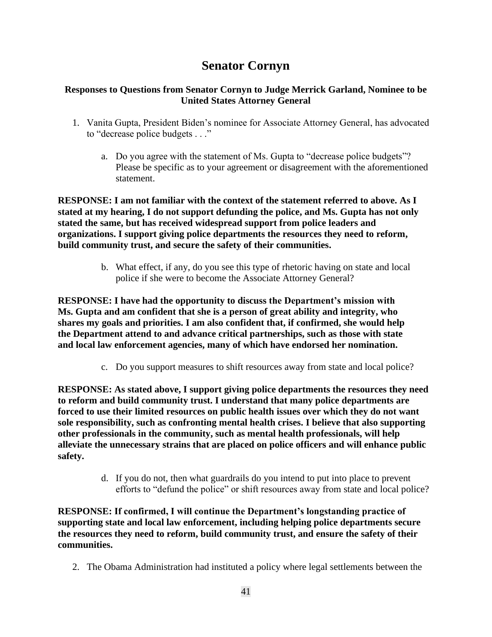# **Senator Cornyn**

# **Responses to Questions from Senator Cornyn to Judge Merrick Garland, Nominee to be United States Attorney General**

- 1. Vanita Gupta, President Biden's nominee for Associate Attorney General, has advocated to "decrease police budgets . . ."
	- a. Do you agree with the statement of Ms. Gupta to "decrease police budgets"? Please be specific as to your agreement or disagreement with the aforementioned statement.

**RESPONSE: I am not familiar with the context of the statement referred to above. As I stated at my hearing, I do not support defunding the police, and Ms. Gupta has not only stated the same, but has received widespread support from police leaders and organizations. I support giving police departments the resources they need to reform, build community trust, and secure the safety of their communities.**

> b. What effect, if any, do you see this type of rhetoric having on state and local police if she were to become the Associate Attorney General?

**RESPONSE: I have had the opportunity to discuss the Department's mission with Ms. Gupta and am confident that she is a person of great ability and integrity, who shares my goals and priorities. I am also confident that, if confirmed, she would help the Department attend to and advance critical partnerships, such as those with state and local law enforcement agencies, many of which have endorsed her nomination.**

c. Do you support measures to shift resources away from state and local police?

**RESPONSE: As stated above, I support giving police departments the resources they need to reform and build community trust. I understand that many police departments are forced to use their limited resources on public health issues over which they do not want sole responsibility, such as confronting mental health crises. I believe that also supporting other professionals in the community, such as mental health professionals, will help alleviate the unnecessary strains that are placed on police officers and will enhance public safety.**

> d. If you do not, then what guardrails do you intend to put into place to prevent efforts to "defund the police" or shift resources away from state and local police?

**RESPONSE: If confirmed, I will continue the Department's longstanding practice of supporting state and local law enforcement, including helping police departments secure the resources they need to reform, build community trust, and ensure the safety of their communities.**

2. The Obama Administration had instituted a policy where legal settlements between the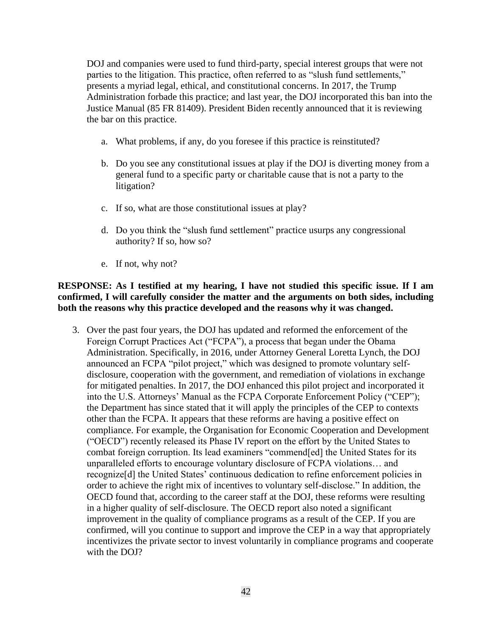DOJ and companies were used to fund third-party, special interest groups that were not parties to the litigation. This practice, often referred to as "slush fund settlements," presents a myriad legal, ethical, and constitutional concerns. In 2017, the Trump Administration forbade this practice; and last year, the DOJ incorporated this ban into the Justice Manual (85 FR 81409). President Biden recently announced that it is reviewing the bar on this practice.

- a. What problems, if any, do you foresee if this practice is reinstituted?
- b. Do you see any constitutional issues at play if the DOJ is diverting money from a general fund to a specific party or charitable cause that is not a party to the litigation?
- c. If so, what are those constitutional issues at play?
- d. Do you think the "slush fund settlement" practice usurps any congressional authority? If so, how so?
- e. If not, why not?

#### **RESPONSE: As I testified at my hearing, I have not studied this specific issue. If I am confirmed, I will carefully consider the matter and the arguments on both sides, including both the reasons why this practice developed and the reasons why it was changed.**

3. Over the past four years, the DOJ has updated and reformed the enforcement of the Foreign Corrupt Practices Act ("FCPA"), a process that began under the Obama Administration. Specifically, in 2016, under Attorney General Loretta Lynch, the DOJ announced an FCPA "pilot project," which was designed to promote voluntary selfdisclosure, cooperation with the government, and remediation of violations in exchange for mitigated penalties. In 2017, the DOJ enhanced this pilot project and incorporated it into the U.S. Attorneys' Manual as the FCPA Corporate Enforcement Policy ("CEP"); the Department has since stated that it will apply the principles of the CEP to contexts other than the FCPA. It appears that these reforms are having a positive effect on compliance. For example, the Organisation for Economic Cooperation and Development ("OECD") recently released its Phase IV report on the effort by the United States to combat foreign corruption. Its lead examiners "commend[ed] the United States for its unparalleled efforts to encourage voluntary disclosure of FCPA violations… and recognize[d] the United States' continuous dedication to refine enforcement policies in order to achieve the right mix of incentives to voluntary self-disclose." In addition, the OECD found that, according to the career staff at the DOJ, these reforms were resulting in a higher quality of self-disclosure. The OECD report also noted a significant improvement in the quality of compliance programs as a result of the CEP. If you are confirmed, will you continue to support and improve the CEP in a way that appropriately incentivizes the private sector to invest voluntarily in compliance programs and cooperate with the DOJ?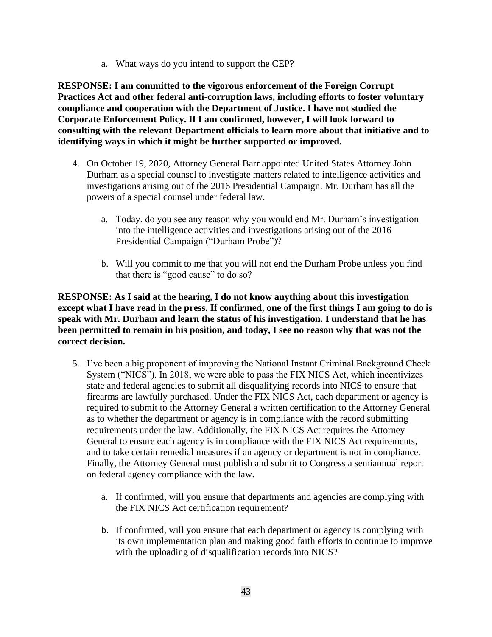a. What ways do you intend to support the CEP?

**RESPONSE: I am committed to the vigorous enforcement of the Foreign Corrupt Practices Act and other federal anti-corruption laws, including efforts to foster voluntary compliance and cooperation with the Department of Justice. I have not studied the Corporate Enforcement Policy. If I am confirmed, however, I will look forward to consulting with the relevant Department officials to learn more about that initiative and to identifying ways in which it might be further supported or improved.**

- 4. On October 19, 2020, Attorney General Barr appointed United States Attorney John Durham as a special counsel to investigate matters related to intelligence activities and investigations arising out of the 2016 Presidential Campaign. Mr. Durham has all the powers of a special counsel under federal law.
	- a. Today, do you see any reason why you would end Mr. Durham's investigation into the intelligence activities and investigations arising out of the 2016 Presidential Campaign ("Durham Probe")?
	- b. Will you commit to me that you will not end the Durham Probe unless you find that there is "good cause" to do so?

## **RESPONSE: As I said at the hearing, I do not know anything about this investigation except what I have read in the press. If confirmed, one of the first things I am going to do is speak with Mr. Durham and learn the status of his investigation. I understand that he has been permitted to remain in his position, and today, I see no reason why that was not the correct decision.**

- 5. I've been a big proponent of improving the National Instant Criminal Background Check System ("NICS"). In 2018, we were able to pass the FIX NICS Act, which incentivizes state and federal agencies to submit all disqualifying records into NICS to ensure that firearms are lawfully purchased. Under the FIX NICS Act, each department or agency is required to submit to the Attorney General a written certification to the Attorney General as to whether the department or agency is in compliance with the record submitting requirements under the law. Additionally, the FIX NICS Act requires the Attorney General to ensure each agency is in compliance with the FIX NICS Act requirements, and to take certain remedial measures if an agency or department is not in compliance. Finally, the Attorney General must publish and submit to Congress a semiannual report on federal agency compliance with the law.
	- a. If confirmed, will you ensure that departments and agencies are complying with the FIX NICS Act certification requirement?
	- b. If confirmed, will you ensure that each department or agency is complying with its own implementation plan and making good faith efforts to continue to improve with the uploading of disqualification records into NICS?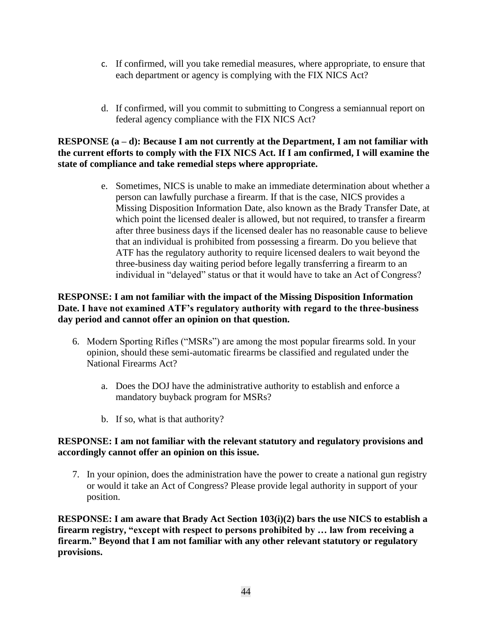- c. If confirmed, will you take remedial measures, where appropriate, to ensure that each department or agency is complying with the FIX NICS Act?
- d. If confirmed, will you commit to submitting to Congress a semiannual report on federal agency compliance with the FIX NICS Act?

## **RESPONSE (a – d): Because I am not currently at the Department, I am not familiar with the current efforts to comply with the FIX NICS Act. If I am confirmed, I will examine the state of compliance and take remedial steps where appropriate.**

e. Sometimes, NICS is unable to make an immediate determination about whether a person can lawfully purchase a firearm. If that is the case, NICS provides a Missing Disposition Information Date, also known as the Brady Transfer Date, at which point the licensed dealer is allowed, but not required, to transfer a firearm after three business days if the licensed dealer has no reasonable cause to believe that an individual is prohibited from possessing a firearm. Do you believe that ATF has the regulatory authority to require licensed dealers to wait beyond the three-business day waiting period before legally transferring a firearm to an individual in "delayed" status or that it would have to take an Act of Congress?

## **RESPONSE: I am not familiar with the impact of the Missing Disposition Information Date. I have not examined ATF's regulatory authority with regard to the three-business day period and cannot offer an opinion on that question.**

- 6. Modern Sporting Rifles ("MSRs") are among the most popular firearms sold. In your opinion, should these semi-automatic firearms be classified and regulated under the National Firearms Act?
	- a. Does the DOJ have the administrative authority to establish and enforce a mandatory buyback program for MSRs?
	- b. If so, what is that authority?

#### **RESPONSE: I am not familiar with the relevant statutory and regulatory provisions and accordingly cannot offer an opinion on this issue.**

7. In your opinion, does the administration have the power to create a national gun registry or would it take an Act of Congress? Please provide legal authority in support of your position.

**RESPONSE: I am aware that Brady Act Section 103(i)(2) bars the use NICS to establish a firearm registry, "except with respect to persons prohibited by … law from receiving a firearm." Beyond that I am not familiar with any other relevant statutory or regulatory provisions.**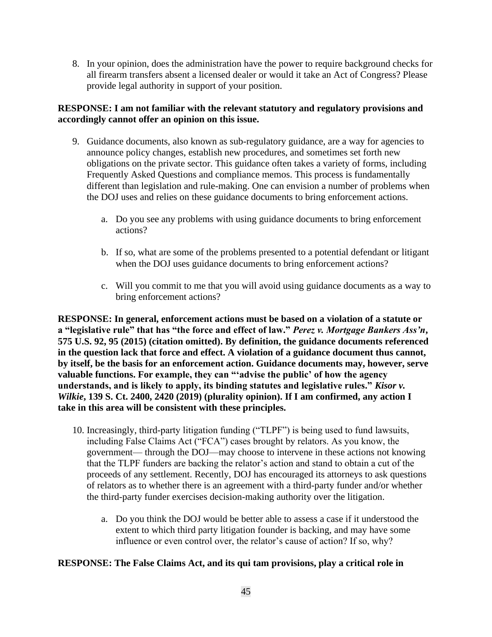8. In your opinion, does the administration have the power to require background checks for all firearm transfers absent a licensed dealer or would it take an Act of Congress? Please provide legal authority in support of your position.

# **RESPONSE: I am not familiar with the relevant statutory and regulatory provisions and accordingly cannot offer an opinion on this issue.**

- 9. Guidance documents, also known as sub-regulatory guidance, are a way for agencies to announce policy changes, establish new procedures, and sometimes set forth new obligations on the private sector. This guidance often takes a variety of forms, including Frequently Asked Questions and compliance memos. This process is fundamentally different than legislation and rule-making. One can envision a number of problems when the DOJ uses and relies on these guidance documents to bring enforcement actions.
	- a. Do you see any problems with using guidance documents to bring enforcement actions?
	- b. If so, what are some of the problems presented to a potential defendant or litigant when the DOJ uses guidance documents to bring enforcement actions?
	- c. Will you commit to me that you will avoid using guidance documents as a way to bring enforcement actions?

**RESPONSE: In general, enforcement actions must be based on a violation of a statute or a "legislative rule" that has "the force and effect of law."** *Perez v. Mortgage Bankers Ass'n***, 575 U.S. 92, 95 (2015) (citation omitted). By definition, the guidance documents referenced in the question lack that force and effect. A violation of a guidance document thus cannot, by itself, be the basis for an enforcement action. Guidance documents may, however, serve valuable functions. For example, they can "'advise the public' of how the agency understands, and is likely to apply, its binding statutes and legislative rules."** *Kisor v. Wilkie***, 139 S. Ct. 2400, 2420 (2019) (plurality opinion). If I am confirmed, any action I take in this area will be consistent with these principles.**

- 10. Increasingly, third-party litigation funding ("TLPF") is being used to fund lawsuits, including False Claims Act ("FCA") cases brought by relators. As you know, the government— through the DOJ—may choose to intervene in these actions not knowing that the TLPF funders are backing the relator's action and stand to obtain a cut of the proceeds of any settlement. Recently, DOJ has encouraged its attorneys to ask questions of relators as to whether there is an agreement with a third-party funder and/or whether the third-party funder exercises decision-making authority over the litigation.
	- a. Do you think the DOJ would be better able to assess a case if it understood the extent to which third party litigation founder is backing, and may have some influence or even control over, the relator's cause of action? If so, why?

# **RESPONSE: The False Claims Act, and its qui tam provisions, play a critical role in**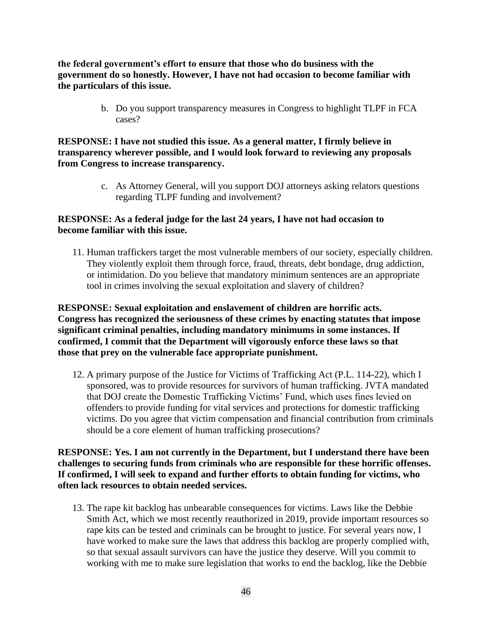**the federal government's effort to ensure that those who do business with the government do so honestly. However, I have not had occasion to become familiar with the particulars of this issue.**

> b. Do you support transparency measures in Congress to highlight TLPF in FCA cases?

#### **RESPONSE: I have not studied this issue. As a general matter, I firmly believe in transparency wherever possible, and I would look forward to reviewing any proposals from Congress to increase transparency.**

c. As Attorney General, will you support DOJ attorneys asking relators questions regarding TLPF funding and involvement?

#### **RESPONSE: As a federal judge for the last 24 years, I have not had occasion to become familiar with this issue.**

11. Human traffickers target the most vulnerable members of our society, especially children. They violently exploit them through force, fraud, threats, debt bondage, drug addiction, or intimidation. Do you believe that mandatory minimum sentences are an appropriate tool in crimes involving the sexual exploitation and slavery of children?

**RESPONSE: Sexual exploitation and enslavement of children are horrific acts. Congress has recognized the seriousness of these crimes by enacting statutes that impose significant criminal penalties, including mandatory minimums in some instances. If confirmed, I commit that the Department will vigorously enforce these laws so that those that prey on the vulnerable face appropriate punishment.**

12. A primary purpose of the Justice for Victims of Trafficking Act (P.L. 114-22), which I sponsored, was to provide resources for survivors of human trafficking. JVTA mandated that DOJ create the Domestic Trafficking Victims' Fund, which uses fines levied on offenders to provide funding for vital services and protections for domestic trafficking victims. Do you agree that victim compensation and financial contribution from criminals should be a core element of human trafficking prosecutions?

**RESPONSE: Yes. I am not currently in the Department, but I understand there have been challenges to securing funds from criminals who are responsible for these horrific offenses. If confirmed, I will seek to expand and further efforts to obtain funding for victims, who often lack resources to obtain needed services.**

13. The rape kit backlog has unbearable consequences for victims. Laws like the Debbie Smith Act, which we most recently reauthorized in 2019, provide important resources so rape kits can be tested and criminals can be brought to justice. For several years now, I have worked to make sure the laws that address this backlog are properly complied with, so that sexual assault survivors can have the justice they deserve. Will you commit to working with me to make sure legislation that works to end the backlog, like the Debbie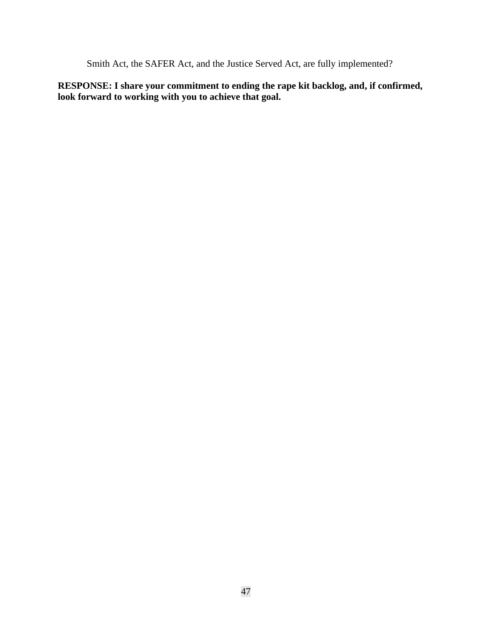Smith Act, the SAFER Act, and the Justice Served Act, are fully implemented?

**RESPONSE: I share your commitment to ending the rape kit backlog, and, if confirmed, look forward to working with you to achieve that goal.**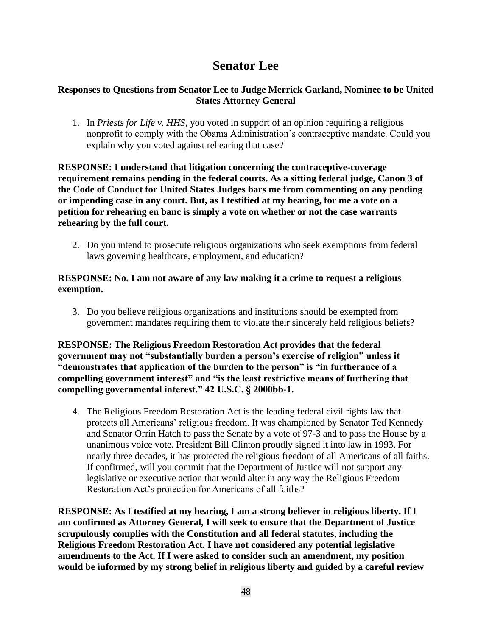# **Senator Lee**

# **Responses to Questions from Senator Lee to Judge Merrick Garland, Nominee to be United States Attorney General**

1. In *Priests for Life v. HHS*, you voted in support of an opinion requiring a religious nonprofit to comply with the Obama Administration's contraceptive mandate. Could you explain why you voted against rehearing that case?

**RESPONSE: I understand that litigation concerning the contraceptive-coverage requirement remains pending in the federal courts. As a sitting federal judge, Canon 3 of the Code of Conduct for United States Judges bars me from commenting on any pending or impending case in any court. But, as I testified at my hearing, for me a vote on a petition for rehearing en banc is simply a vote on whether or not the case warrants rehearing by the full court.**

2. Do you intend to prosecute religious organizations who seek exemptions from federal laws governing healthcare, employment, and education?

## **RESPONSE: No. I am not aware of any law making it a crime to request a religious exemption.**

3. Do you believe religious organizations and institutions should be exempted from government mandates requiring them to violate their sincerely held religious beliefs?

**RESPONSE: The Religious Freedom Restoration Act provides that the federal government may not "substantially burden a person's exercise of religion" unless it "demonstrates that application of the burden to the person" is "in furtherance of a compelling government interest" and "is the least restrictive means of furthering that compelling governmental interest." 42 U.S.C. § 2000bb-1.**

4. The Religious Freedom Restoration Act is the leading federal civil rights law that protects all Americans' religious freedom. It was championed by Senator Ted Kennedy and Senator Orrin Hatch to pass the Senate by a vote of 97-3 and to pass the House by a unanimous voice vote. President Bill Clinton proudly signed it into law in 1993. For nearly three decades, it has protected the religious freedom of all Americans of all faiths. If confirmed, will you commit that the Department of Justice will not support any legislative or executive action that would alter in any way the Religious Freedom Restoration Act's protection for Americans of all faiths?

**RESPONSE: As I testified at my hearing, I am a strong believer in religious liberty. If I am confirmed as Attorney General, I will seek to ensure that the Department of Justice scrupulously complies with the Constitution and all federal statutes, including the Religious Freedom Restoration Act. I have not considered any potential legislative amendments to the Act. If I were asked to consider such an amendment, my position would be informed by my strong belief in religious liberty and guided by a careful review**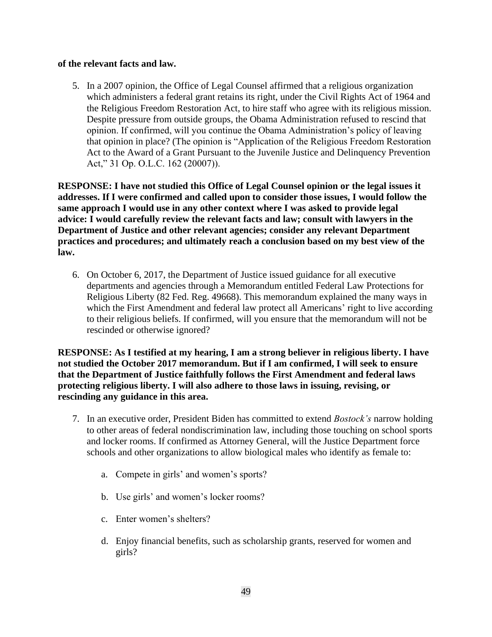#### **of the relevant facts and law.**

5. In a 2007 opinion, the Office of Legal Counsel affirmed that a religious organization which administers a federal grant retains its right, under the Civil Rights Act of 1964 and the Religious Freedom Restoration Act, to hire staff who agree with its religious mission. Despite pressure from outside groups, the Obama Administration refused to rescind that opinion. If confirmed, will you continue the Obama Administration's policy of leaving that opinion in place? (The opinion is "Application of the Religious Freedom Restoration Act to the Award of a Grant Pursuant to the Juvenile Justice and Delinquency Prevention Act," 31 Op. O.L.C. 162 (20007)).

**RESPONSE: I have not studied this Office of Legal Counsel opinion or the legal issues it addresses. If I were confirmed and called upon to consider those issues, I would follow the same approach I would use in any other context where I was asked to provide legal advice: I would carefully review the relevant facts and law; consult with lawyers in the Department of Justice and other relevant agencies; consider any relevant Department practices and procedures; and ultimately reach a conclusion based on my best view of the law.**

6. On October 6, 2017, the Department of Justice issued guidance for all executive departments and agencies through a Memorandum entitled Federal Law Protections for Religious Liberty (82 Fed. Reg. 49668). This memorandum explained the many ways in which the First Amendment and federal law protect all Americans' right to live according to their religious beliefs. If confirmed, will you ensure that the memorandum will not be rescinded or otherwise ignored?

**RESPONSE: As I testified at my hearing, I am a strong believer in religious liberty. I have not studied the October 2017 memorandum. But if I am confirmed, I will seek to ensure that the Department of Justice faithfully follows the First Amendment and federal laws protecting religious liberty. I will also adhere to those laws in issuing, revising, or rescinding any guidance in this area.**

- 7. In an executive order, President Biden has committed to extend *Bostock's* narrow holding to other areas of federal nondiscrimination law, including those touching on school sports and locker rooms. If confirmed as Attorney General, will the Justice Department force schools and other organizations to allow biological males who identify as female to:
	- a. Compete in girls' and women's sports?
	- b. Use girls' and women's locker rooms?
	- c. Enter women's shelters?
	- d. Enjoy financial benefits, such as scholarship grants, reserved for women and girls?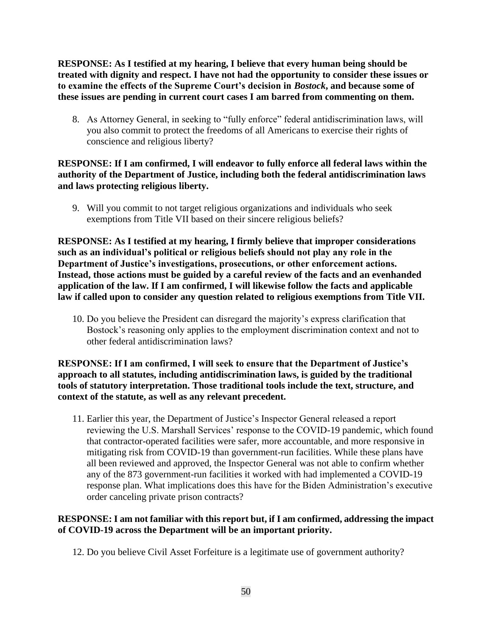**RESPONSE: As I testified at my hearing, I believe that every human being should be treated with dignity and respect. I have not had the opportunity to consider these issues or to examine the effects of the Supreme Court's decision in** *Bostock***, and because some of these issues are pending in current court cases I am barred from commenting on them.**

8. As Attorney General, in seeking to "fully enforce" federal antidiscrimination laws, will you also commit to protect the freedoms of all Americans to exercise their rights of conscience and religious liberty?

# **RESPONSE: If I am confirmed, I will endeavor to fully enforce all federal laws within the authority of the Department of Justice, including both the federal antidiscrimination laws and laws protecting religious liberty.**

9. Will you commit to not target religious organizations and individuals who seek exemptions from Title VII based on their sincere religious beliefs?

**RESPONSE: As I testified at my hearing, I firmly believe that improper considerations such as an individual's political or religious beliefs should not play any role in the Department of Justice's investigations, prosecutions, or other enforcement actions. Instead, those actions must be guided by a careful review of the facts and an evenhanded application of the law. If I am confirmed, I will likewise follow the facts and applicable law if called upon to consider any question related to religious exemptions from Title VII.** 

10. Do you believe the President can disregard the majority's express clarification that Bostock's reasoning only applies to the employment discrimination context and not to other federal antidiscrimination laws?

## **RESPONSE: If I am confirmed, I will seek to ensure that the Department of Justice's approach to all statutes, including antidiscrimination laws, is guided by the traditional tools of statutory interpretation. Those traditional tools include the text, structure, and context of the statute, as well as any relevant precedent.**

11. Earlier this year, the Department of Justice's Inspector General released a report reviewing the U.S. Marshall Services' response to the COVID-19 pandemic, which found that contractor-operated facilities were safer, more accountable, and more responsive in mitigating risk from COVID-19 than government-run facilities. While these plans have all been reviewed and approved, the Inspector General was not able to confirm whether any of the 873 government-run facilities it worked with had implemented a COVID-19 response plan. What implications does this have for the Biden Administration's executive order canceling private prison contracts?

# **RESPONSE: I am not familiar with this report but, if I am confirmed, addressing the impact of COVID-19 across the Department will be an important priority.**

12. Do you believe Civil Asset Forfeiture is a legitimate use of government authority?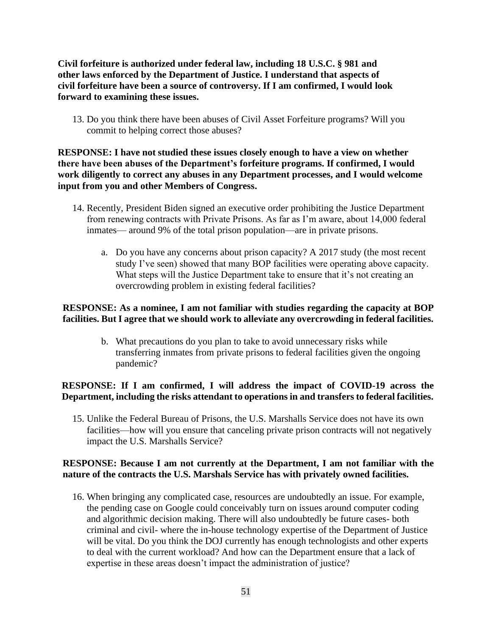**Civil forfeiture is authorized under federal law, including 18 U.S.C. § 981 and other laws enforced by the Department of Justice. I understand that aspects of civil forfeiture have been a source of controversy. If I am confirmed, I would look forward to examining these issues.**

13. Do you think there have been abuses of Civil Asset Forfeiture programs? Will you commit to helping correct those abuses?

**RESPONSE: I have not studied these issues closely enough to have a view on whether there have been abuses of the Department's forfeiture programs. If confirmed, I would work diligently to correct any abuses in any Department processes, and I would welcome input from you and other Members of Congress.** 

- 14. Recently, President Biden signed an executive order prohibiting the Justice Department from renewing contracts with Private Prisons. As far as I'm aware, about 14,000 federal inmates— around 9% of the total prison population—are in private prisons.
	- a. Do you have any concerns about prison capacity? A 2017 study (the most recent study I've seen) showed that many BOP facilities were operating above capacity. What steps will the Justice Department take to ensure that it's not creating an overcrowding problem in existing federal facilities?

#### **RESPONSE: As a nominee, I am not familiar with studies regarding the capacity at BOP facilities. But I agree that we should work to alleviate any overcrowding in federal facilities.**

b. What precautions do you plan to take to avoid unnecessary risks while transferring inmates from private prisons to federal facilities given the ongoing pandemic?

#### **RESPONSE: If I am confirmed, I will address the impact of COVID-19 across the Department, including the risks attendant to operations in and transfers to federal facilities.**

15. Unlike the Federal Bureau of Prisons, the U.S. Marshalls Service does not have its own facilities—how will you ensure that canceling private prison contracts will not negatively impact the U.S. Marshalls Service?

#### **RESPONSE: Because I am not currently at the Department, I am not familiar with the nature of the contracts the U.S. Marshals Service has with privately owned facilities.**

16. When bringing any complicated case, resources are undoubtedly an issue. For example, the pending case on Google could conceivably turn on issues around computer coding and algorithmic decision making. There will also undoubtedly be future cases- both criminal and civil- where the in-house technology expertise of the Department of Justice will be vital. Do you think the DOJ currently has enough technologists and other experts to deal with the current workload? And how can the Department ensure that a lack of expertise in these areas doesn't impact the administration of justice?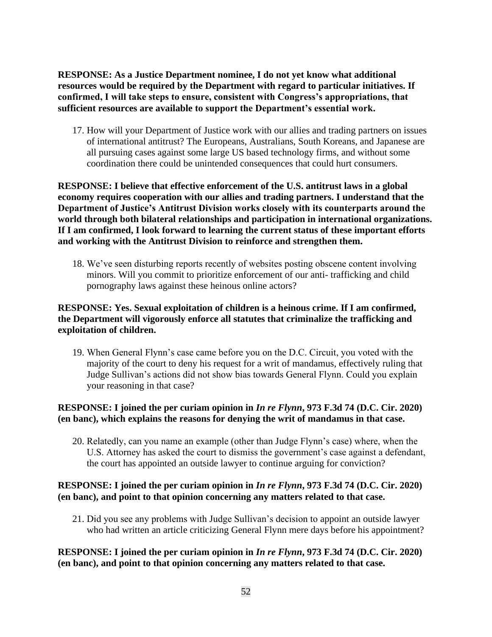**RESPONSE: As a Justice Department nominee, I do not yet know what additional resources would be required by the Department with regard to particular initiatives. If confirmed, I will take steps to ensure, consistent with Congress's appropriations, that sufficient resources are available to support the Department's essential work.**

17. How will your Department of Justice work with our allies and trading partners on issues of international antitrust? The Europeans, Australians, South Koreans, and Japanese are all pursuing cases against some large US based technology firms, and without some coordination there could be unintended consequences that could hurt consumers.

**RESPONSE: I believe that effective enforcement of the U.S. antitrust laws in a global economy requires cooperation with our allies and trading partners. I understand that the Department of Justice's Antitrust Division works closely with its counterparts around the world through both bilateral relationships and participation in international organizations. If I am confirmed, I look forward to learning the current status of these important efforts and working with the Antitrust Division to reinforce and strengthen them.** 

18. We've seen disturbing reports recently of websites posting obscene content involving minors. Will you commit to prioritize enforcement of our anti- trafficking and child pornography laws against these heinous online actors?

# **RESPONSE: Yes. Sexual exploitation of children is a heinous crime. If I am confirmed, the Department will vigorously enforce all statutes that criminalize the trafficking and exploitation of children.**

19. When General Flynn's case came before you on the D.C. Circuit, you voted with the majority of the court to deny his request for a writ of mandamus, effectively ruling that Judge Sullivan's actions did not show bias towards General Flynn. Could you explain your reasoning in that case?

# **RESPONSE: I joined the per curiam opinion in** *In re Flynn***, 973 F.3d 74 (D.C. Cir. 2020) (en banc), which explains the reasons for denying the writ of mandamus in that case.**

20. Relatedly, can you name an example (other than Judge Flynn's case) where, when the U.S. Attorney has asked the court to dismiss the government's case against a defendant, the court has appointed an outside lawyer to continue arguing for conviction?

# **RESPONSE: I joined the per curiam opinion in** *In re Flynn***, 973 F.3d 74 (D.C. Cir. 2020) (en banc), and point to that opinion concerning any matters related to that case.**

21. Did you see any problems with Judge Sullivan's decision to appoint an outside lawyer who had written an article criticizing General Flynn mere days before his appointment?

# **RESPONSE: I joined the per curiam opinion in** *In re Flynn***, 973 F.3d 74 (D.C. Cir. 2020) (en banc), and point to that opinion concerning any matters related to that case.**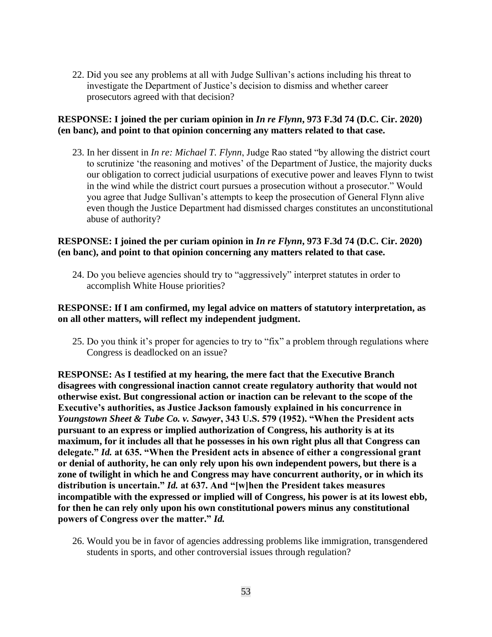22. Did you see any problems at all with Judge Sullivan's actions including his threat to investigate the Department of Justice's decision to dismiss and whether career prosecutors agreed with that decision?

## **RESPONSE: I joined the per curiam opinion in** *In re Flynn***, 973 F.3d 74 (D.C. Cir. 2020) (en banc), and point to that opinion concerning any matters related to that case.**

23. In her dissent in *In re: Michael T. Flynn*, Judge Rao stated "by allowing the district court to scrutinize 'the reasoning and motives' of the Department of Justice, the majority ducks our obligation to correct judicial usurpations of executive power and leaves Flynn to twist in the wind while the district court pursues a prosecution without a prosecutor." Would you agree that Judge Sullivan's attempts to keep the prosecution of General Flynn alive even though the Justice Department had dismissed charges constitutes an unconstitutional abuse of authority?

## **RESPONSE: I joined the per curiam opinion in** *In re Flynn***, 973 F.3d 74 (D.C. Cir. 2020) (en banc), and point to that opinion concerning any matters related to that case.**

24. Do you believe agencies should try to "aggressively" interpret statutes in order to accomplish White House priorities?

## **RESPONSE: If I am confirmed, my legal advice on matters of statutory interpretation, as on all other matters, will reflect my independent judgment.**

25. Do you think it's proper for agencies to try to "fix" a problem through regulations where Congress is deadlocked on an issue?

**RESPONSE: As I testified at my hearing, the mere fact that the Executive Branch disagrees with congressional inaction cannot create regulatory authority that would not otherwise exist. But congressional action or inaction can be relevant to the scope of the Executive's authorities, as Justice Jackson famously explained in his concurrence in**  *Youngstown Sheet & Tube Co. v. Sawyer***, 343 U.S. 579 (1952). "When the President acts pursuant to an express or implied authorization of Congress, his authority is at its maximum, for it includes all that he possesses in his own right plus all that Congress can delegate."** *Id.* **at 635. "When the President acts in absence of either a congressional grant or denial of authority, he can only rely upon his own independent powers, but there is a zone of twilight in which he and Congress may have concurrent authority, or in which its distribution is uncertain."** *Id.* **at 637. And "[w]hen the President takes measures incompatible with the expressed or implied will of Congress, his power is at its lowest ebb, for then he can rely only upon his own constitutional powers minus any constitutional powers of Congress over the matter."** *Id.*

26. Would you be in favor of agencies addressing problems like immigration, transgendered students in sports, and other controversial issues through regulation?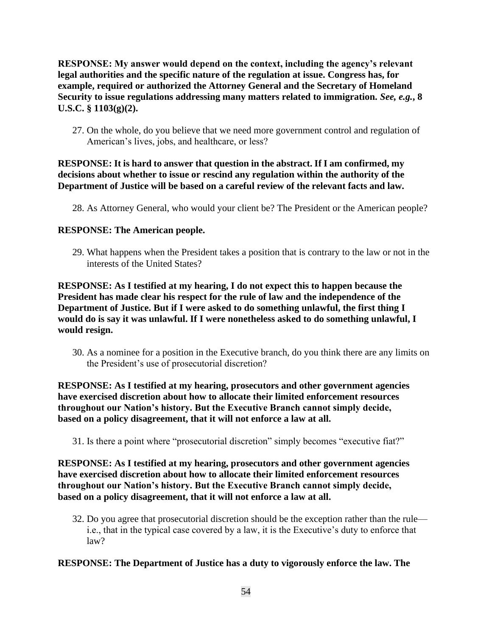**RESPONSE: My answer would depend on the context, including the agency's relevant legal authorities and the specific nature of the regulation at issue. Congress has, for example, required or authorized the Attorney General and the Secretary of Homeland Security to issue regulations addressing many matters related to immigration.** *See, e.g.***, 8 U.S.C. § 1103(g)(2).**

27. On the whole, do you believe that we need more government control and regulation of American's lives, jobs, and healthcare, or less?

#### **RESPONSE: It is hard to answer that question in the abstract. If I am confirmed, my decisions about whether to issue or rescind any regulation within the authority of the Department of Justice will be based on a careful review of the relevant facts and law.**

28. As Attorney General, who would your client be? The President or the American people?

#### **RESPONSE: The American people.**

29. What happens when the President takes a position that is contrary to the law or not in the interests of the United States?

**RESPONSE: As I testified at my hearing, I do not expect this to happen because the President has made clear his respect for the rule of law and the independence of the Department of Justice. But if I were asked to do something unlawful, the first thing I would do is say it was unlawful. If I were nonetheless asked to do something unlawful, I would resign.** 

30. As a nominee for a position in the Executive branch, do you think there are any limits on the President's use of prosecutorial discretion?

**RESPONSE: As I testified at my hearing, prosecutors and other government agencies have exercised discretion about how to allocate their limited enforcement resources throughout our Nation's history. But the Executive Branch cannot simply decide, based on a policy disagreement, that it will not enforce a law at all.** 

31. Is there a point where "prosecutorial discretion" simply becomes "executive fiat?"

**RESPONSE: As I testified at my hearing, prosecutors and other government agencies have exercised discretion about how to allocate their limited enforcement resources throughout our Nation's history. But the Executive Branch cannot simply decide, based on a policy disagreement, that it will not enforce a law at all.** 

32. Do you agree that prosecutorial discretion should be the exception rather than the rule i.e., that in the typical case covered by a law, it is the Executive's duty to enforce that law?

# **RESPONSE: The Department of Justice has a duty to vigorously enforce the law. The**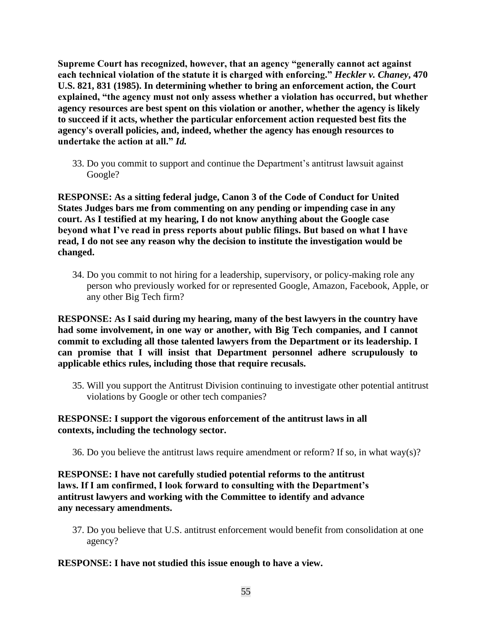**Supreme Court has recognized, however, that an agency "generally cannot act against each technical violation of the statute it is charged with enforcing."** *Heckler v. Chaney***, 470 U.S. 821, 831 (1985). In determining whether to bring an enforcement action, the Court explained, "the agency must not only assess whether a violation has occurred, but whether agency resources are best spent on this violation or another, whether the agency is likely to succeed if it acts, whether the particular enforcement action requested best fits the agency's overall policies, and, indeed, whether the agency has enough resources to undertake the action at all."** *Id.* 

33. Do you commit to support and continue the Department's antitrust lawsuit against Google?

**RESPONSE: As a sitting federal judge, Canon 3 of the Code of Conduct for United States Judges bars me from commenting on any pending or impending case in any court. As I testified at my hearing, I do not know anything about the Google case beyond what I've read in press reports about public filings. But based on what I have read, I do not see any reason why the decision to institute the investigation would be changed.**

34. Do you commit to not hiring for a leadership, supervisory, or policy-making role any person who previously worked for or represented Google, Amazon, Facebook, Apple, or any other Big Tech firm?

**RESPONSE: As I said during my hearing, many of the best lawyers in the country have had some involvement, in one way or another, with Big Tech companies, and I cannot commit to excluding all those talented lawyers from the Department or its leadership. I can promise that I will insist that Department personnel adhere scrupulously to applicable ethics rules, including those that require recusals.**

35. Will you support the Antitrust Division continuing to investigate other potential antitrust violations by Google or other tech companies?

#### **RESPONSE: I support the vigorous enforcement of the antitrust laws in all contexts, including the technology sector.**

36. Do you believe the antitrust laws require amendment or reform? If so, in what way(s)?

**RESPONSE: I have not carefully studied potential reforms to the antitrust laws. If I am confirmed, I look forward to consulting with the Department's antitrust lawyers and working with the Committee to identify and advance any necessary amendments.**

37. Do you believe that U.S. antitrust enforcement would benefit from consolidation at one agency?

#### **RESPONSE: I have not studied this issue enough to have a view.**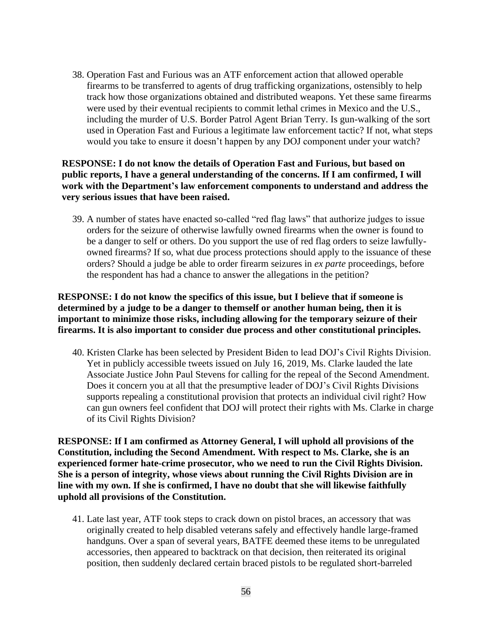38. Operation Fast and Furious was an ATF enforcement action that allowed operable firearms to be transferred to agents of drug trafficking organizations, ostensibly to help track how those organizations obtained and distributed weapons. Yet these same firearms were used by their eventual recipients to commit lethal crimes in Mexico and the U.S., including the murder of U.S. Border Patrol Agent Brian Terry. Is gun-walking of the sort used in Operation Fast and Furious a legitimate law enforcement tactic? If not, what steps would you take to ensure it doesn't happen by any DOJ component under your watch?

**RESPONSE: I do not know the details of Operation Fast and Furious, but based on public reports, I have a general understanding of the concerns. If I am confirmed, I will work with the Department's law enforcement components to understand and address the very serious issues that have been raised.** 

39. A number of states have enacted so-called "red flag laws" that authorize judges to issue orders for the seizure of otherwise lawfully owned firearms when the owner is found to be a danger to self or others. Do you support the use of red flag orders to seize lawfullyowned firearms? If so, what due process protections should apply to the issuance of these orders? Should a judge be able to order firearm seizures in *ex parte* proceedings, before the respondent has had a chance to answer the allegations in the petition?

**RESPONSE: I do not know the specifics of this issue, but I believe that if someone is determined by a judge to be a danger to themself or another human being, then it is important to minimize those risks, including allowing for the temporary seizure of their firearms. It is also important to consider due process and other constitutional principles.**

40. Kristen Clarke has been selected by President Biden to lead DOJ's Civil Rights Division. Yet in publicly accessible tweets issued on July 16, 2019, Ms. Clarke lauded the late Associate Justice John Paul Stevens for calling for the repeal of the Second Amendment. Does it concern you at all that the presumptive leader of DOJ's Civil Rights Divisions supports repealing a constitutional provision that protects an individual civil right? How can gun owners feel confident that DOJ will protect their rights with Ms. Clarke in charge of its Civil Rights Division?

**RESPONSE: If I am confirmed as Attorney General, I will uphold all provisions of the Constitution, including the Second Amendment. With respect to Ms. Clarke, she is an experienced former hate-crime prosecutor, who we need to run the Civil Rights Division. She is a person of integrity, whose views about running the Civil Rights Division are in line with my own. If she is confirmed, I have no doubt that she will likewise faithfully uphold all provisions of the Constitution.** 

41. Late last year, ATF took steps to crack down on pistol braces, an accessory that was originally created to help disabled veterans safely and effectively handle large-framed handguns. Over a span of several years, BATFE deemed these items to be unregulated accessories, then appeared to backtrack on that decision, then reiterated its original position, then suddenly declared certain braced pistols to be regulated short-barreled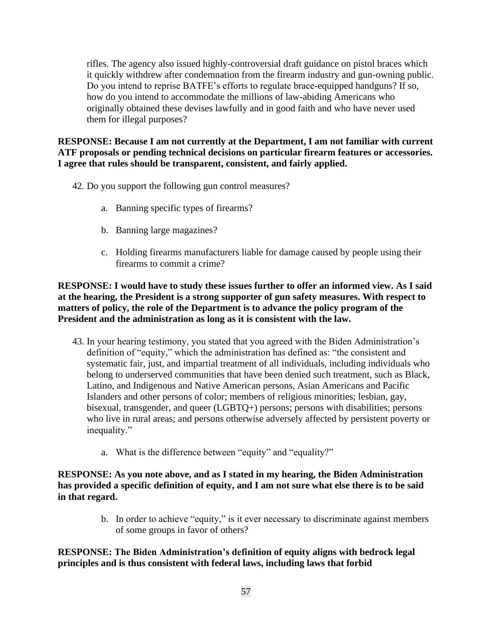rifles. The agency also issued highly-controversial draft guidance on pistol braces which it quickly withdrew after condemnation from the firearm industry and gun-owning public. Do you intend to reprise BATFE's efforts to regulate brace-equipped handguns? If so, how do you intend to accommodate the millions of law-abiding Americans who originally obtained these devises lawfully and in good faith and who have never used them for illegal purposes?

**RESPONSE: Because I am not currently at the Department, I am not familiar with current ATF proposals or pending technical decisions on particular firearm features or accessories. I agree that rules should be transparent, consistent, and fairly applied.**

- 42. Do you support the following gun control measures?
	- a. Banning specific types of firearms?
	- b. Banning large magazines?
	- c. Holding firearms manufacturers liable for damage caused by people using their firearms to commit a crime?

**RESPONSE: I would have to study these issues further to offer an informed view. As I said at the hearing, the President is a strong supporter of gun safety measures. With respect to matters of policy, the role of the Department is to advance the policy program of the President and the administration as long as it is consistent with the law.**

- 43. In your hearing testimony, you stated that you agreed with the Biden Administration's definition of "equity," which the administration has defined as: "the consistent and systematic fair, just, and impartial treatment of all individuals, including individuals who belong to underserved communities that have been denied such treatment, such as Black, Latino, and Indigenous and Native American persons, Asian Americans and Pacific Islanders and other persons of color; members of religious minorities; lesbian, gay, bisexual, transgender, and queer (LGBTQ+) persons; persons with disabilities; persons who live in rural areas; and persons otherwise adversely affected by persistent poverty or inequality."
	- a. What is the difference between "equity" and "equality?"

**RESPONSE: As you note above, and as I stated in my hearing, the Biden Administration has provided a specific definition of equity, and I am not sure what else there is to be said in that regard.**

> b. In order to achieve "equity," is it ever necessary to discriminate against members of some groups in favor of others?

**RESPONSE: The Biden Administration's definition of equity aligns with bedrock legal principles and is thus consistent with federal laws, including laws that forbid**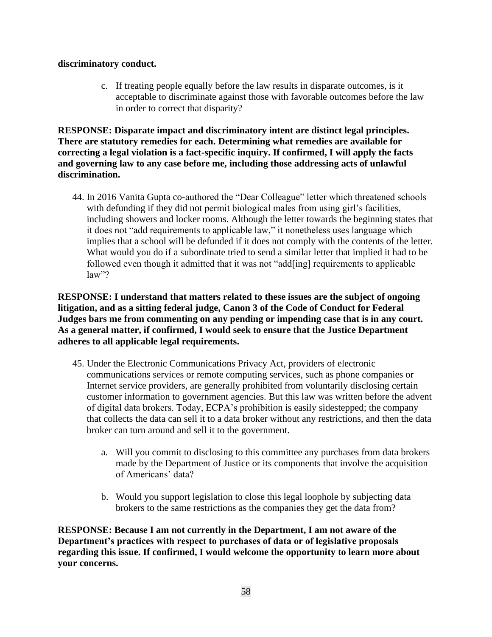#### **discriminatory conduct.**

c. If treating people equally before the law results in disparate outcomes, is it acceptable to discriminate against those with favorable outcomes before the law in order to correct that disparity?

**RESPONSE: Disparate impact and discriminatory intent are distinct legal principles. There are statutory remedies for each. Determining what remedies are available for correcting a legal violation is a fact-specific inquiry. If confirmed, I will apply the facts and governing law to any case before me, including those addressing acts of unlawful discrimination.**

44. In 2016 Vanita Gupta co-authored the "Dear Colleague" letter which threatened schools with defunding if they did not permit biological males from using girl's facilities, including showers and locker rooms. Although the letter towards the beginning states that it does not "add requirements to applicable law," it nonetheless uses language which implies that a school will be defunded if it does not comply with the contents of the letter. What would you do if a subordinate tried to send a similar letter that implied it had to be followed even though it admitted that it was not "add[ing] requirements to applicable law"?

**RESPONSE: I understand that matters related to these issues are the subject of ongoing litigation, and as a sitting federal judge, Canon 3 of the Code of Conduct for Federal Judges bars me from commenting on any pending or impending case that is in any court. As a general matter, if confirmed, I would seek to ensure that the Justice Department adheres to all applicable legal requirements.**

- 45. Under the Electronic Communications Privacy Act, providers of electronic communications services or remote computing services, such as phone companies or Internet service providers, are generally prohibited from voluntarily disclosing certain customer information to government agencies. But this law was written before the advent of digital data brokers. Today, ECPA's prohibition is easily sidestepped; the company that collects the data can sell it to a data broker without any restrictions, and then the data broker can turn around and sell it to the government.
	- a. Will you commit to disclosing to this committee any purchases from data brokers made by the Department of Justice or its components that involve the acquisition of Americans' data?
	- b. Would you support legislation to close this legal loophole by subjecting data brokers to the same restrictions as the companies they get the data from?

**RESPONSE: Because I am not currently in the Department, I am not aware of the Department's practices with respect to purchases of data or of legislative proposals regarding this issue. If confirmed, I would welcome the opportunity to learn more about your concerns.**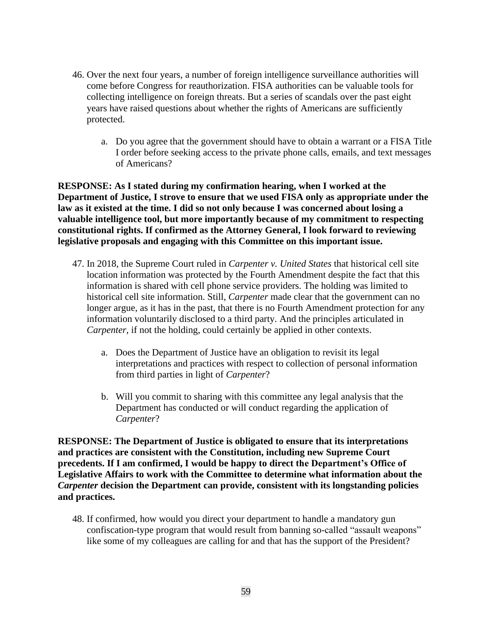- 46. Over the next four years, a number of foreign intelligence surveillance authorities will come before Congress for reauthorization. FISA authorities can be valuable tools for collecting intelligence on foreign threats. But a series of scandals over the past eight years have raised questions about whether the rights of Americans are sufficiently protected.
	- a. Do you agree that the government should have to obtain a warrant or a FISA Title I order before seeking access to the private phone calls, emails, and text messages of Americans?

**RESPONSE: As I stated during my confirmation hearing, when I worked at the Department of Justice, I strove to ensure that we used FISA only as appropriate under the law as it existed at the time. I did so not only because I was concerned about losing a valuable intelligence tool, but more importantly because of my commitment to respecting constitutional rights. If confirmed as the Attorney General, I look forward to reviewing legislative proposals and engaging with this Committee on this important issue.**

- 47. In 2018, the Supreme Court ruled in *Carpenter v. United States* that historical cell site location information was protected by the Fourth Amendment despite the fact that this information is shared with cell phone service providers. The holding was limited to historical cell site information. Still, *Carpenter* made clear that the government can no longer argue, as it has in the past, that there is no Fourth Amendment protection for any information voluntarily disclosed to a third party. And the principles articulated in *Carpenter*, if not the holding, could certainly be applied in other contexts.
	- a. Does the Department of Justice have an obligation to revisit its legal interpretations and practices with respect to collection of personal information from third parties in light of *Carpenter*?
	- b. Will you commit to sharing with this committee any legal analysis that the Department has conducted or will conduct regarding the application of *Carpenter*?

**RESPONSE: The Department of Justice is obligated to ensure that its interpretations and practices are consistent with the Constitution, including new Supreme Court precedents. If I am confirmed, I would be happy to direct the Department's Office of Legislative Affairs to work with the Committee to determine what information about the**  *Carpenter* **decision the Department can provide, consistent with its longstanding policies and practices.**

48. If confirmed, how would you direct your department to handle a mandatory gun confiscation-type program that would result from banning so-called "assault weapons" like some of my colleagues are calling for and that has the support of the President?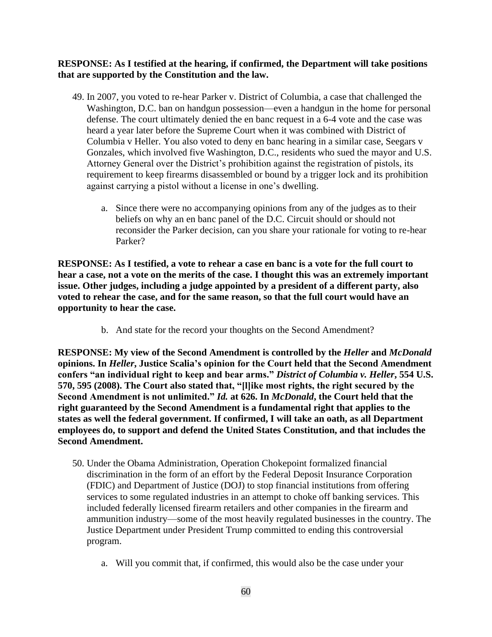#### **RESPONSE: As I testified at the hearing, if confirmed, the Department will take positions that are supported by the Constitution and the law.**

- 49. In 2007, you voted to re-hear Parker v. District of Columbia, a case that challenged the Washington, D.C. ban on handgun possession—even a handgun in the home for personal defense. The court ultimately denied the en banc request in a 6-4 vote and the case was heard a year later before the Supreme Court when it was combined with District of Columbia v Heller. You also voted to deny en banc hearing in a similar case, Seegars v Gonzales, which involved five Washington, D.C., residents who sued the mayor and U.S. Attorney General over the District's prohibition against the registration of pistols, its requirement to keep firearms disassembled or bound by a trigger lock and its prohibition against carrying a pistol without a license in one's dwelling.
	- a. Since there were no accompanying opinions from any of the judges as to their beliefs on why an en banc panel of the D.C. Circuit should or should not reconsider the Parker decision, can you share your rationale for voting to re-hear Parker?

**RESPONSE: As I testified, a vote to rehear a case en banc is a vote for the full court to hear a case, not a vote on the merits of the case. I thought this was an extremely important issue. Other judges, including a judge appointed by a president of a different party, also voted to rehear the case, and for the same reason, so that the full court would have an opportunity to hear the case.** 

b. And state for the record your thoughts on the Second Amendment?

**RESPONSE: My view of the Second Amendment is controlled by the** *Heller* **and** *McDonald* **opinions. In** *Heller***, Justice Scalia's opinion for the Court held that the Second Amendment confers "an individual right to keep and bear arms."** *District of Columbia v. Heller***, 554 U.S. 570, 595 (2008). The Court also stated that, "[l]ike most rights, the right secured by the Second Amendment is not unlimited."** *Id.* **at 626. In** *McDonald***, the Court held that the right guaranteed by the Second Amendment is a fundamental right that applies to the states as well the federal government. If confirmed, I will take an oath, as all Department employees do, to support and defend the United States Constitution, and that includes the Second Amendment.**

- 50. Under the Obama Administration, Operation Chokepoint formalized financial discrimination in the form of an effort by the Federal Deposit Insurance Corporation (FDIC) and Department of Justice (DOJ) to stop financial institutions from offering services to some regulated industries in an attempt to choke off banking services. This included federally licensed firearm retailers and other companies in the firearm and ammunition industry—some of the most heavily regulated businesses in the country. The Justice Department under President Trump committed to ending this controversial program.
	- a. Will you commit that, if confirmed, this would also be the case under your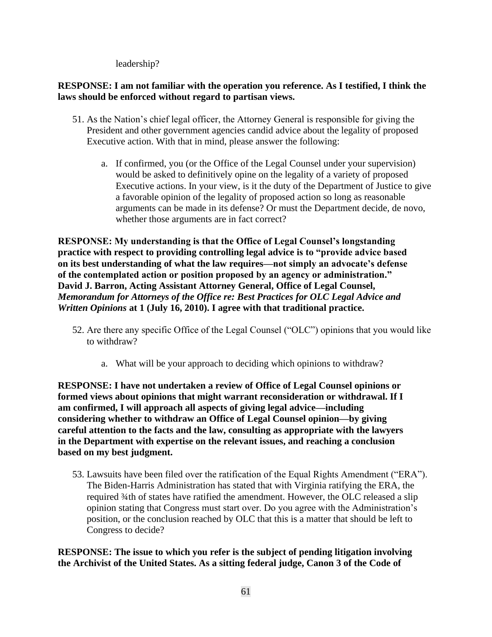leadership?

# **RESPONSE: I am not familiar with the operation you reference. As I testified, I think the laws should be enforced without regard to partisan views.**

- 51. As the Nation's chief legal officer, the Attorney General is responsible for giving the President and other government agencies candid advice about the legality of proposed Executive action. With that in mind, please answer the following:
	- a. If confirmed, you (or the Office of the Legal Counsel under your supervision) would be asked to definitively opine on the legality of a variety of proposed Executive actions. In your view, is it the duty of the Department of Justice to give a favorable opinion of the legality of proposed action so long as reasonable arguments can be made in its defense? Or must the Department decide, de novo, whether those arguments are in fact correct?

**RESPONSE: My understanding is that the Office of Legal Counsel's longstanding practice with respect to providing controlling legal advice is to "provide advice based on its best understanding of what the law requires—not simply an advocate's defense of the contemplated action or position proposed by an agency or administration." David J. Barron, Acting Assistant Attorney General, Office of Legal Counsel,**  *Memorandum for Attorneys of the Office re: Best Practices for OLC Legal Advice and Written Opinions* **at 1 (July 16, 2010). I agree with that traditional practice.**

- 52. Are there any specific Office of the Legal Counsel ("OLC") opinions that you would like to withdraw?
	- a. What will be your approach to deciding which opinions to withdraw?

**RESPONSE: I have not undertaken a review of Office of Legal Counsel opinions or formed views about opinions that might warrant reconsideration or withdrawal. If I am confirmed, I will approach all aspects of giving legal advice—including considering whether to withdraw an Office of Legal Counsel opinion—by giving careful attention to the facts and the law, consulting as appropriate with the lawyers in the Department with expertise on the relevant issues, and reaching a conclusion based on my best judgment.**

53. Lawsuits have been filed over the ratification of the Equal Rights Amendment ("ERA"). The Biden-Harris Administration has stated that with Virginia ratifying the ERA, the required ¾th of states have ratified the amendment. However, the OLC released a slip opinion stating that Congress must start over. Do you agree with the Administration's position, or the conclusion reached by OLC that this is a matter that should be left to Congress to decide?

**RESPONSE: The issue to which you refer is the subject of pending litigation involving the Archivist of the United States. As a sitting federal judge, Canon 3 of the Code of**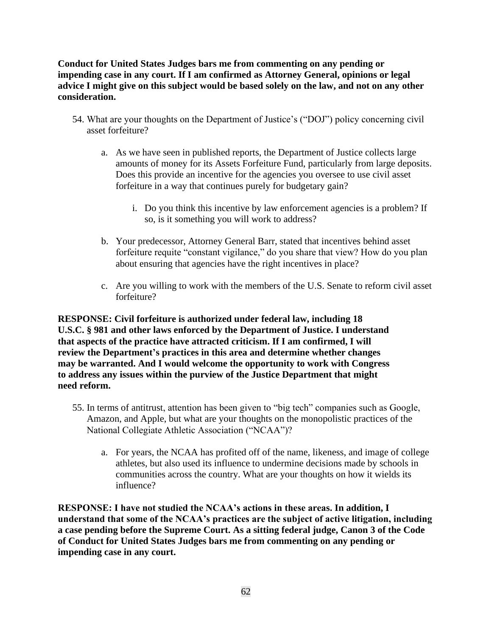**Conduct for United States Judges bars me from commenting on any pending or impending case in any court. If I am confirmed as Attorney General, opinions or legal advice I might give on this subject would be based solely on the law, and not on any other consideration.**

- 54. What are your thoughts on the Department of Justice's ("DOJ") policy concerning civil asset forfeiture?
	- a. As we have seen in published reports, the Department of Justice collects large amounts of money for its Assets Forfeiture Fund, particularly from large deposits. Does this provide an incentive for the agencies you oversee to use civil asset forfeiture in a way that continues purely for budgetary gain?
		- i. Do you think this incentive by law enforcement agencies is a problem? If so, is it something you will work to address?
	- b. Your predecessor, Attorney General Barr, stated that incentives behind asset forfeiture requite "constant vigilance," do you share that view? How do you plan about ensuring that agencies have the right incentives in place?
	- c. Are you willing to work with the members of the U.S. Senate to reform civil asset forfeiture?

**RESPONSE: Civil forfeiture is authorized under federal law, including 18 U.S.C. § 981 and other laws enforced by the Department of Justice. I understand that aspects of the practice have attracted criticism. If I am confirmed, I will review the Department's practices in this area and determine whether changes may be warranted. And I would welcome the opportunity to work with Congress to address any issues within the purview of the Justice Department that might need reform.**

- 55. In terms of antitrust, attention has been given to "big tech" companies such as Google, Amazon, and Apple, but what are your thoughts on the monopolistic practices of the National Collegiate Athletic Association ("NCAA")?
	- a. For years, the NCAA has profited off of the name, likeness, and image of college athletes, but also used its influence to undermine decisions made by schools in communities across the country. What are your thoughts on how it wields its influence?

**RESPONSE: I have not studied the NCAA's actions in these areas. In addition, I understand that some of the NCAA's practices are the subject of active litigation, including a case pending before the Supreme Court. As a sitting federal judge, Canon 3 of the Code of Conduct for United States Judges bars me from commenting on any pending or impending case in any court.**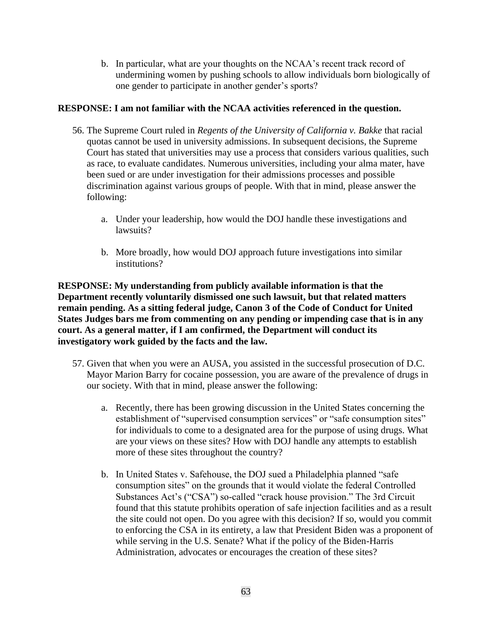b. In particular, what are your thoughts on the NCAA's recent track record of undermining women by pushing schools to allow individuals born biologically of one gender to participate in another gender's sports?

#### **RESPONSE: I am not familiar with the NCAA activities referenced in the question.**

- 56. The Supreme Court ruled in *Regents of the University of California v. Bakke* that racial quotas cannot be used in university admissions. In subsequent decisions, the Supreme Court has stated that universities may use a process that considers various qualities, such as race, to evaluate candidates. Numerous universities, including your alma mater, have been sued or are under investigation for their admissions processes and possible discrimination against various groups of people. With that in mind, please answer the following:
	- a. Under your leadership, how would the DOJ handle these investigations and lawsuits?
	- b. More broadly, how would DOJ approach future investigations into similar institutions?

**RESPONSE: My understanding from publicly available information is that the Department recently voluntarily dismissed one such lawsuit, but that related matters remain pending. As a sitting federal judge, Canon 3 of the Code of Conduct for United States Judges bars me from commenting on any pending or impending case that is in any court. As a general matter, if I am confirmed, the Department will conduct its investigatory work guided by the facts and the law.**

- 57. Given that when you were an AUSA, you assisted in the successful prosecution of D.C. Mayor Marion Barry for cocaine possession, you are aware of the prevalence of drugs in our society. With that in mind, please answer the following:
	- a. Recently, there has been growing discussion in the United States concerning the establishment of "supervised consumption services" or "safe consumption sites" for individuals to come to a designated area for the purpose of using drugs. What are your views on these sites? How with DOJ handle any attempts to establish more of these sites throughout the country?
	- b. In United States v. Safehouse, the DOJ sued a Philadelphia planned "safe consumption sites" on the grounds that it would violate the federal Controlled Substances Act's ("CSA") so-called "crack house provision." The 3rd Circuit found that this statute prohibits operation of safe injection facilities and as a result the site could not open. Do you agree with this decision? If so, would you commit to enforcing the CSA in its entirety, a law that President Biden was a proponent of while serving in the U.S. Senate? What if the policy of the Biden-Harris Administration, advocates or encourages the creation of these sites?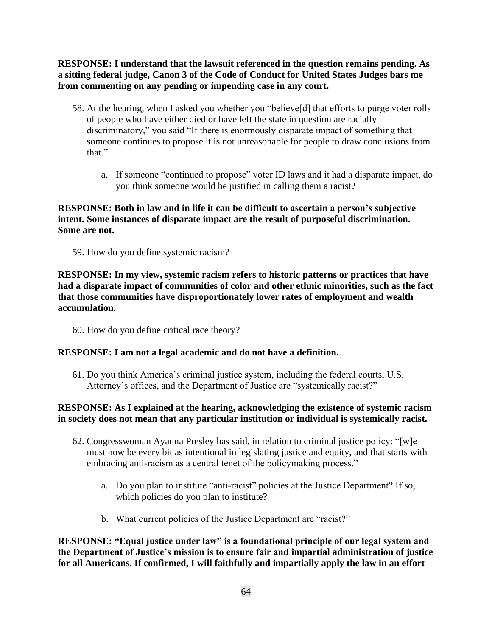**RESPONSE: I understand that the lawsuit referenced in the question remains pending. As a sitting federal judge, Canon 3 of the Code of Conduct for United States Judges bars me from commenting on any pending or impending case in any court.**

- 58. At the hearing, when I asked you whether you "believe[d] that efforts to purge voter rolls of people who have either died or have left the state in question are racially discriminatory," you said "If there is enormously disparate impact of something that someone continues to propose it is not unreasonable for people to draw conclusions from that."
	- a. If someone "continued to propose" voter ID laws and it had a disparate impact, do you think someone would be justified in calling them a racist?

# **RESPONSE: Both in law and in life it can be difficult to ascertain a person's subjective intent. Some instances of disparate impact are the result of purposeful discrimination. Some are not.**

59. How do you define systemic racism?

**RESPONSE: In my view, systemic racism refers to historic patterns or practices that have had a disparate impact of communities of color and other ethnic minorities, such as the fact that those communities have disproportionately lower rates of employment and wealth accumulation.**

60. How do you define critical race theory?

# **RESPONSE: I am not a legal academic and do not have a definition.**

61. Do you think America's criminal justice system, including the federal courts, U.S. Attorney's offices, and the Department of Justice are "systemically racist?"

# **RESPONSE: As I explained at the hearing, acknowledging the existence of systemic racism in society does not mean that any particular institution or individual is systemically racist.**

- 62. Congresswoman Ayanna Presley has said, in relation to criminal justice policy: "[w]e must now be every bit as intentional in legislating justice and equity, and that starts with embracing anti-racism as a central tenet of the policymaking process."
	- a. Do you plan to institute "anti-racist" policies at the Justice Department? If so, which policies do you plan to institute?
	- b. What current policies of the Justice Department are "racist?"

**RESPONSE: "Equal justice under law" is a foundational principle of our legal system and the Department of Justice's mission is to ensure fair and impartial administration of justice for all Americans. If confirmed, I will faithfully and impartially apply the law in an effort**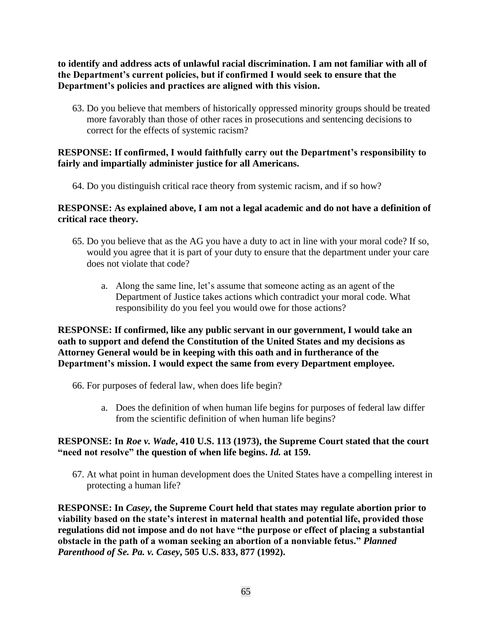**to identify and address acts of unlawful racial discrimination. I am not familiar with all of the Department's current policies, but if confirmed I would seek to ensure that the Department's policies and practices are aligned with this vision.**

63. Do you believe that members of historically oppressed minority groups should be treated more favorably than those of other races in prosecutions and sentencing decisions to correct for the effects of systemic racism?

## **RESPONSE: If confirmed, I would faithfully carry out the Department's responsibility to fairly and impartially administer justice for all Americans.**

64. Do you distinguish critical race theory from systemic racism, and if so how?

## **RESPONSE: As explained above, I am not a legal academic and do not have a definition of critical race theory.**

- 65. Do you believe that as the AG you have a duty to act in line with your moral code? If so, would you agree that it is part of your duty to ensure that the department under your care does not violate that code?
	- a. Along the same line, let's assume that someone acting as an agent of the Department of Justice takes actions which contradict your moral code. What responsibility do you feel you would owe for those actions?

**RESPONSE: If confirmed, like any public servant in our government, I would take an oath to support and defend the Constitution of the United States and my decisions as Attorney General would be in keeping with this oath and in furtherance of the Department's mission. I would expect the same from every Department employee.**

- 66. For purposes of federal law, when does life begin?
	- a. Does the definition of when human life begins for purposes of federal law differ from the scientific definition of when human life begins?

#### **RESPONSE: In** *Roe v. Wade***, 410 U.S. 113 (1973), the Supreme Court stated that the court "need not resolve" the question of when life begins.** *Id.* **at 159.**

67. At what point in human development does the United States have a compelling interest in protecting a human life?

**RESPONSE: In** *Casey***, the Supreme Court held that states may regulate abortion prior to viability based on the state's interest in maternal health and potential life, provided those regulations did not impose and do not have "the purpose or effect of placing a substantial obstacle in the path of a woman seeking an abortion of a nonviable fetus."** *Planned Parenthood of Se. Pa. v. Casey***, 505 U.S. 833, 877 (1992).**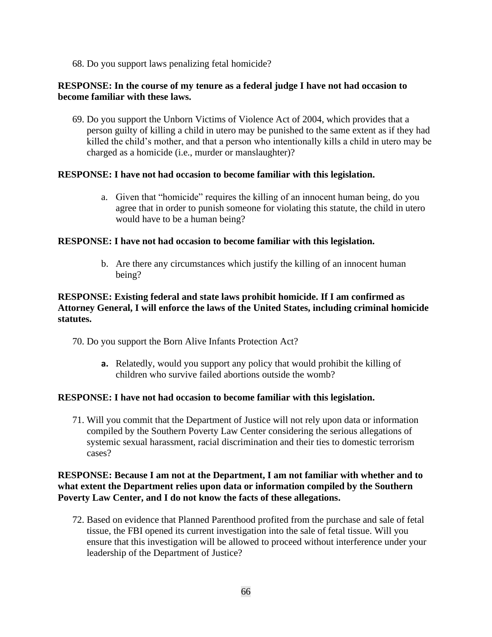68. Do you support laws penalizing fetal homicide?

#### **RESPONSE: In the course of my tenure as a federal judge I have not had occasion to become familiar with these laws.**

69. Do you support the Unborn Victims of Violence Act of 2004, which provides that a person guilty of killing a child in utero may be punished to the same extent as if they had killed the child's mother, and that a person who intentionally kills a child in utero may be charged as a homicide (i.e., murder or manslaughter)?

#### **RESPONSE: I have not had occasion to become familiar with this legislation.**

a. Given that "homicide" requires the killing of an innocent human being, do you agree that in order to punish someone for violating this statute, the child in utero would have to be a human being?

#### **RESPONSE: I have not had occasion to become familiar with this legislation.**

b. Are there any circumstances which justify the killing of an innocent human being?

# **RESPONSE: Existing federal and state laws prohibit homicide. If I am confirmed as Attorney General, I will enforce the laws of the United States, including criminal homicide statutes.**

70. Do you support the Born Alive Infants Protection Act?

**a.** Relatedly, would you support any policy that would prohibit the killing of children who survive failed abortions outside the womb?

#### **RESPONSE: I have not had occasion to become familiar with this legislation.**

71. Will you commit that the Department of Justice will not rely upon data or information compiled by the Southern Poverty Law Center considering the serious allegations of systemic sexual harassment, racial discrimination and their ties to domestic terrorism cases?

## **RESPONSE: Because I am not at the Department, I am not familiar with whether and to what extent the Department relies upon data or information compiled by the Southern Poverty Law Center, and I do not know the facts of these allegations.**

72. Based on evidence that Planned Parenthood profited from the purchase and sale of fetal tissue, the FBI opened its current investigation into the sale of fetal tissue. Will you ensure that this investigation will be allowed to proceed without interference under your leadership of the Department of Justice?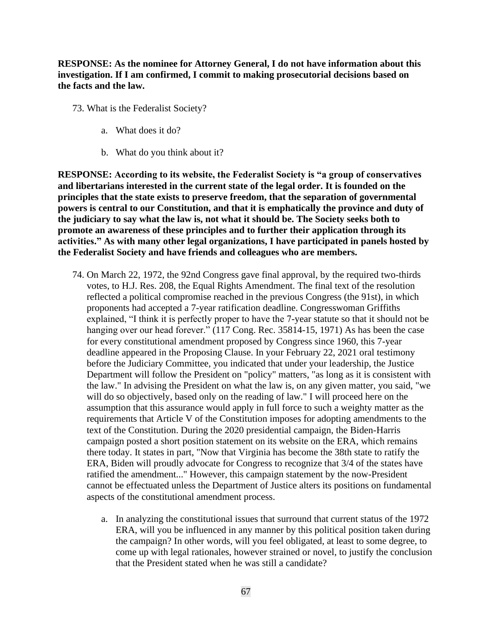**RESPONSE: As the nominee for Attorney General, I do not have information about this investigation. If I am confirmed, I commit to making prosecutorial decisions based on the facts and the law.**

- 73. What is the Federalist Society?
	- a. What does it do?
	- b. What do you think about it?

**RESPONSE: According to its website, the Federalist Society is "a group of conservatives and libertarians interested in the current state of the legal order. It is founded on the principles that the state exists to preserve freedom, that the separation of governmental powers is central to our Constitution, and that it is emphatically the province and duty of the judiciary to say what the law is, not what it should be. The Society seeks both to promote an awareness of these principles and to further their application through its activities." As with many other legal organizations, I have participated in panels hosted by the Federalist Society and have friends and colleagues who are members.** 

- 74. On March 22, 1972, the 92nd Congress gave final approval, by the required two-thirds votes, to H.J. Res. 208, the Equal Rights Amendment. The final text of the resolution reflected a political compromise reached in the previous Congress (the 91st), in which proponents had accepted a 7-year ratification deadline. Congresswoman Griffiths explained, "I think it is perfectly proper to have the 7-year statute so that it should not be hanging over our head forever." (117 Cong. Rec. 35814-15, 1971) As has been the case for every constitutional amendment proposed by Congress since 1960, this 7-year deadline appeared in the Proposing Clause. In your February 22, 2021 oral testimony before the Judiciary Committee, you indicated that under your leadership, the Justice Department will follow the President on "policy" matters, "as long as it is consistent with the law." In advising the President on what the law is, on any given matter, you said, "we will do so objectively, based only on the reading of law." I will proceed here on the assumption that this assurance would apply in full force to such a weighty matter as the requirements that Article V of the Constitution imposes for adopting amendments to the text of the Constitution. During the 2020 presidential campaign, the Biden-Harris campaign posted a short position statement on its website on the ERA, which remains there today. It states in part, "Now that Virginia has become the 38th state to ratify the ERA, Biden will proudly advocate for Congress to recognize that 3/4 of the states have ratified the amendment..." However, this campaign statement by the now-President cannot be effectuated unless the Department of Justice alters its positions on fundamental aspects of the constitutional amendment process.
	- a. In analyzing the constitutional issues that surround that current status of the 1972 ERA, will you be influenced in any manner by this political position taken during the campaign? In other words, will you feel obligated, at least to some degree, to come up with legal rationales, however strained or novel, to justify the conclusion that the President stated when he was still a candidate?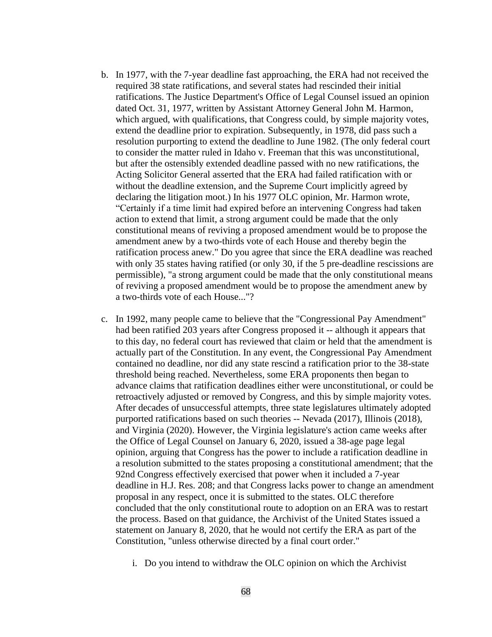- b. In 1977, with the 7-year deadline fast approaching, the ERA had not received the required 38 state ratifications, and several states had rescinded their initial ratifications. The Justice Department's Office of Legal Counsel issued an opinion dated Oct. 31, 1977, written by Assistant Attorney General John M. Harmon, which argued, with qualifications, that Congress could, by simple majority votes, extend the deadline prior to expiration. Subsequently, in 1978, did pass such a resolution purporting to extend the deadline to June 1982. (The only federal court to consider the matter ruled in Idaho v. Freeman that this was unconstitutional, but after the ostensibly extended deadline passed with no new ratifications, the Acting Solicitor General asserted that the ERA had failed ratification with or without the deadline extension, and the Supreme Court implicitly agreed by declaring the litigation moot.) In his 1977 OLC opinion, Mr. Harmon wrote, "Certainly if a time limit had expired before an intervening Congress had taken action to extend that limit, a strong argument could be made that the only constitutional means of reviving a proposed amendment would be to propose the amendment anew by a two-thirds vote of each House and thereby begin the ratification process anew." Do you agree that since the ERA deadline was reached with only 35 states having ratified (or only 30, if the 5 pre-deadline rescissions are permissible), "a strong argument could be made that the only constitutional means of reviving a proposed amendment would be to propose the amendment anew by a two-thirds vote of each House..."?
- c. In 1992, many people came to believe that the "Congressional Pay Amendment" had been ratified 203 years after Congress proposed it -- although it appears that to this day, no federal court has reviewed that claim or held that the amendment is actually part of the Constitution. In any event, the Congressional Pay Amendment contained no deadline, nor did any state rescind a ratification prior to the 38-state threshold being reached. Nevertheless, some ERA proponents then began to advance claims that ratification deadlines either were unconstitutional, or could be retroactively adjusted or removed by Congress, and this by simple majority votes. After decades of unsuccessful attempts, three state legislatures ultimately adopted purported ratifications based on such theories -- Nevada (2017), Illinois (2018), and Virginia (2020). However, the Virginia legislature's action came weeks after the Office of Legal Counsel on January 6, 2020, issued a 38-age page legal opinion, arguing that Congress has the power to include a ratification deadline in a resolution submitted to the states proposing a constitutional amendment; that the 92nd Congress effectively exercised that power when it included a 7-year deadline in H.J. Res. 208; and that Congress lacks power to change an amendment proposal in any respect, once it is submitted to the states. OLC therefore concluded that the only constitutional route to adoption on an ERA was to restart the process. Based on that guidance, the Archivist of the United States issued a statement on January 8, 2020, that he would not certify the ERA as part of the Constitution, "unless otherwise directed by a final court order."
	- i. Do you intend to withdraw the OLC opinion on which the Archivist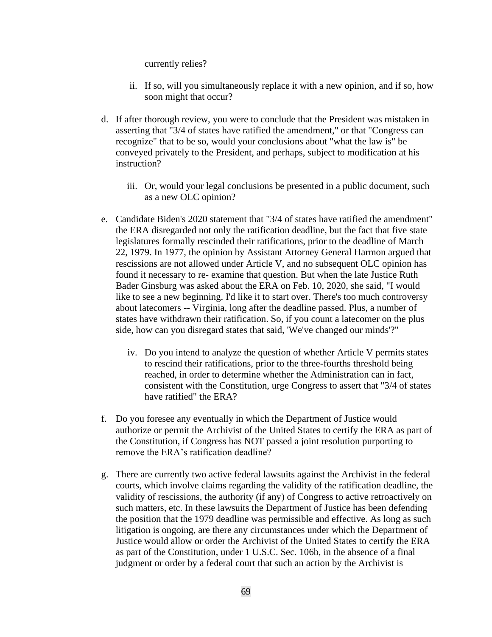#### currently relies?

- ii. If so, will you simultaneously replace it with a new opinion, and if so, how soon might that occur?
- d. If after thorough review, you were to conclude that the President was mistaken in asserting that "3/4 of states have ratified the amendment," or that "Congress can recognize" that to be so, would your conclusions about "what the law is" be conveyed privately to the President, and perhaps, subject to modification at his instruction?
	- iii. Or, would your legal conclusions be presented in a public document, such as a new OLC opinion?
- e. Candidate Biden's 2020 statement that "3/4 of states have ratified the amendment" the ERA disregarded not only the ratification deadline, but the fact that five state legislatures formally rescinded their ratifications, prior to the deadline of March 22, 1979. In 1977, the opinion by Assistant Attorney General Harmon argued that rescissions are not allowed under Article V, and no subsequent OLC opinion has found it necessary to re- examine that question. But when the late Justice Ruth Bader Ginsburg was asked about the ERA on Feb. 10, 2020, she said, "I would like to see a new beginning. I'd like it to start over. There's too much controversy about latecomers -- Virginia, long after the deadline passed. Plus, a number of states have withdrawn their ratification. So, if you count a latecomer on the plus side, how can you disregard states that said, 'We've changed our minds'?"
	- iv. Do you intend to analyze the question of whether Article V permits states to rescind their ratifications, prior to the three-fourths threshold being reached, in order to determine whether the Administration can in fact, consistent with the Constitution, urge Congress to assert that "3/4 of states have ratified" the ERA?
- f. Do you foresee any eventually in which the Department of Justice would authorize or permit the Archivist of the United States to certify the ERA as part of the Constitution, if Congress has NOT passed a joint resolution purporting to remove the ERA's ratification deadline?
- g. There are currently two active federal lawsuits against the Archivist in the federal courts, which involve claims regarding the validity of the ratification deadline, the validity of rescissions, the authority (if any) of Congress to active retroactively on such matters, etc. In these lawsuits the Department of Justice has been defending the position that the 1979 deadline was permissible and effective. As long as such litigation is ongoing, are there any circumstances under which the Department of Justice would allow or order the Archivist of the United States to certify the ERA as part of the Constitution, under 1 U.S.C. Sec. 106b, in the absence of a final judgment or order by a federal court that such an action by the Archivist is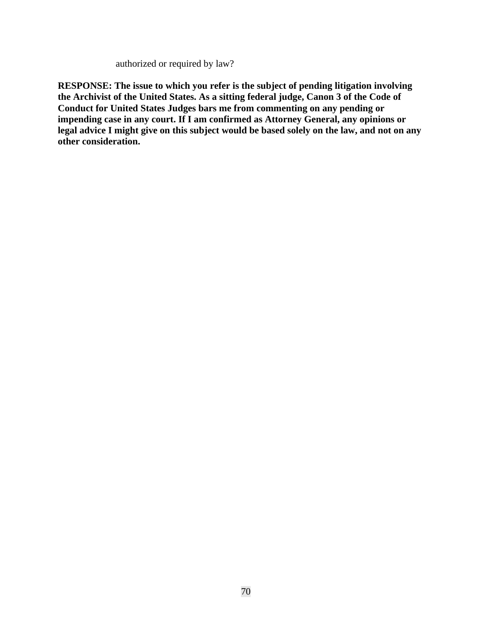authorized or required by law?

**RESPONSE: The issue to which you refer is the subject of pending litigation involving the Archivist of the United States. As a sitting federal judge, Canon 3 of the Code of Conduct for United States Judges bars me from commenting on any pending or impending case in any court. If I am confirmed as Attorney General, any opinions or legal advice I might give on this subject would be based solely on the law, and not on any other consideration.**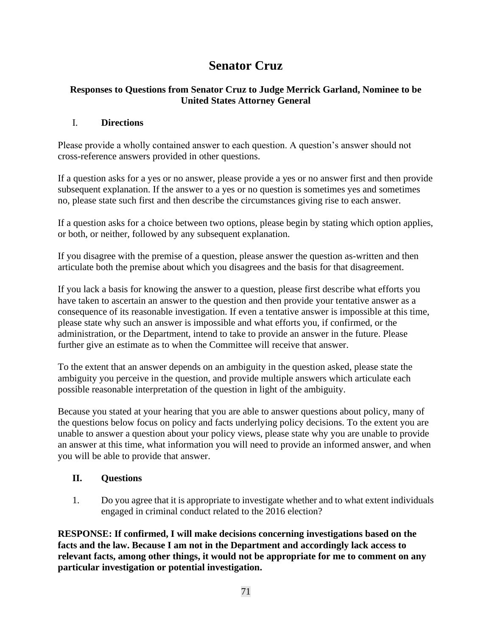# **Senator Cruz**

# **Responses to Questions from Senator Cruz to Judge Merrick Garland, Nominee to be United States Attorney General**

# I. **Directions**

Please provide a wholly contained answer to each question. A question's answer should not cross-reference answers provided in other questions.

If a question asks for a yes or no answer, please provide a yes or no answer first and then provide subsequent explanation. If the answer to a yes or no question is sometimes yes and sometimes no, please state such first and then describe the circumstances giving rise to each answer.

If a question asks for a choice between two options, please begin by stating which option applies, or both, or neither, followed by any subsequent explanation.

If you disagree with the premise of a question, please answer the question as-written and then articulate both the premise about which you disagrees and the basis for that disagreement.

If you lack a basis for knowing the answer to a question, please first describe what efforts you have taken to ascertain an answer to the question and then provide your tentative answer as a consequence of its reasonable investigation. If even a tentative answer is impossible at this time, please state why such an answer is impossible and what efforts you, if confirmed, or the administration, or the Department, intend to take to provide an answer in the future. Please further give an estimate as to when the Committee will receive that answer.

To the extent that an answer depends on an ambiguity in the question asked, please state the ambiguity you perceive in the question, and provide multiple answers which articulate each possible reasonable interpretation of the question in light of the ambiguity.

Because you stated at your hearing that you are able to answer questions about policy, many of the questions below focus on policy and facts underlying policy decisions. To the extent you are unable to answer a question about your policy views, please state why you are unable to provide an answer at this time, what information you will need to provide an informed answer, and when you will be able to provide that answer.

# **II. Questions**

1. Do you agree that it is appropriate to investigate whether and to what extent individuals engaged in criminal conduct related to the 2016 election?

**RESPONSE: If confirmed, I will make decisions concerning investigations based on the facts and the law. Because I am not in the Department and accordingly lack access to relevant facts, among other things, it would not be appropriate for me to comment on any particular investigation or potential investigation.**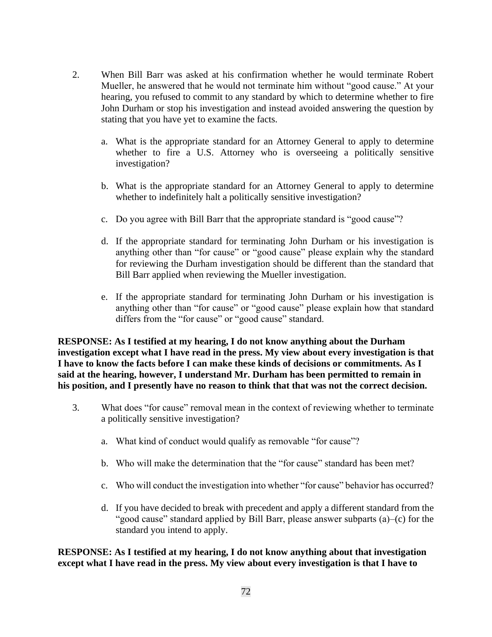- 2. When Bill Barr was asked at his confirmation whether he would terminate Robert Mueller, he answered that he would not terminate him without "good cause." At your hearing, you refused to commit to any standard by which to determine whether to fire John Durham or stop his investigation and instead avoided answering the question by stating that you have yet to examine the facts.
	- a. What is the appropriate standard for an Attorney General to apply to determine whether to fire a U.S. Attorney who is overseeing a politically sensitive investigation?
	- b. What is the appropriate standard for an Attorney General to apply to determine whether to indefinitely halt a politically sensitive investigation?
	- c. Do you agree with Bill Barr that the appropriate standard is "good cause"?
	- d. If the appropriate standard for terminating John Durham or his investigation is anything other than "for cause" or "good cause" please explain why the standard for reviewing the Durham investigation should be different than the standard that Bill Barr applied when reviewing the Mueller investigation.
	- e. If the appropriate standard for terminating John Durham or his investigation is anything other than "for cause" or "good cause" please explain how that standard differs from the "for cause" or "good cause" standard.

**RESPONSE: As I testified at my hearing, I do not know anything about the Durham investigation except what I have read in the press. My view about every investigation is that I have to know the facts before I can make these kinds of decisions or commitments. As I said at the hearing, however, I understand Mr. Durham has been permitted to remain in his position, and I presently have no reason to think that that was not the correct decision.**

- 3. What does "for cause" removal mean in the context of reviewing whether to terminate a politically sensitive investigation?
	- a. What kind of conduct would qualify as removable "for cause"?
	- b. Who will make the determination that the "for cause" standard has been met?
	- c. Who will conduct the investigation into whether "for cause" behavior has occurred?
	- d. If you have decided to break with precedent and apply a different standard from the "good cause" standard applied by Bill Barr, please answer subparts (a)–(c) for the standard you intend to apply.

**RESPONSE: As I testified at my hearing, I do not know anything about that investigation except what I have read in the press. My view about every investigation is that I have to**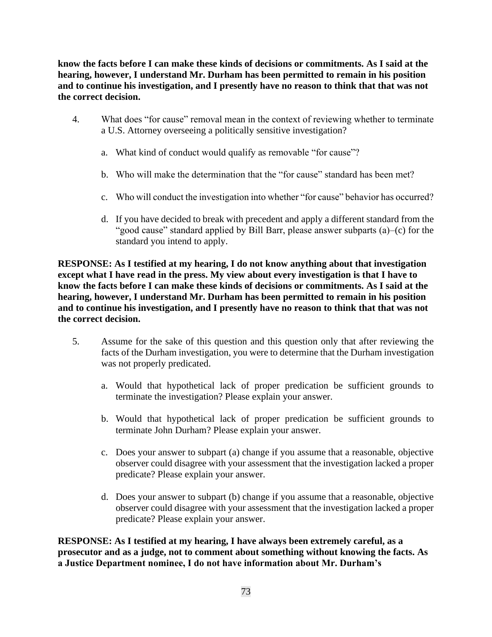**know the facts before I can make these kinds of decisions or commitments. As I said at the hearing, however, I understand Mr. Durham has been permitted to remain in his position and to continue his investigation, and I presently have no reason to think that that was not the correct decision.**

- 4. What does "for cause" removal mean in the context of reviewing whether to terminate a U.S. Attorney overseeing a politically sensitive investigation?
	- a. What kind of conduct would qualify as removable "for cause"?
	- b. Who will make the determination that the "for cause" standard has been met?
	- c. Who will conduct the investigation into whether "for cause" behavior has occurred?
	- d. If you have decided to break with precedent and apply a different standard from the "good cause" standard applied by Bill Barr, please answer subparts (a)–(c) for the standard you intend to apply.

**RESPONSE: As I testified at my hearing, I do not know anything about that investigation except what I have read in the press. My view about every investigation is that I have to know the facts before I can make these kinds of decisions or commitments. As I said at the hearing, however, I understand Mr. Durham has been permitted to remain in his position and to continue his investigation, and I presently have no reason to think that that was not the correct decision.**

- 5. Assume for the sake of this question and this question only that after reviewing the facts of the Durham investigation, you were to determine that the Durham investigation was not properly predicated.
	- a. Would that hypothetical lack of proper predication be sufficient grounds to terminate the investigation? Please explain your answer.
	- b. Would that hypothetical lack of proper predication be sufficient grounds to terminate John Durham? Please explain your answer.
	- c. Does your answer to subpart (a) change if you assume that a reasonable, objective observer could disagree with your assessment that the investigation lacked a proper predicate? Please explain your answer.
	- d. Does your answer to subpart (b) change if you assume that a reasonable, objective observer could disagree with your assessment that the investigation lacked a proper predicate? Please explain your answer.

**RESPONSE: As I testified at my hearing, I have always been extremely careful, as a prosecutor and as a judge, not to comment about something without knowing the facts. As a Justice Department nominee, I do not have information about Mr. Durham's**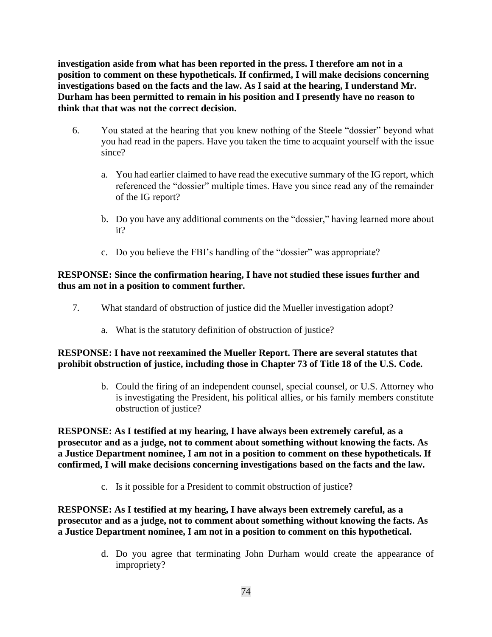**investigation aside from what has been reported in the press. I therefore am not in a position to comment on these hypotheticals. If confirmed, I will make decisions concerning investigations based on the facts and the law. As I said at the hearing, I understand Mr. Durham has been permitted to remain in his position and I presently have no reason to think that that was not the correct decision.**

- 6. You stated at the hearing that you knew nothing of the Steele "dossier" beyond what you had read in the papers. Have you taken the time to acquaint yourself with the issue since?
	- a. You had earlier claimed to have read the executive summary of the IG report, which referenced the "dossier" multiple times. Have you since read any of the remainder of the IG report?
	- b. Do you have any additional comments on the "dossier," having learned more about it?
	- c. Do you believe the FBI's handling of the "dossier" was appropriate?

# **RESPONSE: Since the confirmation hearing, I have not studied these issues further and thus am not in a position to comment further.**

- 7. What standard of obstruction of justice did the Mueller investigation adopt?
	- a. What is the statutory definition of obstruction of justice?

# **RESPONSE: I have not reexamined the Mueller Report. There are several statutes that prohibit obstruction of justice, including those in Chapter 73 of Title 18 of the U.S. Code.**

b. Could the firing of an independent counsel, special counsel, or U.S. Attorney who is investigating the President, his political allies, or his family members constitute obstruction of justice?

**RESPONSE: As I testified at my hearing, I have always been extremely careful, as a prosecutor and as a judge, not to comment about something without knowing the facts. As a Justice Department nominee, I am not in a position to comment on these hypotheticals. If confirmed, I will make decisions concerning investigations based on the facts and the law.**

c. Is it possible for a President to commit obstruction of justice?

**RESPONSE: As I testified at my hearing, I have always been extremely careful, as a prosecutor and as a judge, not to comment about something without knowing the facts. As a Justice Department nominee, I am not in a position to comment on this hypothetical.**

> d. Do you agree that terminating John Durham would create the appearance of impropriety?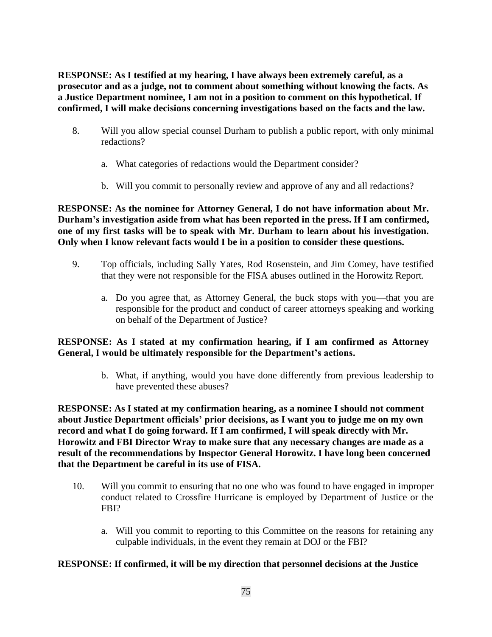**RESPONSE: As I testified at my hearing, I have always been extremely careful, as a prosecutor and as a judge, not to comment about something without knowing the facts. As a Justice Department nominee, I am not in a position to comment on this hypothetical. If confirmed, I will make decisions concerning investigations based on the facts and the law.**

- 8. Will you allow special counsel Durham to publish a public report, with only minimal redactions?
	- a. What categories of redactions would the Department consider?
	- b. Will you commit to personally review and approve of any and all redactions?

**RESPONSE: As the nominee for Attorney General, I do not have information about Mr. Durham's investigation aside from what has been reported in the press. If I am confirmed, one of my first tasks will be to speak with Mr. Durham to learn about his investigation. Only when I know relevant facts would I be in a position to consider these questions.**

- 9. Top officials, including Sally Yates, Rod Rosenstein, and Jim Comey, have testified that they were not responsible for the FISA abuses outlined in the Horowitz Report.
	- a. Do you agree that, as Attorney General, the buck stops with you—that you are responsible for the product and conduct of career attorneys speaking and working on behalf of the Department of Justice?

# **RESPONSE: As I stated at my confirmation hearing, if I am confirmed as Attorney General, I would be ultimately responsible for the Department's actions.**

b. What, if anything, would you have done differently from previous leadership to have prevented these abuses?

**RESPONSE: As I stated at my confirmation hearing, as a nominee I should not comment about Justice Department officials' prior decisions, as I want you to judge me on my own record and what I do going forward. If I am confirmed, I will speak directly with Mr. Horowitz and FBI Director Wray to make sure that any necessary changes are made as a result of the recommendations by Inspector General Horowitz. I have long been concerned that the Department be careful in its use of FISA.**

- 10. Will you commit to ensuring that no one who was found to have engaged in improper conduct related to Crossfire Hurricane is employed by Department of Justice or the FBI?
	- a. Will you commit to reporting to this Committee on the reasons for retaining any culpable individuals, in the event they remain at DOJ or the FBI?

# **RESPONSE: If confirmed, it will be my direction that personnel decisions at the Justice**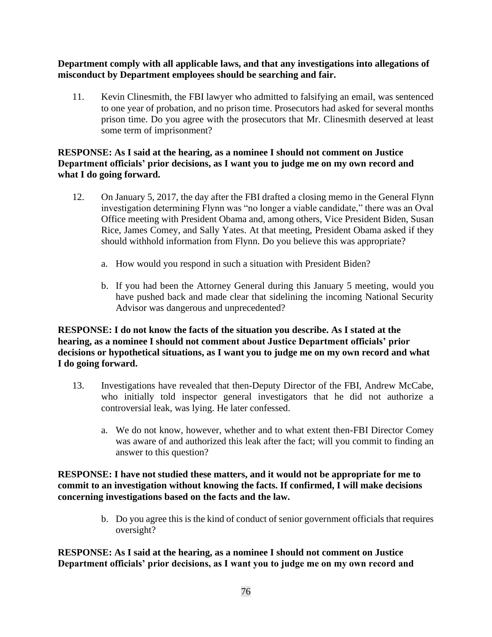**Department comply with all applicable laws, and that any investigations into allegations of misconduct by Department employees should be searching and fair.**

11. Kevin Clinesmith, the FBI lawyer who admitted to falsifying an email, was sentenced to one year of probation, and no prison time. Prosecutors had asked for several months prison time. Do you agree with the prosecutors that Mr. Clinesmith deserved at least some term of imprisonment?

# **RESPONSE: As I said at the hearing, as a nominee I should not comment on Justice Department officials' prior decisions, as I want you to judge me on my own record and what I do going forward.**

- 12. On January 5, 2017, the day after the FBI drafted a closing memo in the General Flynn investigation determining Flynn was "no longer a viable candidate," there was an Oval Office meeting with President Obama and, among others, Vice President Biden, Susan Rice, James Comey, and Sally Yates. At that meeting, President Obama asked if they should withhold information from Flynn. Do you believe this was appropriate?
	- a. How would you respond in such a situation with President Biden?
	- b. If you had been the Attorney General during this January 5 meeting, would you have pushed back and made clear that sidelining the incoming National Security Advisor was dangerous and unprecedented?

# **RESPONSE: I do not know the facts of the situation you describe. As I stated at the hearing, as a nominee I should not comment about Justice Department officials' prior decisions or hypothetical situations, as I want you to judge me on my own record and what I do going forward.**

- 13. Investigations have revealed that then-Deputy Director of the FBI, Andrew McCabe, who initially told inspector general investigators that he did not authorize a controversial leak, was lying. He later confessed.
	- a. We do not know, however, whether and to what extent then-FBI Director Comey was aware of and authorized this leak after the fact; will you commit to finding an answer to this question?

# **RESPONSE: I have not studied these matters, and it would not be appropriate for me to commit to an investigation without knowing the facts. If confirmed, I will make decisions concerning investigations based on the facts and the law.**

b. Do you agree this is the kind of conduct of senior government officials that requires oversight?

**RESPONSE: As I said at the hearing, as a nominee I should not comment on Justice Department officials' prior decisions, as I want you to judge me on my own record and**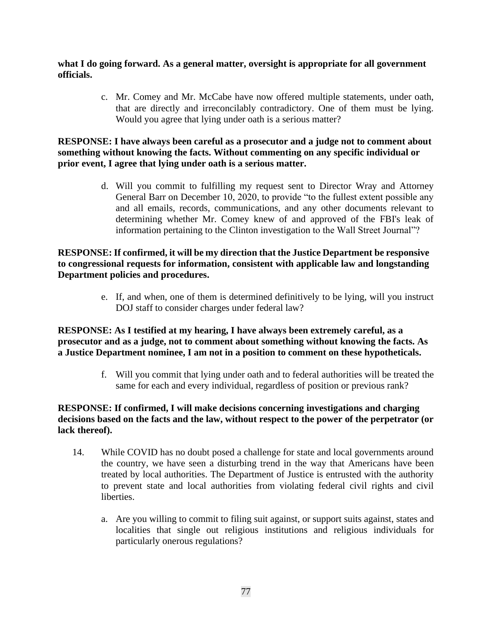**what I do going forward. As a general matter, oversight is appropriate for all government officials.**

> c. Mr. Comey and Mr. McCabe have now offered multiple statements, under oath, that are directly and irreconcilably contradictory. One of them must be lying. Would you agree that lying under oath is a serious matter?

## **RESPONSE: I have always been careful as a prosecutor and a judge not to comment about something without knowing the facts. Without commenting on any specific individual or prior event, I agree that lying under oath is a serious matter.**

d. Will you commit to fulfilling my request sent to Director Wray and Attorney General Barr on December 10, 2020, to provide "to the fullest extent possible any and all emails, records, communications, and any other documents relevant to determining whether Mr. Comey knew of and approved of the FBI's leak of information pertaining to the Clinton investigation to the Wall Street Journal"?

# **RESPONSE: If confirmed, it will be my direction that the Justice Department be responsive to congressional requests for information, consistent with applicable law and longstanding Department policies and procedures.**

e. If, and when, one of them is determined definitively to be lying, will you instruct DOJ staff to consider charges under federal law?

# **RESPONSE: As I testified at my hearing, I have always been extremely careful, as a prosecutor and as a judge, not to comment about something without knowing the facts. As a Justice Department nominee, I am not in a position to comment on these hypotheticals.**

f. Will you commit that lying under oath and to federal authorities will be treated the same for each and every individual, regardless of position or previous rank?

# **RESPONSE: If confirmed, I will make decisions concerning investigations and charging decisions based on the facts and the law, without respect to the power of the perpetrator (or lack thereof).**

- 14. While COVID has no doubt posed a challenge for state and local governments around the country, we have seen a disturbing trend in the way that Americans have been treated by local authorities. The Department of Justice is entrusted with the authority to prevent state and local authorities from violating federal civil rights and civil liberties.
	- a. Are you willing to commit to filing suit against, or support suits against, states and localities that single out religious institutions and religious individuals for particularly onerous regulations?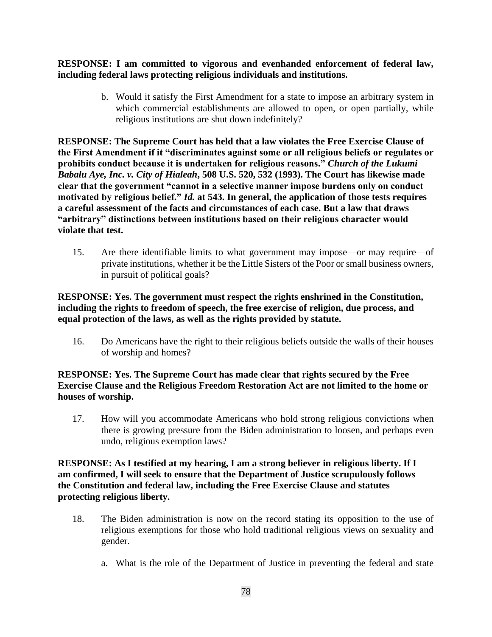**RESPONSE: I am committed to vigorous and evenhanded enforcement of federal law, including federal laws protecting religious individuals and institutions.**

> b. Would it satisfy the First Amendment for a state to impose an arbitrary system in which commercial establishments are allowed to open, or open partially, while religious institutions are shut down indefinitely?

**RESPONSE: The Supreme Court has held that a law violates the Free Exercise Clause of the First Amendment if it "discriminates against some or all religious beliefs or regulates or prohibits conduct because it is undertaken for religious reasons."** *Church of the Lukumi Babalu Aye, Inc. v. City of Hialeah***, 508 U.S. 520, 532 (1993). The Court has likewise made clear that the government "cannot in a selective manner impose burdens only on conduct motivated by religious belief."** *Id.* **at 543. In general, the application of those tests requires a careful assessment of the facts and circumstances of each case. But a law that draws "arbitrary" distinctions between institutions based on their religious character would violate that test.**

15. Are there identifiable limits to what government may impose—or may require—of private institutions, whether it be the Little Sisters of the Poor or small business owners, in pursuit of political goals?

# **RESPONSE: Yes. The government must respect the rights enshrined in the Constitution, including the rights to freedom of speech, the free exercise of religion, due process, and equal protection of the laws, as well as the rights provided by statute.**

16. Do Americans have the right to their religious beliefs outside the walls of their houses of worship and homes?

# **RESPONSE: Yes. The Supreme Court has made clear that rights secured by the Free Exercise Clause and the Religious Freedom Restoration Act are not limited to the home or houses of worship.**

17. How will you accommodate Americans who hold strong religious convictions when there is growing pressure from the Biden administration to loosen, and perhaps even undo, religious exemption laws?

# **RESPONSE: As I testified at my hearing, I am a strong believer in religious liberty. If I am confirmed, I will seek to ensure that the Department of Justice scrupulously follows the Constitution and federal law, including the Free Exercise Clause and statutes protecting religious liberty.**

- 18. The Biden administration is now on the record stating its opposition to the use of religious exemptions for those who hold traditional religious views on sexuality and gender.
	- a. What is the role of the Department of Justice in preventing the federal and state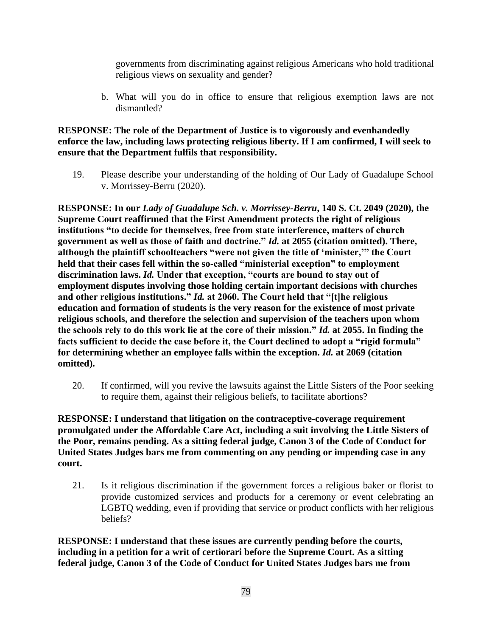governments from discriminating against religious Americans who hold traditional religious views on sexuality and gender?

b. What will you do in office to ensure that religious exemption laws are not dismantled?

# **RESPONSE: The role of the Department of Justice is to vigorously and evenhandedly enforce the law, including laws protecting religious liberty. If I am confirmed, I will seek to ensure that the Department fulfils that responsibility.**

19. Please describe your understanding of the holding of Our Lady of Guadalupe School v. Morrissey-Berru (2020).

**RESPONSE: In our** *Lady of Guadalupe Sch. v. Morrissey-Berru***, 140 S. Ct. 2049 (2020), the Supreme Court reaffirmed that the First Amendment protects the right of religious institutions "to decide for themselves, free from state interference, matters of church government as well as those of faith and doctrine."** *Id.* **at 2055 (citation omitted). There, although the plaintiff schoolteachers "were not given the title of 'minister,'" the Court held that their cases fell within the so-called "ministerial exception" to employment discrimination laws.** *Id.* **Under that exception, "courts are bound to stay out of employment disputes involving those holding certain important decisions with churches and other religious institutions."** *Id.* **at 2060. The Court held that "[t]he religious education and formation of students is the very reason for the existence of most private religious schools, and therefore the selection and supervision of the teachers upon whom the schools rely to do this work lie at the core of their mission."** *Id.* **at 2055. In finding the facts sufficient to decide the case before it, the Court declined to adopt a "rigid formula" for determining whether an employee falls within the exception.** *Id.* **at 2069 (citation omitted).**

20. If confirmed, will you revive the lawsuits against the Little Sisters of the Poor seeking to require them, against their religious beliefs, to facilitate abortions?

**RESPONSE: I understand that litigation on the contraceptive-coverage requirement promulgated under the Affordable Care Act, including a suit involving the Little Sisters of the Poor, remains pending. As a sitting federal judge, Canon 3 of the Code of Conduct for United States Judges bars me from commenting on any pending or impending case in any court.**

21. Is it religious discrimination if the government forces a religious baker or florist to provide customized services and products for a ceremony or event celebrating an LGBTQ wedding, even if providing that service or product conflicts with her religious beliefs?

**RESPONSE: I understand that these issues are currently pending before the courts, including in a petition for a writ of certiorari before the Supreme Court. As a sitting federal judge, Canon 3 of the Code of Conduct for United States Judges bars me from**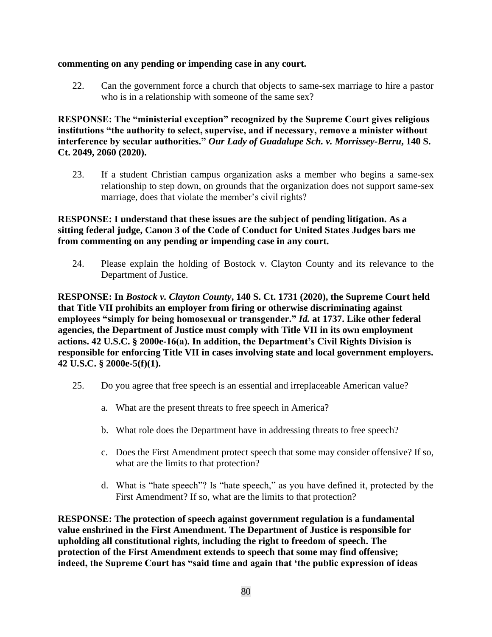#### **commenting on any pending or impending case in any court.**

22. Can the government force a church that objects to same-sex marriage to hire a pastor who is in a relationship with someone of the same sex?

**RESPONSE: The "ministerial exception" recognized by the Supreme Court gives religious institutions "the authority to select, supervise, and if necessary, remove a minister without interference by secular authorities."** *Our Lady of Guadalupe Sch. v. Morrissey-Berru***, 140 S. Ct. 2049, 2060 (2020).**

23. If a student Christian campus organization asks a member who begins a same-sex relationship to step down, on grounds that the organization does not support same-sex marriage, does that violate the member's civil rights?

## **RESPONSE: I understand that these issues are the subject of pending litigation. As a sitting federal judge, Canon 3 of the Code of Conduct for United States Judges bars me from commenting on any pending or impending case in any court.**

24. Please explain the holding of Bostock v. Clayton County and its relevance to the Department of Justice.

**RESPONSE: In** *Bostock v. Clayton County***, 140 S. Ct. 1731 (2020), the Supreme Court held that Title VII prohibits an employer from firing or otherwise discriminating against employees "simply for being homosexual or transgender."** *Id.* **at 1737. Like other federal agencies, the Department of Justice must comply with Title VII in its own employment actions. 42 U.S.C. § 2000e-16(a). In addition, the Department's Civil Rights Division is responsible for enforcing Title VII in cases involving state and local government employers. 42 U.S.C. § 2000e-5(f)(1).**

- 25. Do you agree that free speech is an essential and irreplaceable American value?
	- a. What are the present threats to free speech in America?
	- b. What role does the Department have in addressing threats to free speech?
	- c. Does the First Amendment protect speech that some may consider offensive? If so, what are the limits to that protection?
	- d. What is "hate speech"? Is "hate speech," as you have defined it, protected by the First Amendment? If so, what are the limits to that protection?

**RESPONSE: The protection of speech against government regulation is a fundamental value enshrined in the First Amendment. The Department of Justice is responsible for upholding all constitutional rights, including the right to freedom of speech. The protection of the First Amendment extends to speech that some may find offensive; indeed, the Supreme Court has "said time and again that 'the public expression of ideas**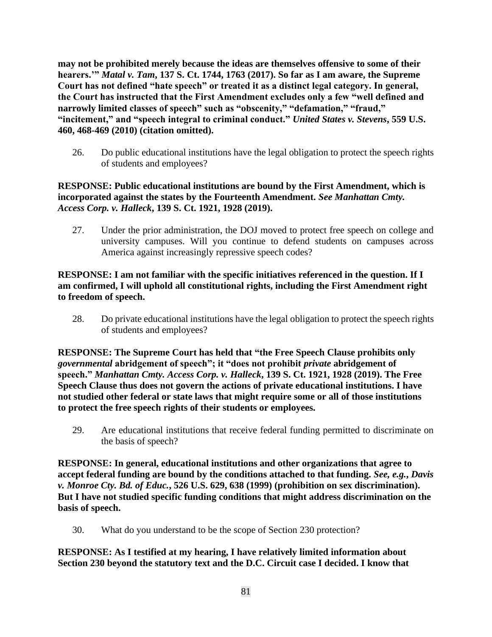**may not be prohibited merely because the ideas are themselves offensive to some of their hearers.'"** *Matal v. Tam***, 137 S. Ct. 1744, 1763 (2017). So far as I am aware, the Supreme Court has not defined "hate speech" or treated it as a distinct legal category. In general, the Court has instructed that the First Amendment excludes only a few "well defined and narrowly limited classes of speech" such as "obscenity," "defamation," "fraud," "incitement," and "speech integral to criminal conduct."** *United States v. Stevens***, 559 U.S. 460, 468-469 (2010) (citation omitted).**

26. Do public educational institutions have the legal obligation to protect the speech rights of students and employees?

# **RESPONSE: Public educational institutions are bound by the First Amendment, which is incorporated against the states by the Fourteenth Amendment.** *See Manhattan Cmty. Access Corp. v. Halleck***, 139 S. Ct. 1921, 1928 (2019).**

27. Under the prior administration, the DOJ moved to protect free speech on college and university campuses. Will you continue to defend students on campuses across America against increasingly repressive speech codes?

# **RESPONSE: I am not familiar with the specific initiatives referenced in the question. If I am confirmed, I will uphold all constitutional rights, including the First Amendment right to freedom of speech.**

28. Do private educational institutions have the legal obligation to protect the speech rights of students and employees?

**RESPONSE: The Supreme Court has held that "the Free Speech Clause prohibits only**  *governmental* **abridgement of speech"; it "does not prohibit** *private* **abridgement of speech."** *Manhattan Cmty. Access Corp. v. Halleck***, 139 S. Ct. 1921, 1928 (2019). The Free Speech Clause thus does not govern the actions of private educational institutions. I have not studied other federal or state laws that might require some or all of those institutions to protect the free speech rights of their students or employees.**

29. Are educational institutions that receive federal funding permitted to discriminate on the basis of speech?

**RESPONSE: In general, educational institutions and other organizations that agree to accept federal funding are bound by the conditions attached to that funding.** *See, e.g.***,** *Davis v. Monroe Cty. Bd. of Educ.***, 526 U.S. 629, 638 (1999) (prohibition on sex discrimination). But I have not studied specific funding conditions that might address discrimination on the basis of speech.**

30. What do you understand to be the scope of Section 230 protection?

**RESPONSE: As I testified at my hearing, I have relatively limited information about Section 230 beyond the statutory text and the D.C. Circuit case I decided. I know that**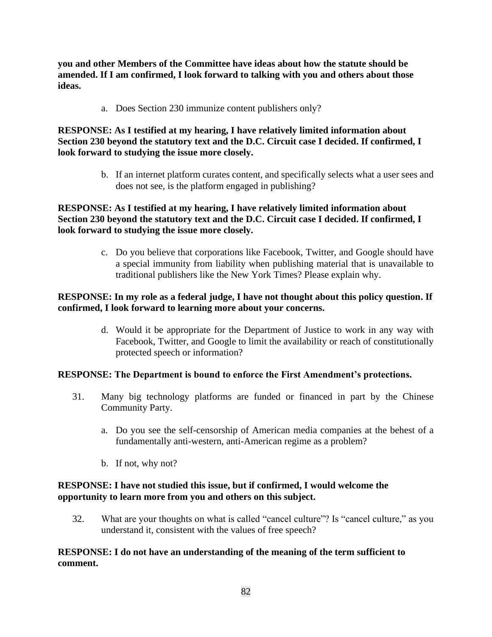**you and other Members of the Committee have ideas about how the statute should be amended. If I am confirmed, I look forward to talking with you and others about those ideas.**

a. Does Section 230 immunize content publishers only?

# **RESPONSE: As I testified at my hearing, I have relatively limited information about Section 230 beyond the statutory text and the D.C. Circuit case I decided. If confirmed, I look forward to studying the issue more closely.**

b. If an internet platform curates content, and specifically selects what a user sees and does not see, is the platform engaged in publishing?

# **RESPONSE: As I testified at my hearing, I have relatively limited information about Section 230 beyond the statutory text and the D.C. Circuit case I decided. If confirmed, I look forward to studying the issue more closely.**

c. Do you believe that corporations like Facebook, Twitter, and Google should have a special immunity from liability when publishing material that is unavailable to traditional publishers like the New York Times? Please explain why.

# **RESPONSE: In my role as a federal judge, I have not thought about this policy question. If confirmed, I look forward to learning more about your concerns.**

d. Would it be appropriate for the Department of Justice to work in any way with Facebook, Twitter, and Google to limit the availability or reach of constitutionally protected speech or information?

# **RESPONSE: The Department is bound to enforce the First Amendment's protections.**

- 31. Many big technology platforms are funded or financed in part by the Chinese Community Party.
	- a. Do you see the self-censorship of American media companies at the behest of a fundamentally anti-western, anti-American regime as a problem?
	- b. If not, why not?

# **RESPONSE: I have not studied this issue, but if confirmed, I would welcome the opportunity to learn more from you and others on this subject.**

32. What are your thoughts on what is called "cancel culture"? Is "cancel culture," as you understand it, consistent with the values of free speech?

## **RESPONSE: I do not have an understanding of the meaning of the term sufficient to comment.**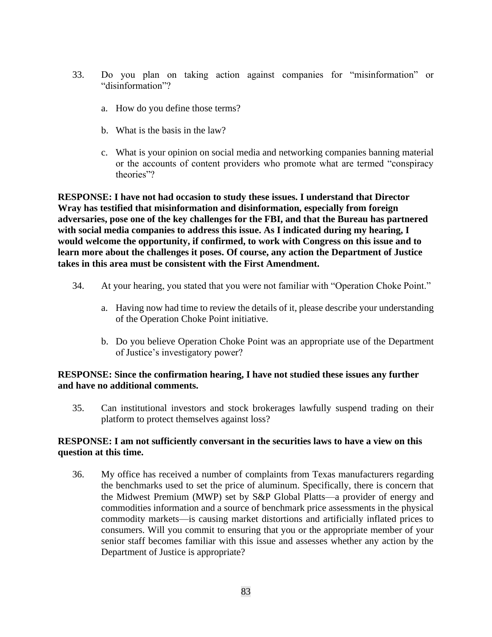- 33. Do you plan on taking action against companies for "misinformation" or "disinformation"?
	- a. How do you define those terms?
	- b. What is the basis in the law?
	- c. What is your opinion on social media and networking companies banning material or the accounts of content providers who promote what are termed "conspiracy theories"?

**RESPONSE: I have not had occasion to study these issues. I understand that Director Wray has testified that misinformation and disinformation, especially from foreign adversaries, pose one of the key challenges for the FBI, and that the Bureau has partnered with social media companies to address this issue. As I indicated during my hearing, I would welcome the opportunity, if confirmed, to work with Congress on this issue and to learn more about the challenges it poses. Of course, any action the Department of Justice takes in this area must be consistent with the First Amendment.**

- 34. At your hearing, you stated that you were not familiar with "Operation Choke Point."
	- a. Having now had time to review the details of it, please describe your understanding of the Operation Choke Point initiative.
	- b. Do you believe Operation Choke Point was an appropriate use of the Department of Justice's investigatory power?

## **RESPONSE: Since the confirmation hearing, I have not studied these issues any further and have no additional comments.**

35. Can institutional investors and stock brokerages lawfully suspend trading on their platform to protect themselves against loss?

## **RESPONSE: I am not sufficiently conversant in the securities laws to have a view on this question at this time.**

36. My office has received a number of complaints from Texas manufacturers regarding the benchmarks used to set the price of aluminum. Specifically, there is concern that the Midwest Premium (MWP) set by S&P Global Platts—a provider of energy and commodities information and a source of benchmark price assessments in the physical commodity markets—is causing market distortions and artificially inflated prices to consumers. Will you commit to ensuring that you or the appropriate member of your senior staff becomes familiar with this issue and assesses whether any action by the Department of Justice is appropriate?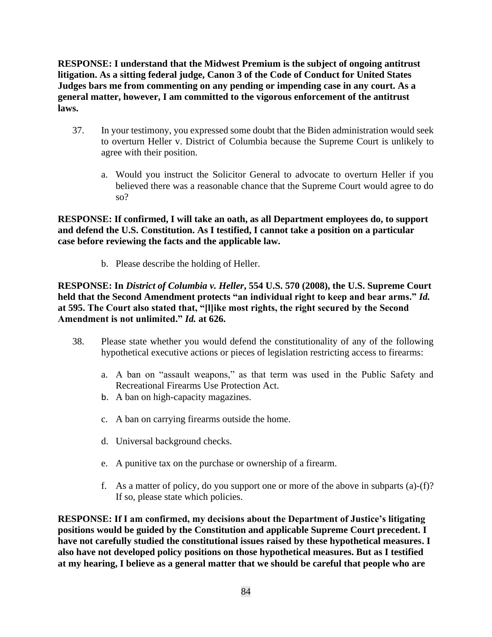**RESPONSE: I understand that the Midwest Premium is the subject of ongoing antitrust litigation. As a sitting federal judge, Canon 3 of the Code of Conduct for United States Judges bars me from commenting on any pending or impending case in any court. As a general matter, however, I am committed to the vigorous enforcement of the antitrust laws.**

- 37. In your testimony, you expressed some doubt that the Biden administration would seek to overturn Heller v. District of Columbia because the Supreme Court is unlikely to agree with their position.
	- a. Would you instruct the Solicitor General to advocate to overturn Heller if you believed there was a reasonable chance that the Supreme Court would agree to do so?

**RESPONSE: If confirmed, I will take an oath, as all Department employees do, to support and defend the U.S. Constitution. As I testified, I cannot take a position on a particular case before reviewing the facts and the applicable law.**

b. Please describe the holding of Heller.

**RESPONSE: In** *District of Columbia v. Heller***, 554 U.S. 570 (2008), the U.S. Supreme Court held that the Second Amendment protects "an individual right to keep and bear arms."** *Id.* **at 595. The Court also stated that, "[l]ike most rights, the right secured by the Second Amendment is not unlimited."** *Id.* **at 626.**

- 38. Please state whether you would defend the constitutionality of any of the following hypothetical executive actions or pieces of legislation restricting access to firearms:
	- a. A ban on "assault weapons," as that term was used in the Public Safety and Recreational Firearms Use Protection Act.
	- b. A ban on high-capacity magazines.
	- c. A ban on carrying firearms outside the home.
	- d. Universal background checks.
	- e. A punitive tax on the purchase or ownership of a firearm.
	- f. As a matter of policy, do you support one or more of the above in subparts (a)-(f)? If so, please state which policies.

**RESPONSE: If I am confirmed, my decisions about the Department of Justice's litigating positions would be guided by the Constitution and applicable Supreme Court precedent. I have not carefully studied the constitutional issues raised by these hypothetical measures. I also have not developed policy positions on those hypothetical measures. But as I testified at my hearing, I believe as a general matter that we should be careful that people who are**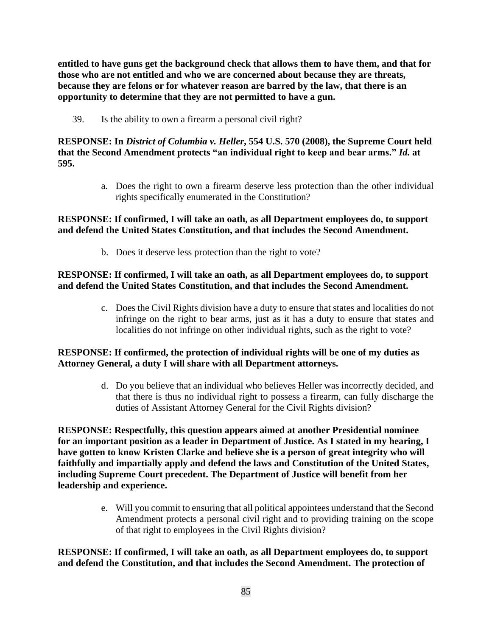**entitled to have guns get the background check that allows them to have them, and that for those who are not entitled and who we are concerned about because they are threats, because they are felons or for whatever reason are barred by the law, that there is an opportunity to determine that they are not permitted to have a gun.**

39. Is the ability to own a firearm a personal civil right?

# **RESPONSE: In** *District of Columbia v. Heller***, 554 U.S. 570 (2008), the Supreme Court held that the Second Amendment protects "an individual right to keep and bear arms."** *Id.* **at 595.**

a. Does the right to own a firearm deserve less protection than the other individual rights specifically enumerated in the Constitution?

# **RESPONSE: If confirmed, I will take an oath, as all Department employees do, to support and defend the United States Constitution, and that includes the Second Amendment.**

b. Does it deserve less protection than the right to vote?

# **RESPONSE: If confirmed, I will take an oath, as all Department employees do, to support and defend the United States Constitution, and that includes the Second Amendment.**

c. Does the Civil Rights division have a duty to ensure that states and localities do not infringe on the right to bear arms, just as it has a duty to ensure that states and localities do not infringe on other individual rights, such as the right to vote?

# **RESPONSE: If confirmed, the protection of individual rights will be one of my duties as Attorney General, a duty I will share with all Department attorneys.**

d. Do you believe that an individual who believes Heller was incorrectly decided, and that there is thus no individual right to possess a firearm, can fully discharge the duties of Assistant Attorney General for the Civil Rights division?

**RESPONSE: Respectfully, this question appears aimed at another Presidential nominee for an important position as a leader in Department of Justice. As I stated in my hearing, I have gotten to know Kristen Clarke and believe she is a person of great integrity who will faithfully and impartially apply and defend the laws and Constitution of the United States, including Supreme Court precedent. The Department of Justice will benefit from her leadership and experience.**

> e. Will you commit to ensuring that all political appointees understand that the Second Amendment protects a personal civil right and to providing training on the scope of that right to employees in the Civil Rights division?

# **RESPONSE: If confirmed, I will take an oath, as all Department employees do, to support and defend the Constitution, and that includes the Second Amendment. The protection of**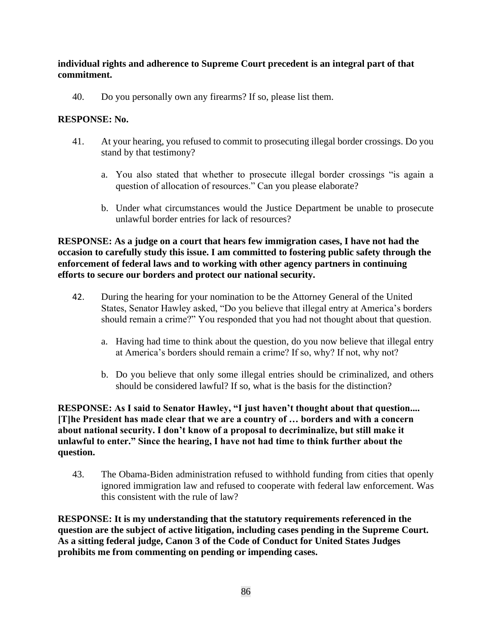## **individual rights and adherence to Supreme Court precedent is an integral part of that commitment.**

40. Do you personally own any firearms? If so, please list them.

## **RESPONSE: No.**

- 41. At your hearing, you refused to commit to prosecuting illegal border crossings. Do you stand by that testimony?
	- a. You also stated that whether to prosecute illegal border crossings "is again a question of allocation of resources." Can you please elaborate?
	- b. Under what circumstances would the Justice Department be unable to prosecute unlawful border entries for lack of resources?

## **RESPONSE: As a judge on a court that hears few immigration cases, I have not had the occasion to carefully study this issue. I am committed to fostering public safety through the enforcement of federal laws and to working with other agency partners in continuing efforts to secure our borders and protect our national security.**

- 42. During the hearing for your nomination to be the Attorney General of the United States, Senator Hawley asked, "Do you believe that illegal entry at America's borders should remain a crime?" You responded that you had not thought about that question.
	- a. Having had time to think about the question, do you now believe that illegal entry at America's borders should remain a crime? If so, why? If not, why not?
	- b. Do you believe that only some illegal entries should be criminalized, and others should be considered lawful? If so, what is the basis for the distinction?

## **RESPONSE: As I said to Senator Hawley, "I just haven't thought about that question.... [T]he President has made clear that we are a country of … borders and with a concern about national security. I don't know of a proposal to decriminalize, but still make it unlawful to enter." Since the hearing, I have not had time to think further about the question.**

43. The Obama-Biden administration refused to withhold funding from cities that openly ignored immigration law and refused to cooperate with federal law enforcement. Was this consistent with the rule of law?

**RESPONSE: It is my understanding that the statutory requirements referenced in the question are the subject of active litigation, including cases pending in the Supreme Court. As a sitting federal judge, Canon 3 of the Code of Conduct for United States Judges prohibits me from commenting on pending or impending cases.**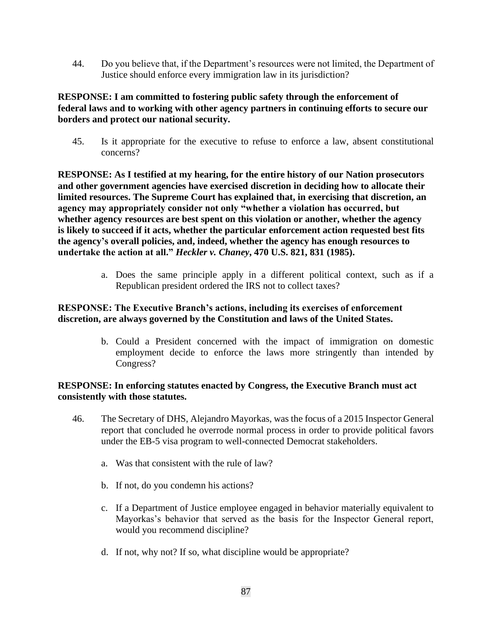44. Do you believe that, if the Department's resources were not limited, the Department of Justice should enforce every immigration law in its jurisdiction?

# **RESPONSE: I am committed to fostering public safety through the enforcement of federal laws and to working with other agency partners in continuing efforts to secure our borders and protect our national security.**

45. Is it appropriate for the executive to refuse to enforce a law, absent constitutional concerns?

**RESPONSE: As I testified at my hearing, for the entire history of our Nation prosecutors and other government agencies have exercised discretion in deciding how to allocate their limited resources. The Supreme Court has explained that, in exercising that discretion, an agency may appropriately consider not only "whether a violation has occurred, but whether agency resources are best spent on this violation or another, whether the agency is likely to succeed if it acts, whether the particular enforcement action requested best fits the agency's overall policies, and, indeed, whether the agency has enough resources to undertake the action at all."** *Heckler v. Chaney***, 470 U.S. 821, 831 (1985).**

> a. Does the same principle apply in a different political context, such as if a Republican president ordered the IRS not to collect taxes?

# **RESPONSE: The Executive Branch's actions, including its exercises of enforcement discretion, are always governed by the Constitution and laws of the United States.**

b. Could a President concerned with the impact of immigration on domestic employment decide to enforce the laws more stringently than intended by Congress?

## **RESPONSE: In enforcing statutes enacted by Congress, the Executive Branch must act consistently with those statutes.**

- 46. The Secretary of DHS, Alejandro Mayorkas, was the focus of a 2015 Inspector General report that concluded he overrode normal process in order to provide political favors under the EB-5 visa program to well-connected Democrat stakeholders.
	- a. Was that consistent with the rule of law?
	- b. If not, do you condemn his actions?
	- c. If a Department of Justice employee engaged in behavior materially equivalent to Mayorkas's behavior that served as the basis for the Inspector General report, would you recommend discipline?
	- d. If not, why not? If so, what discipline would be appropriate?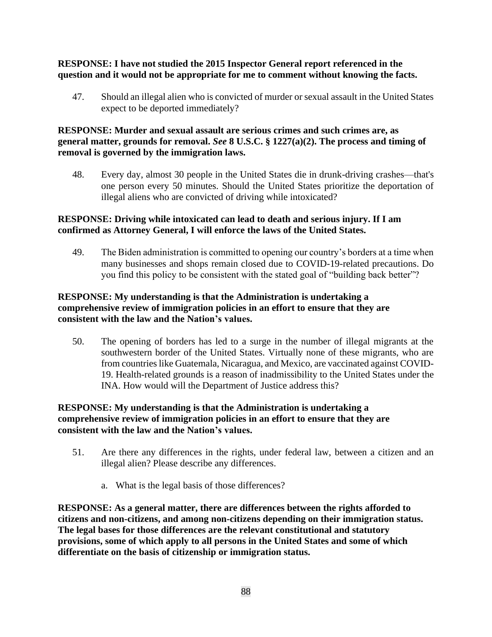# **RESPONSE: I have not studied the 2015 Inspector General report referenced in the question and it would not be appropriate for me to comment without knowing the facts.**

47. Should an illegal alien who is convicted of murder or sexual assault in the United States expect to be deported immediately?

# **RESPONSE: Murder and sexual assault are serious crimes and such crimes are, as general matter, grounds for removal.** *See* **8 U.S.C. § 1227(a)(2). The process and timing of removal is governed by the immigration laws.**

48. Every day, almost 30 people in the United States die in drunk-driving crashes—that's one person every 50 minutes. Should the United States prioritize the deportation of illegal aliens who are convicted of driving while intoxicated?

# **RESPONSE: Driving while intoxicated can lead to death and serious injury. If I am confirmed as Attorney General, I will enforce the laws of the United States.**

49. The Biden administration is committed to opening our country's borders at a time when many businesses and shops remain closed due to COVID-19-related precautions. Do you find this policy to be consistent with the stated goal of "building back better"?

# **RESPONSE: My understanding is that the Administration is undertaking a comprehensive review of immigration policies in an effort to ensure that they are consistent with the law and the Nation's values.**

50. The opening of borders has led to a surge in the number of illegal migrants at the southwestern border of the United States. Virtually none of these migrants, who are from countries like Guatemala, Nicaragua, and Mexico, are vaccinated against COVID-19. Health-related grounds is a reason of inadmissibility to the United States under the INA. How would will the Department of Justice address this?

# **RESPONSE: My understanding is that the Administration is undertaking a comprehensive review of immigration policies in an effort to ensure that they are consistent with the law and the Nation's values.**

- 51. Are there any differences in the rights, under federal law, between a citizen and an illegal alien? Please describe any differences.
	- a. What is the legal basis of those differences?

**RESPONSE: As a general matter, there are differences between the rights afforded to citizens and non-citizens, and among non-citizens depending on their immigration status. The legal bases for those differences are the relevant constitutional and statutory provisions, some of which apply to all persons in the United States and some of which differentiate on the basis of citizenship or immigration status.**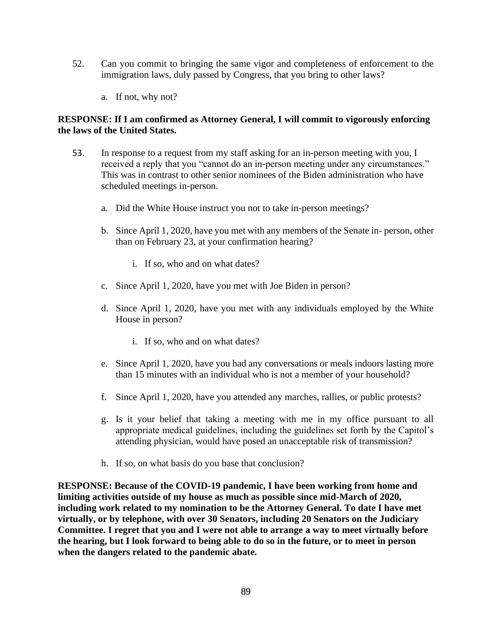- 52. Can you commit to bringing the same vigor and completeness of enforcement to the immigration laws, duly passed by Congress, that you bring to other laws?
	- a. If not, why not?

# **RESPONSE: If I am confirmed as Attorney General, I will commit to vigorously enforcing the laws of the United States.**

- 53. In response to a request from my staff asking for an in-person meeting with you, I received a reply that you "cannot do an in-person meeting under any circumstances." This was in contrast to other senior nominees of the Biden administration who have scheduled meetings in-person.
	- a. Did the White House instruct you not to take in-person meetings?
	- b. Since April 1, 2020, have you met with any members of the Senate in- person, other than on February 23, at your confirmation hearing?
		- i. If so, who and on what dates?
	- c. Since April 1, 2020, have you met with Joe Biden in person?
	- d. Since April 1, 2020, have you met with any individuals employed by the White House in person?
		- i. If so, who and on what dates?
	- e. Since April 1, 2020, have you had any conversations or meals indoors lasting more than 15 minutes with an individual who is not a member of your household?
	- f. Since April 1, 2020, have you attended any marches, rallies, or public protests?
	- g. Is it your belief that taking a meeting with me in my office pursuant to all appropriate medical guidelines, including the guidelines set forth by the Capitol's attending physician, would have posed an unacceptable risk of transmission?
	- h. If so, on what basis do you base that conclusion?

**RESPONSE: Because of the COVID-19 pandemic, I have been working from home and limiting activities outside of my house as much as possible since mid-March of 2020, including work related to my nomination to be the Attorney General. To date I have met virtually, or by telephone, with over 30 Senators, including 20 Senators on the Judiciary Committee. I regret that you and I were not able to arrange a way to meet virtually before the hearing, but I look forward to being able to do so in the future, or to meet in person when the dangers related to the pandemic abate.**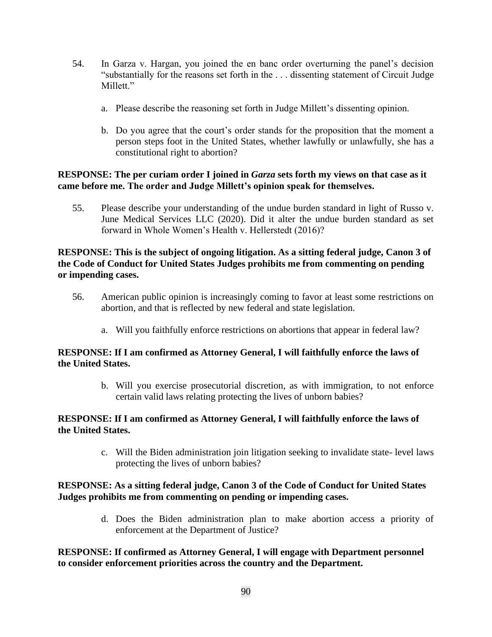- 54. In Garza v. Hargan, you joined the en banc order overturning the panel's decision "substantially for the reasons set forth in the . . . dissenting statement of Circuit Judge Millett."
	- a. Please describe the reasoning set forth in Judge Millett's dissenting opinion.
	- b. Do you agree that the court's order stands for the proposition that the moment a person steps foot in the United States, whether lawfully or unlawfully, she has a constitutional right to abortion?

### **RESPONSE: The per curiam order I joined in** *Garza* **sets forth my views on that case as it came before me. The order and Judge Millett's opinion speak for themselves.**

55. Please describe your understanding of the undue burden standard in light of Russo v. June Medical Services LLC (2020). Did it alter the undue burden standard as set forward in Whole Women's Health v. Hellerstedt (2016)?

## **RESPONSE: This is the subject of ongoing litigation. As a sitting federal judge, Canon 3 of the Code of Conduct for United States Judges prohibits me from commenting on pending or impending cases.**

- 56. American public opinion is increasingly coming to favor at least some restrictions on abortion, and that is reflected by new federal and state legislation.
	- a. Will you faithfully enforce restrictions on abortions that appear in federal law?

## **RESPONSE: If I am confirmed as Attorney General, I will faithfully enforce the laws of the United States.**

b. Will you exercise prosecutorial discretion, as with immigration, to not enforce certain valid laws relating protecting the lives of unborn babies?

## **RESPONSE: If I am confirmed as Attorney General, I will faithfully enforce the laws of the United States.**

c. Will the Biden administration join litigation seeking to invalidate state- level laws protecting the lives of unborn babies?

# **RESPONSE: As a sitting federal judge, Canon 3 of the Code of Conduct for United States Judges prohibits me from commenting on pending or impending cases.**

d. Does the Biden administration plan to make abortion access a priority of enforcement at the Department of Justice?

## **RESPONSE: If confirmed as Attorney General, I will engage with Department personnel to consider enforcement priorities across the country and the Department.**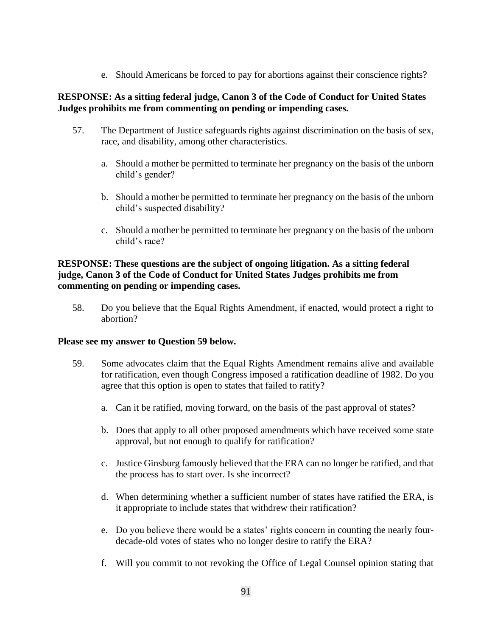e. Should Americans be forced to pay for abortions against their conscience rights?

# **RESPONSE: As a sitting federal judge, Canon 3 of the Code of Conduct for United States Judges prohibits me from commenting on pending or impending cases.**

- 57. The Department of Justice safeguards rights against discrimination on the basis of sex, race, and disability, among other characteristics.
	- a. Should a mother be permitted to terminate her pregnancy on the basis of the unborn child's gender?
	- b. Should a mother be permitted to terminate her pregnancy on the basis of the unborn child's suspected disability?
	- c. Should a mother be permitted to terminate her pregnancy on the basis of the unborn child's race?

# **RESPONSE: These questions are the subject of ongoing litigation. As a sitting federal judge, Canon 3 of the Code of Conduct for United States Judges prohibits me from commenting on pending or impending cases.**

58. Do you believe that the Equal Rights Amendment, if enacted, would protect a right to abortion?

#### **Please see my answer to Question 59 below.**

- 59. Some advocates claim that the Equal Rights Amendment remains alive and available for ratification, even though Congress imposed a ratification deadline of 1982. Do you agree that this option is open to states that failed to ratify?
	- a. Can it be ratified, moving forward, on the basis of the past approval of states?
	- b. Does that apply to all other proposed amendments which have received some state approval, but not enough to qualify for ratification?
	- c. Justice Ginsburg famously believed that the ERA can no longer be ratified, and that the process has to start over. Is she incorrect?
	- d. When determining whether a sufficient number of states have ratified the ERA, is it appropriate to include states that withdrew their ratification?
	- e. Do you believe there would be a states' rights concern in counting the nearly fourdecade-old votes of states who no longer desire to ratify the ERA?
	- f. Will you commit to not revoking the Office of Legal Counsel opinion stating that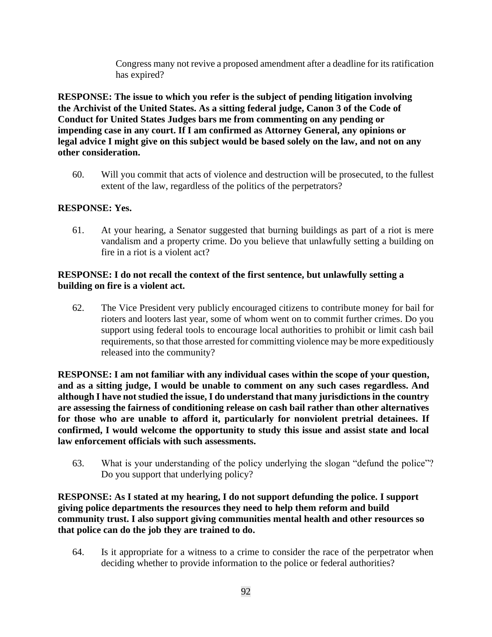Congress many not revive a proposed amendment after a deadline for its ratification has expired?

**RESPONSE: The issue to which you refer is the subject of pending litigation involving the Archivist of the United States. As a sitting federal judge, Canon 3 of the Code of Conduct for United States Judges bars me from commenting on any pending or impending case in any court. If I am confirmed as Attorney General, any opinions or legal advice I might give on this subject would be based solely on the law, and not on any other consideration.**

60. Will you commit that acts of violence and destruction will be prosecuted, to the fullest extent of the law, regardless of the politics of the perpetrators?

# **RESPONSE: Yes.**

61. At your hearing, a Senator suggested that burning buildings as part of a riot is mere vandalism and a property crime. Do you believe that unlawfully setting a building on fire in a riot is a violent act?

### **RESPONSE: I do not recall the context of the first sentence, but unlawfully setting a building on fire is a violent act.**

62. The Vice President very publicly encouraged citizens to contribute money for bail for rioters and looters last year, some of whom went on to commit further crimes. Do you support using federal tools to encourage local authorities to prohibit or limit cash bail requirements, so that those arrested for committing violence may be more expeditiously released into the community?

**RESPONSE: I am not familiar with any individual cases within the scope of your question, and as a sitting judge, I would be unable to comment on any such cases regardless. And although I have not studied the issue, I do understand that many jurisdictions in the country are assessing the fairness of conditioning release on cash bail rather than other alternatives for those who are unable to afford it, particularly for nonviolent pretrial detainees. If confirmed, I would welcome the opportunity to study this issue and assist state and local law enforcement officials with such assessments.**

63. What is your understanding of the policy underlying the slogan "defund the police"? Do you support that underlying policy?

**RESPONSE: As I stated at my hearing, I do not support defunding the police. I support giving police departments the resources they need to help them reform and build community trust. I also support giving communities mental health and other resources so that police can do the job they are trained to do.**

64. Is it appropriate for a witness to a crime to consider the race of the perpetrator when deciding whether to provide information to the police or federal authorities?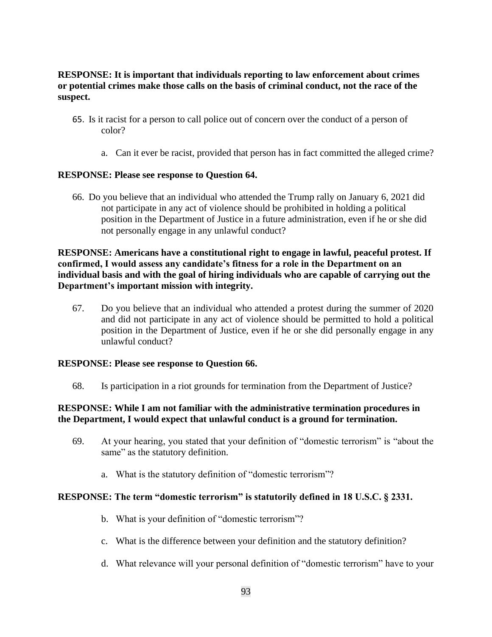# **RESPONSE: It is important that individuals reporting to law enforcement about crimes or potential crimes make those calls on the basis of criminal conduct, not the race of the suspect.**

- 65. Is it racist for a person to call police out of concern over the conduct of a person of color?
	- a. Can it ever be racist, provided that person has in fact committed the alleged crime?

## **RESPONSE: Please see response to Question 64.**

66. Do you believe that an individual who attended the Trump rally on January 6, 2021 did not participate in any act of violence should be prohibited in holding a political position in the Department of Justice in a future administration, even if he or she did not personally engage in any unlawful conduct?

# **RESPONSE: Americans have a constitutional right to engage in lawful, peaceful protest. If confirmed, I would assess any candidate's fitness for a role in the Department on an individual basis and with the goal of hiring individuals who are capable of carrying out the Department's important mission with integrity.**

67. Do you believe that an individual who attended a protest during the summer of 2020 and did not participate in any act of violence should be permitted to hold a political position in the Department of Justice, even if he or she did personally engage in any unlawful conduct?

#### **RESPONSE: Please see response to Question 66.**

68. Is participation in a riot grounds for termination from the Department of Justice?

## **RESPONSE: While I am not familiar with the administrative termination procedures in the Department, I would expect that unlawful conduct is a ground for termination.**

- 69. At your hearing, you stated that your definition of "domestic terrorism" is "about the same" as the statutory definition.
	- a. What is the statutory definition of "domestic terrorism"?

#### **RESPONSE: The term "domestic terrorism" is statutorily defined in 18 U.S.C. § 2331.**

- b. What is your definition of "domestic terrorism"?
- c. What is the difference between your definition and the statutory definition?
- d. What relevance will your personal definition of "domestic terrorism" have to your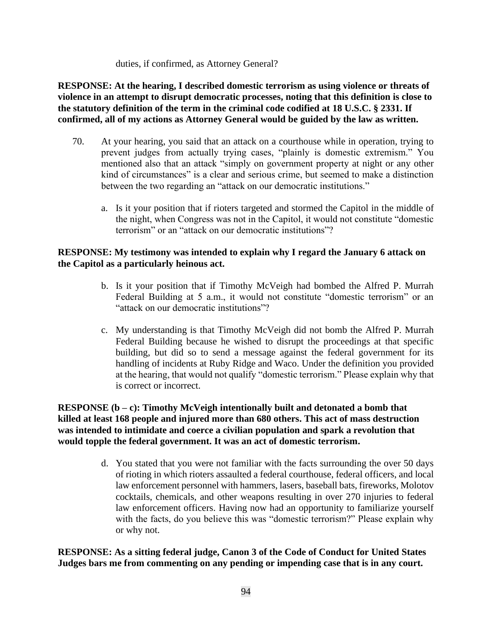duties, if confirmed, as Attorney General?

**RESPONSE: At the hearing, I described domestic terrorism as using violence or threats of violence in an attempt to disrupt democratic processes, noting that this definition is close to the statutory definition of the term in the criminal code codified at 18 U.S.C. § 2331. If confirmed, all of my actions as Attorney General would be guided by the law as written.**

- 70. At your hearing, you said that an attack on a courthouse while in operation, trying to prevent judges from actually trying cases, "plainly is domestic extremism." You mentioned also that an attack "simply on government property at night or any other kind of circumstances" is a clear and serious crime, but seemed to make a distinction between the two regarding an "attack on our democratic institutions."
	- a. Is it your position that if rioters targeted and stormed the Capitol in the middle of the night, when Congress was not in the Capitol, it would not constitute "domestic terrorism" or an "attack on our democratic institutions"?

# **RESPONSE: My testimony was intended to explain why I regard the January 6 attack on the Capitol as a particularly heinous act.**

- b. Is it your position that if Timothy McVeigh had bombed the Alfred P. Murrah Federal Building at 5 a.m., it would not constitute "domestic terrorism" or an "attack on our democratic institutions"?
- c. My understanding is that Timothy McVeigh did not bomb the Alfred P. Murrah Federal Building because he wished to disrupt the proceedings at that specific building, but did so to send a message against the federal government for its handling of incidents at Ruby Ridge and Waco. Under the definition you provided at the hearing, that would not qualify "domestic terrorism." Please explain why that is correct or incorrect.

**RESPONSE (b – c): Timothy McVeigh intentionally built and detonated a bomb that killed at least 168 people and injured more than 680 others. This act of mass destruction was intended to intimidate and coerce a civilian population and spark a revolution that would topple the federal government. It was an act of domestic terrorism.**

> d. You stated that you were not familiar with the facts surrounding the over 50 days of rioting in which rioters assaulted a federal courthouse, federal officers, and local law enforcement personnel with hammers, lasers, baseball bats, fireworks, Molotov cocktails, chemicals, and other weapons resulting in over 270 injuries to federal law enforcement officers. Having now had an opportunity to familiarize yourself with the facts, do you believe this was "domestic terrorism?" Please explain why or why not.

**RESPONSE: As a sitting federal judge, Canon 3 of the Code of Conduct for United States Judges bars me from commenting on any pending or impending case that is in any court.**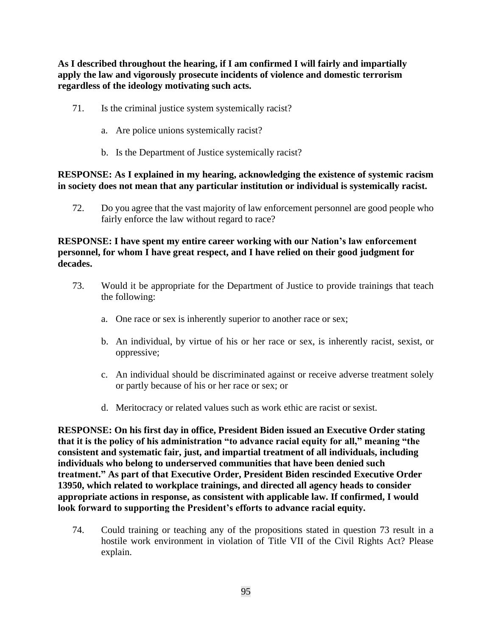**As I described throughout the hearing, if I am confirmed I will fairly and impartially apply the law and vigorously prosecute incidents of violence and domestic terrorism regardless of the ideology motivating such acts.**

- 71. Is the criminal justice system systemically racist?
	- a. Are police unions systemically racist?
	- b. Is the Department of Justice systemically racist?

### **RESPONSE: As I explained in my hearing, acknowledging the existence of systemic racism in society does not mean that any particular institution or individual is systemically racist.**

72. Do you agree that the vast majority of law enforcement personnel are good people who fairly enforce the law without regard to race?

# **RESPONSE: I have spent my entire career working with our Nation's law enforcement personnel, for whom I have great respect, and I have relied on their good judgment for decades.**

- 73. Would it be appropriate for the Department of Justice to provide trainings that teach the following:
	- a. One race or sex is inherently superior to another race or sex;
	- b. An individual, by virtue of his or her race or sex, is inherently racist, sexist, or oppressive;
	- c. An individual should be discriminated against or receive adverse treatment solely or partly because of his or her race or sex; or
	- d. Meritocracy or related values such as work ethic are racist or sexist.

**RESPONSE: On his first day in office, President Biden issued an Executive Order stating that it is the policy of his administration "to advance racial equity for all," meaning "the consistent and systematic fair, just, and impartial treatment of all individuals, including individuals who belong to underserved communities that have been denied such treatment." As part of that Executive Order, President Biden rescinded Executive Order 13950, which related to workplace trainings, and directed all agency heads to consider appropriate actions in response, as consistent with applicable law. If confirmed, I would look forward to supporting the President's efforts to advance racial equity.** 

74. Could training or teaching any of the propositions stated in question 73 result in a hostile work environment in violation of Title VII of the Civil Rights Act? Please explain.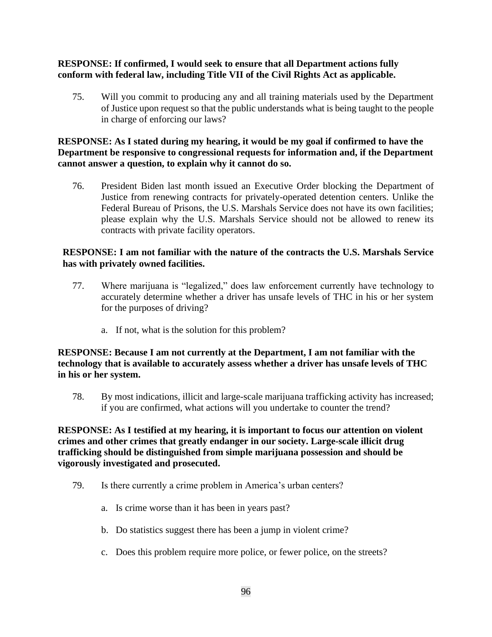# **RESPONSE: If confirmed, I would seek to ensure that all Department actions fully conform with federal law, including Title VII of the Civil Rights Act as applicable.**

75. Will you commit to producing any and all training materials used by the Department of Justice upon request so that the public understands what is being taught to the people in charge of enforcing our laws?

## **RESPONSE: As I stated during my hearing, it would be my goal if confirmed to have the Department be responsive to congressional requests for information and, if the Department cannot answer a question, to explain why it cannot do so.**

76. President Biden last month issued an Executive Order blocking the Department of Justice from renewing contracts for privately-operated detention centers. Unlike the Federal Bureau of Prisons, the U.S. Marshals Service does not have its own facilities; please explain why the U.S. Marshals Service should not be allowed to renew its contracts with private facility operators.

### **RESPONSE: I am not familiar with the nature of the contracts the U.S. Marshals Service has with privately owned facilities.**

- 77. Where marijuana is "legalized," does law enforcement currently have technology to accurately determine whether a driver has unsafe levels of THC in his or her system for the purposes of driving?
	- a. If not, what is the solution for this problem?

## **RESPONSE: Because I am not currently at the Department, I am not familiar with the technology that is available to accurately assess whether a driver has unsafe levels of THC in his or her system.**

78. By most indications, illicit and large-scale marijuana trafficking activity has increased; if you are confirmed, what actions will you undertake to counter the trend?

## **RESPONSE: As I testified at my hearing, it is important to focus our attention on violent crimes and other crimes that greatly endanger in our society. Large-scale illicit drug trafficking should be distinguished from simple marijuana possession and should be vigorously investigated and prosecuted.**

- 79. Is there currently a crime problem in America's urban centers?
	- a. Is crime worse than it has been in years past?
	- b. Do statistics suggest there has been a jump in violent crime?
	- c. Does this problem require more police, or fewer police, on the streets?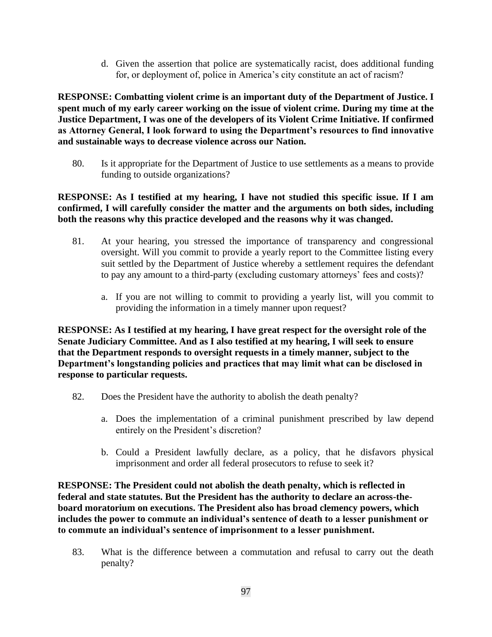d. Given the assertion that police are systematically racist, does additional funding for, or deployment of, police in America's city constitute an act of racism?

**RESPONSE: Combatting violent crime is an important duty of the Department of Justice. I spent much of my early career working on the issue of violent crime. During my time at the Justice Department, I was one of the developers of its Violent Crime Initiative. If confirmed as Attorney General, I look forward to using the Department's resources to find innovative and sustainable ways to decrease violence across our Nation.** 

80. Is it appropriate for the Department of Justice to use settlements as a means to provide funding to outside organizations?

**RESPONSE: As I testified at my hearing, I have not studied this specific issue. If I am confirmed, I will carefully consider the matter and the arguments on both sides, including both the reasons why this practice developed and the reasons why it was changed.**

- 81. At your hearing, you stressed the importance of transparency and congressional oversight. Will you commit to provide a yearly report to the Committee listing every suit settled by the Department of Justice whereby a settlement requires the defendant to pay any amount to a third-party (excluding customary attorneys' fees and costs)?
	- a. If you are not willing to commit to providing a yearly list, will you commit to providing the information in a timely manner upon request?

**RESPONSE: As I testified at my hearing, I have great respect for the oversight role of the Senate Judiciary Committee. And as I also testified at my hearing, I will seek to ensure that the Department responds to oversight requests in a timely manner, subject to the Department's longstanding policies and practices that may limit what can be disclosed in response to particular requests.**

- 82. Does the President have the authority to abolish the death penalty?
	- a. Does the implementation of a criminal punishment prescribed by law depend entirely on the President's discretion?
	- b. Could a President lawfully declare, as a policy, that he disfavors physical imprisonment and order all federal prosecutors to refuse to seek it?

**RESPONSE: The President could not abolish the death penalty, which is reflected in federal and state statutes. But the President has the authority to declare an across-theboard moratorium on executions. The President also has broad clemency powers, which includes the power to commute an individual's sentence of death to a lesser punishment or to commute an individual's sentence of imprisonment to a lesser punishment.**

83. What is the difference between a commutation and refusal to carry out the death penalty?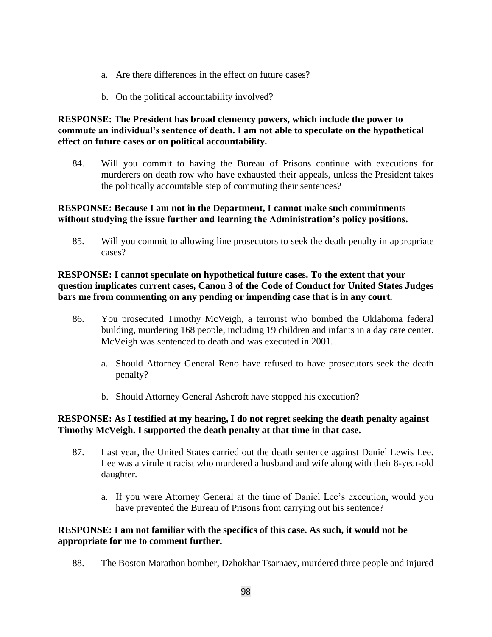- a. Are there differences in the effect on future cases?
- b. On the political accountability involved?

# **RESPONSE: The President has broad clemency powers, which include the power to commute an individual's sentence of death. I am not able to speculate on the hypothetical effect on future cases or on political accountability.**

84. Will you commit to having the Bureau of Prisons continue with executions for murderers on death row who have exhausted their appeals, unless the President takes the politically accountable step of commuting their sentences?

# **RESPONSE: Because I am not in the Department, I cannot make such commitments without studying the issue further and learning the Administration's policy positions.**

85. Will you commit to allowing line prosecutors to seek the death penalty in appropriate cases?

## **RESPONSE: I cannot speculate on hypothetical future cases. To the extent that your question implicates current cases, Canon 3 of the Code of Conduct for United States Judges bars me from commenting on any pending or impending case that is in any court.**

- 86. You prosecuted Timothy McVeigh, a terrorist who bombed the Oklahoma federal building, murdering 168 people, including 19 children and infants in a day care center. McVeigh was sentenced to death and was executed in 2001.
	- a. Should Attorney General Reno have refused to have prosecutors seek the death penalty?
	- b. Should Attorney General Ashcroft have stopped his execution?

## **RESPONSE: As I testified at my hearing, I do not regret seeking the death penalty against Timothy McVeigh. I supported the death penalty at that time in that case.**

- 87. Last year, the United States carried out the death sentence against Daniel Lewis Lee. Lee was a virulent racist who murdered a husband and wife along with their 8-year-old daughter.
	- a. If you were Attorney General at the time of Daniel Lee's execution, would you have prevented the Bureau of Prisons from carrying out his sentence?

## **RESPONSE: I am not familiar with the specifics of this case. As such, it would not be appropriate for me to comment further.**

88. The Boston Marathon bomber, Dzhokhar Tsarnaev, murdered three people and injured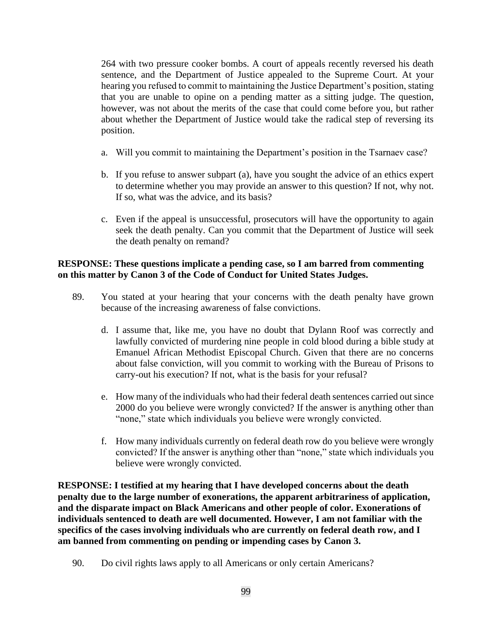264 with two pressure cooker bombs. A court of appeals recently reversed his death sentence, and the Department of Justice appealed to the Supreme Court. At your hearing you refused to commit to maintaining the Justice Department's position, stating that you are unable to opine on a pending matter as a sitting judge. The question, however, was not about the merits of the case that could come before you, but rather about whether the Department of Justice would take the radical step of reversing its position.

- a. Will you commit to maintaining the Department's position in the Tsarnaev case?
- b. If you refuse to answer subpart (a), have you sought the advice of an ethics expert to determine whether you may provide an answer to this question? If not, why not. If so, what was the advice, and its basis?
- c. Even if the appeal is unsuccessful, prosecutors will have the opportunity to again seek the death penalty. Can you commit that the Department of Justice will seek the death penalty on remand?

## **RESPONSE: These questions implicate a pending case, so I am barred from commenting on this matter by Canon 3 of the Code of Conduct for United States Judges.**

- 89. You stated at your hearing that your concerns with the death penalty have grown because of the increasing awareness of false convictions.
	- d. I assume that, like me, you have no doubt that Dylann Roof was correctly and lawfully convicted of murdering nine people in cold blood during a bible study at Emanuel African Methodist Episcopal Church. Given that there are no concerns about false conviction, will you commit to working with the Bureau of Prisons to carry-out his execution? If not, what is the basis for your refusal?
	- e. How many of the individuals who had their federal death sentences carried out since 2000 do you believe were wrongly convicted? If the answer is anything other than "none," state which individuals you believe were wrongly convicted.
	- f. How many individuals currently on federal death row do you believe were wrongly convicted? If the answer is anything other than "none," state which individuals you believe were wrongly convicted.

**RESPONSE: I testified at my hearing that I have developed concerns about the death penalty due to the large number of exonerations, the apparent arbitrariness of application, and the disparate impact on Black Americans and other people of color. Exonerations of individuals sentenced to death are well documented. However, I am not familiar with the specifics of the cases involving individuals who are currently on federal death row, and I am banned from commenting on pending or impending cases by Canon 3.**

90. Do civil rights laws apply to all Americans or only certain Americans?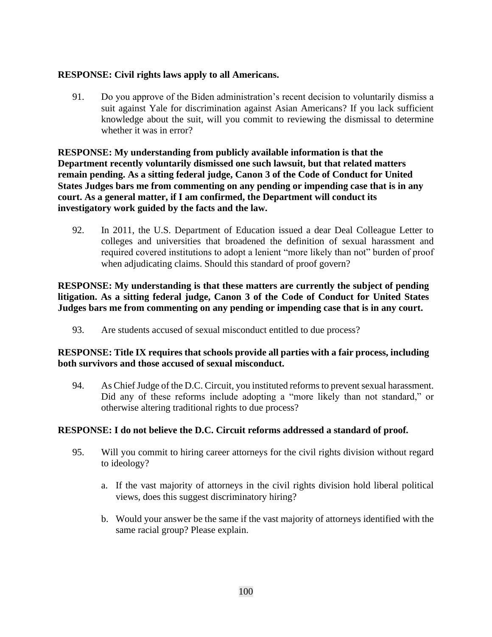# **RESPONSE: Civil rights laws apply to all Americans.**

91. Do you approve of the Biden administration's recent decision to voluntarily dismiss a suit against Yale for discrimination against Asian Americans? If you lack sufficient knowledge about the suit, will you commit to reviewing the dismissal to determine whether it was in error?

**RESPONSE: My understanding from publicly available information is that the Department recently voluntarily dismissed one such lawsuit, but that related matters remain pending. As a sitting federal judge, Canon 3 of the Code of Conduct for United States Judges bars me from commenting on any pending or impending case that is in any court. As a general matter, if I am confirmed, the Department will conduct its investigatory work guided by the facts and the law.**

92. In 2011, the U.S. Department of Education issued a dear Deal Colleague Letter to colleges and universities that broadened the definition of sexual harassment and required covered institutions to adopt a lenient "more likely than not" burden of proof when adjudicating claims. Should this standard of proof govern?

# **RESPONSE: My understanding is that these matters are currently the subject of pending litigation. As a sitting federal judge, Canon 3 of the Code of Conduct for United States Judges bars me from commenting on any pending or impending case that is in any court.**

93. Are students accused of sexual misconduct entitled to due process?

# **RESPONSE: Title IX requires that schools provide all parties with a fair process, including both survivors and those accused of sexual misconduct.**

94. As Chief Judge of the D.C. Circuit, you instituted reforms to prevent sexual harassment. Did any of these reforms include adopting a "more likely than not standard," or otherwise altering traditional rights to due process?

# **RESPONSE: I do not believe the D.C. Circuit reforms addressed a standard of proof.**

- 95. Will you commit to hiring career attorneys for the civil rights division without regard to ideology?
	- a. If the vast majority of attorneys in the civil rights division hold liberal political views, does this suggest discriminatory hiring?
	- b. Would your answer be the same if the vast majority of attorneys identified with the same racial group? Please explain.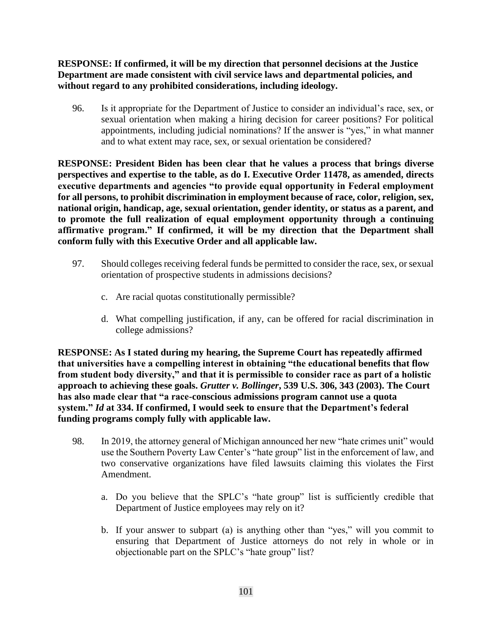**RESPONSE: If confirmed, it will be my direction that personnel decisions at the Justice Department are made consistent with civil service laws and departmental policies, and without regard to any prohibited considerations, including ideology.**

96. Is it appropriate for the Department of Justice to consider an individual's race, sex, or sexual orientation when making a hiring decision for career positions? For political appointments, including judicial nominations? If the answer is "yes," in what manner and to what extent may race, sex, or sexual orientation be considered?

**RESPONSE: President Biden has been clear that he values a process that brings diverse perspectives and expertise to the table, as do I. Executive Order 11478, as amended, directs executive departments and agencies "to provide equal opportunity in Federal employment for all persons, to prohibit discrimination in employment because of race, color, religion, sex, national origin, handicap, age, sexual orientation, gender identity, or status as a parent, and to promote the full realization of equal employment opportunity through a continuing affirmative program." If confirmed, it will be my direction that the Department shall conform fully with this Executive Order and all applicable law.**

- 97. Should colleges receiving federal funds be permitted to consider the race, sex, or sexual orientation of prospective students in admissions decisions?
	- c. Are racial quotas constitutionally permissible?
	- d. What compelling justification, if any, can be offered for racial discrimination in college admissions?

**RESPONSE: As I stated during my hearing, the Supreme Court has repeatedly affirmed that universities have a compelling interest in obtaining "the educational benefits that flow from student body diversity," and that it is permissible to consider race as part of a holistic approach to achieving these goals.** *Grutter v. Bollinger***, 539 U.S. 306, 343 (2003). The Court has also made clear that "a race-conscious admissions program cannot use a quota system."** *Id* **at 334. If confirmed, I would seek to ensure that the Department's federal funding programs comply fully with applicable law.**

- 98. In 2019, the attorney general of Michigan announced her new "hate crimes unit" would use the Southern Poverty Law Center's "hate group" list in the enforcement of law, and two conservative organizations have filed lawsuits claiming this violates the First Amendment.
	- a. Do you believe that the SPLC's "hate group" list is sufficiently credible that Department of Justice employees may rely on it?
	- b. If your answer to subpart (a) is anything other than "yes," will you commit to ensuring that Department of Justice attorneys do not rely in whole or in objectionable part on the SPLC's "hate group" list?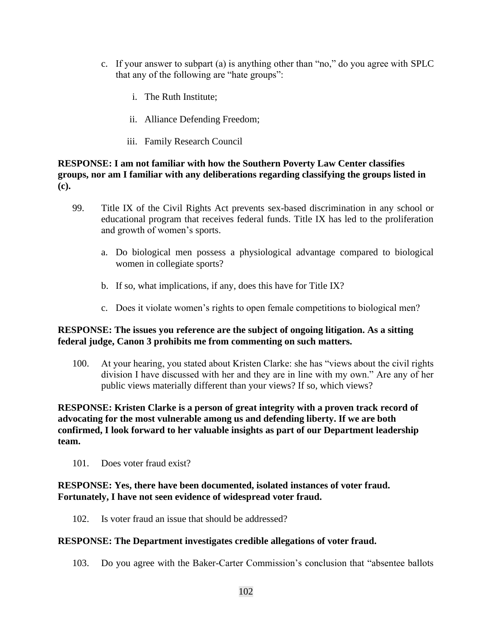- c. If your answer to subpart (a) is anything other than "no," do you agree with SPLC that any of the following are "hate groups":
	- i. The Ruth Institute;
	- ii. Alliance Defending Freedom;
	- iii. Family Research Council

### **RESPONSE: I am not familiar with how the Southern Poverty Law Center classifies groups, nor am I familiar with any deliberations regarding classifying the groups listed in (c).**

- 99. Title IX of the Civil Rights Act prevents sex-based discrimination in any school or educational program that receives federal funds. Title IX has led to the proliferation and growth of women's sports.
	- a. Do biological men possess a physiological advantage compared to biological women in collegiate sports?
	- b. If so, what implications, if any, does this have for Title IX?
	- c. Does it violate women's rights to open female competitions to biological men?

#### **RESPONSE: The issues you reference are the subject of ongoing litigation. As a sitting federal judge, Canon 3 prohibits me from commenting on such matters.**

100. At your hearing, you stated about Kristen Clarke: she has "views about the civil rights division I have discussed with her and they are in line with my own." Are any of her public views materially different than your views? If so, which views?

**RESPONSE: Kristen Clarke is a person of great integrity with a proven track record of advocating for the most vulnerable among us and defending liberty. If we are both confirmed, I look forward to her valuable insights as part of our Department leadership team.** 

101. Does voter fraud exist?

## **RESPONSE: Yes, there have been documented, isolated instances of voter fraud. Fortunately, I have not seen evidence of widespread voter fraud.**

102. Is voter fraud an issue that should be addressed?

#### **RESPONSE: The Department investigates credible allegations of voter fraud.**

103. Do you agree with the Baker-Carter Commission's conclusion that "absentee ballots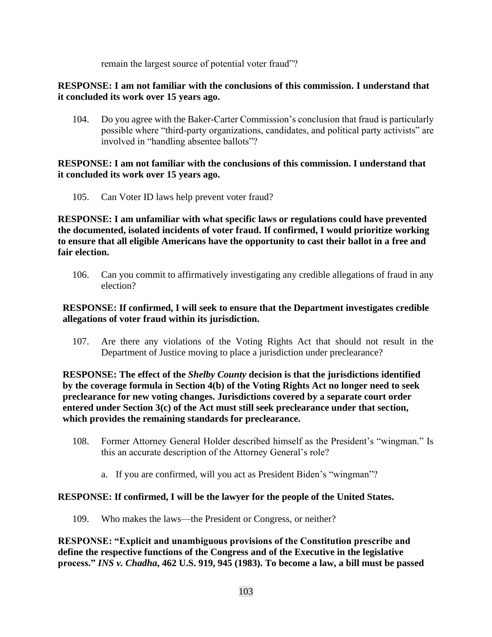remain the largest source of potential voter fraud"?

## **RESPONSE: I am not familiar with the conclusions of this commission. I understand that it concluded its work over 15 years ago.**

104. Do you agree with the Baker-Carter Commission's conclusion that fraud is particularly possible where "third-party organizations, candidates, and political party activists" are involved in "handling absentee ballots"?

## **RESPONSE: I am not familiar with the conclusions of this commission. I understand that it concluded its work over 15 years ago.**

105. Can Voter ID laws help prevent voter fraud?

**RESPONSE: I am unfamiliar with what specific laws or regulations could have prevented the documented, isolated incidents of voter fraud. If confirmed, I would prioritize working to ensure that all eligible Americans have the opportunity to cast their ballot in a free and fair election.**

106. Can you commit to affirmatively investigating any credible allegations of fraud in any election?

# **RESPONSE: If confirmed, I will seek to ensure that the Department investigates credible allegations of voter fraud within its jurisdiction.**

107. Are there any violations of the Voting Rights Act that should not result in the Department of Justice moving to place a jurisdiction under preclearance?

**RESPONSE: The effect of the** *Shelby County* **decision is that the jurisdictions identified by the coverage formula in Section 4(b) of the Voting Rights Act no longer need to seek preclearance for new voting changes. Jurisdictions covered by a separate court order entered under Section 3(c) of the Act must still seek preclearance under that section, which provides the remaining standards for preclearance.**

- 108. Former Attorney General Holder described himself as the President's "wingman." Is this an accurate description of the Attorney General's role?
	- a. If you are confirmed, will you act as President Biden's "wingman"?

# **RESPONSE: If confirmed, I will be the lawyer for the people of the United States.**

109. Who makes the laws—the President or Congress, or neither?

**RESPONSE: "Explicit and unambiguous provisions of the Constitution prescribe and define the respective functions of the Congress and of the Executive in the legislative process."** *INS v. Chadha***, 462 U.S. 919, 945 (1983). To become a law, a bill must be passed**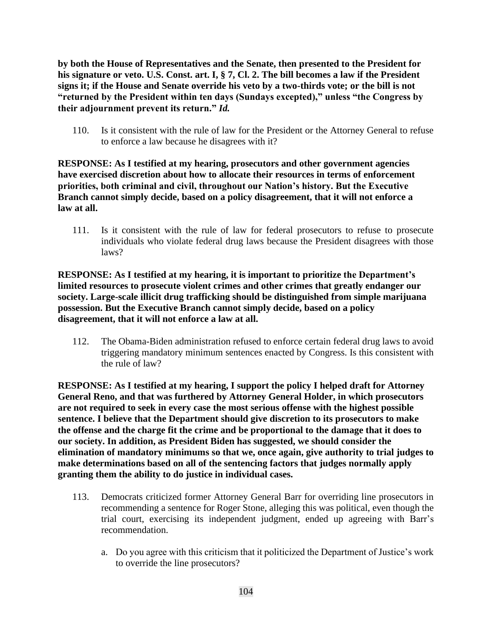**by both the House of Representatives and the Senate, then presented to the President for his signature or veto. U.S. Const. art. I, § 7, Cl. 2. The bill becomes a law if the President signs it; if the House and Senate override his veto by a two-thirds vote; or the bill is not "returned by the President within ten days (Sundays excepted)," unless "the Congress by their adjournment prevent its return."** *Id.*

110. Is it consistent with the rule of law for the President or the Attorney General to refuse to enforce a law because he disagrees with it?

**RESPONSE: As I testified at my hearing, prosecutors and other government agencies have exercised discretion about how to allocate their resources in terms of enforcement priorities, both criminal and civil, throughout our Nation's history. But the Executive Branch cannot simply decide, based on a policy disagreement, that it will not enforce a law at all.**

111. Is it consistent with the rule of law for federal prosecutors to refuse to prosecute individuals who violate federal drug laws because the President disagrees with those laws?

**RESPONSE: As I testified at my hearing, it is important to prioritize the Department's limited resources to prosecute violent crimes and other crimes that greatly endanger our society. Large-scale illicit drug trafficking should be distinguished from simple marijuana possession. But the Executive Branch cannot simply decide, based on a policy disagreement, that it will not enforce a law at all.**

112. The Obama-Biden administration refused to enforce certain federal drug laws to avoid triggering mandatory minimum sentences enacted by Congress. Is this consistent with the rule of law?

**RESPONSE: As I testified at my hearing, I support the policy I helped draft for Attorney General Reno, and that was furthered by Attorney General Holder, in which prosecutors are not required to seek in every case the most serious offense with the highest possible sentence. I believe that the Department should give discretion to its prosecutors to make the offense and the charge fit the crime and be proportional to the damage that it does to our society. In addition, as President Biden has suggested, we should consider the elimination of mandatory minimums so that we, once again, give authority to trial judges to make determinations based on all of the sentencing factors that judges normally apply granting them the ability to do justice in individual cases.**

- 113. Democrats criticized former Attorney General Barr for overriding line prosecutors in recommending a sentence for Roger Stone, alleging this was political, even though the trial court, exercising its independent judgment, ended up agreeing with Barr's recommendation.
	- a. Do you agree with this criticism that it politicized the Department of Justice's work to override the line prosecutors?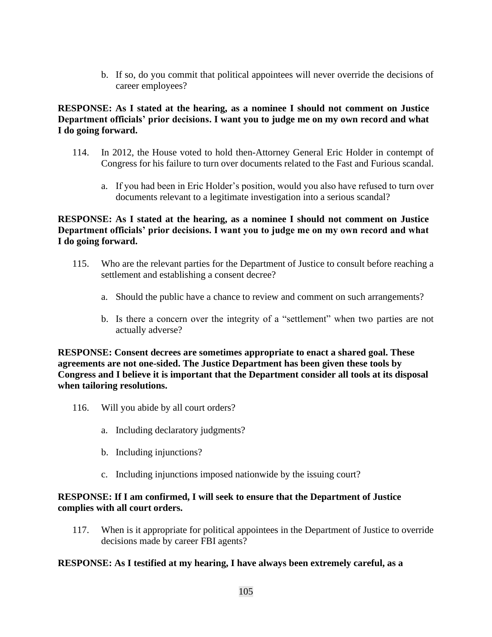b. If so, do you commit that political appointees will never override the decisions of career employees?

## **RESPONSE: As I stated at the hearing, as a nominee I should not comment on Justice Department officials' prior decisions. I want you to judge me on my own record and what I do going forward.**

- 114. In 2012, the House voted to hold then-Attorney General Eric Holder in contempt of Congress for his failure to turn over documents related to the Fast and Furious scandal.
	- a. If you had been in Eric Holder's position, would you also have refused to turn over documents relevant to a legitimate investigation into a serious scandal?

## **RESPONSE: As I stated at the hearing, as a nominee I should not comment on Justice Department officials' prior decisions. I want you to judge me on my own record and what I do going forward.**

- 115. Who are the relevant parties for the Department of Justice to consult before reaching a settlement and establishing a consent decree?
	- a. Should the public have a chance to review and comment on such arrangements?
	- b. Is there a concern over the integrity of a "settlement" when two parties are not actually adverse?

**RESPONSE: Consent decrees are sometimes appropriate to enact a shared goal. These agreements are not one-sided. The Justice Department has been given these tools by Congress and I believe it is important that the Department consider all tools at its disposal when tailoring resolutions.**

- 116. Will you abide by all court orders?
	- a. Including declaratory judgments?
	- b. Including injunctions?
	- c. Including injunctions imposed nationwide by the issuing court?

#### **RESPONSE: If I am confirmed, I will seek to ensure that the Department of Justice complies with all court orders.**

117. When is it appropriate for political appointees in the Department of Justice to override decisions made by career FBI agents?

#### **RESPONSE: As I testified at my hearing, I have always been extremely careful, as a**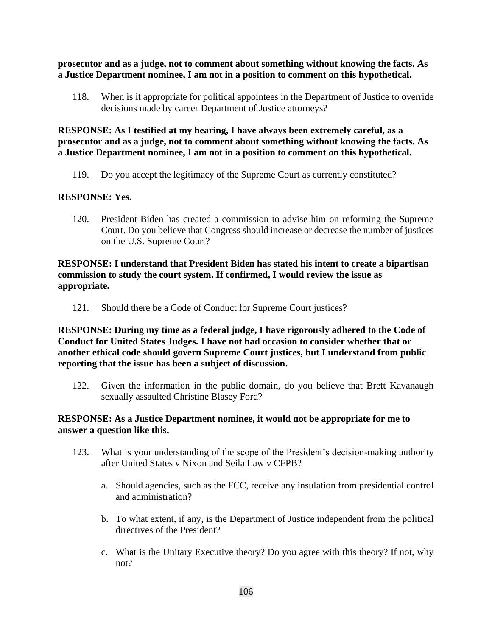**prosecutor and as a judge, not to comment about something without knowing the facts. As a Justice Department nominee, I am not in a position to comment on this hypothetical.**

118. When is it appropriate for political appointees in the Department of Justice to override decisions made by career Department of Justice attorneys?

**RESPONSE: As I testified at my hearing, I have always been extremely careful, as a prosecutor and as a judge, not to comment about something without knowing the facts. As a Justice Department nominee, I am not in a position to comment on this hypothetical.**

119. Do you accept the legitimacy of the Supreme Court as currently constituted?

## **RESPONSE: Yes.**

120. President Biden has created a commission to advise him on reforming the Supreme Court. Do you believe that Congress should increase or decrease the number of justices on the U.S. Supreme Court?

## **RESPONSE: I understand that President Biden has stated his intent to create a bipartisan commission to study the court system. If confirmed, I would review the issue as appropriate.**

121. Should there be a Code of Conduct for Supreme Court justices?

**RESPONSE: During my time as a federal judge, I have rigorously adhered to the Code of Conduct for United States Judges. I have not had occasion to consider whether that or another ethical code should govern Supreme Court justices, but I understand from public reporting that the issue has been a subject of discussion.**

122. Given the information in the public domain, do you believe that Brett Kavanaugh sexually assaulted Christine Blasey Ford?

#### **RESPONSE: As a Justice Department nominee, it would not be appropriate for me to answer a question like this.**

- 123. What is your understanding of the scope of the President's decision-making authority after United States v Nixon and Seila Law v CFPB?
	- a. Should agencies, such as the FCC, receive any insulation from presidential control and administration?
	- b. To what extent, if any, is the Department of Justice independent from the political directives of the President?
	- c. What is the Unitary Executive theory? Do you agree with this theory? If not, why not?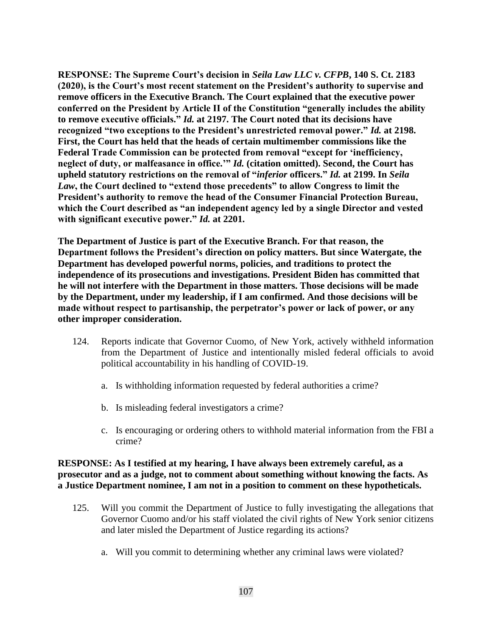**RESPONSE: The Supreme Court's decision in** *Seila Law LLC v. CFPB***, 140 S. Ct. 2183 (2020), is the Court's most recent statement on the President's authority to supervise and remove officers in the Executive Branch. The Court explained that the executive power conferred on the President by Article II of the Constitution "generally includes the ability to remove executive officials."** *Id.* **at 2197. The Court noted that its decisions have recognized "two exceptions to the President's unrestricted removal power."** *Id.* **at 2198. First, the Court has held that the heads of certain multimember commissions like the Federal Trade Commission can be protected from removal "except for 'inefficiency, neglect of duty, or malfeasance in office.'"** *Id.* **(citation omitted). Second, the Court has upheld statutory restrictions on the removal of "***inferior* **officers."** *Id.* **at 2199. In** *Seila Law***, the Court declined to "extend those precedents" to allow Congress to limit the President's authority to remove the head of the Consumer Financial Protection Bureau, which the Court described as "an independent agency led by a single Director and vested with significant executive power."** *Id.* **at 2201.**

**The Department of Justice is part of the Executive Branch. For that reason, the Department follows the President's direction on policy matters. But since Watergate, the Department has developed powerful norms, policies, and traditions to protect the independence of its prosecutions and investigations. President Biden has committed that he will not interfere with the Department in those matters. Those decisions will be made by the Department, under my leadership, if I am confirmed. And those decisions will be made without respect to partisanship, the perpetrator's power or lack of power, or any other improper consideration.**

- 124. Reports indicate that Governor Cuomo, of New York, actively withheld information from the Department of Justice and intentionally misled federal officials to avoid political accountability in his handling of COVID-19.
	- a. Is withholding information requested by federal authorities a crime?
	- b. Is misleading federal investigators a crime?
	- c. Is encouraging or ordering others to withhold material information from the FBI a crime?

## **RESPONSE: As I testified at my hearing, I have always been extremely careful, as a prosecutor and as a judge, not to comment about something without knowing the facts. As a Justice Department nominee, I am not in a position to comment on these hypotheticals.**

- 125. Will you commit the Department of Justice to fully investigating the allegations that Governor Cuomo and/or his staff violated the civil rights of New York senior citizens and later misled the Department of Justice regarding its actions?
	- a. Will you commit to determining whether any criminal laws were violated?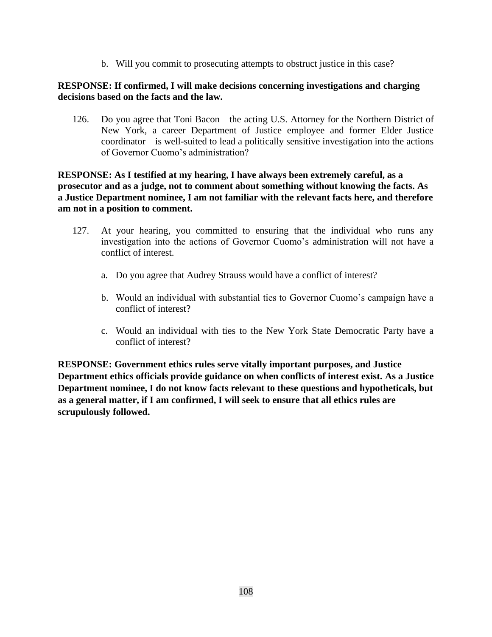b. Will you commit to prosecuting attempts to obstruct justice in this case?

## **RESPONSE: If confirmed, I will make decisions concerning investigations and charging decisions based on the facts and the law.**

126. Do you agree that Toni Bacon—the acting U.S. Attorney for the Northern District of New York, a career Department of Justice employee and former Elder Justice coordinator—is well-suited to lead a politically sensitive investigation into the actions of Governor Cuomo's administration?

## **RESPONSE: As I testified at my hearing, I have always been extremely careful, as a prosecutor and as a judge, not to comment about something without knowing the facts. As a Justice Department nominee, I am not familiar with the relevant facts here, and therefore am not in a position to comment.**

- 127. At your hearing, you committed to ensuring that the individual who runs any investigation into the actions of Governor Cuomo's administration will not have a conflict of interest.
	- a. Do you agree that Audrey Strauss would have a conflict of interest?
	- b. Would an individual with substantial ties to Governor Cuomo's campaign have a conflict of interest?
	- c. Would an individual with ties to the New York State Democratic Party have a conflict of interest?

**RESPONSE: Government ethics rules serve vitally important purposes, and Justice Department ethics officials provide guidance on when conflicts of interest exist. As a Justice Department nominee, I do not know facts relevant to these questions and hypotheticals, but as a general matter, if I am confirmed, I will seek to ensure that all ethics rules are scrupulously followed.**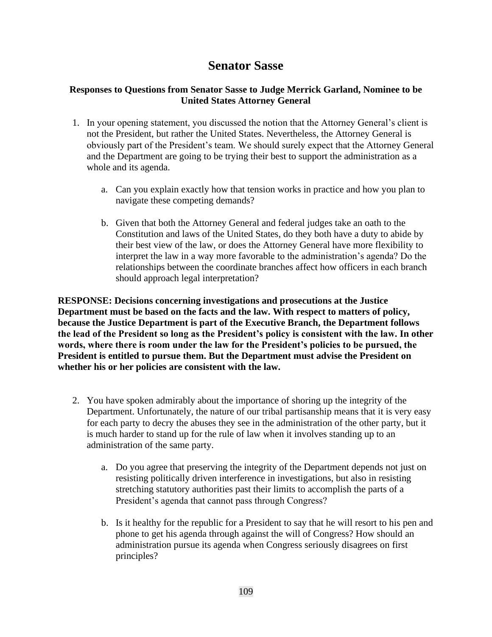## **Senator Sasse**

## **Responses to Questions from Senator Sasse to Judge Merrick Garland, Nominee to be United States Attorney General**

- 1. In your opening statement, you discussed the notion that the Attorney General's client is not the President, but rather the United States. Nevertheless, the Attorney General is obviously part of the President's team. We should surely expect that the Attorney General and the Department are going to be trying their best to support the administration as a whole and its agenda.
	- a. Can you explain exactly how that tension works in practice and how you plan to navigate these competing demands?
	- b. Given that both the Attorney General and federal judges take an oath to the Constitution and laws of the United States, do they both have a duty to abide by their best view of the law, or does the Attorney General have more flexibility to interpret the law in a way more favorable to the administration's agenda? Do the relationships between the coordinate branches affect how officers in each branch should approach legal interpretation?

**RESPONSE: Decisions concerning investigations and prosecutions at the Justice Department must be based on the facts and the law. With respect to matters of policy, because the Justice Department is part of the Executive Branch, the Department follows the lead of the President so long as the President's policy is consistent with the law. In other words, where there is room under the law for the President's policies to be pursued, the President is entitled to pursue them. But the Department must advise the President on whether his or her policies are consistent with the law.**

- 2. You have spoken admirably about the importance of shoring up the integrity of the Department. Unfortunately, the nature of our tribal partisanship means that it is very easy for each party to decry the abuses they see in the administration of the other party, but it is much harder to stand up for the rule of law when it involves standing up to an administration of the same party.
	- a. Do you agree that preserving the integrity of the Department depends not just on resisting politically driven interference in investigations, but also in resisting stretching statutory authorities past their limits to accomplish the parts of a President's agenda that cannot pass through Congress?
	- b. Is it healthy for the republic for a President to say that he will resort to his pen and phone to get his agenda through against the will of Congress? How should an administration pursue its agenda when Congress seriously disagrees on first principles?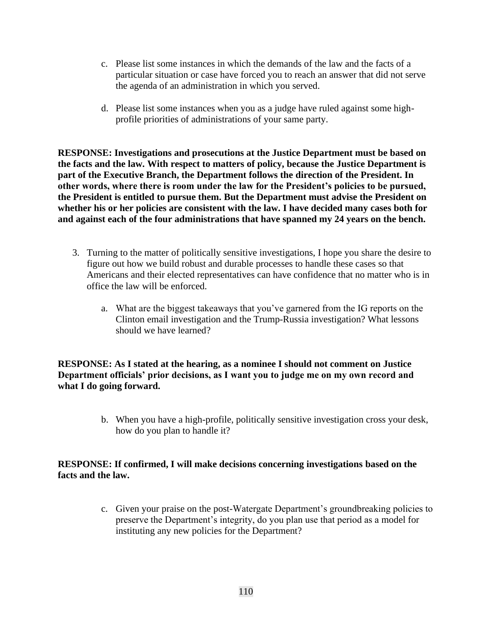- c. Please list some instances in which the demands of the law and the facts of a particular situation or case have forced you to reach an answer that did not serve the agenda of an administration in which you served.
- d. Please list some instances when you as a judge have ruled against some highprofile priorities of administrations of your same party.

**RESPONSE: Investigations and prosecutions at the Justice Department must be based on the facts and the law. With respect to matters of policy, because the Justice Department is part of the Executive Branch, the Department follows the direction of the President. In other words, where there is room under the law for the President's policies to be pursued, the President is entitled to pursue them. But the Department must advise the President on**  whether his or her policies are consistent with the law. I have decided many cases both for **and against each of the four administrations that have spanned my 24 years on the bench.**

- 3. Turning to the matter of politically sensitive investigations, I hope you share the desire to figure out how we build robust and durable processes to handle these cases so that Americans and their elected representatives can have confidence that no matter who is in office the law will be enforced.
	- a. What are the biggest takeaways that you've garnered from the IG reports on the Clinton email investigation and the Trump-Russia investigation? What lessons should we have learned?

**RESPONSE: As I stated at the hearing, as a nominee I should not comment on Justice Department officials' prior decisions, as I want you to judge me on my own record and what I do going forward.**

> b. When you have a high-profile, politically sensitive investigation cross your desk, how do you plan to handle it?

## **RESPONSE: If confirmed, I will make decisions concerning investigations based on the facts and the law.**

c. Given your praise on the post-Watergate Department's groundbreaking policies to preserve the Department's integrity, do you plan use that period as a model for instituting any new policies for the Department?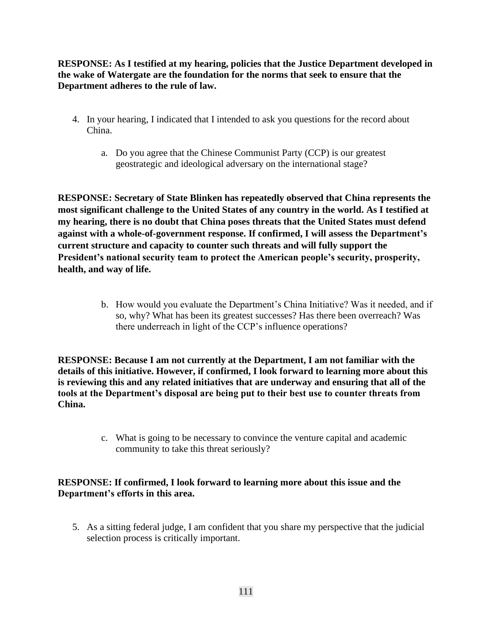**RESPONSE: As I testified at my hearing, policies that the Justice Department developed in the wake of Watergate are the foundation for the norms that seek to ensure that the Department adheres to the rule of law.**

- 4. In your hearing, I indicated that I intended to ask you questions for the record about China.
	- a. Do you agree that the Chinese Communist Party (CCP) is our greatest geostrategic and ideological adversary on the international stage?

**RESPONSE: Secretary of State Blinken has repeatedly observed that China represents the most significant challenge to the United States of any country in the world. As I testified at my hearing, there is no doubt that China poses threats that the United States must defend against with a whole-of-government response. If confirmed, I will assess the Department's current structure and capacity to counter such threats and will fully support the President's national security team to protect the American people's security, prosperity, health, and way of life.**

> b. How would you evaluate the Department's China Initiative? Was it needed, and if so, why? What has been its greatest successes? Has there been overreach? Was there underreach in light of the CCP's influence operations?

**RESPONSE: Because I am not currently at the Department, I am not familiar with the details of this initiative. However, if confirmed, I look forward to learning more about this is reviewing this and any related initiatives that are underway and ensuring that all of the tools at the Department's disposal are being put to their best use to counter threats from China.**

> c. What is going to be necessary to convince the venture capital and academic community to take this threat seriously?

## **RESPONSE: If confirmed, I look forward to learning more about this issue and the Department's efforts in this area.**

5. As a sitting federal judge, I am confident that you share my perspective that the judicial selection process is critically important.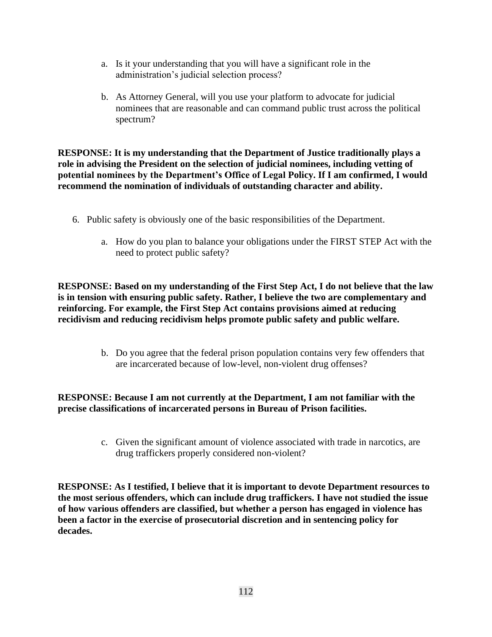- a. Is it your understanding that you will have a significant role in the administration's judicial selection process?
- b. As Attorney General, will you use your platform to advocate for judicial nominees that are reasonable and can command public trust across the political spectrum?

**RESPONSE: It is my understanding that the Department of Justice traditionally plays a role in advising the President on the selection of judicial nominees, including vetting of potential nominees by the Department's Office of Legal Policy. If I am confirmed, I would recommend the nomination of individuals of outstanding character and ability.**

- 6. Public safety is obviously one of the basic responsibilities of the Department.
	- a. How do you plan to balance your obligations under the FIRST STEP Act with the need to protect public safety?

**RESPONSE: Based on my understanding of the First Step Act, I do not believe that the law is in tension with ensuring public safety. Rather, I believe the two are complementary and reinforcing. For example, the First Step Act contains provisions aimed at reducing recidivism and reducing recidivism helps promote public safety and public welfare.**

> b. Do you agree that the federal prison population contains very few offenders that are incarcerated because of low-level, non-violent drug offenses?

## **RESPONSE: Because I am not currently at the Department, I am not familiar with the precise classifications of incarcerated persons in Bureau of Prison facilities.**

c. Given the significant amount of violence associated with trade in narcotics, are drug traffickers properly considered non-violent?

**RESPONSE: As I testified, I believe that it is important to devote Department resources to the most serious offenders, which can include drug traffickers. I have not studied the issue of how various offenders are classified, but whether a person has engaged in violence has been a factor in the exercise of prosecutorial discretion and in sentencing policy for decades.**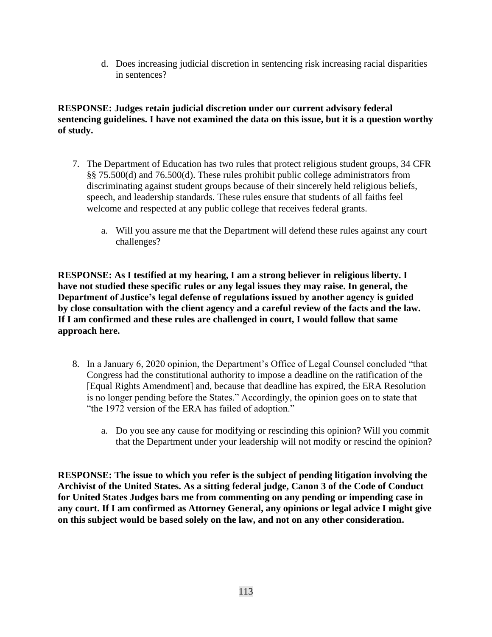d. Does increasing judicial discretion in sentencing risk increasing racial disparities in sentences?

**RESPONSE: Judges retain judicial discretion under our current advisory federal sentencing guidelines. I have not examined the data on this issue, but it is a question worthy of study.** 

- 7. The Department of Education has two rules that protect religious student groups, 34 CFR §§ 75.500(d) and 76.500(d). These rules prohibit public college administrators from discriminating against student groups because of their sincerely held religious beliefs, speech, and leadership standards. These rules ensure that students of all faiths feel welcome and respected at any public college that receives federal grants.
	- a. Will you assure me that the Department will defend these rules against any court challenges?

**RESPONSE: As I testified at my hearing, I am a strong believer in religious liberty. I have not studied these specific rules or any legal issues they may raise. In general, the Department of Justice's legal defense of regulations issued by another agency is guided by close consultation with the client agency and a careful review of the facts and the law. If I am confirmed and these rules are challenged in court, I would follow that same approach here.**

- 8. In a January 6, 2020 opinion, the Department's Office of Legal Counsel concluded "that Congress had the constitutional authority to impose a deadline on the ratification of the [Equal Rights Amendment] and, because that deadline has expired, the ERA Resolution is no longer pending before the States." Accordingly, the opinion goes on to state that "the 1972 version of the ERA has failed of adoption."
	- a. Do you see any cause for modifying or rescinding this opinion? Will you commit that the Department under your leadership will not modify or rescind the opinion?

**RESPONSE: The issue to which you refer is the subject of pending litigation involving the Archivist of the United States. As a sitting federal judge, Canon 3 of the Code of Conduct for United States Judges bars me from commenting on any pending or impending case in any court. If I am confirmed as Attorney General, any opinions or legal advice I might give on this subject would be based solely on the law, and not on any other consideration.**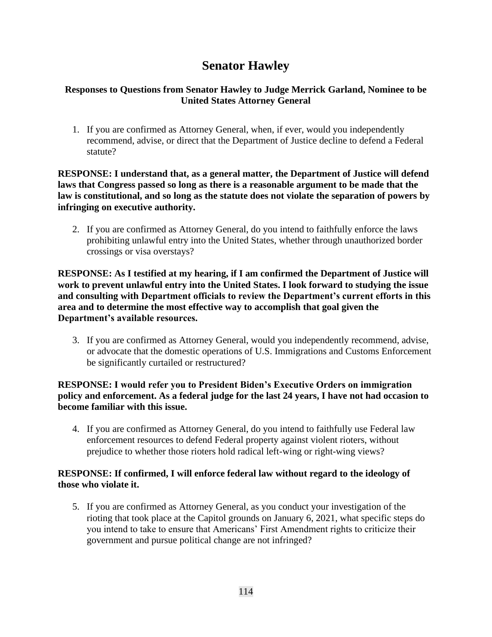# **Senator Hawley**

## **Responses to Questions from Senator Hawley to Judge Merrick Garland, Nominee to be United States Attorney General**

1. If you are confirmed as Attorney General, when, if ever, would you independently recommend, advise, or direct that the Department of Justice decline to defend a Federal statute?

**RESPONSE: I understand that, as a general matter, the Department of Justice will defend laws that Congress passed so long as there is a reasonable argument to be made that the law is constitutional, and so long as the statute does not violate the separation of powers by infringing on executive authority.**

2. If you are confirmed as Attorney General, do you intend to faithfully enforce the laws prohibiting unlawful entry into the United States, whether through unauthorized border crossings or visa overstays?

**RESPONSE: As I testified at my hearing, if I am confirmed the Department of Justice will work to prevent unlawful entry into the United States. I look forward to studying the issue and consulting with Department officials to review the Department's current efforts in this area and to determine the most effective way to accomplish that goal given the Department's available resources.**

3. If you are confirmed as Attorney General, would you independently recommend, advise, or advocate that the domestic operations of U.S. Immigrations and Customs Enforcement be significantly curtailed or restructured?

## **RESPONSE: I would refer you to President Biden's Executive Orders on immigration policy and enforcement. As a federal judge for the last 24 years, I have not had occasion to become familiar with this issue.**

4. If you are confirmed as Attorney General, do you intend to faithfully use Federal law enforcement resources to defend Federal property against violent rioters, without prejudice to whether those rioters hold radical left-wing or right-wing views?

## **RESPONSE: If confirmed, I will enforce federal law without regard to the ideology of those who violate it.**

5. If you are confirmed as Attorney General, as you conduct your investigation of the rioting that took place at the Capitol grounds on January 6, 2021, what specific steps do you intend to take to ensure that Americans' First Amendment rights to criticize their government and pursue political change are not infringed?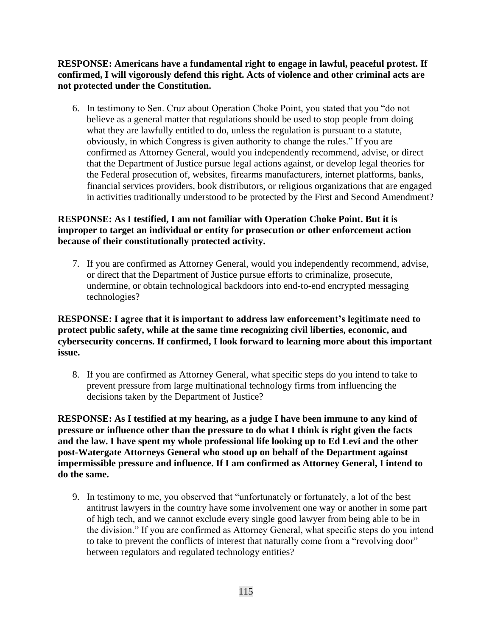**RESPONSE: Americans have a fundamental right to engage in lawful, peaceful protest. If confirmed, I will vigorously defend this right. Acts of violence and other criminal acts are not protected under the Constitution.**

6. In testimony to Sen. Cruz about Operation Choke Point, you stated that you "do not believe as a general matter that regulations should be used to stop people from doing what they are lawfully entitled to do, unless the regulation is pursuant to a statute, obviously, in which Congress is given authority to change the rules." If you are confirmed as Attorney General, would you independently recommend, advise, or direct that the Department of Justice pursue legal actions against, or develop legal theories for the Federal prosecution of, websites, firearms manufacturers, internet platforms, banks, financial services providers, book distributors, or religious organizations that are engaged in activities traditionally understood to be protected by the First and Second Amendment?

## **RESPONSE: As I testified, I am not familiar with Operation Choke Point. But it is improper to target an individual or entity for prosecution or other enforcement action because of their constitutionally protected activity.**

7. If you are confirmed as Attorney General, would you independently recommend, advise, or direct that the Department of Justice pursue efforts to criminalize, prosecute, undermine, or obtain technological backdoors into end-to-end encrypted messaging technologies?

**RESPONSE: I agree that it is important to address law enforcement's legitimate need to protect public safety, while at the same time recognizing civil liberties, economic, and cybersecurity concerns. If confirmed, I look forward to learning more about this important issue.**

8. If you are confirmed as Attorney General, what specific steps do you intend to take to prevent pressure from large multinational technology firms from influencing the decisions taken by the Department of Justice?

**RESPONSE: As I testified at my hearing, as a judge I have been immune to any kind of pressure or influence other than the pressure to do what I think is right given the facts and the law. I have spent my whole professional life looking up to Ed Levi and the other post-Watergate Attorneys General who stood up on behalf of the Department against impermissible pressure and influence. If I am confirmed as Attorney General, I intend to do the same.**

9. In testimony to me, you observed that "unfortunately or fortunately, a lot of the best antitrust lawyers in the country have some involvement one way or another in some part of high tech, and we cannot exclude every single good lawyer from being able to be in the division." If you are confirmed as Attorney General, what specific steps do you intend to take to prevent the conflicts of interest that naturally come from a "revolving door" between regulators and regulated technology entities?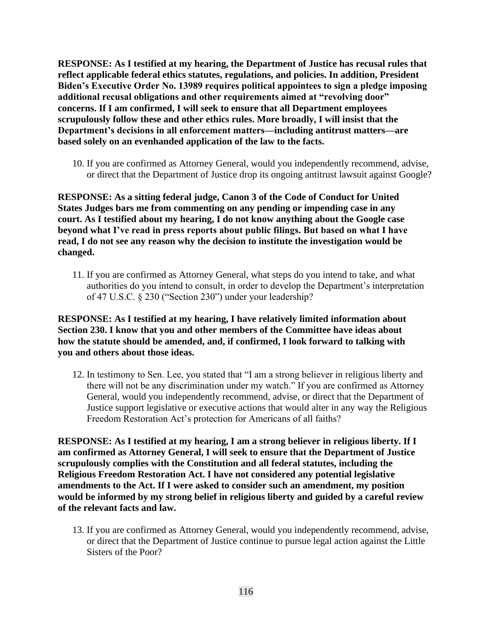**RESPONSE: As I testified at my hearing, the Department of Justice has recusal rules that reflect applicable federal ethics statutes, regulations, and policies. In addition, President Biden's Executive Order No. 13989 requires political appointees to sign a pledge imposing additional recusal obligations and other requirements aimed at "revolving door" concerns. If I am confirmed, I will seek to ensure that all Department employees scrupulously follow these and other ethics rules. More broadly, I will insist that the Department's decisions in all enforcement matters—including antitrust matters—are based solely on an evenhanded application of the law to the facts.**

10. If you are confirmed as Attorney General, would you independently recommend, advise, or direct that the Department of Justice drop its ongoing antitrust lawsuit against Google?

**RESPONSE: As a sitting federal judge, Canon 3 of the Code of Conduct for United States Judges bars me from commenting on any pending or impending case in any court. As I testified about my hearing, I do not know anything about the Google case beyond what I've read in press reports about public filings. But based on what I have read, I do not see any reason why the decision to institute the investigation would be changed.**

11. If you are confirmed as Attorney General, what steps do you intend to take, and what authorities do you intend to consult, in order to develop the Department's interpretation of 47 U.S.C. § 230 ("Section 230") under your leadership?

### **RESPONSE: As I testified at my hearing, I have relatively limited information about Section 230. I know that you and other members of the Committee have ideas about how the statute should be amended, and, if confirmed, I look forward to talking with you and others about those ideas.**

12. In testimony to Sen. Lee, you stated that "I am a strong believer in religious liberty and there will not be any discrimination under my watch." If you are confirmed as Attorney General, would you independently recommend, advise, or direct that the Department of Justice support legislative or executive actions that would alter in any way the Religious Freedom Restoration Act's protection for Americans of all faiths?

**RESPONSE: As I testified at my hearing, I am a strong believer in religious liberty. If I am confirmed as Attorney General, I will seek to ensure that the Department of Justice scrupulously complies with the Constitution and all federal statutes, including the Religious Freedom Restoration Act. I have not considered any potential legislative amendments to the Act. If I were asked to consider such an amendment, my position would be informed by my strong belief in religious liberty and guided by a careful review of the relevant facts and law.**

13. If you are confirmed as Attorney General, would you independently recommend, advise, or direct that the Department of Justice continue to pursue legal action against the Little Sisters of the Poor?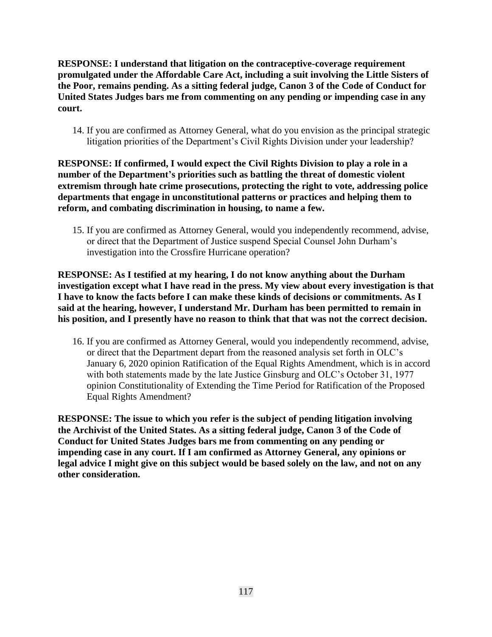**RESPONSE: I understand that litigation on the contraceptive-coverage requirement promulgated under the Affordable Care Act, including a suit involving the Little Sisters of the Poor, remains pending. As a sitting federal judge, Canon 3 of the Code of Conduct for United States Judges bars me from commenting on any pending or impending case in any court.**

14. If you are confirmed as Attorney General, what do you envision as the principal strategic litigation priorities of the Department's Civil Rights Division under your leadership?

**RESPONSE: If confirmed, I would expect the Civil Rights Division to play a role in a number of the Department's priorities such as battling the threat of domestic violent extremism through hate crime prosecutions, protecting the right to vote, addressing police departments that engage in unconstitutional patterns or practices and helping them to reform, and combating discrimination in housing, to name a few.**

15. If you are confirmed as Attorney General, would you independently recommend, advise, or direct that the Department of Justice suspend Special Counsel John Durham's investigation into the Crossfire Hurricane operation?

**RESPONSE: As I testified at my hearing, I do not know anything about the Durham investigation except what I have read in the press. My view about every investigation is that I have to know the facts before I can make these kinds of decisions or commitments. As I said at the hearing, however, I understand Mr. Durham has been permitted to remain in his position, and I presently have no reason to think that that was not the correct decision.**

16. If you are confirmed as Attorney General, would you independently recommend, advise, or direct that the Department depart from the reasoned analysis set forth in OLC's January 6, 2020 opinion Ratification of the Equal Rights Amendment, which is in accord with both statements made by the late Justice Ginsburg and OLC's October 31, 1977 opinion Constitutionality of Extending the Time Period for Ratification of the Proposed Equal Rights Amendment?

**RESPONSE: The issue to which you refer is the subject of pending litigation involving the Archivist of the United States. As a sitting federal judge, Canon 3 of the Code of Conduct for United States Judges bars me from commenting on any pending or impending case in any court. If I am confirmed as Attorney General, any opinions or legal advice I might give on this subject would be based solely on the law, and not on any other consideration.**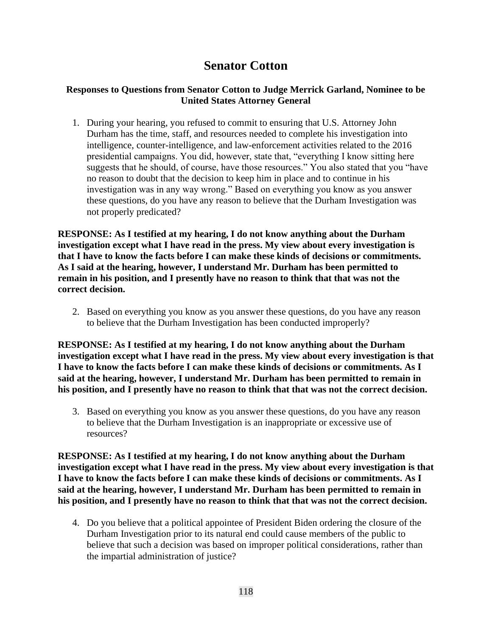# **Senator Cotton**

## **Responses to Questions from Senator Cotton to Judge Merrick Garland, Nominee to be United States Attorney General**

1. During your hearing, you refused to commit to ensuring that U.S. Attorney John Durham has the time, staff, and resources needed to complete his investigation into intelligence, counter-intelligence, and law-enforcement activities related to the 2016 presidential campaigns. You did, however, state that, "everything I know sitting here suggests that he should, of course, have those resources." You also stated that you "have no reason to doubt that the decision to keep him in place and to continue in his investigation was in any way wrong." Based on everything you know as you answer these questions, do you have any reason to believe that the Durham Investigation was not properly predicated?

**RESPONSE: As I testified at my hearing, I do not know anything about the Durham investigation except what I have read in the press. My view about every investigation is that I have to know the facts before I can make these kinds of decisions or commitments. As I said at the hearing, however, I understand Mr. Durham has been permitted to remain in his position, and I presently have no reason to think that that was not the correct decision.**

2. Based on everything you know as you answer these questions, do you have any reason to believe that the Durham Investigation has been conducted improperly?

**RESPONSE: As I testified at my hearing, I do not know anything about the Durham investigation except what I have read in the press. My view about every investigation is that I have to know the facts before I can make these kinds of decisions or commitments. As I said at the hearing, however, I understand Mr. Durham has been permitted to remain in his position, and I presently have no reason to think that that was not the correct decision.**

3. Based on everything you know as you answer these questions, do you have any reason to believe that the Durham Investigation is an inappropriate or excessive use of resources?

**RESPONSE: As I testified at my hearing, I do not know anything about the Durham investigation except what I have read in the press. My view about every investigation is that I have to know the facts before I can make these kinds of decisions or commitments. As I said at the hearing, however, I understand Mr. Durham has been permitted to remain in his position, and I presently have no reason to think that that was not the correct decision.**

4. Do you believe that a political appointee of President Biden ordering the closure of the Durham Investigation prior to its natural end could cause members of the public to believe that such a decision was based on improper political considerations, rather than the impartial administration of justice?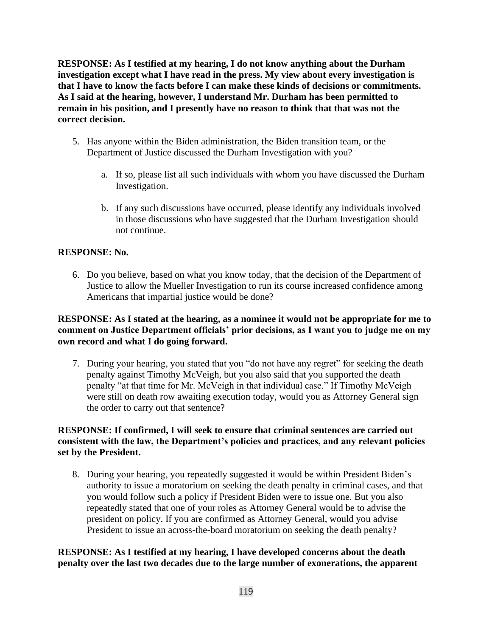**RESPONSE: As I testified at my hearing, I do not know anything about the Durham investigation except what I have read in the press. My view about every investigation is that I have to know the facts before I can make these kinds of decisions or commitments. As I said at the hearing, however, I understand Mr. Durham has been permitted to remain in his position, and I presently have no reason to think that that was not the correct decision.**

- 5. Has anyone within the Biden administration, the Biden transition team, or the Department of Justice discussed the Durham Investigation with you?
	- a. If so, please list all such individuals with whom you have discussed the Durham Investigation.
	- b. If any such discussions have occurred, please identify any individuals involved in those discussions who have suggested that the Durham Investigation should not continue.

## **RESPONSE: No.**

6. Do you believe, based on what you know today, that the decision of the Department of Justice to allow the Mueller Investigation to run its course increased confidence among Americans that impartial justice would be done?

### **RESPONSE: As I stated at the hearing, as a nominee it would not be appropriate for me to comment on Justice Department officials' prior decisions, as I want you to judge me on my own record and what I do going forward.**

7. During your hearing, you stated that you "do not have any regret" for seeking the death penalty against Timothy McVeigh, but you also said that you supported the death penalty "at that time for Mr. McVeigh in that individual case." If Timothy McVeigh were still on death row awaiting execution today, would you as Attorney General sign the order to carry out that sentence?

### **RESPONSE: If confirmed, I will seek to ensure that criminal sentences are carried out consistent with the law, the Department's policies and practices, and any relevant policies set by the President.**

8. During your hearing, you repeatedly suggested it would be within President Biden's authority to issue a moratorium on seeking the death penalty in criminal cases, and that you would follow such a policy if President Biden were to issue one. But you also repeatedly stated that one of your roles as Attorney General would be to advise the president on policy. If you are confirmed as Attorney General, would you advise President to issue an across-the-board moratorium on seeking the death penalty?

### **RESPONSE: As I testified at my hearing, I have developed concerns about the death penalty over the last two decades due to the large number of exonerations, the apparent**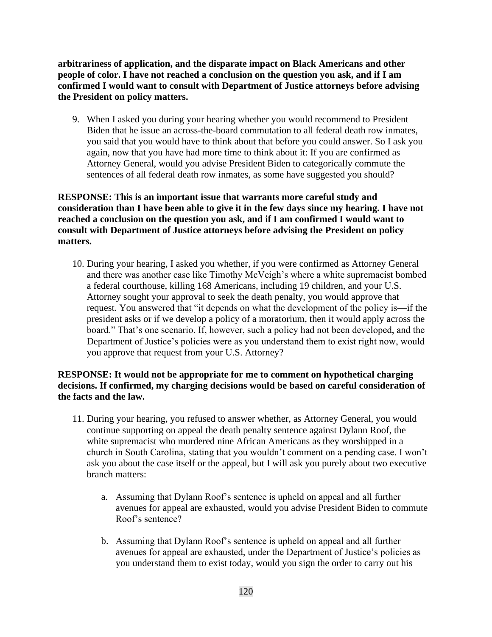**arbitrariness of application, and the disparate impact on Black Americans and other people of color. I have not reached a conclusion on the question you ask, and if I am confirmed I would want to consult with Department of Justice attorneys before advising the President on policy matters.** 

9. When I asked you during your hearing whether you would recommend to President Biden that he issue an across-the-board commutation to all federal death row inmates, you said that you would have to think about that before you could answer. So I ask you again, now that you have had more time to think about it: If you are confirmed as Attorney General, would you advise President Biden to categorically commute the sentences of all federal death row inmates, as some have suggested you should?

**RESPONSE: This is an important issue that warrants more careful study and consideration than I have been able to give it in the few days since my hearing. I have not reached a conclusion on the question you ask, and if I am confirmed I would want to consult with Department of Justice attorneys before advising the President on policy matters.**

10. During your hearing, I asked you whether, if you were confirmed as Attorney General and there was another case like Timothy McVeigh's where a white supremacist bombed a federal courthouse, killing 168 Americans, including 19 children, and your U.S. Attorney sought your approval to seek the death penalty, you would approve that request. You answered that "it depends on what the development of the policy is—if the president asks or if we develop a policy of a moratorium, then it would apply across the board." That's one scenario. If, however, such a policy had not been developed, and the Department of Justice's policies were as you understand them to exist right now, would you approve that request from your U.S. Attorney?

## **RESPONSE: It would not be appropriate for me to comment on hypothetical charging decisions. If confirmed, my charging decisions would be based on careful consideration of the facts and the law.**

- 11. During your hearing, you refused to answer whether, as Attorney General, you would continue supporting on appeal the death penalty sentence against Dylann Roof, the white supremacist who murdered nine African Americans as they worshipped in a church in South Carolina, stating that you wouldn't comment on a pending case. I won't ask you about the case itself or the appeal, but I will ask you purely about two executive branch matters:
	- a. Assuming that Dylann Roof's sentence is upheld on appeal and all further avenues for appeal are exhausted, would you advise President Biden to commute Roof's sentence?
	- b. Assuming that Dylann Roof's sentence is upheld on appeal and all further avenues for appeal are exhausted, under the Department of Justice's policies as you understand them to exist today, would you sign the order to carry out his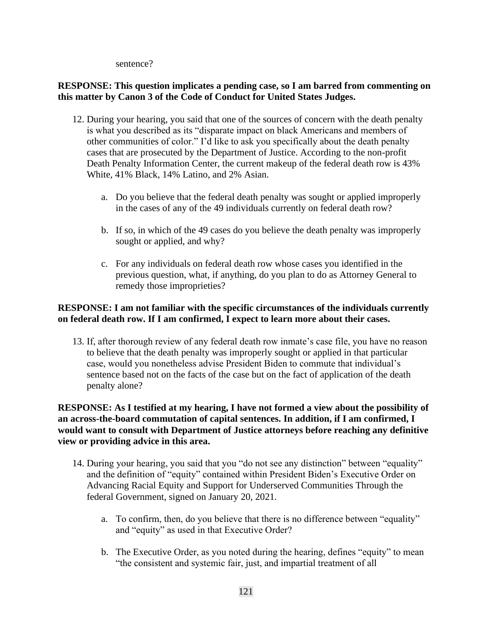sentence?

### **RESPONSE: This question implicates a pending case, so I am barred from commenting on this matter by Canon 3 of the Code of Conduct for United States Judges.**

- 12. During your hearing, you said that one of the sources of concern with the death penalty is what you described as its "disparate impact on black Americans and members of other communities of color." I'd like to ask you specifically about the death penalty cases that are prosecuted by the Department of Justice. According to the non-profit Death Penalty Information Center, the current makeup of the federal death row is 43% White, 41% Black, 14% Latino, and 2% Asian.
	- a. Do you believe that the federal death penalty was sought or applied improperly in the cases of any of the 49 individuals currently on federal death row?
	- b. If so, in which of the 49 cases do you believe the death penalty was improperly sought or applied, and why?
	- c. For any individuals on federal death row whose cases you identified in the previous question, what, if anything, do you plan to do as Attorney General to remedy those improprieties?

## **RESPONSE: I am not familiar with the specific circumstances of the individuals currently on federal death row. If I am confirmed, I expect to learn more about their cases.**

13. If, after thorough review of any federal death row inmate's case file, you have no reason to believe that the death penalty was improperly sought or applied in that particular case, would you nonetheless advise President Biden to commute that individual's sentence based not on the facts of the case but on the fact of application of the death penalty alone?

## **RESPONSE: As I testified at my hearing, I have not formed a view about the possibility of an across-the-board commutation of capital sentences. In addition, if I am confirmed, I would want to consult with Department of Justice attorneys before reaching any definitive view or providing advice in this area.**

- 14. During your hearing, you said that you "do not see any distinction" between "equality" and the definition of "equity" contained within President Biden's Executive Order on Advancing Racial Equity and Support for Underserved Communities Through the federal Government, signed on January 20, 2021.
	- a. To confirm, then, do you believe that there is no difference between "equality" and "equity" as used in that Executive Order?
	- b. The Executive Order, as you noted during the hearing, defines "equity" to mean "the consistent and systemic fair, just, and impartial treatment of all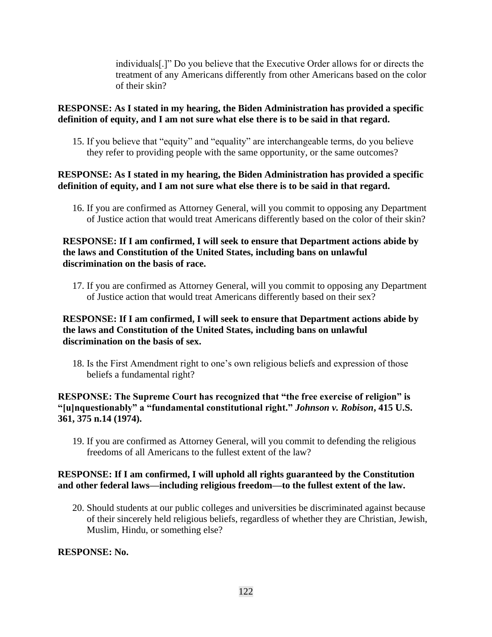individuals[.]" Do you believe that the Executive Order allows for or directs the treatment of any Americans differently from other Americans based on the color of their skin?

## **RESPONSE: As I stated in my hearing, the Biden Administration has provided a specific definition of equity, and I am not sure what else there is to be said in that regard.**

15. If you believe that "equity" and "equality" are interchangeable terms, do you believe they refer to providing people with the same opportunity, or the same outcomes?

#### **RESPONSE: As I stated in my hearing, the Biden Administration has provided a specific definition of equity, and I am not sure what else there is to be said in that regard.**

16. If you are confirmed as Attorney General, will you commit to opposing any Department of Justice action that would treat Americans differently based on the color of their skin?

#### **RESPONSE: If I am confirmed, I will seek to ensure that Department actions abide by the laws and Constitution of the United States, including bans on unlawful discrimination on the basis of race.**

17. If you are confirmed as Attorney General, will you commit to opposing any Department of Justice action that would treat Americans differently based on their sex?

#### **RESPONSE: If I am confirmed, I will seek to ensure that Department actions abide by the laws and Constitution of the United States, including bans on unlawful discrimination on the basis of sex.**

18. Is the First Amendment right to one's own religious beliefs and expression of those beliefs a fundamental right?

#### **RESPONSE: The Supreme Court has recognized that "the free exercise of religion" is "[u]nquestionably" a "fundamental constitutional right."** *Johnson v. Robison***, 415 U.S. 361, 375 n.14 (1974).**

19. If you are confirmed as Attorney General, will you commit to defending the religious freedoms of all Americans to the fullest extent of the law?

### **RESPONSE: If I am confirmed, I will uphold all rights guaranteed by the Constitution and other federal laws—including religious freedom—to the fullest extent of the law.**

20. Should students at our public colleges and universities be discriminated against because of their sincerely held religious beliefs, regardless of whether they are Christian, Jewish, Muslim, Hindu, or something else?

#### **RESPONSE: No.**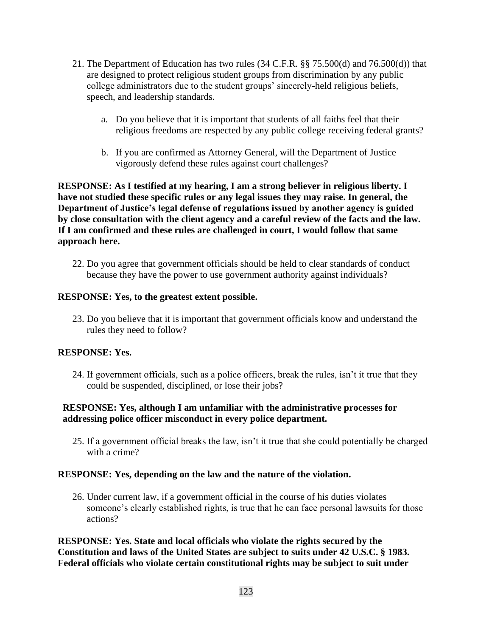- 21. The Department of Education has two rules (34 C.F.R. §§ 75.500(d) and 76.500(d)) that are designed to protect religious student groups from discrimination by any public college administrators due to the student groups' sincerely-held religious beliefs, speech, and leadership standards.
	- a. Do you believe that it is important that students of all faiths feel that their religious freedoms are respected by any public college receiving federal grants?
	- b. If you are confirmed as Attorney General, will the Department of Justice vigorously defend these rules against court challenges?

**RESPONSE: As I testified at my hearing, I am a strong believer in religious liberty. I have not studied these specific rules or any legal issues they may raise. In general, the Department of Justice's legal defense of regulations issued by another agency is guided by close consultation with the client agency and a careful review of the facts and the law. If I am confirmed and these rules are challenged in court, I would follow that same approach here.**

22. Do you agree that government officials should be held to clear standards of conduct because they have the power to use government authority against individuals?

### **RESPONSE: Yes, to the greatest extent possible.**

23. Do you believe that it is important that government officials know and understand the rules they need to follow?

#### **RESPONSE: Yes.**

24. If government officials, such as a police officers, break the rules, isn't it true that they could be suspended, disciplined, or lose their jobs?

## **RESPONSE: Yes, although I am unfamiliar with the administrative processes for addressing police officer misconduct in every police department.**

25. If a government official breaks the law, isn't it true that she could potentially be charged with a crime?

#### **RESPONSE: Yes, depending on the law and the nature of the violation.**

26. Under current law, if a government official in the course of his duties violates someone's clearly established rights, is true that he can face personal lawsuits for those actions?

**RESPONSE: Yes. State and local officials who violate the rights secured by the Constitution and laws of the United States are subject to suits under 42 U.S.C. § 1983. Federal officials who violate certain constitutional rights may be subject to suit under**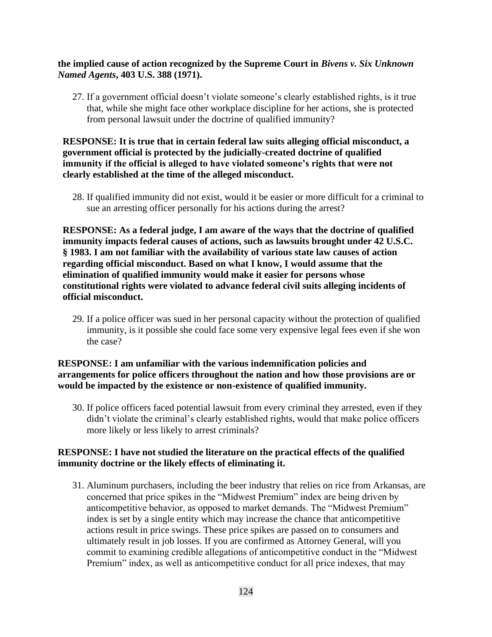#### **the implied cause of action recognized by the Supreme Court in** *Bivens v. Six Unknown Named Agents***, 403 U.S. 388 (1971).**

27. If a government official doesn't violate someone's clearly established rights, is it true that, while she might face other workplace discipline for her actions, she is protected from personal lawsuit under the doctrine of qualified immunity?

### **RESPONSE: It is true that in certain federal law suits alleging official misconduct, a government official is protected by the judicially-created doctrine of qualified immunity if the official is alleged to have violated someone's rights that were not clearly established at the time of the alleged misconduct.**

28. If qualified immunity did not exist, would it be easier or more difficult for a criminal to sue an arresting officer personally for his actions during the arrest?

**RESPONSE: As a federal judge, I am aware of the ways that the doctrine of qualified immunity impacts federal causes of actions, such as lawsuits brought under 42 U.S.C. § 1983. I am not familiar with the availability of various state law causes of action regarding official misconduct. Based on what I know, I would assume that the elimination of qualified immunity would make it easier for persons whose constitutional rights were violated to advance federal civil suits alleging incidents of official misconduct.**

29. If a police officer was sued in her personal capacity without the protection of qualified immunity, is it possible she could face some very expensive legal fees even if she won the case?

### **RESPONSE: I am unfamiliar with the various indemnification policies and arrangements for police officers throughout the nation and how those provisions are or would be impacted by the existence or non-existence of qualified immunity.**

30. If police officers faced potential lawsuit from every criminal they arrested, even if they didn't violate the criminal's clearly established rights, would that make police officers more likely or less likely to arrest criminals?

### **RESPONSE: I have not studied the literature on the practical effects of the qualified immunity doctrine or the likely effects of eliminating it.**

31. Aluminum purchasers, including the beer industry that relies on rice from Arkansas, are concerned that price spikes in the "Midwest Premium" index are being driven by anticompetitive behavior, as opposed to market demands. The "Midwest Premium" index is set by a single entity which may increase the chance that anticompetitive actions result in price swings. These price spikes are passed on to consumers and ultimately result in job losses. If you are confirmed as Attorney General, will you commit to examining credible allegations of anticompetitive conduct in the "Midwest Premium" index, as well as anticompetitive conduct for all price indexes, that may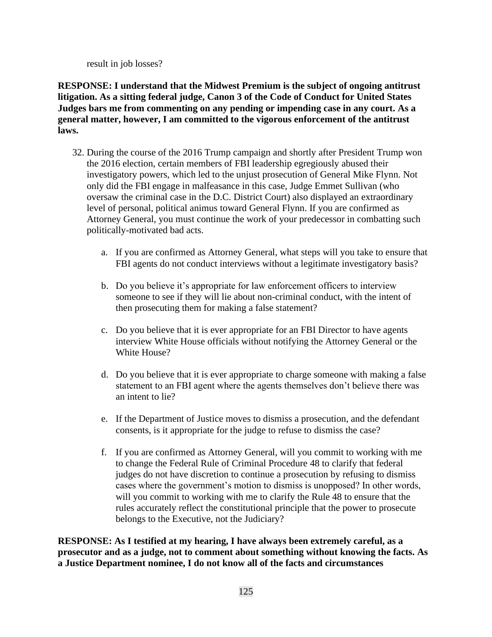result in job losses?

**RESPONSE: I understand that the Midwest Premium is the subject of ongoing antitrust litigation. As a sitting federal judge, Canon 3 of the Code of Conduct for United States Judges bars me from commenting on any pending or impending case in any court. As a general matter, however, I am committed to the vigorous enforcement of the antitrust laws.** 

- 32. During the course of the 2016 Trump campaign and shortly after President Trump won the 2016 election, certain members of FBI leadership egregiously abused their investigatory powers, which led to the unjust prosecution of General Mike Flynn. Not only did the FBI engage in malfeasance in this case, Judge Emmet Sullivan (who oversaw the criminal case in the D.C. District Court) also displayed an extraordinary level of personal, political animus toward General Flynn. If you are confirmed as Attorney General, you must continue the work of your predecessor in combatting such politically-motivated bad acts.
	- a. If you are confirmed as Attorney General, what steps will you take to ensure that FBI agents do not conduct interviews without a legitimate investigatory basis?
	- b. Do you believe it's appropriate for law enforcement officers to interview someone to see if they will lie about non-criminal conduct, with the intent of then prosecuting them for making a false statement?
	- c. Do you believe that it is ever appropriate for an FBI Director to have agents interview White House officials without notifying the Attorney General or the White House?
	- d. Do you believe that it is ever appropriate to charge someone with making a false statement to an FBI agent where the agents themselves don't believe there was an intent to lie?
	- e. If the Department of Justice moves to dismiss a prosecution, and the defendant consents, is it appropriate for the judge to refuse to dismiss the case?
	- f. If you are confirmed as Attorney General, will you commit to working with me to change the Federal Rule of Criminal Procedure 48 to clarify that federal judges do not have discretion to continue a prosecution by refusing to dismiss cases where the government's motion to dismiss is unopposed? In other words, will you commit to working with me to clarify the Rule 48 to ensure that the rules accurately reflect the constitutional principle that the power to prosecute belongs to the Executive, not the Judiciary?

**RESPONSE: As I testified at my hearing, I have always been extremely careful, as a prosecutor and as a judge, not to comment about something without knowing the facts. As a Justice Department nominee, I do not know all of the facts and circumstances**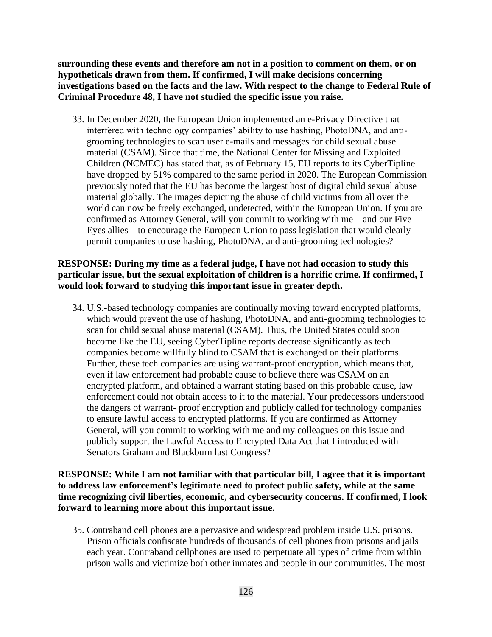**surrounding these events and therefore am not in a position to comment on them, or on hypotheticals drawn from them. If confirmed, I will make decisions concerning investigations based on the facts and the law. With respect to the change to Federal Rule of Criminal Procedure 48, I have not studied the specific issue you raise.**

33. In December 2020, the European Union implemented an e-Privacy Directive that interfered with technology companies' ability to use hashing, PhotoDNA, and antigrooming technologies to scan user e-mails and messages for child sexual abuse material (CSAM). Since that time, the National Center for Missing and Exploited Children (NCMEC) has stated that, as of February 15, EU reports to its CyberTipline have dropped by 51% compared to the same period in 2020. The European Commission previously noted that the EU has become the largest host of digital child sexual abuse material globally. The images depicting the abuse of child victims from all over the world can now be freely exchanged, undetected, within the European Union. If you are confirmed as Attorney General, will you commit to working with me—and our Five Eyes allies—to encourage the European Union to pass legislation that would clearly permit companies to use hashing, PhotoDNA, and anti-grooming technologies?

### **RESPONSE: During my time as a federal judge, I have not had occasion to study this particular issue, but the sexual exploitation of children is a horrific crime. If confirmed, I would look forward to studying this important issue in greater depth.**

34. U.S.-based technology companies are continually moving toward encrypted platforms, which would prevent the use of hashing, PhotoDNA, and anti-grooming technologies to scan for child sexual abuse material (CSAM). Thus, the United States could soon become like the EU, seeing CyberTipline reports decrease significantly as tech companies become willfully blind to CSAM that is exchanged on their platforms. Further, these tech companies are using warrant-proof encryption, which means that, even if law enforcement had probable cause to believe there was CSAM on an encrypted platform, and obtained a warrant stating based on this probable cause, law enforcement could not obtain access to it to the material. Your predecessors understood the dangers of warrant- proof encryption and publicly called for technology companies to ensure lawful access to encrypted platforms. If you are confirmed as Attorney General, will you commit to working with me and my colleagues on this issue and publicly support the Lawful Access to Encrypted Data Act that I introduced with Senators Graham and Blackburn last Congress?

**RESPONSE: While I am not familiar with that particular bill, I agree that it is important to address law enforcement's legitimate need to protect public safety, while at the same time recognizing civil liberties, economic, and cybersecurity concerns. If confirmed, I look forward to learning more about this important issue.**

35. Contraband cell phones are a pervasive and widespread problem inside U.S. prisons. Prison officials confiscate hundreds of thousands of cell phones from prisons and jails each year. Contraband cellphones are used to perpetuate all types of crime from within prison walls and victimize both other inmates and people in our communities. The most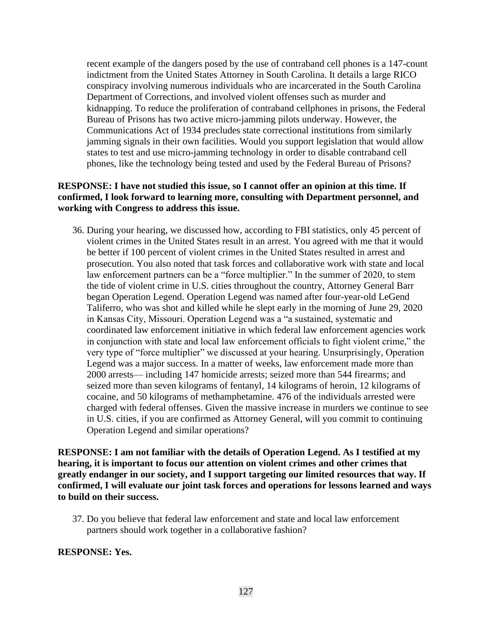recent example of the dangers posed by the use of contraband cell phones is a 147-count indictment from the United States Attorney in South Carolina. It details a large RICO conspiracy involving numerous individuals who are incarcerated in the South Carolina Department of Corrections, and involved violent offenses such as murder and kidnapping. To reduce the proliferation of contraband cellphones in prisons, the Federal Bureau of Prisons has two active micro-jamming pilots underway. However, the Communications Act of 1934 precludes state correctional institutions from similarly jamming signals in their own facilities. Would you support legislation that would allow states to test and use micro-jamming technology in order to disable contraband cell phones, like the technology being tested and used by the Federal Bureau of Prisons?

### **RESPONSE: I have not studied this issue, so I cannot offer an opinion at this time. If confirmed, I look forward to learning more, consulting with Department personnel, and working with Congress to address this issue.**

36. During your hearing, we discussed how, according to FBI statistics, only 45 percent of violent crimes in the United States result in an arrest. You agreed with me that it would be better if 100 percent of violent crimes in the United States resulted in arrest and prosecution. You also noted that task forces and collaborative work with state and local law enforcement partners can be a "force multiplier." In the summer of 2020, to stem the tide of violent crime in U.S. cities throughout the country, Attorney General Barr began Operation Legend. Operation Legend was named after four-year-old LeGend Taliferro, who was shot and killed while he slept early in the morning of June 29, 2020 in Kansas City, Missouri. Operation Legend was a "a sustained, systematic and coordinated law enforcement initiative in which federal law enforcement agencies work in conjunction with state and local law enforcement officials to fight violent crime," the very type of "force multiplier" we discussed at your hearing. Unsurprisingly, Operation Legend was a major success. In a matter of weeks, law enforcement made more than 2000 arrests— including 147 homicide arrests; seized more than 544 firearms; and seized more than seven kilograms of fentanyl, 14 kilograms of heroin, 12 kilograms of cocaine, and 50 kilograms of methamphetamine. 476 of the individuals arrested were charged with federal offenses. Given the massive increase in murders we continue to see in U.S. cities, if you are confirmed as Attorney General, will you commit to continuing Operation Legend and similar operations?

**RESPONSE: I am not familiar with the details of Operation Legend. As I testified at my hearing, it is important to focus our attention on violent crimes and other crimes that greatly endanger in our society, and I support targeting our limited resources that way. If confirmed, I will evaluate our joint task forces and operations for lessons learned and ways to build on their success.**

37. Do you believe that federal law enforcement and state and local law enforcement partners should work together in a collaborative fashion?

#### **RESPONSE: Yes.**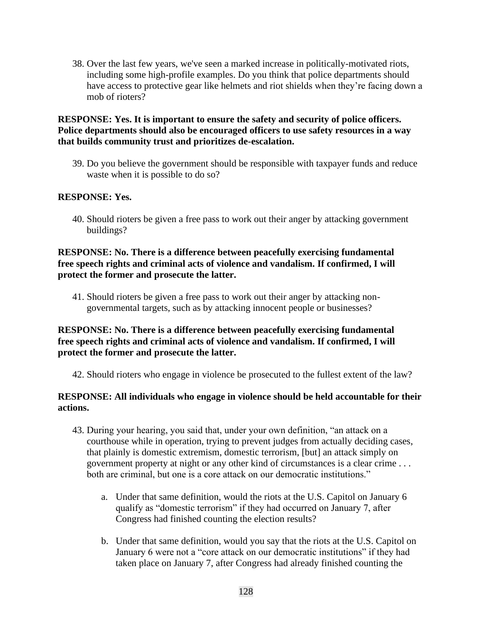38. Over the last few years, we've seen a marked increase in politically-motivated riots, including some high-profile examples. Do you think that police departments should have access to protective gear like helmets and riot shields when they're facing down a mob of rioters?

#### **RESPONSE: Yes. It is important to ensure the safety and security of police officers. Police departments should also be encouraged officers to use safety resources in a way that builds community trust and prioritizes de-escalation.**

39. Do you believe the government should be responsible with taxpayer funds and reduce waste when it is possible to do so?

#### **RESPONSE: Yes.**

40. Should rioters be given a free pass to work out their anger by attacking government buildings?

### **RESPONSE: No. There is a difference between peacefully exercising fundamental free speech rights and criminal acts of violence and vandalism. If confirmed, I will protect the former and prosecute the latter.**

41. Should rioters be given a free pass to work out their anger by attacking nongovernmental targets, such as by attacking innocent people or businesses?

#### **RESPONSE: No. There is a difference between peacefully exercising fundamental free speech rights and criminal acts of violence and vandalism. If confirmed, I will protect the former and prosecute the latter.**

42. Should rioters who engage in violence be prosecuted to the fullest extent of the law?

#### **RESPONSE: All individuals who engage in violence should be held accountable for their actions.**

- 43. During your hearing, you said that, under your own definition, "an attack on a courthouse while in operation, trying to prevent judges from actually deciding cases, that plainly is domestic extremism, domestic terrorism, [but] an attack simply on government property at night or any other kind of circumstances is a clear crime . . . both are criminal, but one is a core attack on our democratic institutions."
	- a. Under that same definition, would the riots at the U.S. Capitol on January 6 qualify as "domestic terrorism" if they had occurred on January 7, after Congress had finished counting the election results?
	- b. Under that same definition, would you say that the riots at the U.S. Capitol on January 6 were not a "core attack on our democratic institutions" if they had taken place on January 7, after Congress had already finished counting the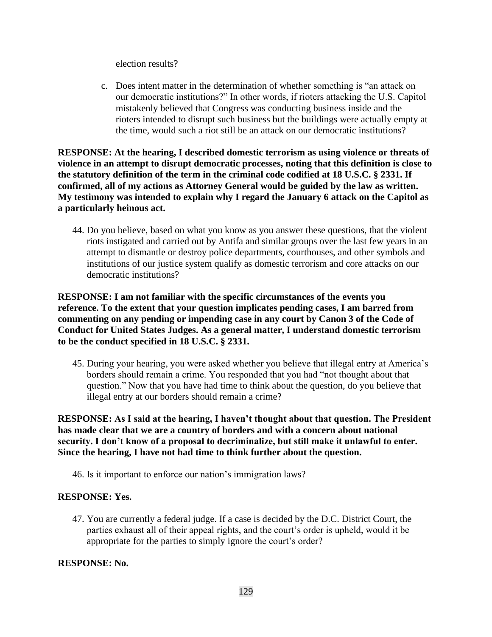election results?

c. Does intent matter in the determination of whether something is "an attack on our democratic institutions?" In other words, if rioters attacking the U.S. Capitol mistakenly believed that Congress was conducting business inside and the rioters intended to disrupt such business but the buildings were actually empty at the time, would such a riot still be an attack on our democratic institutions?

**RESPONSE: At the hearing, I described domestic terrorism as using violence or threats of violence in an attempt to disrupt democratic processes, noting that this definition is close to the statutory definition of the term in the criminal code codified at 18 U.S.C. § 2331. If confirmed, all of my actions as Attorney General would be guided by the law as written. My testimony was intended to explain why I regard the January 6 attack on the Capitol as a particularly heinous act.**

44. Do you believe, based on what you know as you answer these questions, that the violent riots instigated and carried out by Antifa and similar groups over the last few years in an attempt to dismantle or destroy police departments, courthouses, and other symbols and institutions of our justice system qualify as domestic terrorism and core attacks on our democratic institutions?

**RESPONSE: I am not familiar with the specific circumstances of the events you reference. To the extent that your question implicates pending cases, I am barred from commenting on any pending or impending case in any court by Canon 3 of the Code of Conduct for United States Judges. As a general matter, I understand domestic terrorism to be the conduct specified in 18 U.S.C. § 2331.**

45. During your hearing, you were asked whether you believe that illegal entry at America's borders should remain a crime. You responded that you had "not thought about that question." Now that you have had time to think about the question, do you believe that illegal entry at our borders should remain a crime?

**RESPONSE: As I said at the hearing, I haven't thought about that question. The President has made clear that we are a country of borders and with a concern about national security. I don't know of a proposal to decriminalize, but still make it unlawful to enter. Since the hearing, I have not had time to think further about the question.**

46. Is it important to enforce our nation's immigration laws?

#### **RESPONSE: Yes.**

47. You are currently a federal judge. If a case is decided by the D.C. District Court, the parties exhaust all of their appeal rights, and the court's order is upheld, would it be appropriate for the parties to simply ignore the court's order?

**RESPONSE: No.**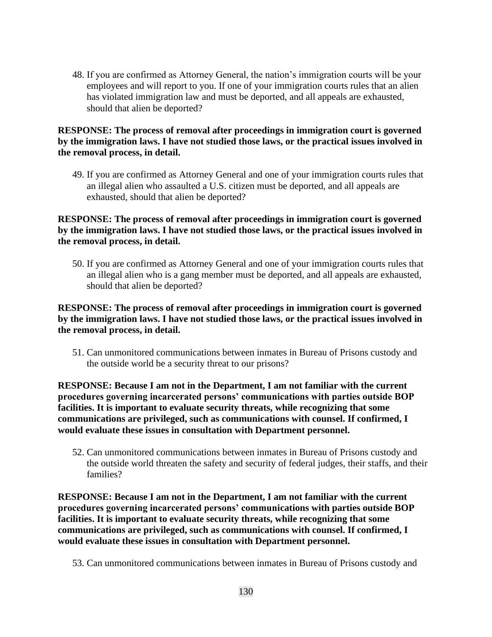48. If you are confirmed as Attorney General, the nation's immigration courts will be your employees and will report to you. If one of your immigration courts rules that an alien has violated immigration law and must be deported, and all appeals are exhausted, should that alien be deported?

### **RESPONSE: The process of removal after proceedings in immigration court is governed by the immigration laws. I have not studied those laws, or the practical issues involved in the removal process, in detail.**

49. If you are confirmed as Attorney General and one of your immigration courts rules that an illegal alien who assaulted a U.S. citizen must be deported, and all appeals are exhausted, should that alien be deported?

### **RESPONSE: The process of removal after proceedings in immigration court is governed by the immigration laws. I have not studied those laws, or the practical issues involved in the removal process, in detail.**

50. If you are confirmed as Attorney General and one of your immigration courts rules that an illegal alien who is a gang member must be deported, and all appeals are exhausted, should that alien be deported?

## **RESPONSE: The process of removal after proceedings in immigration court is governed by the immigration laws. I have not studied those laws, or the practical issues involved in the removal process, in detail.**

51. Can unmonitored communications between inmates in Bureau of Prisons custody and the outside world be a security threat to our prisons?

**RESPONSE: Because I am not in the Department, I am not familiar with the current procedures governing incarcerated persons' communications with parties outside BOP facilities. It is important to evaluate security threats, while recognizing that some communications are privileged, such as communications with counsel. If confirmed, I would evaluate these issues in consultation with Department personnel.**

52. Can unmonitored communications between inmates in Bureau of Prisons custody and the outside world threaten the safety and security of federal judges, their staffs, and their families?

**RESPONSE: Because I am not in the Department, I am not familiar with the current procedures governing incarcerated persons' communications with parties outside BOP facilities. It is important to evaluate security threats, while recognizing that some communications are privileged, such as communications with counsel. If confirmed, I would evaluate these issues in consultation with Department personnel.**

53. Can unmonitored communications between inmates in Bureau of Prisons custody and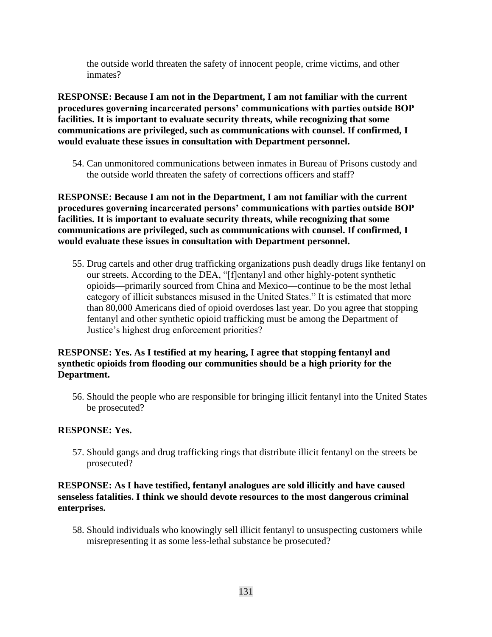the outside world threaten the safety of innocent people, crime victims, and other inmates?

**RESPONSE: Because I am not in the Department, I am not familiar with the current procedures governing incarcerated persons' communications with parties outside BOP facilities. It is important to evaluate security threats, while recognizing that some communications are privileged, such as communications with counsel. If confirmed, I would evaluate these issues in consultation with Department personnel.**

54. Can unmonitored communications between inmates in Bureau of Prisons custody and the outside world threaten the safety of corrections officers and staff?

**RESPONSE: Because I am not in the Department, I am not familiar with the current procedures governing incarcerated persons' communications with parties outside BOP facilities. It is important to evaluate security threats, while recognizing that some communications are privileged, such as communications with counsel. If confirmed, I would evaluate these issues in consultation with Department personnel.**

55. Drug cartels and other drug trafficking organizations push deadly drugs like fentanyl on our streets. According to the DEA, "[f]entanyl and other highly-potent synthetic opioids—primarily sourced from China and Mexico—continue to be the most lethal category of illicit substances misused in the United States." It is estimated that more than 80,000 Americans died of opioid overdoses last year. Do you agree that stopping fentanyl and other synthetic opioid trafficking must be among the Department of Justice's highest drug enforcement priorities?

## **RESPONSE: Yes. As I testified at my hearing, I agree that stopping fentanyl and synthetic opioids from flooding our communities should be a high priority for the Department.**

56. Should the people who are responsible for bringing illicit fentanyl into the United States be prosecuted?

## **RESPONSE: Yes.**

57. Should gangs and drug trafficking rings that distribute illicit fentanyl on the streets be prosecuted?

#### **RESPONSE: As I have testified, fentanyl analogues are sold illicitly and have caused senseless fatalities. I think we should devote resources to the most dangerous criminal enterprises.**

58. Should individuals who knowingly sell illicit fentanyl to unsuspecting customers while misrepresenting it as some less-lethal substance be prosecuted?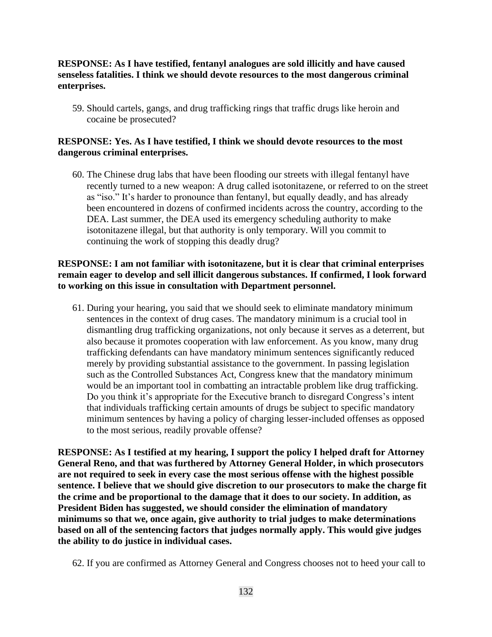#### **RESPONSE: As I have testified, fentanyl analogues are sold illicitly and have caused senseless fatalities. I think we should devote resources to the most dangerous criminal enterprises.**

59. Should cartels, gangs, and drug trafficking rings that traffic drugs like heroin and cocaine be prosecuted?

#### **RESPONSE: Yes. As I have testified, I think we should devote resources to the most dangerous criminal enterprises.**

60. The Chinese drug labs that have been flooding our streets with illegal fentanyl have recently turned to a new weapon: A drug called isotonitazene, or referred to on the street as "iso." It's harder to pronounce than fentanyl, but equally deadly, and has already been encountered in dozens of confirmed incidents across the country, according to the DEA. Last summer, the DEA used its emergency scheduling authority to make isotonitazene illegal, but that authority is only temporary. Will you commit to continuing the work of stopping this deadly drug?

### **RESPONSE: I am not familiar with isotonitazene, but it is clear that criminal enterprises remain eager to develop and sell illicit dangerous substances. If confirmed, I look forward to working on this issue in consultation with Department personnel.**

61. During your hearing, you said that we should seek to eliminate mandatory minimum sentences in the context of drug cases. The mandatory minimum is a crucial tool in dismantling drug trafficking organizations, not only because it serves as a deterrent, but also because it promotes cooperation with law enforcement. As you know, many drug trafficking defendants can have mandatory minimum sentences significantly reduced merely by providing substantial assistance to the government. In passing legislation such as the Controlled Substances Act, Congress knew that the mandatory minimum would be an important tool in combatting an intractable problem like drug trafficking. Do you think it's appropriate for the Executive branch to disregard Congress's intent that individuals trafficking certain amounts of drugs be subject to specific mandatory minimum sentences by having a policy of charging lesser-included offenses as opposed to the most serious, readily provable offense?

**RESPONSE: As I testified at my hearing, I support the policy I helped draft for Attorney General Reno, and that was furthered by Attorney General Holder, in which prosecutors are not required to seek in every case the most serious offense with the highest possible sentence. I believe that we should give discretion to our prosecutors to make the charge fit the crime and be proportional to the damage that it does to our society. In addition, as President Biden has suggested, we should consider the elimination of mandatory minimums so that we, once again, give authority to trial judges to make determinations based on all of the sentencing factors that judges normally apply. This would give judges the ability to do justice in individual cases.**

62. If you are confirmed as Attorney General and Congress chooses not to heed your call to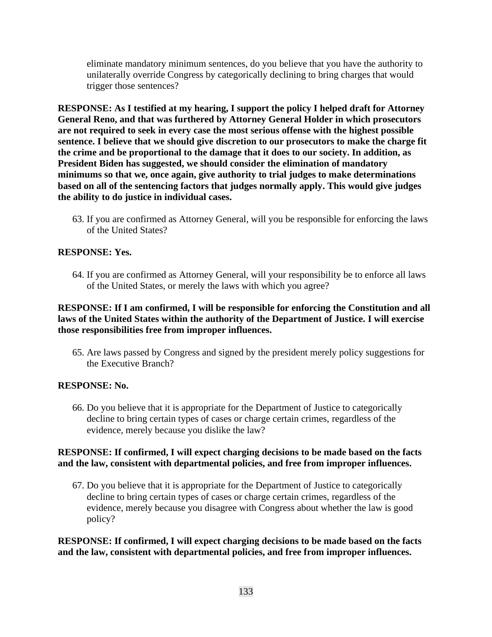eliminate mandatory minimum sentences, do you believe that you have the authority to unilaterally override Congress by categorically declining to bring charges that would trigger those sentences?

**RESPONSE: As I testified at my hearing, I support the policy I helped draft for Attorney General Reno, and that was furthered by Attorney General Holder in which prosecutors are not required to seek in every case the most serious offense with the highest possible sentence. I believe that we should give discretion to our prosecutors to make the charge fit the crime and be proportional to the damage that it does to our society. In addition, as President Biden has suggested, we should consider the elimination of mandatory minimums so that we, once again, give authority to trial judges to make determinations based on all of the sentencing factors that judges normally apply. This would give judges the ability to do justice in individual cases.**

63. If you are confirmed as Attorney General, will you be responsible for enforcing the laws of the United States?

## **RESPONSE: Yes.**

64. If you are confirmed as Attorney General, will your responsibility be to enforce all laws of the United States, or merely the laws with which you agree?

## **RESPONSE: If I am confirmed, I will be responsible for enforcing the Constitution and all laws of the United States within the authority of the Department of Justice. I will exercise those responsibilities free from improper influences.**

65. Are laws passed by Congress and signed by the president merely policy suggestions for the Executive Branch?

#### **RESPONSE: No.**

66. Do you believe that it is appropriate for the Department of Justice to categorically decline to bring certain types of cases or charge certain crimes, regardless of the evidence, merely because you dislike the law?

#### **RESPONSE: If confirmed, I will expect charging decisions to be made based on the facts and the law, consistent with departmental policies, and free from improper influences.**

67. Do you believe that it is appropriate for the Department of Justice to categorically decline to bring certain types of cases or charge certain crimes, regardless of the evidence, merely because you disagree with Congress about whether the law is good policy?

**RESPONSE: If confirmed, I will expect charging decisions to be made based on the facts and the law, consistent with departmental policies, and free from improper influences.**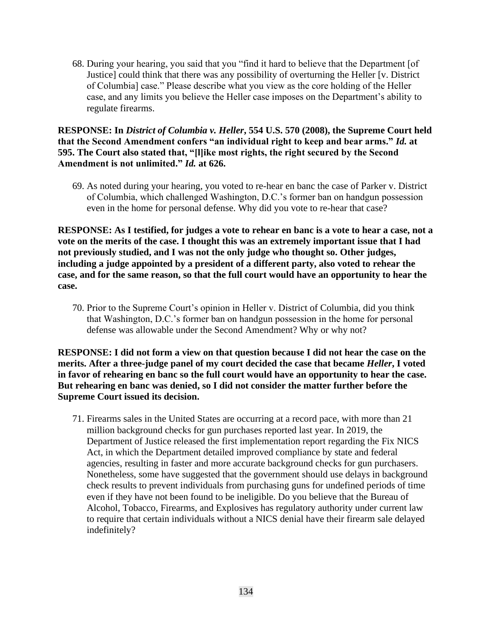68. During your hearing, you said that you "find it hard to believe that the Department [of Justice] could think that there was any possibility of overturning the Heller [v. District of Columbia] case." Please describe what you view as the core holding of the Heller case, and any limits you believe the Heller case imposes on the Department's ability to regulate firearms.

**RESPONSE: In** *District of Columbia v. Heller***, 554 U.S. 570 (2008), the Supreme Court held that the Second Amendment confers "an individual right to keep and bear arms."** *Id.* **at 595. The Court also stated that, "[l]ike most rights, the right secured by the Second Amendment is not unlimited."** *Id.* **at 626.**

69. As noted during your hearing, you voted to re-hear en banc the case of Parker v. District of Columbia, which challenged Washington, D.C.'s former ban on handgun possession even in the home for personal defense. Why did you vote to re-hear that case?

**RESPONSE: As I testified, for judges a vote to rehear en banc is a vote to hear a case, not a vote on the merits of the case. I thought this was an extremely important issue that I had not previously studied, and I was not the only judge who thought so. Other judges, including a judge appointed by a president of a different party, also voted to rehear the case, and for the same reason, so that the full court would have an opportunity to hear the case.**

70. Prior to the Supreme Court's opinion in Heller v. District of Columbia, did you think that Washington, D.C.'s former ban on handgun possession in the home for personal defense was allowable under the Second Amendment? Why or why not?

**RESPONSE: I did not form a view on that question because I did not hear the case on the merits. After a three-judge panel of my court decided the case that became** *Heller***, I voted in favor of rehearing en banc so the full court would have an opportunity to hear the case. But rehearing en banc was denied, so I did not consider the matter further before the Supreme Court issued its decision.**

71. Firearms sales in the United States are occurring at a record pace, with more than 21 million background checks for gun purchases reported last year. In 2019, the Department of Justice released the first implementation report regarding the Fix NICS Act, in which the Department detailed improved compliance by state and federal agencies, resulting in faster and more accurate background checks for gun purchasers. Nonetheless, some have suggested that the government should use delays in background check results to prevent individuals from purchasing guns for undefined periods of time even if they have not been found to be ineligible. Do you believe that the Bureau of Alcohol, Tobacco, Firearms, and Explosives has regulatory authority under current law to require that certain individuals without a NICS denial have their firearm sale delayed indefinitely?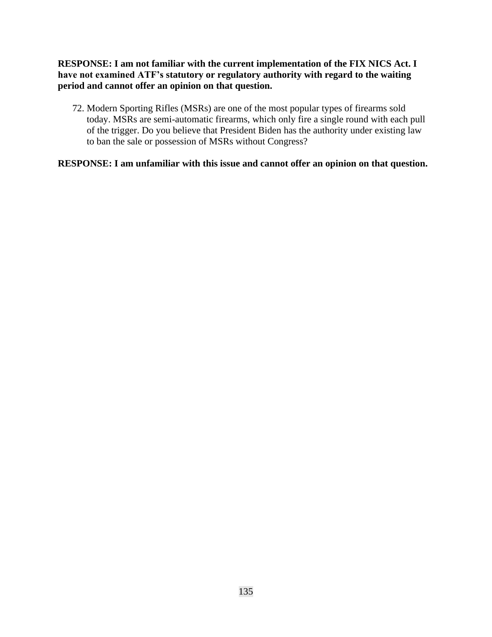**RESPONSE: I am not familiar with the current implementation of the FIX NICS Act. I have not examined ATF's statutory or regulatory authority with regard to the waiting period and cannot offer an opinion on that question.**

72. Modern Sporting Rifles (MSRs) are one of the most popular types of firearms sold today. MSRs are semi-automatic firearms, which only fire a single round with each pull of the trigger. Do you believe that President Biden has the authority under existing law to ban the sale or possession of MSRs without Congress?

**RESPONSE: I am unfamiliar with this issue and cannot offer an opinion on that question.**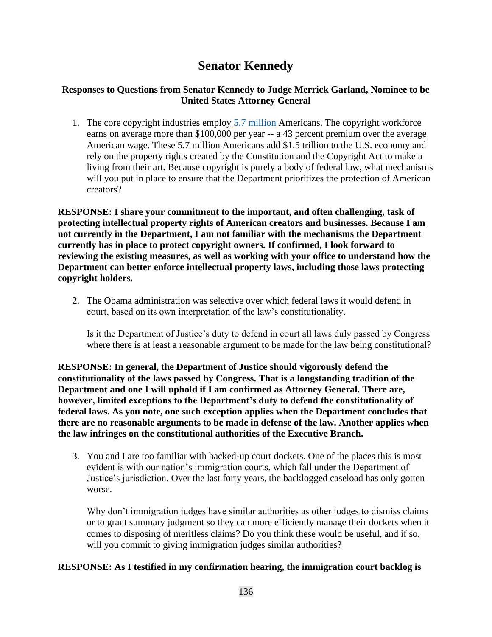# **Senator Kennedy**

## **Responses to Questions from Senator Kennedy to Judge Merrick Garland, Nominee to be United States Attorney General**

1. The core copyright industries employ **5.7 million** Americans. The copyright workforce earns on average more than \$100,000 per year -- a 43 percent premium over the average American wage. These 5.7 million Americans add \$1.5 trillion to the U.S. economy and rely on the property rights created by the Constitution and the Copyright Act to make a living from their art. Because copyright is purely a body of federal law, what mechanisms will you put in place to ensure that the Department prioritizes the protection of American creators?

**RESPONSE: I share your commitment to the important, and often challenging, task of protecting intellectual property rights of American creators and businesses. Because I am not currently in the Department, I am not familiar with the mechanisms the Department currently has in place to protect copyright owners. If confirmed, I look forward to reviewing the existing measures, as well as working with your office to understand how the Department can better enforce intellectual property laws, including those laws protecting copyright holders.**

2. The Obama administration was selective over which federal laws it would defend in court, based on its own interpretation of the law's constitutionality.

Is it the Department of Justice's duty to defend in court all laws duly passed by Congress where there is at least a reasonable argument to be made for the law being constitutional?

**RESPONSE: In general, the Department of Justice should vigorously defend the constitutionality of the laws passed by Congress. That is a longstanding tradition of the Department and one I will uphold if I am confirmed as Attorney General. There are, however, limited exceptions to the Department's duty to defend the constitutionality of federal laws. As you note, one such exception applies when the Department concludes that there are no reasonable arguments to be made in defense of the law. Another applies when the law infringes on the constitutional authorities of the Executive Branch.**

3. You and I are too familiar with backed-up court dockets. One of the places this is most evident is with our nation's immigration courts, which fall under the Department of Justice's jurisdiction. Over the last forty years, the backlogged caseload has only gotten worse.

Why don't immigration judges have similar authorities as other judges to dismiss claims or to grant summary judgment so they can more efficiently manage their dockets when it comes to disposing of meritless claims? Do you think these would be useful, and if so, will you commit to giving immigration judges similar authorities?

## **RESPONSE: As I testified in my confirmation hearing, the immigration court backlog is**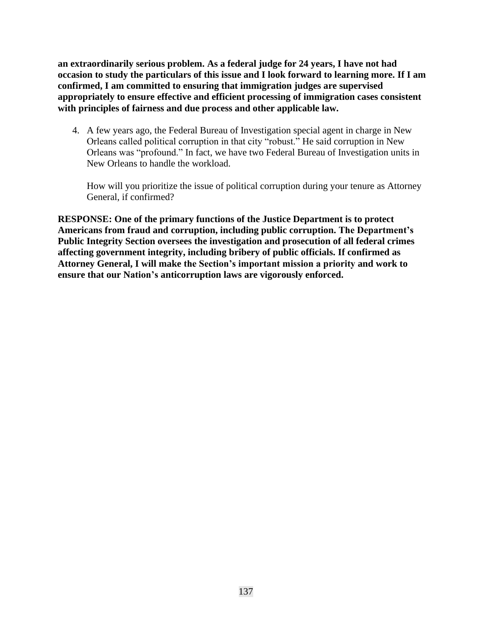**an extraordinarily serious problem. As a federal judge for 24 years, I have not had occasion to study the particulars of this issue and I look forward to learning more. If I am confirmed, I am committed to ensuring that immigration judges are supervised appropriately to ensure effective and efficient processing of immigration cases consistent with principles of fairness and due process and other applicable law.**

4. A few years ago, the Federal Bureau of Investigation special agent in charge in New Orleans called political corruption in that city "robust." He said corruption in New Orleans was "profound." In fact, we have two Federal Bureau of Investigation units in New Orleans to handle the workload.

How will you prioritize the issue of political corruption during your tenure as Attorney General, if confirmed?

**RESPONSE: One of the primary functions of the Justice Department is to protect Americans from fraud and corruption, including public corruption. The Department's Public Integrity Section oversees the investigation and prosecution of all federal crimes affecting government integrity, including bribery of public officials. If confirmed as Attorney General, I will make the Section's important mission a priority and work to ensure that our Nation's anticorruption laws are vigorously enforced.**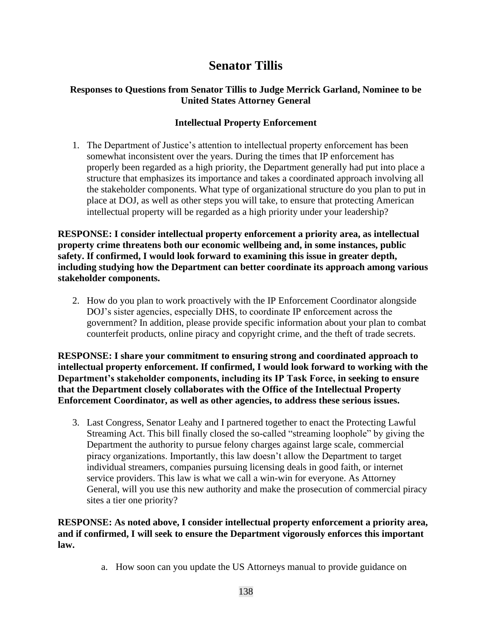## **Senator Tillis**

## **Responses to Questions from Senator Tillis to Judge Merrick Garland, Nominee to be United States Attorney General**

## **Intellectual Property Enforcement**

1. The Department of Justice's attention to intellectual property enforcement has been somewhat inconsistent over the years. During the times that IP enforcement has properly been regarded as a high priority, the Department generally had put into place a structure that emphasizes its importance and takes a coordinated approach involving all the stakeholder components. What type of organizational structure do you plan to put in place at DOJ, as well as other steps you will take, to ensure that protecting American intellectual property will be regarded as a high priority under your leadership?

**RESPONSE: I consider intellectual property enforcement a priority area, as intellectual property crime threatens both our economic wellbeing and, in some instances, public safety. If confirmed, I would look forward to examining this issue in greater depth, including studying how the Department can better coordinate its approach among various stakeholder components.**

2. How do you plan to work proactively with the IP Enforcement Coordinator alongside DOJ's sister agencies, especially DHS, to coordinate IP enforcement across the government? In addition, please provide specific information about your plan to combat counterfeit products, online piracy and copyright crime, and the theft of trade secrets.

**RESPONSE: I share your commitment to ensuring strong and coordinated approach to intellectual property enforcement. If confirmed, I would look forward to working with the Department's stakeholder components, including its IP Task Force, in seeking to ensure that the Department closely collaborates with the Office of the Intellectual Property Enforcement Coordinator, as well as other agencies, to address these serious issues.**

3. Last Congress, Senator Leahy and I partnered together to enact the Protecting Lawful Streaming Act. This bill finally closed the so-called "streaming loophole" by giving the Department the authority to pursue felony charges against large scale, commercial piracy organizations. Importantly, this law doesn't allow the Department to target individual streamers, companies pursuing licensing deals in good faith, or internet service providers. This law is what we call a win-win for everyone. As Attorney General, will you use this new authority and make the prosecution of commercial piracy sites a tier one priority?

**RESPONSE: As noted above, I consider intellectual property enforcement a priority area, and if confirmed, I will seek to ensure the Department vigorously enforces this important law.**

a. How soon can you update the US Attorneys manual to provide guidance on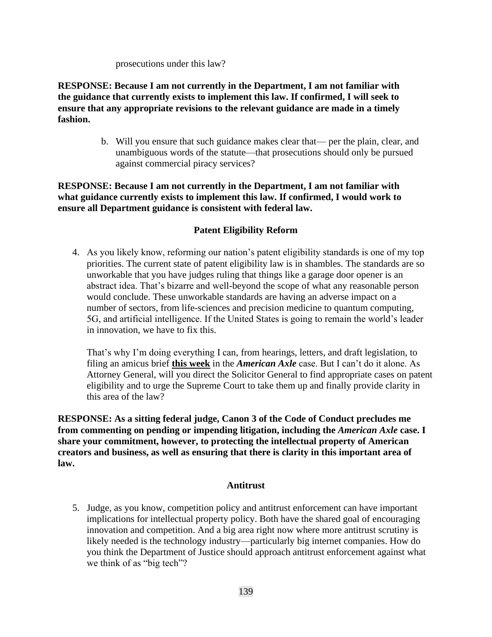prosecutions under this law?

**RESPONSE: Because I am not currently in the Department, I am not familiar with the guidance that currently exists to implement this law. If confirmed, I will seek to ensure that any appropriate revisions to the relevant guidance are made in a timely fashion.**

> b. Will you ensure that such guidance makes clear that— per the plain, clear, and unambiguous words of the statute—that prosecutions should only be pursued against commercial piracy services?

**RESPONSE: Because I am not currently in the Department, I am not familiar with what guidance currently exists to implement this law. If confirmed, I would work to ensure all Department guidance is consistent with federal law.** 

## **Patent Eligibility Reform**

4. As you likely know, reforming our nation's patent eligibility standards is one of my top priorities. The current state of patent eligibility law is in shambles. The standards are so unworkable that you have judges ruling that things like a garage door opener is an abstract idea. That's bizarre and well-beyond the scope of what any reasonable person would conclude. These unworkable standards are having an adverse impact on a number of sectors, from life-sciences and precision medicine to quantum computing, 5G, and artificial intelligence. If the United States is going to remain the world's leader in innovation, we have to fix this.

That's why I'm doing everything I can, from hearings, letters, and draft legislation, to filing an amicus brief **this week** in the *American Axle* case. But I can't do it alone. As Attorney General, will you direct the Solicitor General to find appropriate cases on patent eligibility and to urge the Supreme Court to take them up and finally provide clarity in this area of the law?

**RESPONSE: As a sitting federal judge, Canon 3 of the Code of Conduct precludes me from commenting on pending or impending litigation, including the** *American Axle* **case. I share your commitment, however, to protecting the intellectual property of American creators and business, as well as ensuring that there is clarity in this important area of law.**

## **Antitrust**

5. Judge, as you know, competition policy and antitrust enforcement can have important implications for intellectual property policy. Both have the shared goal of encouraging innovation and competition. And a big area right now where more antitrust scrutiny is likely needed is the technology industry—particularly big internet companies. How do you think the Department of Justice should approach antitrust enforcement against what we think of as "big tech"?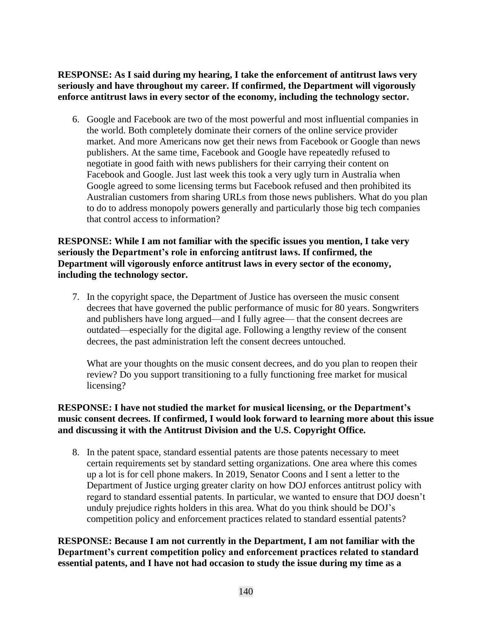**RESPONSE: As I said during my hearing, I take the enforcement of antitrust laws very seriously and have throughout my career. If confirmed, the Department will vigorously enforce antitrust laws in every sector of the economy, including the technology sector.**

6. Google and Facebook are two of the most powerful and most influential companies in the world. Both completely dominate their corners of the online service provider market. And more Americans now get their news from Facebook or Google than news publishers. At the same time, Facebook and Google have repeatedly refused to negotiate in good faith with news publishers for their carrying their content on Facebook and Google. Just last week this took a very ugly turn in Australia when Google agreed to some licensing terms but Facebook refused and then prohibited its Australian customers from sharing URLs from those news publishers. What do you plan to do to address monopoly powers generally and particularly those big tech companies that control access to information?

### **RESPONSE: While I am not familiar with the specific issues you mention, I take very seriously the Department's role in enforcing antitrust laws. If confirmed, the Department will vigorously enforce antitrust laws in every sector of the economy, including the technology sector.**

7. In the copyright space, the Department of Justice has overseen the music consent decrees that have governed the public performance of music for 80 years. Songwriters and publishers have long argued—and I fully agree— that the consent decrees are outdated—especially for the digital age. Following a lengthy review of the consent decrees, the past administration left the consent decrees untouched.

What are your thoughts on the music consent decrees, and do you plan to reopen their review? Do you support transitioning to a fully functioning free market for musical licensing?

## **RESPONSE: I have not studied the market for musical licensing, or the Department's music consent decrees. If confirmed, I would look forward to learning more about this issue and discussing it with the Antitrust Division and the U.S. Copyright Office.**

8. In the patent space, standard essential patents are those patents necessary to meet certain requirements set by standard setting organizations. One area where this comes up a lot is for cell phone makers. In 2019, Senator Coons and I sent a letter to the Department of Justice urging greater clarity on how DOJ enforces antitrust policy with regard to standard essential patents. In particular, we wanted to ensure that DOJ doesn't unduly prejudice rights holders in this area. What do you think should be DOJ's competition policy and enforcement practices related to standard essential patents?

**RESPONSE: Because I am not currently in the Department, I am not familiar with the Department's current competition policy and enforcement practices related to standard essential patents, and I have not had occasion to study the issue during my time as a**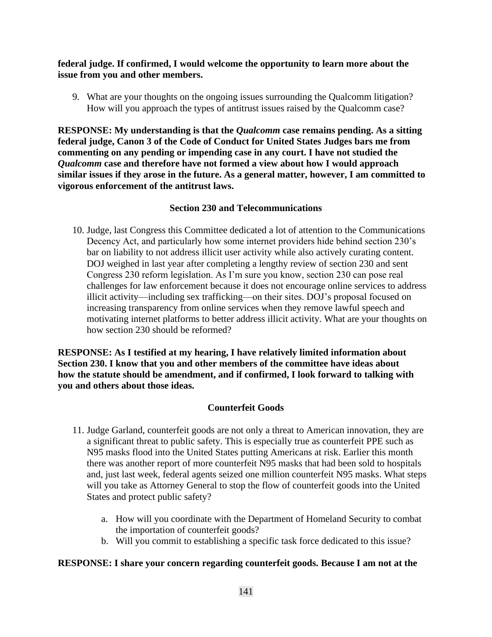**federal judge. If confirmed, I would welcome the opportunity to learn more about the issue from you and other members.**

9. What are your thoughts on the ongoing issues surrounding the Qualcomm litigation? How will you approach the types of antitrust issues raised by the Qualcomm case?

**RESPONSE: My understanding is that the** *Qualcomm* **case remains pending. As a sitting federal judge, Canon 3 of the Code of Conduct for United States Judges bars me from commenting on any pending or impending case in any court. I have not studied the**  *Qualcomm* **case and therefore have not formed a view about how I would approach similar issues if they arose in the future. As a general matter, however, I am committed to vigorous enforcement of the antitrust laws.** 

## **Section 230 and Telecommunications**

10. Judge, last Congress this Committee dedicated a lot of attention to the Communications Decency Act, and particularly how some internet providers hide behind section 230's bar on liability to not address illicit user activity while also actively curating content. DOJ weighed in last year after completing a lengthy review of section 230 and sent Congress 230 reform legislation. As I'm sure you know, section 230 can pose real challenges for law enforcement because it does not encourage online services to address illicit activity—including sex trafficking—on their sites. DOJ's proposal focused on increasing transparency from online services when they remove lawful speech and motivating internet platforms to better address illicit activity. What are your thoughts on how section 230 should be reformed?

**RESPONSE: As I testified at my hearing, I have relatively limited information about Section 230. I know that you and other members of the committee have ideas about how the statute should be amendment, and if confirmed, I look forward to talking with you and others about those ideas.**

## **Counterfeit Goods**

- 11. Judge Garland, counterfeit goods are not only a threat to American innovation, they are a significant threat to public safety. This is especially true as counterfeit PPE such as N95 masks flood into the United States putting Americans at risk. Earlier this month there was another report of more counterfeit N95 masks that had been sold to hospitals and, just last week, federal agents seized one million counterfeit N95 masks. What steps will you take as Attorney General to stop the flow of counterfeit goods into the United States and protect public safety?
	- a. How will you coordinate with the Department of Homeland Security to combat the importation of counterfeit goods?
	- b. Will you commit to establishing a specific task force dedicated to this issue?

#### **RESPONSE: I share your concern regarding counterfeit goods. Because I am not at the**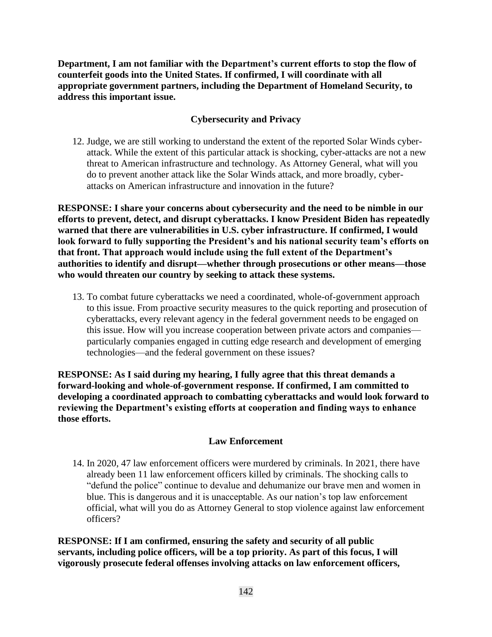**Department, I am not familiar with the Department's current efforts to stop the flow of counterfeit goods into the United States. If confirmed, I will coordinate with all appropriate government partners, including the Department of Homeland Security, to address this important issue.**

## **Cybersecurity and Privacy**

12. Judge, we are still working to understand the extent of the reported Solar Winds cyberattack. While the extent of this particular attack is shocking, cyber-attacks are not a new threat to American infrastructure and technology. As Attorney General, what will you do to prevent another attack like the Solar Winds attack, and more broadly, cyberattacks on American infrastructure and innovation in the future?

**RESPONSE: I share your concerns about cybersecurity and the need to be nimble in our efforts to prevent, detect, and disrupt cyberattacks. I know President Biden has repeatedly warned that there are vulnerabilities in U.S. cyber infrastructure. If confirmed, I would look forward to fully supporting the President's and his national security team's efforts on that front. That approach would include using the full extent of the Department's authorities to identify and disrupt—whether through prosecutions or other means—those who would threaten our country by seeking to attack these systems.**

13. To combat future cyberattacks we need a coordinated, whole-of-government approach to this issue. From proactive security measures to the quick reporting and prosecution of cyberattacks, every relevant agency in the federal government needs to be engaged on this issue. How will you increase cooperation between private actors and companies particularly companies engaged in cutting edge research and development of emerging technologies—and the federal government on these issues?

**RESPONSE: As I said during my hearing, I fully agree that this threat demands a forward-looking and whole-of-government response. If confirmed, I am committed to developing a coordinated approach to combatting cyberattacks and would look forward to reviewing the Department's existing efforts at cooperation and finding ways to enhance those efforts.**

#### **Law Enforcement**

14. In 2020, 47 law enforcement officers were murdered by criminals. In 2021, there have already been 11 law enforcement officers killed by criminals. The shocking calls to "defund the police" continue to devalue and dehumanize our brave men and women in blue. This is dangerous and it is unacceptable. As our nation's top law enforcement official, what will you do as Attorney General to stop violence against law enforcement officers?

**RESPONSE: If I am confirmed, ensuring the safety and security of all public servants, including police officers, will be a top priority. As part of this focus, I will vigorously prosecute federal offenses involving attacks on law enforcement officers,**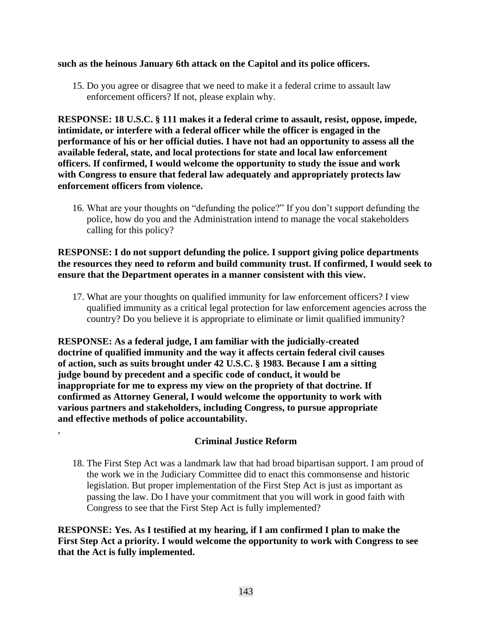#### **such as the heinous January 6th attack on the Capitol and its police officers.**

15. Do you agree or disagree that we need to make it a federal crime to assault law enforcement officers? If not, please explain why.

**RESPONSE: 18 U.S.C. § 111 makes it a federal crime to assault, resist, oppose, impede, intimidate, or interfere with a federal officer while the officer is engaged in the performance of his or her official duties. I have not had an opportunity to assess all the available federal, state, and local protections for state and local law enforcement officers. If confirmed, I would welcome the opportunity to study the issue and work with Congress to ensure that federal law adequately and appropriately protects law enforcement officers from violence.**

16. What are your thoughts on "defunding the police?" If you don't support defunding the police, how do you and the Administration intend to manage the vocal stakeholders calling for this policy?

### **RESPONSE: I do not support defunding the police. I support giving police departments the resources they need to reform and build community trust. If confirmed, I would seek to ensure that the Department operates in a manner consistent with this view.**

17. What are your thoughts on qualified immunity for law enforcement officers? I view qualified immunity as a critical legal protection for law enforcement agencies across the country? Do you believe it is appropriate to eliminate or limit qualified immunity?

**RESPONSE: As a federal judge, I am familiar with the judicially-created doctrine of qualified immunity and the way it affects certain federal civil causes of action, such as suits brought under 42 U.S.C. § 1983. Because I am a sitting judge bound by precedent and a specific code of conduct, it would be inappropriate for me to express my view on the propriety of that doctrine. If confirmed as Attorney General, I would welcome the opportunity to work with various partners and stakeholders, including Congress, to pursue appropriate and effective methods of police accountability.**

,

## **Criminal Justice Reform**

18. The First Step Act was a landmark law that had broad bipartisan support. I am proud of the work we in the Judiciary Committee did to enact this commonsense and historic legislation. But proper implementation of the First Step Act is just as important as passing the law. Do I have your commitment that you will work in good faith with Congress to see that the First Step Act is fully implemented?

**RESPONSE: Yes. As I testified at my hearing, if I am confirmed I plan to make the First Step Act a priority. I would welcome the opportunity to work with Congress to see that the Act is fully implemented.**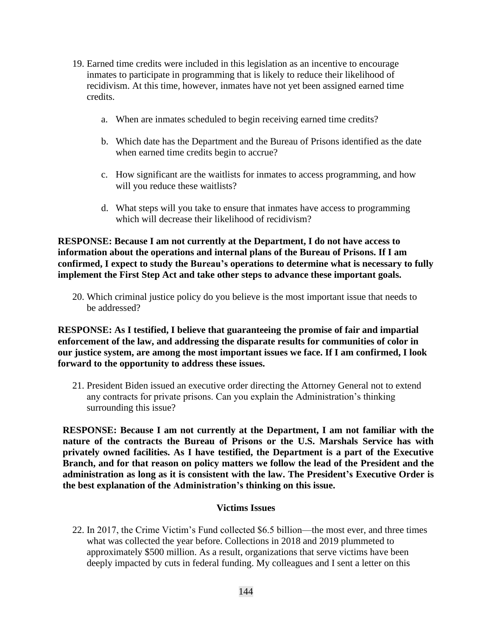- 19. Earned time credits were included in this legislation as an incentive to encourage inmates to participate in programming that is likely to reduce their likelihood of recidivism. At this time, however, inmates have not yet been assigned earned time credits.
	- a. When are inmates scheduled to begin receiving earned time credits?
	- b. Which date has the Department and the Bureau of Prisons identified as the date when earned time credits begin to accrue?
	- c. How significant are the waitlists for inmates to access programming, and how will you reduce these waitlists?
	- d. What steps will you take to ensure that inmates have access to programming which will decrease their likelihood of recidivism?

**RESPONSE: Because I am not currently at the Department, I do not have access to information about the operations and internal plans of the Bureau of Prisons. If I am confirmed, I expect to study the Bureau's operations to determine what is necessary to fully implement the First Step Act and take other steps to advance these important goals.**

20. Which criminal justice policy do you believe is the most important issue that needs to be addressed?

**RESPONSE: As I testified, I believe that guaranteeing the promise of fair and impartial enforcement of the law, and addressing the disparate results for communities of color in our justice system, are among the most important issues we face. If I am confirmed, I look forward to the opportunity to address these issues.**

21. President Biden issued an executive order directing the Attorney General not to extend any contracts for private prisons. Can you explain the Administration's thinking surrounding this issue?

**RESPONSE: Because I am not currently at the Department, I am not familiar with the nature of the contracts the Bureau of Prisons or the U.S. Marshals Service has with privately owned facilities. As I have testified, the Department is a part of the Executive Branch, and for that reason on policy matters we follow the lead of the President and the administration as long as it is consistent with the law. The President's Executive Order is the best explanation of the Administration's thinking on this issue.**

#### **Victims Issues**

22. In 2017, the Crime Victim's Fund collected \$6.5 billion—the most ever, and three times what was collected the year before. Collections in 2018 and 2019 plummeted to approximately \$500 million. As a result, organizations that serve victims have been deeply impacted by cuts in federal funding. My colleagues and I sent a letter on this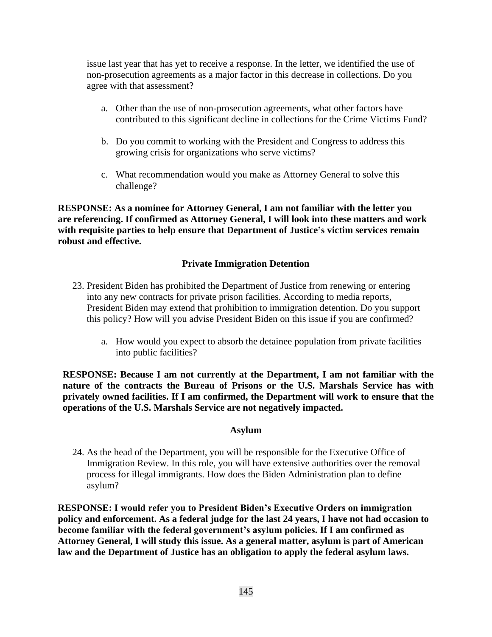issue last year that has yet to receive a response. In the letter, we identified the use of non-prosecution agreements as a major factor in this decrease in collections. Do you agree with that assessment?

- a. Other than the use of non-prosecution agreements, what other factors have contributed to this significant decline in collections for the Crime Victims Fund?
- b. Do you commit to working with the President and Congress to address this growing crisis for organizations who serve victims?
- c. What recommendation would you make as Attorney General to solve this challenge?

**RESPONSE: As a nominee for Attorney General, I am not familiar with the letter you are referencing. If confirmed as Attorney General, I will look into these matters and work with requisite parties to help ensure that Department of Justice's victim services remain robust and effective.** 

## **Private Immigration Detention**

- 23. President Biden has prohibited the Department of Justice from renewing or entering into any new contracts for private prison facilities. According to media reports, President Biden may extend that prohibition to immigration detention. Do you support this policy? How will you advise President Biden on this issue if you are confirmed?
	- a. How would you expect to absorb the detainee population from private facilities into public facilities?

**RESPONSE: Because I am not currently at the Department, I am not familiar with the nature of the contracts the Bureau of Prisons or the U.S. Marshals Service has with privately owned facilities. If I am confirmed, the Department will work to ensure that the operations of the U.S. Marshals Service are not negatively impacted.** 

#### **Asylum**

24. As the head of the Department, you will be responsible for the Executive Office of Immigration Review. In this role, you will have extensive authorities over the removal process for illegal immigrants. How does the Biden Administration plan to define asylum?

**RESPONSE: I would refer you to President Biden's Executive Orders on immigration policy and enforcement. As a federal judge for the last 24 years, I have not had occasion to become familiar with the federal government's asylum policies. If I am confirmed as Attorney General, I will study this issue. As a general matter, asylum is part of American law and the Department of Justice has an obligation to apply the federal asylum laws.**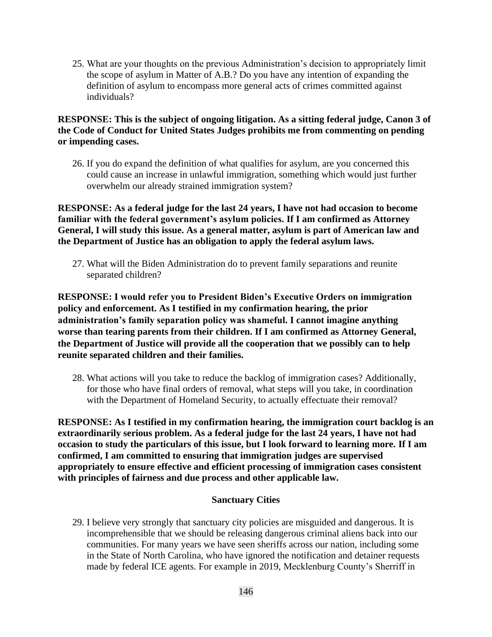25. What are your thoughts on the previous Administration's decision to appropriately limit the scope of asylum in Matter of A.B.? Do you have any intention of expanding the definition of asylum to encompass more general acts of crimes committed against individuals?

# **RESPONSE: This is the subject of ongoing litigation. As a sitting federal judge, Canon 3 of the Code of Conduct for United States Judges prohibits me from commenting on pending or impending cases.**

26. If you do expand the definition of what qualifies for asylum, are you concerned this could cause an increase in unlawful immigration, something which would just further overwhelm our already strained immigration system?

**RESPONSE: As a federal judge for the last 24 years, I have not had occasion to become familiar with the federal government's asylum policies. If I am confirmed as Attorney General, I will study this issue. As a general matter, asylum is part of American law and the Department of Justice has an obligation to apply the federal asylum laws.** 

27. What will the Biden Administration do to prevent family separations and reunite separated children?

**RESPONSE: I would refer you to President Biden's Executive Orders on immigration policy and enforcement. As I testified in my confirmation hearing, the prior administration's family separation policy was shameful. I cannot imagine anything worse than tearing parents from their children. If I am confirmed as Attorney General, the Department of Justice will provide all the cooperation that we possibly can to help reunite separated children and their families.** 

28. What actions will you take to reduce the backlog of immigration cases? Additionally, for those who have final orders of removal, what steps will you take, in coordination with the Department of Homeland Security, to actually effectuate their removal?

**RESPONSE: As I testified in my confirmation hearing, the immigration court backlog is an extraordinarily serious problem. As a federal judge for the last 24 years, I have not had occasion to study the particulars of this issue, but I look forward to learning more. If I am confirmed, I am committed to ensuring that immigration judges are supervised appropriately to ensure effective and efficient processing of immigration cases consistent with principles of fairness and due process and other applicable law.** 

# **Sanctuary Cities**

29. I believe very strongly that sanctuary city policies are misguided and dangerous. It is incomprehensible that we should be releasing dangerous criminal aliens back into our communities. For many years we have seen sheriffs across our nation, including some in the State of North Carolina, who have ignored the notification and detainer requests made by federal ICE agents. For example in 2019, Mecklenburg County's Sherriff in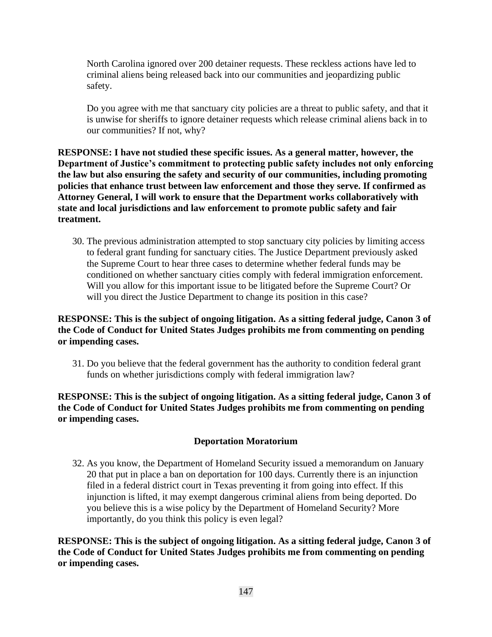North Carolina ignored over 200 detainer requests. These reckless actions have led to criminal aliens being released back into our communities and jeopardizing public safety.

Do you agree with me that sanctuary city policies are a threat to public safety, and that it is unwise for sheriffs to ignore detainer requests which release criminal aliens back in to our communities? If not, why?

**RESPONSE: I have not studied these specific issues. As a general matter, however, the Department of Justice's commitment to protecting public safety includes not only enforcing the law but also ensuring the safety and security of our communities, including promoting policies that enhance trust between law enforcement and those they serve. If confirmed as Attorney General, I will work to ensure that the Department works collaboratively with state and local jurisdictions and law enforcement to promote public safety and fair treatment.**

30. The previous administration attempted to stop sanctuary city policies by limiting access to federal grant funding for sanctuary cities. The Justice Department previously asked the Supreme Court to hear three cases to determine whether federal funds may be conditioned on whether sanctuary cities comply with federal immigration enforcement. Will you allow for this important issue to be litigated before the Supreme Court? Or will you direct the Justice Department to change its position in this case?

# **RESPONSE: This is the subject of ongoing litigation. As a sitting federal judge, Canon 3 of the Code of Conduct for United States Judges prohibits me from commenting on pending or impending cases.**

31. Do you believe that the federal government has the authority to condition federal grant funds on whether jurisdictions comply with federal immigration law?

**RESPONSE: This is the subject of ongoing litigation. As a sitting federal judge, Canon 3 of the Code of Conduct for United States Judges prohibits me from commenting on pending or impending cases.**

# **Deportation Moratorium**

32. As you know, the Department of Homeland Security issued a memorandum on January 20 that put in place a ban on deportation for 100 days. Currently there is an injunction filed in a federal district court in Texas preventing it from going into effect. If this injunction is lifted, it may exempt dangerous criminal aliens from being deported. Do you believe this is a wise policy by the Department of Homeland Security? More importantly, do you think this policy is even legal?

**RESPONSE: This is the subject of ongoing litigation. As a sitting federal judge, Canon 3 of the Code of Conduct for United States Judges prohibits me from commenting on pending or impending cases.**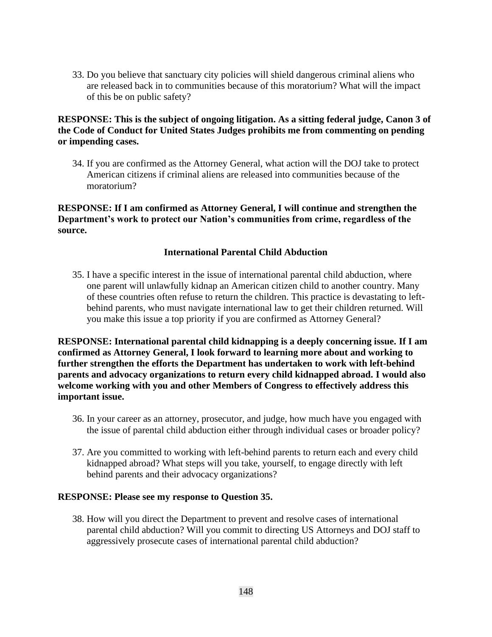33. Do you believe that sanctuary city policies will shield dangerous criminal aliens who are released back in to communities because of this moratorium? What will the impact of this be on public safety?

# **RESPONSE: This is the subject of ongoing litigation. As a sitting federal judge, Canon 3 of the Code of Conduct for United States Judges prohibits me from commenting on pending or impending cases.**

34. If you are confirmed as the Attorney General, what action will the DOJ take to protect American citizens if criminal aliens are released into communities because of the moratorium?

**RESPONSE: If I am confirmed as Attorney General, I will continue and strengthen the Department's work to protect our Nation's communities from crime, regardless of the source.**

## **International Parental Child Abduction**

35. I have a specific interest in the issue of international parental child abduction, where one parent will unlawfully kidnap an American citizen child to another country. Many of these countries often refuse to return the children. This practice is devastating to leftbehind parents, who must navigate international law to get their children returned. Will you make this issue a top priority if you are confirmed as Attorney General?

**RESPONSE: International parental child kidnapping is a deeply concerning issue. If I am confirmed as Attorney General, I look forward to learning more about and working to further strengthen the efforts the Department has undertaken to work with left-behind parents and advocacy organizations to return every child kidnapped abroad. I would also welcome working with you and other Members of Congress to effectively address this important issue.** 

- 36. In your career as an attorney, prosecutor, and judge, how much have you engaged with the issue of parental child abduction either through individual cases or broader policy?
- 37. Are you committed to working with left-behind parents to return each and every child kidnapped abroad? What steps will you take, yourself, to engage directly with left behind parents and their advocacy organizations?

#### **RESPONSE: Please see my response to Question 35.**

38. How will you direct the Department to prevent and resolve cases of international parental child abduction? Will you commit to directing US Attorneys and DOJ staff to aggressively prosecute cases of international parental child abduction?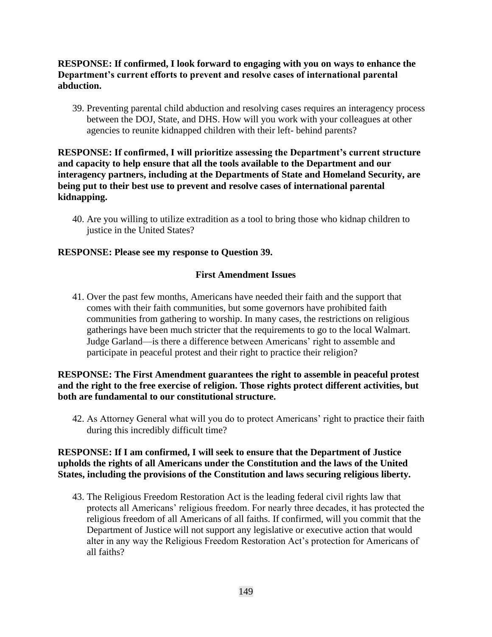# **RESPONSE: If confirmed, I look forward to engaging with you on ways to enhance the Department's current efforts to prevent and resolve cases of international parental abduction.**

39. Preventing parental child abduction and resolving cases requires an interagency process between the DOJ, State, and DHS. How will you work with your colleagues at other agencies to reunite kidnapped children with their left- behind parents?

# **RESPONSE: If confirmed, I will prioritize assessing the Department's current structure and capacity to help ensure that all the tools available to the Department and our interagency partners, including at the Departments of State and Homeland Security, are being put to their best use to prevent and resolve cases of international parental kidnapping.**

40. Are you willing to utilize extradition as a tool to bring those who kidnap children to justice in the United States?

# **RESPONSE: Please see my response to Question 39.**

#### **First Amendment Issues**

41. Over the past few months, Americans have needed their faith and the support that comes with their faith communities, but some governors have prohibited faith communities from gathering to worship. In many cases, the restrictions on religious gatherings have been much stricter that the requirements to go to the local Walmart. Judge Garland—is there a difference between Americans' right to assemble and participate in peaceful protest and their right to practice their religion?

# **RESPONSE: The First Amendment guarantees the right to assemble in peaceful protest and the right to the free exercise of religion. Those rights protect different activities, but both are fundamental to our constitutional structure.**

42. As Attorney General what will you do to protect Americans' right to practice their faith during this incredibly difficult time?

# **RESPONSE: If I am confirmed, I will seek to ensure that the Department of Justice upholds the rights of all Americans under the Constitution and the laws of the United States, including the provisions of the Constitution and laws securing religious liberty.**

43. The Religious Freedom Restoration Act is the leading federal civil rights law that protects all Americans' religious freedom. For nearly three decades, it has protected the religious freedom of all Americans of all faiths. If confirmed, will you commit that the Department of Justice will not support any legislative or executive action that would alter in any way the Religious Freedom Restoration Act's protection for Americans of all faiths?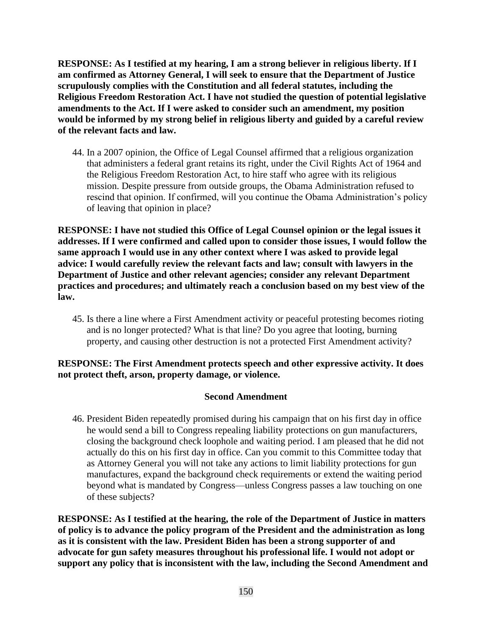**RESPONSE: As I testified at my hearing, I am a strong believer in religious liberty. If I am confirmed as Attorney General, I will seek to ensure that the Department of Justice scrupulously complies with the Constitution and all federal statutes, including the Religious Freedom Restoration Act. I have not studied the question of potential legislative amendments to the Act. If I were asked to consider such an amendment, my position would be informed by my strong belief in religious liberty and guided by a careful review of the relevant facts and law.**

44. In a 2007 opinion, the Office of Legal Counsel affirmed that a religious organization that administers a federal grant retains its right, under the Civil Rights Act of 1964 and the Religious Freedom Restoration Act, to hire staff who agree with its religious mission. Despite pressure from outside groups, the Obama Administration refused to rescind that opinion. If confirmed, will you continue the Obama Administration's policy of leaving that opinion in place?

**RESPONSE: I have not studied this Office of Legal Counsel opinion or the legal issues it addresses. If I were confirmed and called upon to consider those issues, I would follow the same approach I would use in any other context where I was asked to provide legal advice: I would carefully review the relevant facts and law; consult with lawyers in the Department of Justice and other relevant agencies; consider any relevant Department practices and procedures; and ultimately reach a conclusion based on my best view of the law.** 

45. Is there a line where a First Amendment activity or peaceful protesting becomes rioting and is no longer protected? What is that line? Do you agree that looting, burning property, and causing other destruction is not a protected First Amendment activity?

## **RESPONSE: The First Amendment protects speech and other expressive activity. It does not protect theft, arson, property damage, or violence.**

# **Second Amendment**

46. President Biden repeatedly promised during his campaign that on his first day in office he would send a bill to Congress repealing liability protections on gun manufacturers, closing the background check loophole and waiting period. I am pleased that he did not actually do this on his first day in office. Can you commit to this Committee today that as Attorney General you will not take any actions to limit liability protections for gun manufactures, expand the background check requirements or extend the waiting period beyond what is mandated by Congress—unless Congress passes a law touching on one of these subjects?

**RESPONSE: As I testified at the hearing, the role of the Department of Justice in matters of policy is to advance the policy program of the President and the administration as long as it is consistent with the law. President Biden has been a strong supporter of and advocate for gun safety measures throughout his professional life. I would not adopt or support any policy that is inconsistent with the law, including the Second Amendment and**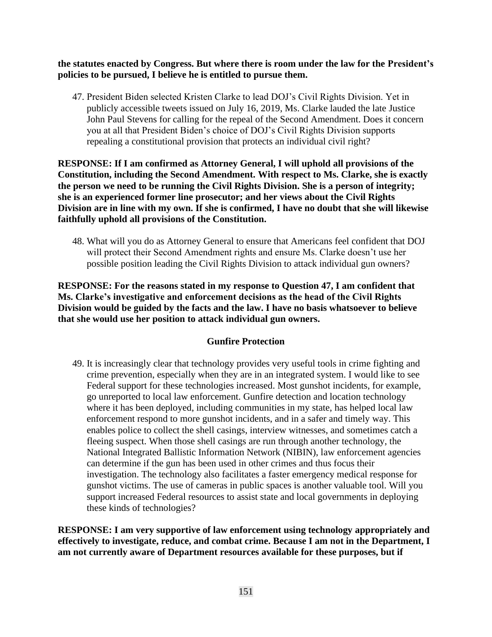**the statutes enacted by Congress. But where there is room under the law for the President's policies to be pursued, I believe he is entitled to pursue them.**

47. President Biden selected Kristen Clarke to lead DOJ's Civil Rights Division. Yet in publicly accessible tweets issued on July 16, 2019, Ms. Clarke lauded the late Justice John Paul Stevens for calling for the repeal of the Second Amendment. Does it concern you at all that President Biden's choice of DOJ's Civil Rights Division supports repealing a constitutional provision that protects an individual civil right?

**RESPONSE: If I am confirmed as Attorney General, I will uphold all provisions of the Constitution, including the Second Amendment. With respect to Ms. Clarke, she is exactly the person we need to be running the Civil Rights Division. She is a person of integrity; she is an experienced former line prosecutor; and her views about the Civil Rights Division are in line with my own. If she is confirmed, I have no doubt that she will likewise faithfully uphold all provisions of the Constitution.**

48. What will you do as Attorney General to ensure that Americans feel confident that DOJ will protect their Second Amendment rights and ensure Ms. Clarke doesn't use her possible position leading the Civil Rights Division to attack individual gun owners?

**RESPONSE: For the reasons stated in my response to Question 47, I am confident that Ms. Clarke's investigative and enforcement decisions as the head of the Civil Rights Division would be guided by the facts and the law. I have no basis whatsoever to believe that she would use her position to attack individual gun owners.**

# **Gunfire Protection**

49. It is increasingly clear that technology provides very useful tools in crime fighting and crime prevention, especially when they are in an integrated system. I would like to see Federal support for these technologies increased. Most gunshot incidents, for example, go unreported to local law enforcement. Gunfire detection and location technology where it has been deployed, including communities in my state, has helped local law enforcement respond to more gunshot incidents, and in a safer and timely way. This enables police to collect the shell casings, interview witnesses, and sometimes catch a fleeing suspect. When those shell casings are run through another technology, the National Integrated Ballistic Information Network (NIBIN), law enforcement agencies can determine if the gun has been used in other crimes and thus focus their investigation. The technology also facilitates a faster emergency medical response for gunshot victims. The use of cameras in public spaces is another valuable tool. Will you support increased Federal resources to assist state and local governments in deploying these kinds of technologies?

**RESPONSE: I am very supportive of law enforcement using technology appropriately and effectively to investigate, reduce, and combat crime. Because I am not in the Department, I am not currently aware of Department resources available for these purposes, but if**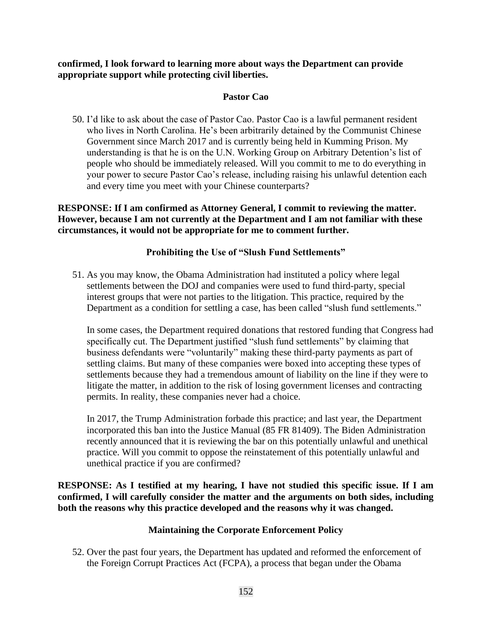**confirmed, I look forward to learning more about ways the Department can provide appropriate support while protecting civil liberties.**

## **Pastor Cao**

50. I'd like to ask about the case of Pastor Cao. Pastor Cao is a lawful permanent resident who lives in North Carolina. He's been arbitrarily detained by the Communist Chinese Government since March 2017 and is currently being held in Kumming Prison. My understanding is that he is on the U.N. Working Group on Arbitrary Detention's list of people who should be immediately released. Will you commit to me to do everything in your power to secure Pastor Cao's release, including raising his unlawful detention each and every time you meet with your Chinese counterparts?

**RESPONSE: If I am confirmed as Attorney General, I commit to reviewing the matter. However, because I am not currently at the Department and I am not familiar with these circumstances, it would not be appropriate for me to comment further.**

## **Prohibiting the Use of "Slush Fund Settlements"**

51. As you may know, the Obama Administration had instituted a policy where legal settlements between the DOJ and companies were used to fund third-party, special interest groups that were not parties to the litigation. This practice, required by the Department as a condition for settling a case, has been called "slush fund settlements."

In some cases, the Department required donations that restored funding that Congress had specifically cut. The Department justified "slush fund settlements" by claiming that business defendants were "voluntarily" making these third-party payments as part of settling claims. But many of these companies were boxed into accepting these types of settlements because they had a tremendous amount of liability on the line if they were to litigate the matter, in addition to the risk of losing government licenses and contracting permits. In reality, these companies never had a choice.

In 2017, the Trump Administration forbade this practice; and last year, the Department incorporated this ban into the Justice Manual (85 FR 81409). The Biden Administration recently announced that it is reviewing the bar on this potentially unlawful and unethical practice. Will you commit to oppose the reinstatement of this potentially unlawful and unethical practice if you are confirmed?

**RESPONSE: As I testified at my hearing, I have not studied this specific issue. If I am confirmed, I will carefully consider the matter and the arguments on both sides, including both the reasons why this practice developed and the reasons why it was changed.**

# **Maintaining the Corporate Enforcement Policy**

52. Over the past four years, the Department has updated and reformed the enforcement of the Foreign Corrupt Practices Act (FCPA), a process that began under the Obama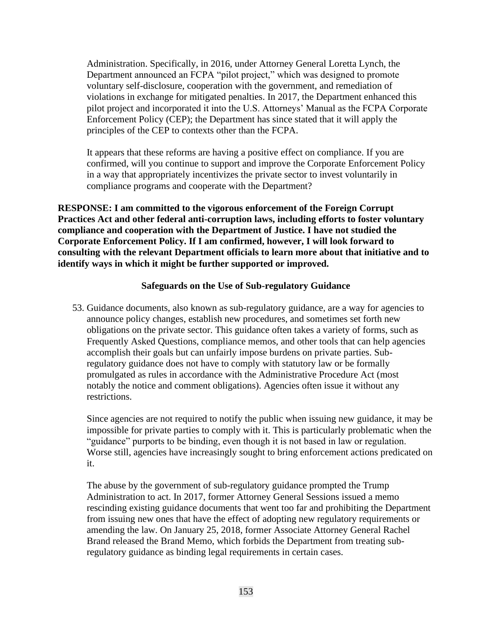Administration. Specifically, in 2016, under Attorney General Loretta Lynch, the Department announced an FCPA "pilot project," which was designed to promote voluntary self-disclosure, cooperation with the government, and remediation of violations in exchange for mitigated penalties. In 2017, the Department enhanced this pilot project and incorporated it into the U.S. Attorneys' Manual as the FCPA Corporate Enforcement Policy (CEP); the Department has since stated that it will apply the principles of the CEP to contexts other than the FCPA.

It appears that these reforms are having a positive effect on compliance. If you are confirmed, will you continue to support and improve the Corporate Enforcement Policy in a way that appropriately incentivizes the private sector to invest voluntarily in compliance programs and cooperate with the Department?

**RESPONSE: I am committed to the vigorous enforcement of the Foreign Corrupt Practices Act and other federal anti-corruption laws, including efforts to foster voluntary compliance and cooperation with the Department of Justice. I have not studied the Corporate Enforcement Policy. If I am confirmed, however, I will look forward to consulting with the relevant Department officials to learn more about that initiative and to identify ways in which it might be further supported or improved.**

#### **Safeguards on the Use of Sub-regulatory Guidance**

53. Guidance documents, also known as sub-regulatory guidance, are a way for agencies to announce policy changes, establish new procedures, and sometimes set forth new obligations on the private sector. This guidance often takes a variety of forms, such as Frequently Asked Questions, compliance memos, and other tools that can help agencies accomplish their goals but can unfairly impose burdens on private parties. Subregulatory guidance does not have to comply with statutory law or be formally promulgated as rules in accordance with the Administrative Procedure Act (most notably the notice and comment obligations). Agencies often issue it without any restrictions.

Since agencies are not required to notify the public when issuing new guidance, it may be impossible for private parties to comply with it. This is particularly problematic when the "guidance" purports to be binding, even though it is not based in law or regulation. Worse still, agencies have increasingly sought to bring enforcement actions predicated on it.

The abuse by the government of sub-regulatory guidance prompted the Trump Administration to act. In 2017, former Attorney General Sessions issued a memo rescinding existing guidance documents that went too far and prohibiting the Department from issuing new ones that have the effect of adopting new regulatory requirements or amending the law. On January 25, 2018, former Associate Attorney General Rachel Brand released the Brand Memo, which forbids the Department from treating subregulatory guidance as binding legal requirements in certain cases.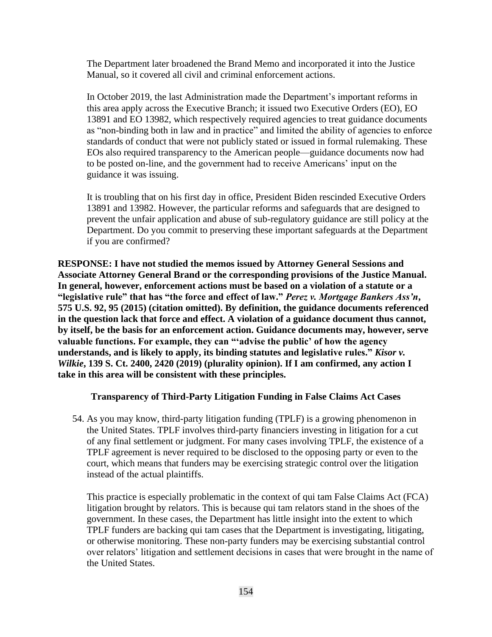The Department later broadened the Brand Memo and incorporated it into the Justice Manual, so it covered all civil and criminal enforcement actions.

In October 2019, the last Administration made the Department's important reforms in this area apply across the Executive Branch; it issued two Executive Orders (EO), EO 13891 and EO 13982, which respectively required agencies to treat guidance documents as "non-binding both in law and in practice" and limited the ability of agencies to enforce standards of conduct that were not publicly stated or issued in formal rulemaking. These EOs also required transparency to the American people—guidance documents now had to be posted on-line, and the government had to receive Americans' input on the guidance it was issuing.

It is troubling that on his first day in office, President Biden rescinded Executive Orders 13891 and 13982. However, the particular reforms and safeguards that are designed to prevent the unfair application and abuse of sub-regulatory guidance are still policy at the Department. Do you commit to preserving these important safeguards at the Department if you are confirmed?

**RESPONSE: I have not studied the memos issued by Attorney General Sessions and Associate Attorney General Brand or the corresponding provisions of the Justice Manual. In general, however, enforcement actions must be based on a violation of a statute or a "legislative rule" that has "the force and effect of law."** *Perez v. Mortgage Bankers Ass'n***, 575 U.S. 92, 95 (2015) (citation omitted). By definition, the guidance documents referenced in the question lack that force and effect. A violation of a guidance document thus cannot, by itself, be the basis for an enforcement action. Guidance documents may, however, serve valuable functions. For example, they can "'advise the public' of how the agency understands, and is likely to apply, its binding statutes and legislative rules."** *Kisor v. Wilkie***, 139 S. Ct. 2400, 2420 (2019) (plurality opinion). If I am confirmed, any action I take in this area will be consistent with these principles.**

#### **Transparency of Third-Party Litigation Funding in False Claims Act Cases**

54. As you may know, third-party litigation funding (TPLF) is a growing phenomenon in the United States. TPLF involves third-party financiers investing in litigation for a cut of any final settlement or judgment. For many cases involving TPLF, the existence of a TPLF agreement is never required to be disclosed to the opposing party or even to the court, which means that funders may be exercising strategic control over the litigation instead of the actual plaintiffs.

This practice is especially problematic in the context of qui tam False Claims Act (FCA) litigation brought by relators. This is because qui tam relators stand in the shoes of the government. In these cases, the Department has little insight into the extent to which TPLF funders are backing qui tam cases that the Department is investigating, litigating, or otherwise monitoring. These non-party funders may be exercising substantial control over relators' litigation and settlement decisions in cases that were brought in the name of the United States.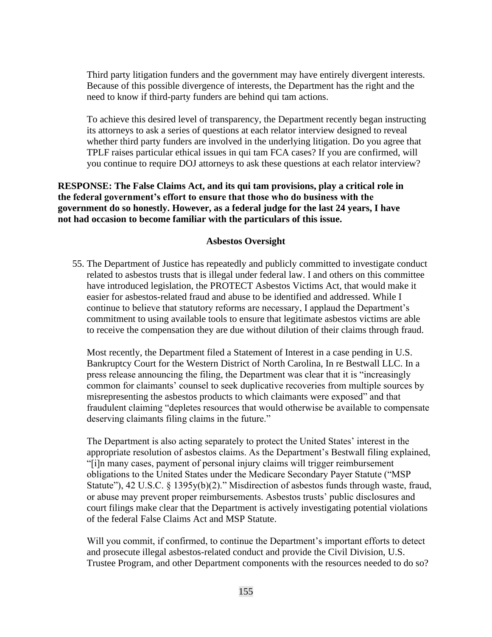Third party litigation funders and the government may have entirely divergent interests. Because of this possible divergence of interests, the Department has the right and the need to know if third-party funders are behind qui tam actions.

To achieve this desired level of transparency, the Department recently began instructing its attorneys to ask a series of questions at each relator interview designed to reveal whether third party funders are involved in the underlying litigation. Do you agree that TPLF raises particular ethical issues in qui tam FCA cases? If you are confirmed, will you continue to require DOJ attorneys to ask these questions at each relator interview?

# **RESPONSE: The False Claims Act, and its qui tam provisions, play a critical role in the federal government's effort to ensure that those who do business with the government do so honestly. However, as a federal judge for the last 24 years, I have not had occasion to become familiar with the particulars of this issue.**

#### **Asbestos Oversight**

55. The Department of Justice has repeatedly and publicly committed to investigate conduct related to asbestos trusts that is illegal under federal law. I and others on this committee have introduced legislation, the PROTECT Asbestos Victims Act, that would make it easier for asbestos-related fraud and abuse to be identified and addressed. While I continue to believe that statutory reforms are necessary, I applaud the Department's commitment to using available tools to ensure that legitimate asbestos victims are able to receive the compensation they are due without dilution of their claims through fraud.

Most recently, the Department filed a Statement of Interest in a case pending in U.S. Bankruptcy Court for the Western District of North Carolina, In re Bestwall LLC. In a press release announcing the filing, the Department was clear that it is "increasingly common for claimants' counsel to seek duplicative recoveries from multiple sources by misrepresenting the asbestos products to which claimants were exposed" and that fraudulent claiming "depletes resources that would otherwise be available to compensate deserving claimants filing claims in the future."

The Department is also acting separately to protect the United States' interest in the appropriate resolution of asbestos claims. As the Department's Bestwall filing explained, "[i]n many cases, payment of personal injury claims will trigger reimbursement obligations to the United States under the Medicare Secondary Payer Statute ("MSP Statute"), 42 U.S.C. § 1395y(b)(2)." Misdirection of asbestos funds through waste, fraud, or abuse may prevent proper reimbursements. Asbestos trusts' public disclosures and court filings make clear that the Department is actively investigating potential violations of the federal False Claims Act and MSP Statute.

Will you commit, if confirmed, to continue the Department's important efforts to detect and prosecute illegal asbestos-related conduct and provide the Civil Division, U.S. Trustee Program, and other Department components with the resources needed to do so?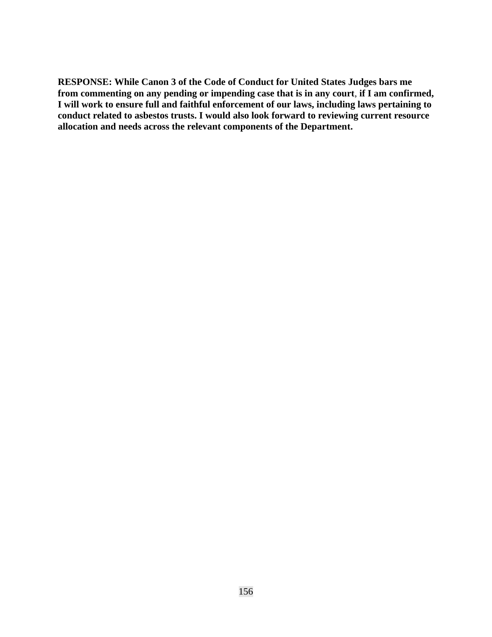**RESPONSE: While Canon 3 of the Code of Conduct for United States Judges bars me from commenting on any pending or impending case that is in any court**, **if I am confirmed, I will work to ensure full and faithful enforcement of our laws, including laws pertaining to conduct related to asbestos trusts. I would also look forward to reviewing current resource allocation and needs across the relevant components of the Department.**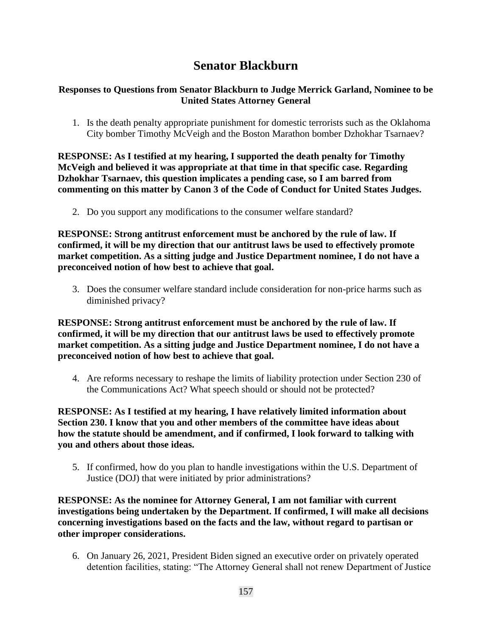# **Senator Blackburn**

# **Responses to Questions from Senator Blackburn to Judge Merrick Garland, Nominee to be United States Attorney General**

1. Is the death penalty appropriate punishment for domestic terrorists such as the Oklahoma City bomber Timothy McVeigh and the Boston Marathon bomber Dzhokhar Tsarnaev?

**RESPONSE: As I testified at my hearing, I supported the death penalty for Timothy McVeigh and believed it was appropriate at that time in that specific case. Regarding Dzhokhar Tsarnaev, this question implicates a pending case, so I am barred from commenting on this matter by Canon 3 of the Code of Conduct for United States Judges.** 

2. Do you support any modifications to the consumer welfare standard?

**RESPONSE: Strong antitrust enforcement must be anchored by the rule of law. If confirmed, it will be my direction that our antitrust laws be used to effectively promote market competition. As a sitting judge and Justice Department nominee, I do not have a preconceived notion of how best to achieve that goal.**

3. Does the consumer welfare standard include consideration for non-price harms such as diminished privacy?

**RESPONSE: Strong antitrust enforcement must be anchored by the rule of law. If confirmed, it will be my direction that our antitrust laws be used to effectively promote market competition. As a sitting judge and Justice Department nominee, I do not have a preconceived notion of how best to achieve that goal.**

4. Are reforms necessary to reshape the limits of liability protection under Section 230 of the Communications Act? What speech should or should not be protected?

**RESPONSE: As I testified at my hearing, I have relatively limited information about Section 230. I know that you and other members of the committee have ideas about how the statute should be amendment, and if confirmed, I look forward to talking with you and others about those ideas.**

5. If confirmed, how do you plan to handle investigations within the U.S. Department of Justice (DOJ) that were initiated by prior administrations?

**RESPONSE: As the nominee for Attorney General, I am not familiar with current investigations being undertaken by the Department. If confirmed, I will make all decisions concerning investigations based on the facts and the law, without regard to partisan or other improper considerations.**

6. On January 26, 2021, President Biden signed an executive order on privately operated detention facilities, stating: "The Attorney General shall not renew Department of Justice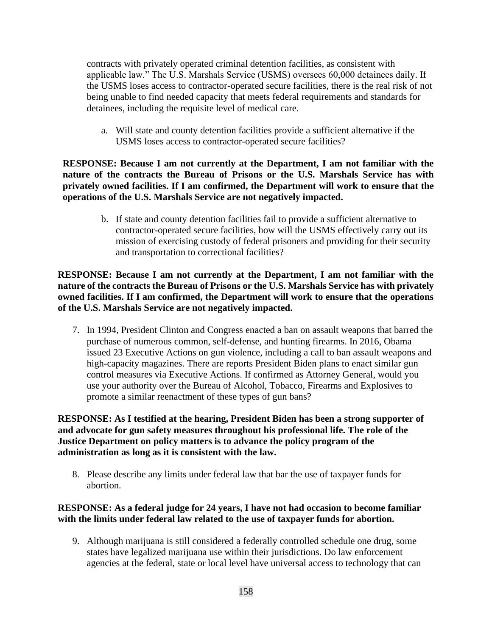contracts with privately operated criminal detention facilities, as consistent with applicable law." The U.S. Marshals Service (USMS) oversees 60,000 detainees daily. If the USMS loses access to contractor-operated secure facilities, there is the real risk of not being unable to find needed capacity that meets federal requirements and standards for detainees, including the requisite level of medical care.

a. Will state and county detention facilities provide a sufficient alternative if the USMS loses access to contractor-operated secure facilities?

**RESPONSE: Because I am not currently at the Department, I am not familiar with the nature of the contracts the Bureau of Prisons or the U.S. Marshals Service has with privately owned facilities. If I am confirmed, the Department will work to ensure that the operations of the U.S. Marshals Service are not negatively impacted.** 

> b. If state and county detention facilities fail to provide a sufficient alternative to contractor-operated secure facilities, how will the USMS effectively carry out its mission of exercising custody of federal prisoners and providing for their security and transportation to correctional facilities?

**RESPONSE: Because I am not currently at the Department, I am not familiar with the nature of the contracts the Bureau of Prisons or the U.S. Marshals Service has with privately owned facilities. If I am confirmed, the Department will work to ensure that the operations of the U.S. Marshals Service are not negatively impacted.** 

7. In 1994, President Clinton and Congress enacted a ban on assault weapons that barred the purchase of numerous common, self-defense, and hunting firearms. In 2016, Obama issued 23 Executive Actions on gun violence, including a call to ban assault weapons and high-capacity magazines. There are reports President Biden plans to enact similar gun control measures via Executive Actions. If confirmed as Attorney General, would you use your authority over the Bureau of Alcohol, Tobacco, Firearms and Explosives to promote a similar reenactment of these types of gun bans?

**RESPONSE: As I testified at the hearing, President Biden has been a strong supporter of and advocate for gun safety measures throughout his professional life. The role of the Justice Department on policy matters is to advance the policy program of the administration as long as it is consistent with the law.** 

8. Please describe any limits under federal law that bar the use of taxpayer funds for abortion.

## **RESPONSE: As a federal judge for 24 years, I have not had occasion to become familiar with the limits under federal law related to the use of taxpayer funds for abortion.**

9. Although marijuana is still considered a federally controlled schedule one drug, some states have legalized marijuana use within their jurisdictions. Do law enforcement agencies at the federal, state or local level have universal access to technology that can